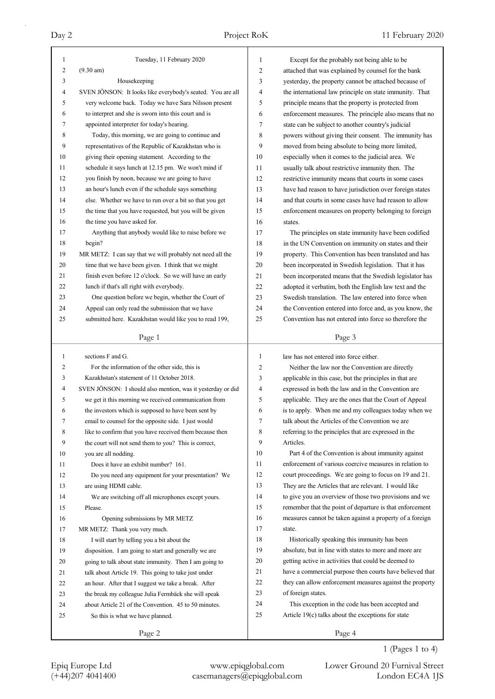|                     | Tuesday, 11 February 2020                                   |              |                                                                                                          |
|---------------------|-------------------------------------------------------------|--------------|----------------------------------------------------------------------------------------------------------|
| 1<br>$\overline{c}$ |                                                             | $\mathbf{1}$ | Except for the probably not being able to be                                                             |
|                     | $(9.30 \text{ am})$                                         | 2            | attached that was explained by counsel for the bank                                                      |
| 3                   | Housekeeping                                                | 3            | yesterday, the property cannot be attached because of                                                    |
| 4                   | SVEN JÖNSON: It looks like everybody's seated. You are all  | 4            | the international law principle on state immunity. That                                                  |
| 5                   | very welcome back. Today we have Sara Nilsson present       | 5            | principle means that the property is protected from                                                      |
| 6                   | to interpret and she is sworn into this court and is        | 6            | enforcement measures. The principle also means that no                                                   |
| 7                   | appointed interpreter for today's hearing.                  | 7            | state can be subject to another country's judicial                                                       |
| 8                   | Today, this morning, we are going to continue and           | 8            | powers without giving their consent. The immunity has                                                    |
| 9                   | representatives of the Republic of Kazakhstan who is        | 9            | moved from being absolute to being more limited,                                                         |
| 10                  | giving their opening statement. According to the            | 10           | especially when it comes to the judicial area. We                                                        |
| 11                  | schedule it says lunch at 12.15 pm. We won't mind if        | 11           | usually talk about restrictive immunity then. The                                                        |
| 12                  | you finish by noon, because we are going to have            | 12           | restrictive immunity means that courts in some cases                                                     |
| 13                  | an hour's lunch even if the schedule says something         | 13           | have had reason to have jurisdiction over foreign states                                                 |
| 14                  | else. Whether we have to run over a bit so that you get     | 14           | and that courts in some cases have had reason to allow                                                   |
| 15                  | the time that you have requested, but you will be given     | 15           | enforcement measures on property belonging to foreign                                                    |
| 16                  | the time you have asked for.                                | 16           | states.                                                                                                  |
| 17                  | Anything that anybody would like to raise before we         | 17           | The principles on state immunity have been codified                                                      |
| 18                  | begin?                                                      | 18           | in the UN Convention on immunity on states and their                                                     |
| 19                  | MR METZ: I can say that we will probably not need all the   | 19           | property. This Convention has been translated and has                                                    |
| 20                  | time that we have been given. I think that we might         | 20           | been incorporated in Swedish legislation. That it has                                                    |
| 21                  | finish even before 12 o'clock. So we will have an early     | 21           | been incorporated means that the Swedish legislator has                                                  |
| 22                  | lunch if that's all right with everybody.                   | 22           | adopted it verbatim, both the English law text and the                                                   |
| 23                  | One question before we begin, whether the Court of          | 23           | Swedish translation. The law entered into force when                                                     |
| 24                  | Appeal can only read the submission that we have            | 24           | the Convention entered into force and, as you know, the                                                  |
| 25                  | submitted here. Kazakhstan would like you to read 199,      | 25           | Convention has not entered into force so therefore the                                                   |
|                     |                                                             |              |                                                                                                          |
|                     | Page 1                                                      |              | Page 3                                                                                                   |
|                     |                                                             |              |                                                                                                          |
|                     |                                                             |              |                                                                                                          |
| $\mathbf{1}$        | sections F and G.                                           | 1            | law has not entered into force either.                                                                   |
| 2                   | For the information of the other side, this is              | 2            | Neither the law nor the Convention are directly                                                          |
| 3                   | Kazakhstan's statement of 11 October 2018.                  | 3            | applicable in this case, but the principles in that are                                                  |
| 4                   | SVEN JÖNSON: I should also mention, was it yesterday or did | 4            | expressed in both the law and in the Convention are                                                      |
| 5                   | we get it this morning we received communication from       | 5            | applicable. They are the ones that the Court of Appeal                                                   |
| 6                   | the investors which is supposed to have been sent by        | 6            | is to apply. When me and my colleagues today when we<br>talk about the Articles of the Convention we are |
| 7                   | email to counsel for the opposite side. I just would        | 7            |                                                                                                          |
| 8                   | like to confirm that you have received them because then    | 8            | referring to the principles that are expressed in the                                                    |
| 9                   | the court will not send them to you? This is correct,       | 9            | Articles.                                                                                                |
| 10                  | you are all nodding.                                        | 10           | Part 4 of the Convention is about immunity against                                                       |
| 11                  | Does it have an exhibit number? 161.                        | 11           | enforcement of various coercive measures in relation to                                                  |
| 12                  | Do you need any equipment for your presentation? We         | 12           | court proceedings. We are going to focus on 19 and 21.                                                   |
| 13                  | are using HDMI cable.                                       | 13           | They are the Articles that are relevant. I would like                                                    |
| 14                  | We are switching off all microphones except yours.          | 14           | to give you an overview of those two provisions and we                                                   |
| 15                  | Please.                                                     | 15           | remember that the point of departure is that enforcement                                                 |
| 16                  | Opening submissions by MR METZ                              | 16           | measures cannot be taken against a property of a foreign                                                 |
| 17                  | MR METZ: Thank you very much.                               | 17           | state.                                                                                                   |
| 18                  | I will start by telling you a bit about the                 | 18           | Historically speaking this immunity has been                                                             |
| 19                  | disposition. I am going to start and generally we are       | 19           | absolute, but in line with states to more and more are                                                   |
| 20                  | going to talk about state immunity. Then I am going to      | 20           | getting active in activities that could be deemed to                                                     |
| 21                  | talk about Article 19. This going to take just under        | 21           | have a commercial purpose then courts have believed that                                                 |
| 22                  | an hour. After that I suggest we take a break. After        | 22           | they can allow enforcement measures against the property                                                 |
| 23                  | the break my colleague Julia Fermbäck she will speak        | 23           | of foreign states.                                                                                       |
| 24                  | about Article 21 of the Convention. 45 to 50 minutes.       | 24           | This exception in the code has been accepted and                                                         |
| 25                  | So this is what we have planned.                            | 25           | Article $19(c)$ talks about the exceptions for state                                                     |

1 (Pages 1 to 4)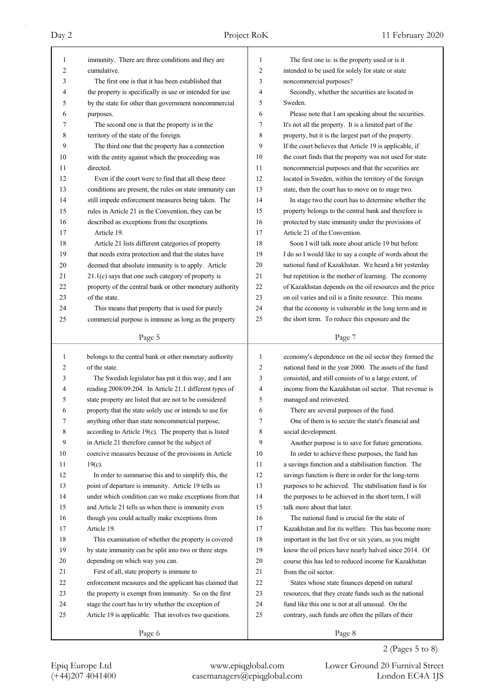| 1  | immunity. There are three conditions and they are                                                              | 1  | The first one is: is the property used or is it                                                         |
|----|----------------------------------------------------------------------------------------------------------------|----|---------------------------------------------------------------------------------------------------------|
| 2  | cumulative.                                                                                                    | 2  | intended to be used for solely for state or state                                                       |
| 3  | The first one is that it has been established that                                                             | 3  | noncommercial purposes?                                                                                 |
| 4  | the property is specifically in use or intended for use                                                        | 4  | Secondly, whether the securities are located in                                                         |
| 5  | by the state for other than government noncommercial                                                           | 5  | Sweden.                                                                                                 |
| 6  | purposes.                                                                                                      | 6  | Please note that I am speaking about the securities.                                                    |
| 7  | The second one is that the property is in the                                                                  | 7  | It's not all the property. It is a limited part of the                                                  |
| 8  | territory of the state of the foreign.                                                                         | 8  | property, but it is the largest part of the property.                                                   |
| 9  | The third one that the property has a connection                                                               | 9  | If the court believes that Article 19 is applicable, if                                                 |
| 10 | with the entity against which the proceeding was                                                               | 10 | the court finds that the property was not used for state                                                |
| 11 | directed.                                                                                                      | 11 | noncommercial purposes and that the securities are                                                      |
| 12 | Even if the court were to find that all these three                                                            | 12 | located in Sweden, within the territory of the foreign                                                  |
| 13 | conditions are present, the rules on state immunity can                                                        | 13 | state, then the court has to move on to stage two.                                                      |
| 14 | still impede enforcement measures being taken. The                                                             | 14 | In stage two the court has to determine whether the                                                     |
| 15 | rules in Article 21 in the Convention, they can be                                                             | 15 | property belongs to the central bank and therefore is                                                   |
| 16 | described as exceptions from the exceptions.                                                                   | 16 | protected by state immunity under the provisions of                                                     |
| 17 | Article 19.                                                                                                    | 17 | Article 21 of the Convention.                                                                           |
| 18 | Article 21 lists different categories of property                                                              | 18 | Soon I will talk more about article 19 but before                                                       |
| 19 | that needs extra protection and that the states have                                                           | 19 | I do so I would like to say a couple of words about the                                                 |
| 20 | deemed that absolute immunity is to apply. Article                                                             | 20 | national fund of Kazakhstan. We heard a bit yesterday                                                   |
| 21 | $21.1(c)$ says that one such category of property is                                                           | 21 | but repetition is the mother of learning. The economy                                                   |
| 22 | property of the central bank or other monetary authority                                                       | 22 | of Kazakhstan depends on the oil resources and the price                                                |
| 23 | of the state.                                                                                                  | 23 | on oil varies and oil is a finite resource. This means                                                  |
| 24 | This means that property that is used for purely                                                               | 24 | that the economy is vulnerable in the long term and in                                                  |
| 25 | commercial purpose is immune as long as the property                                                           | 25 | the short term. To reduce this exposure and the                                                         |
|    |                                                                                                                |    |                                                                                                         |
|    | Page 5                                                                                                         |    | Page 7                                                                                                  |
|    |                                                                                                                |    |                                                                                                         |
| 1  | belongs to the central bank or other monetary authority                                                        | 1  | economy's dependence on the oil sector they formed the                                                  |
| 2  | of the state.                                                                                                  | 2  | national fund in the year 2000. The assets of the fund                                                  |
| 3  | The Swedish legislator has put it this way, and I am                                                           | 3  | consisted, and still consists of to a large extent, of                                                  |
| 4  | reading 2008/09:204. In Article 21.1 different types of                                                        | 4  | income from the Kazakhstan oil sector. That revenue is                                                  |
| 5  | state property are listed that are not to be considered                                                        | 5  | managed and reinvested.                                                                                 |
| 6  | property that the state solely use or intends to use for                                                       | 6  | There are several purposes of the fund.                                                                 |
| 7  |                                                                                                                | 7  | One of them is to secure the state's financial and                                                      |
| 8  | anything other than state noncommercial purpose,<br>according to Article $19(c)$ . The property that is listed | 8  | social development.                                                                                     |
| 9  | in Article 21 therefore cannot be the subject of                                                               | 9  | Another purpose is to save for future generations.                                                      |
| 10 | coercive measures because of the provisions in Article                                                         | 10 | In order to achieve these purposes, the fund has                                                        |
| 11 | $19(c)$ .                                                                                                      | 11 | a savings function and a stabilisation function. The                                                    |
| 12 | In order to summarise this and to simplify this, the                                                           | 12 | savings function is there in order for the long-term                                                    |
| 13 | point of departure is immunity. Article 19 tells us                                                            | 13 | purposes to be achieved. The stabilisation fund is for                                                  |
| 14 | under which condition can we make exceptions from that                                                         | 14 | the purposes to be achieved in the short term, I will                                                   |
| 15 | and Article 21 tells us when there is immunity even                                                            | 15 | talk more about that later.                                                                             |
| 16 | though you could actually make exceptions from                                                                 | 16 | The national fund is crucial for the state of                                                           |
| 17 | Article 19.                                                                                                    | 17 | Kazakhstan and for its welfare. This has become more                                                    |
| 18 | This examination of whether the property is covered                                                            | 18 | important in the last five or six years, as you might                                                   |
| 19 | by state immunity can be split into two or three steps                                                         | 19 | know the oil prices have nearly halved since 2014. Of                                                   |
| 20 | depending on which way you can.                                                                                | 20 | course this has led to reduced income for Kazakhstan                                                    |
| 21 | First of all, state property is immune to                                                                      | 21 | from the oil sector.                                                                                    |
| 22 | enforcement measures and the applicant has claimed that                                                        | 22 |                                                                                                         |
| 23 | the property is exempt from immunity. So on the first                                                          | 23 | States whose state finances depend on natural<br>resources, that they create funds such as the national |
| 24 | stage the court has to try whether the exception of                                                            | 24 | fund like this one is not at all unusual. On the                                                        |
| 25 | Article 19 is applicable. That involves two questions.                                                         | 25 | contrary, such funds are often the pillars of their                                                     |
|    | Page 6                                                                                                         |    | Page 8                                                                                                  |

2 (Pages 5 to 8)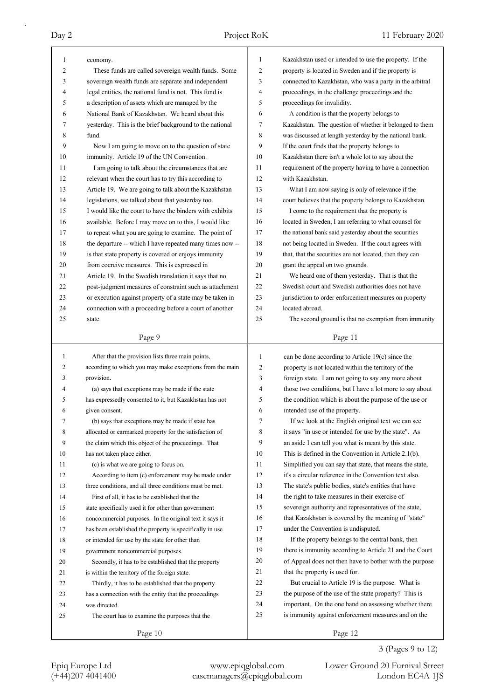| 1            | economy.                                                 | $\mathbf{1}$   | Kazakhstan used or intended to use the property. If the  |
|--------------|----------------------------------------------------------|----------------|----------------------------------------------------------|
| 2            | These funds are called sovereign wealth funds. Some      | $\overline{c}$ | property is located in Sweden and if the property is     |
| 3            | sovereign wealth funds are separate and independent      | 3              | connected to Kazakhstan, who was a party in the arbitral |
| 4            | legal entities, the national fund is not. This fund is   | 4              | proceedings, in the challenge proceedings and the        |
| 5            | a description of assets which are managed by the         | 5              | proceedings for invalidity.                              |
| 6            | National Bank of Kazakhstan. We heard about this         | 6              | A condition is that the property belongs to              |
| 7            | yesterday. This is the brief background to the national  | 7              | Kazakhstan. The question of whether it belonged to them  |
| 8            | fund.                                                    | 8              | was discussed at length yesterday by the national bank.  |
| 9            | Now I am going to move on to the question of state       | 9              | If the court finds that the property belongs to          |
| 10           | immunity. Article 19 of the UN Convention.               | 10             | Kazakhstan there isn't a whole lot to say about the      |
| 11           | I am going to talk about the circumstances that are      | 11             | requirement of the property having to have a connection  |
| 12           | relevant when the court has to try this according to     | 12             | with Kazakhstan.                                         |
| 13           | Article 19. We are going to talk about the Kazakhstan    | 13             | What I am now saying is only of relevance if the         |
| 14           | legislations, we talked about that yesterday too.        | 14             | court believes that the property belongs to Kazakhstan.  |
| 15           | I would like the court to have the binders with exhibits | 15             | I come to the requirement that the property is           |
| 16           | available. Before I may move on to this, I would like    | 16             | located in Sweden, I am referring to what counsel for    |
| 17           | to repeat what you are going to examine. The point of    | 17             | the national bank said yesterday about the securities    |
| 18           | the departure -- which I have repeated many times now -- | 18             | not being located in Sweden. If the court agrees with    |
| 19           | is that state property is covered or enjoys immunity     | 19             | that, that the securities are not located, then they can |
| 20           | from coercive measures. This is expressed in             | 20             | grant the appeal on two grounds.                         |
| 21           | Article 19. In the Swedish translation it says that no   | 21             | We heard one of them yesterday. That is that the         |
| 22           | post-judgment measures of constraint such as attachment  | 22             | Swedish court and Swedish authorities does not have      |
| 23           | or execution against property of a state may be taken in | 23             | jurisdiction to order enforcement measures on property   |
| 24           | connection with a proceeding before a court of another   | 24             | located abroad.                                          |
| 25           | state.                                                   | 25             | The second ground is that no exemption from immunity     |
|              |                                                          |                |                                                          |
|              | Page 9                                                   |                | Page 11                                                  |
|              |                                                          |                |                                                          |
|              |                                                          |                |                                                          |
| $\mathbf{1}$ | After that the provision lists three main points,        | 1              | can be done according to Article 19(c) since the         |
| 2            | according to which you may make exceptions from the main | 2              | property is not located within the territory of the      |
| 3            | provision.                                               | 3              | foreign state. I am not going to say any more about      |
| 4            | (a) says that exceptions may be made if the state        | 4              | those two conditions, but I have a lot more to say about |
| 5            | has expressedly consented to it, but Kazakhstan has not  | 5              | the condition which is about the purpose of the use or   |
| 6            | given consent.                                           | 6              | intended use of the property.                            |
| 7            | (b) says that exceptions may be made if state has        | 7              | If we look at the English original text we can see       |
| 8            | allocated or earmarked property for the satisfaction of  | 8              | it says "in use or intended for use by the state". As    |
| 9            | the claim which this object of the proceedings. That     | 9              | an aside I can tell you what is meant by this state.     |
| 10           | has not taken place either.                              | 10             | This is defined in the Convention in Article 2.1(b).     |
| 11           | (c) is what we are going to focus on.                    | 11             | Simplified you can say that state, that means the state, |
| 12           | According to item (c) enforcement may be made under      | 12             | it's a circular reference in the Convention text also.   |
| 13           | three conditions, and all three conditions must be met.  | 13             | The state's public bodies, state's entities that have    |
| 14           | First of all, it has to be established that the          | 14             | the right to take measures in their exercise of          |
| 15           | state specifically used it for other than government     | 15             | sovereign authority and representatives of the state,    |
| 16           | noncommercial purposes. In the original text it says it  | 16             | that Kazakhstan is covered by the meaning of "state"     |
| 17           | has been established the property is specifically in use | 17             | under the Convention is undisputed.                      |
| 18           | or intended for use by the state for other than          | 18             | If the property belongs to the central bank, then        |
| 19           | government noncommercial purposes.                       | 19             | there is immunity according to Article 21 and the Court  |
| 20           | Secondly, it has to be established that the property     | 20             | of Appeal does not then have to bother with the purpose  |
| 21           | is within the territory of the foreign state.            | 21             | that the property is used for.                           |
| 22           | Thirdly, it has to be established that the property      | 22             | But crucial to Article 19 is the purpose. What is        |
| 23           | has a connection with the entity that the proceedings    | 23             | the purpose of the use of the state property? This is    |
| 24           | was directed.                                            | 24             | important. On the one hand on assessing whether there    |
| 25           | The court has to examine the purposes that the           | 25             | is immunity against enforcement measures and on the      |
|              | Page 10                                                  |                | Page 12                                                  |

Epiq Europe Ltd www.epiqglobal.com Lower Ground 20 Furnival Street<br>
(+44)207 4041400 casemanagers@epiqglobal.com London EC4A 1JS

Lower Ground 20 Furnival Street

3 (Pages 9 to 12)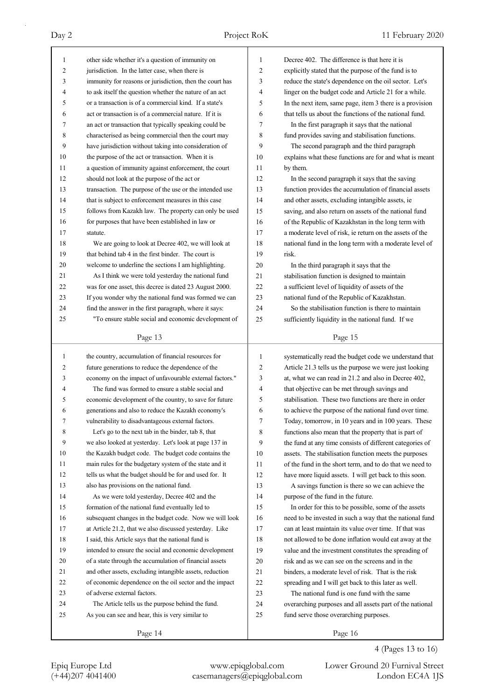| 1            | other side whether it's a question of immunity on                                                     | 1              | Decree 402. The difference is that here it is            |
|--------------|-------------------------------------------------------------------------------------------------------|----------------|----------------------------------------------------------|
| 2            | jurisdiction. In the latter case, when there is                                                       | $\overline{c}$ | explicitly stated that the purpose of the fund is to     |
| 3            | immunity for reasons or jurisdiction, then the court has                                              | 3              | reduce the state's dependence on the oil sector. Let's   |
| 4            | to ask itself the question whether the nature of an act                                               | 4              | linger on the budget code and Article 21 for a while.    |
| 5            | or a transaction is of a commercial kind. If a state's                                                | 5              | In the next item, same page, item 3 there is a provision |
| 6            | act or transaction is of a commercial nature. If it is                                                | 6              | that tells us about the functions of the national fund.  |
| 7            | an act or transaction that typically speaking could be                                                | 7              | In the first paragraph it says that the national         |
| 8            | characterised as being commercial then the court may                                                  | 8              | fund provides saving and stabilisation functions.        |
| 9            | have jurisdiction without taking into consideration of                                                | 9              | The second paragraph and the third paragraph             |
| 10           | the purpose of the act or transaction. When it is                                                     | 10             | explains what these functions are for and what is meant  |
| 11           | a question of immunity against enforcement, the court                                                 | 11             | by them.                                                 |
| 12           | should not look at the purpose of the act or                                                          | 12             | In the second paragraph it says that the saving          |
| 13           | transaction. The purpose of the use or the intended use                                               | 13             | function provides the accumulation of financial assets   |
| 14           | that is subject to enforcement measures in this case                                                  | 14             | and other assets, excluding intangible assets, ie        |
| 15           | follows from Kazakh law. The property can only be used                                                | 15             | saving, and also return on assets of the national fund   |
| 16           | for purposes that have been established in law or                                                     | 16             | of the Republic of Kazakhstan in the long term with      |
| 17           | statute.                                                                                              | 17             | a moderate level of risk, ie return on the assets of the |
| 18           | We are going to look at Decree 402, we will look at                                                   | 18             | national fund in the long term with a moderate level of  |
| 19           | that behind tab 4 in the first binder. The court is                                                   | 19             | risk.                                                    |
| 20           | welcome to underline the sections I am highlighting.                                                  | 20             | In the third paragraph it says that the                  |
| 21           | As I think we were told yesterday the national fund                                                   | 21             | stabilisation function is designed to maintain           |
| 22           | was for one asset, this decree is dated 23 August 2000.                                               | 22             | a sufficient level of liquidity of assets of the         |
| 23           | If you wonder why the national fund was formed we can                                                 | 23             | national fund of the Republic of Kazakhstan.             |
| 24           | find the answer in the first paragraph, where it says:                                                | 24             | So the stabilisation function is there to maintain       |
| 25           | "To ensure stable social and economic development of                                                  | 25             | sufficiently liquidity in the national fund. If we       |
|              | Page 13                                                                                               |                | Page 15                                                  |
|              |                                                                                                       |                |                                                          |
|              |                                                                                                       |                |                                                          |
| $\mathbf{1}$ | the country, accumulation of financial resources for                                                  | $\mathbf{1}$   | systematically read the budget code we understand that   |
| 2            | future generations to reduce the dependence of the                                                    | $\overline{c}$ | Article 21.3 tells us the purpose we were just looking   |
| 3            | economy on the impact of unfavourable external factors."                                              | 3              | at, what we can read in 21.2 and also in Decree 402,     |
| 4            | The fund was formed to ensure a stable social and                                                     | 4              | that objective can be met through savings and            |
| 5            | economic development of the country, to save for future                                               | 5              | stabilisation. These two functions are there in order    |
| 6            | generations and also to reduce the Kazakh economy's                                                   | 6              | to achieve the purpose of the national fund over time.   |
| 7            | vulnerability to disadvantageous external factors.                                                    | 7              | Today, tomorrow, in 10 years and in 100 years. These     |
| 8            | Let's go to the next tab in the binder, tab 8, that                                                   | 8              | functions also mean that the property that is part of    |
| 9            | we also looked at yesterday. Let's look at page 137 in                                                | 9              | the fund at any time consists of different categories of |
| 10           | the Kazakh budget code. The budget code contains the                                                  | 10             | assets. The stabilisation function meets the purposes    |
| 11           | main rules for the budgetary system of the state and it                                               | 11             | of the fund in the short term, and to do that we need to |
| 12           | tells us what the budget should be for and used for. It                                               | 12             | have more liquid assets. I will get back to this soon.   |
| 13           | also has provisions on the national fund.                                                             | 13             | A savings function is there so we can achieve the        |
| 14           | As we were told yesterday, Decree 402 and the                                                         | 14             | purpose of the fund in the future.                       |
| 15           | formation of the national fund eventually led to                                                      | 15             | In order for this to be possible, some of the assets     |
| 16           | subsequent changes in the budget code. Now we will look                                               | 16             | need to be invested in such a way that the national fund |
| 17           | at Article 21.2, that we also discussed yesterday. Like                                               | 17             | can at least maintain its value over time. If that was   |
| 18           | I said, this Article says that the national fund is                                                   | 18             | not allowed to be done inflation would eat away at the   |
| 19           | intended to ensure the social and economic development                                                | 19             | value and the investment constitutes the spreading of    |
| 20           | of a state through the accumulation of financial assets                                               | 20             | risk and as we can see on the screens and in the         |
| 21           | and other assets, excluding intangible assets, reduction                                              | 21             | binders, a moderate level of risk. That is the risk      |
| 22<br>23     | of economic dependence on the oil sector and the impact<br>of adverse external factors.               | 22<br>23       | spreading and I will get back to this later as well.     |
| 24           |                                                                                                       | 24             | The national fund is one fund with the same              |
| 25           | The Article tells us the purpose behind the fund.<br>As you can see and hear, this is very similar to | 25             | overarching purposes and all assets part of the national |
|              | Page 14                                                                                               |                | fund serve those overarching purposes.<br>Page 16        |

4 (Pages 13 to 16)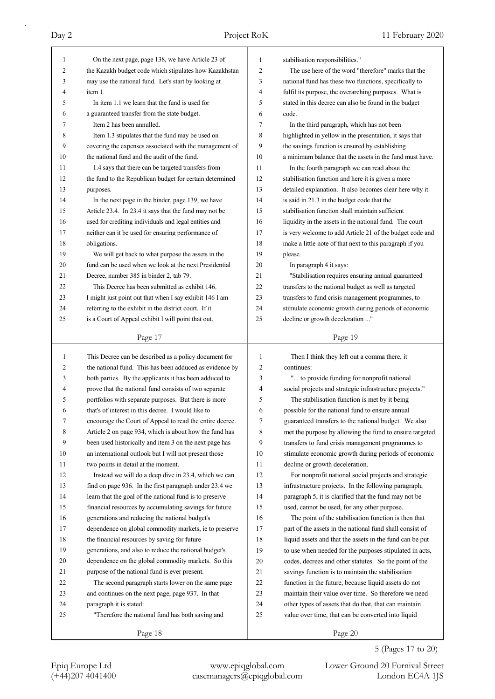| 1              | On the next page, page 138, we have Article 23 of        | 1  | stabilisation responsibilities."                         |
|----------------|----------------------------------------------------------|----|----------------------------------------------------------|
| $\overline{2}$ | the Kazakh budget code which stipulates how Kazakhstan   | 2  | The use here of the word "therefore" marks that the      |
| 3              | may use the national fund. Let's start by looking at     | 3  | national fund has these two functions, specifically to   |
| 4              | item 1.                                                  | 4  | fulfil its purpose, the overarching purposes. What is    |
| 5              | In item 1.1 we learn that the fund is used for           | 5  | stated in this decree can also be found in the budget    |
| 6              | a guaranteed transfer from the state budget.             | 6  | code.                                                    |
| 7              | Item 2 has been annulled.                                | 7  | In the third paragraph, which has not been               |
| 8              | Item 1.3 stipulates that the fund may be used on         | 8  | highlighted in yellow in the presentation, it says that  |
| 9              | covering the expenses associated with the management of  | 9  | the savings function is ensured by establishing          |
| 10             | the national fund and the audit of the fund.             | 10 | a minimum balance that the assets in the fund must have. |
| 11             | 1.4 says that there can be targeted transfers from       | 11 | In the fourth paragraph we can read about the            |
| 12             | the fund to the Republican budget for certain determined | 12 | stabilisation function and here it is given a more       |
| 13             | purposes.                                                | 13 | detailed explanation. It also becomes clear here why it  |
| 14             | In the next page in the binder, page 139, we have        | 14 | is said in 21.3 in the budget code that the              |
| 15             | Article 23.4. In 23.4 it says that the fund may not be   | 15 | stabilisation function shall maintain sufficient         |
| 16             | used for crediting individuals and legal entities and    | 16 | liquidity in the assets in the national fund. The court  |
| 17             | neither can it be used for ensuring performance of       | 17 | is very welcome to add Article 21 of the budget code and |
| 18             | obligations.                                             | 18 | make a little note of that next to this paragraph if you |
| 19             | We will get back to what purpose the assets in the       | 19 | please.                                                  |
| 20             | fund can be used when we look at the next Presidential   | 20 | In paragraph 4 it says:                                  |
| 21             | Decree, number 385 in binder 2, tab 79.                  | 21 | "Stabilisation requires ensuring annual guaranteed       |
| 22             | This Decree has been submitted as exhibit 146.           | 22 | transfers to the national budget as well as targeted     |
| 23             | I might just point out that when I say exhibit 146 I am  | 23 | transfers to fund crisis management programmes, to       |
| 24             | referring to the exhibit in the district court. If it    | 24 | stimulate economic growth during periods of economic     |
| 25             | is a Court of Appeal exhibit I will point that out.      | 25 | decline or growth deceleration "                         |
|                |                                                          |    |                                                          |
|                | Page 17                                                  |    | Page 19                                                  |
|                |                                                          |    |                                                          |
|                |                                                          |    |                                                          |
| 1              | This Decree can be described as a policy document for    | 1  | Then I think they left out a comma there, it             |
| 2              | the national fund. This has been adduced as evidence by  | 2  | continues:                                               |
| 3              | both parties. By the applicants it has been adduced to   | 3  | " to provide funding for nonprofit national              |
| 4              | prove that the national fund consists of two separate    | 4  | social projects and strategic infrastructure projects."  |
| 5              | portfolios with separate purposes. But there is more     | 5  | The stabilisation function is met by it being            |
| 6              | that's of interest in this decree. I would like to       | 6  | possible for the national fund to ensure annual          |
|                | encourage the Court of Appeal to read the entire decree. | 7  | guaranteed transfers to the national budget. We also     |
| 8              | Article 2 on page 934, which is about how the fund has   | 8  | met the purpose by allowing the fund to ensure targeted  |
| 9              | been used historically and item 3 on the next page has   | 9  | transfers to fund crisis management programmes to        |
| 10             | an international outlook but I will not present those    | 10 | stimulate economic growth during periods of economic     |
| 11             | two points in detail at the moment.                      | 11 | decline or growth deceleration.                          |
| 12             | Instead we will do a deep dive in 23.4, which we can     | 12 | For nonprofit national social projects and strategic     |
| 13             | find on page 936. In the first paragraph under 23.4 we   | 13 | infrastructure projects. In the following paragraph,     |
| 14             | learn that the goal of the national fund is to preserve  | 14 | paragraph 5, it is clarified that the fund may not be    |
| 15             | financial resources by accumulating savings for future   | 15 | used, cannot be used, for any other purpose.             |
| 16             | generations and reducing the national budget's           | 16 | The point of the stabilisation function is then that     |
| 17             | dependence on global commodity markets, ie to preserve   | 17 | part of the assets in the national fund shall consist of |
| 18             | the financial resources by saving for future             | 18 | liquid assets and that the assets in the fund can be put |
| 19             | generations, and also to reduce the national budget's    | 19 | to use when needed for the purposes stipulated in acts,  |
| 20             | dependence on the global commodity markets. So this      | 20 | codes, decrees and other statutes. So the point of the   |
| 21             | purpose of the national fund is ever present.            | 21 | savings function is to maintain the stabilisation        |
| 22             | The second paragraph starts lower on the same page       | 22 | function in the future, because liquid assets do not     |
| 23             | and continues on the next page, page 937. In that        | 23 | maintain their value over time. So therefore we need     |
| 24             | paragraph it is stated:                                  | 24 | other types of assets that do that, that can maintain    |
| 25             | "Therefore the national fund has both saving and         | 25 | value over time, that can be converted into liquid       |
|                | Page 18                                                  |    | Page 20                                                  |

5 (Pages 17 to 20)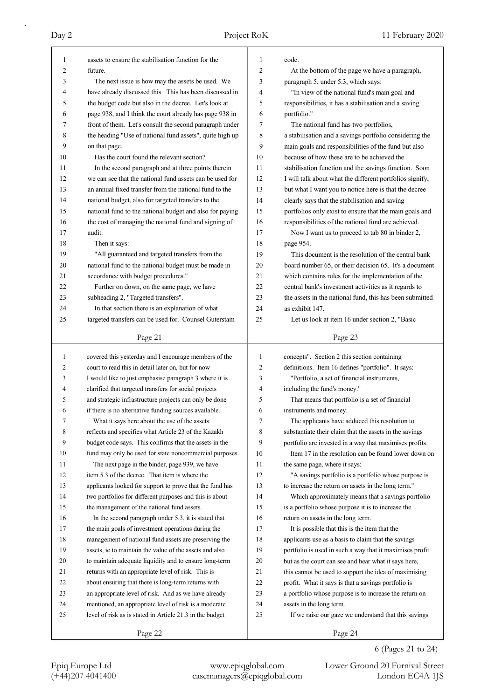| 1            | assets to ensure the stabilisation function for the      | 1              | code.                                                    |
|--------------|----------------------------------------------------------|----------------|----------------------------------------------------------|
| 2            | future.                                                  | $\overline{2}$ | At the bottom of the page we have a paragraph,           |
| 3            | The next issue is how may the assets be used. We         | 3              | paragraph 5, under 5.3, which says:                      |
| 4            | have already discussed this. This has been discussed in  | 4              | "In view of the national fund's main goal and            |
| 5            | the budget code but also in the decree. Let's look at    | 5              | responsibilities, it has a stabilisation and a saving    |
| 6            | page 938, and I think the court already has page 938 in  | 6              | portfolio."                                              |
| 7            | front of them. Let's consult the second paragraph under  | 7              | The national fund has two portfolios,                    |
| 8            | the heading "Use of national fund assets", quite high up | 8              | a stabilisation and a savings portfolio considering the  |
| 9            | on that page.                                            | 9              | main goals and responsibilities of the fund but also     |
| 10           | Has the court found the relevant section?                | 10             | because of how these are to be achieved the              |
| 11           | In the second paragraph and at three points therein      | 11             | stabilisation function and the savings function. Soon    |
| 12           | we can see that the national fund assets can be used for | 12             | I will talk about what the different portfolios signify, |
| 13           | an annual fixed transfer from the national fund to the   | 13             | but what I want you to notice here is that the decree    |
| 14           | national budget, also for targeted transfers to the      | 14             | clearly says that the stabilisation and saving           |
| 15           | national fund to the national budget and also for paying | 15             | portfolios only exist to ensure that the main goals and  |
| 16           | the cost of managing the national fund and signing of    | 16             | responsibilities of the national fund are achieved.      |
| 17           | audit.                                                   | 17             | Now I want us to proceed to tab 80 in binder 2,          |
| 18           | Then it says:                                            | 18             | page 954.                                                |
| 19           | "All guaranteed and targeted transfers from the          | 19             | This document is the resolution of the central bank      |
| 20           | national fund to the national budget must be made in     | 20             | board number 65, or their decision 65. It's a document   |
| 21           | accordance with budget procedures."                      | 21             | which contains rules for the implementation of the       |
| 22           | Further on down, on the same page, we have               | 22             | central bank's investment activities as it regards to    |
| 23           | subheading 2, "Targeted transfers".                      | 23             | the assets in the national fund, this has been submitted |
| 24           | In that section there is an explanation of what          | 24             | as exhibit 147.                                          |
| 25           | targeted transfers can be used for. Counsel Guterstam    | 25             | Let us look at item 16 under section 2, "Basic           |
|              |                                                          |                |                                                          |
|              | Page 21                                                  |                | Page 23                                                  |
|              |                                                          |                |                                                          |
|              |                                                          |                |                                                          |
| $\mathbf{1}$ | covered this yesterday and I encourage members of the    | 1              | concepts". Section 2 this section containing             |
| 2            | court to read this in detail later on, but for now       | $\overline{c}$ | definitions. Item 16 defines "portfolio". It says:       |
| 3            | I would like to just emphasise paragraph 3 where it is   | 3              | "Portfolio, a set of financial instruments,              |
| 4            | clarified that targeted transfers for social projects    | 4              | including the fund's money."                             |
| 5            | and strategic infrastructure projects can only be done   | 5              | That means that portfolio is a set of financial          |
| 6            | if there is no alternative funding sources available.    | 6              | instruments and money.                                   |
| 7            | What it says here about the use of the assets            | 7              | The applicants have adduced this resolution to           |
| 8            | reflects and specifies what Article 23 of the Kazakh     | 8              | substantiate their claim that the assets in the savings  |
| 9            | budget code says. This confirms that the assets in the   | 9              | portfolio are invested in a way that maximises profits.  |
| 10           | fund may only be used for state noncommercial purposes.  | 10             | Item 17 in the resolution can be found lower down on     |
| 11           | The next page in the binder, page 939, we have           | 11             | the same page, where it says:                            |
| 12           | item 5.3 of the decree. That item is where the           | 12             | "A savings portfolio is a portfolio whose purpose is     |
| 13           | applicants looked for support to prove that the fund has | 13             | to increase the return on assets in the long term."      |
| 14           | two portfolios for different purposes and this is about  | 14             | Which approximately means that a savings portfolio       |
| 15           | the management of the national fund assets.              | 15             | is a portfolio whose purpose it is to increase the       |
| 16           | In the second paragraph under 5.3, it is stated that     | 16             | return on assets in the long term.                       |
| 17           | the main goals of investment operations during the       | 17             | It is possible that this is the item that the            |
| 18           | management of national fund assets are preserving the    | 18             | applicants use as a basis to claim that the savings      |
| 19           | assets, ie to maintain the value of the assets and also  | 19             | portfolio is used in such a way that it maximises profit |
| 20           | to maintain adequate liquidity and to ensure long-term   | 20             | but as the court can see and hear what it says here,     |
| 21           | returns with an appropriate level of risk. This is       | 21             | this cannot be used to support the idea of maximising    |
| 22           | about ensuring that there is long-term returns with      | 22             | profit. What it says is that a savings portfolio is      |
| 23           | an appropriate level of risk. And as we have already     | 23             | a portfolio whose purpose is to increase the return on   |
| 24           | mentioned, an appropriate level of risk is a moderate    | 24             | assets in the long term.                                 |
| 25           | level of risk as is stated in Article 21.3 in the budget | 25             | If we raise our gaze we understand that this savings     |

# 6 (Pages 21 to 24)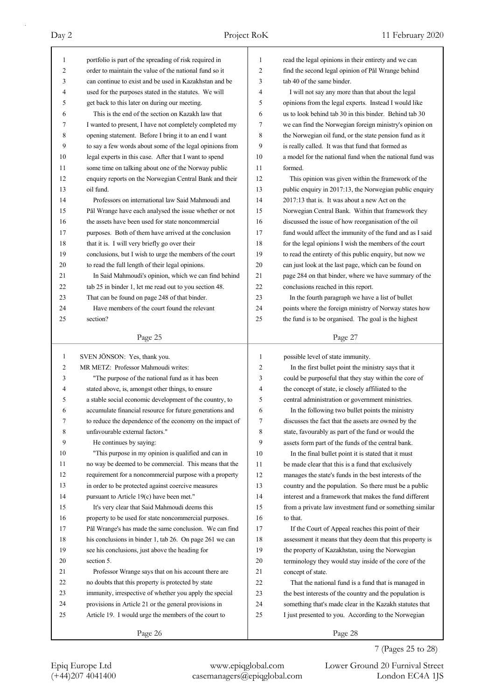| 1            | portfolio is part of the spreading of risk required in   | 1              | read the legal opinions in their entirety and we can     |
|--------------|----------------------------------------------------------|----------------|----------------------------------------------------------|
| 2            | order to maintain the value of the national fund so it   | $\overline{2}$ | find the second legal opinion of Pål Wrange behind       |
| 3            | can continue to exist and be used in Kazakhstan and be   | 3              | tab 40 of the same binder.                               |
| 4            | used for the purposes stated in the statutes. We will    | 4              | I will not say any more than that about the legal        |
| 5            | get back to this later on during our meeting.            | 5              | opinions from the legal experts. Instead I would like    |
| 6            | This is the end of the section on Kazakh law that        | 6              | us to look behind tab 30 in this binder. Behind tab 30   |
| 7            | I wanted to present, I have not completely completed my  | 7              | we can find the Norwegian foreign ministry's opinion on  |
| 8            | opening statement. Before I bring it to an end I want    | 8              | the Norwegian oil fund, or the state pension fund as it  |
| 9            | to say a few words about some of the legal opinions from | 9              | is really called. It was that fund that formed as        |
| 10           | legal experts in this case. After that I want to spend   | 10             | a model for the national fund when the national fund was |
| 11           | some time on talking about one of the Norway public      | 11             | formed.                                                  |
| 12           | enquiry reports on the Norwegian Central Bank and their  | 12             | This opinion was given within the framework of the       |
| 13           | oil fund.                                                | 13             | public enquiry in 2017:13, the Norwegian public enquiry  |
| 14           | Professors on international law Said Mahmoudi and        | 14             | 2017:13 that is. It was about a new Act on the           |
| 15           | Pål Wrange have each analysed the issue whether or not   | 15             | Norwegian Central Bank. Within that framework they       |
| 16           | the assets have been used for state noncommercial        | 16             | discussed the issue of how reorganisation of the oil     |
| 17           | purposes. Both of them have arrived at the conclusion    | 17             | fund would affect the immunity of the fund and as I said |
| 18           | that it is. I will very briefly go over their            | 18             | for the legal opinions I wish the members of the court   |
| 19           | conclusions, but I wish to urge the members of the court | 19             | to read the entirety of this public enquiry, but now we  |
| 20           | to read the full length of their legal opinions.         | 20             | can just look at the last page, which can be found on    |
| 21           | In Said Mahmoudi's opinion, which we can find behind     | 21             | page 284 on that binder, where we have summary of the    |
| 22           | tab 25 in binder 1, let me read out to you section 48.   | 22             | conclusions reached in this report.                      |
| 23           | That can be found on page 248 of that binder.            | 23             | In the fourth paragraph we have a list of bullet         |
| 24           | Have members of the court found the relevant             | 24             | points where the foreign ministry of Norway states how   |
| 25           | section?                                                 | 25             | the fund is to be organised. The goal is the highest     |
|              |                                                          |                |                                                          |
|              | Page 25                                                  |                | Page 27                                                  |
|              |                                                          |                |                                                          |
|              |                                                          |                |                                                          |
| $\mathbf{1}$ | SVEN JÖNSON: Yes, thank you.                             | 1              | possible level of state immunity.                        |
| 2            | MR METZ: Professor Mahmoudi writes:                      | 2              | In the first bullet point the ministry says that it      |
| 3            | "The purpose of the national fund as it has been         | 3              | could be purposeful that they stay within the core of    |
| 4            | stated above, is, amongst other things, to ensure        | 4              | the concept of state, ie closely affiliated to the       |
| 5            | a stable social economic development of the country, to  | 5              | central administration or government ministries.         |
| 6            | accumulate financial resource for future generations and | 6              | In the following two bullet points the ministry          |
| 7            | to reduce the dependence of the economy on the impact of | 7              | discusses the fact that the assets are owned by the      |
| 8            | unfavourable external factors."                          | 8              | state, favourably as part of the fund or would the       |
| 9            | He continues by saying:                                  | 9              | assets form part of the funds of the central bank.       |
| 10           | "This purpose in my opinion is qualified and can in      | 10             | In the final bullet point it is stated that it must      |
| 11           | no way be deemed to be commercial. This means that the   | 11             | be made clear that this is a fund that exclusively       |
| 12           | requirement for a noncommercial purpose with a property  | 12             | manages the state's funds in the best interests of the   |
| 13           | in order to be protected against coercive measures       | 13             | country and the population. So there must be a public    |
| 14           | pursuant to Article 19(c) have been met."                | 14             | interest and a framework that makes the fund different   |
| 15           | It's very clear that Said Mahmoudi deems this            | 15             | from a private law investment fund or something similar  |
| 16           | property to be used for state noncommercial purposes.    | 16             | to that.                                                 |
| 17           | Pål Wrange's has made the same conclusion. We can find   | 17             | If the Court of Appeal reaches this point of their       |
| 18           | his conclusions in binder 1, tab 26. On page 261 we can  | 18             | assessment it means that they deem that this property is |
| 19           | see his conclusions, just above the heading for          | 19             | the property of Kazakhstan, using the Norwegian          |
| 20           | section 5.                                               | $20\,$         | terminology they would stay inside of the core of the    |
| 21           | Professor Wrange says that on his account there are      | 21             | concept of state.                                        |
| 22           | no doubts that this property is protected by state       | 22             | That the national fund is a fund that is managed in      |
| 23           | immunity, irrespective of whether you apply the special  | 23             | the best interests of the country and the population is  |
| 24           | provisions in Article 21 or the general provisions in    | 24             | something that's made clear in the Kazakh statutes that  |
| 25           | Article 19. I would urge the members of the court to     | 25             | I just presented to you. According to the Norwegian      |
|              | Page 26                                                  |                | Page 28                                                  |

## 7 (Pages 25 to 28)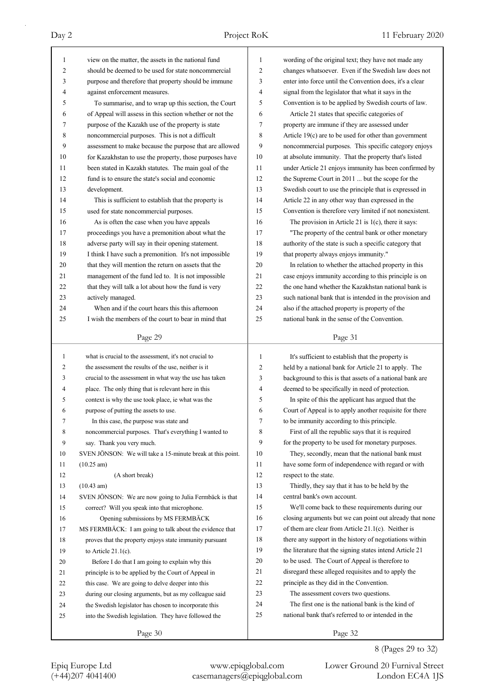| 1              | view on the matter, the assets in the national fund        | 1            | wording of the original text; they have not made any     |
|----------------|------------------------------------------------------------|--------------|----------------------------------------------------------|
| $\overline{2}$ | should be deemed to be used for state noncommercial        | 2            | changes whatsoever. Even if the Swedish law does not     |
| 3              | purpose and therefore that property should be immune       | 3            | enter into force until the Convention does, it's a clear |
| 4              | against enforcement measures.                              | 4            | signal from the legislator that what it says in the      |
| 5              | To summarise, and to wrap up this section, the Court       | 5            | Convention is to be applied by Swedish courts of law.    |
| 6              | of Appeal will assess in this section whether or not the   | 6            | Article 21 states that specific categories of            |
| 7              | purpose of the Kazakh use of the property is state         | 7            | property are immune if they are assessed under           |
| 8              | noncommercial purposes. This is not a difficult            | 8            | Article 19(c) are to be used for other than government   |
| 9              | assessment to make because the purpose that are allowed    | 9            | noncommercial purposes. This specific category enjoys    |
| 10             | for Kazakhstan to use the property, those purposes have    | 10           | at absolute immunity. That the property that's listed    |
| 11             | been stated in Kazakh statutes. The main goal of the       | 11           | under Article 21 enjoys immunity has been confirmed by   |
| 12             | fund is to ensure the state's social and economic          | 12           | the Supreme Court in 2011  but the scope for the         |
| 13             | development.                                               | 13           | Swedish court to use the principle that is expressed in  |
| 14             | This is sufficient to establish that the property is       | 14           | Article 22 in any other way than expressed in the        |
| 15             | used for state noncommercial purposes.                     | 15           | Convention is therefore very limited if not nonexistent. |
| 16             | As is often the case when you have appeals                 | 16           | The provision in Article 21 is $1(c)$ , there it says:   |
| 17             | proceedings you have a premonition about what the          | 17           | "The property of the central bank or other monetary      |
| 18             | adverse party will say in their opening statement.         | 18           | authority of the state is such a specific category that  |
| 19             | I think I have such a premonition. It's not impossible     | 19           | that property always enjoys immunity."                   |
| 20             | that they will mention the return on assets that the       | 20           | In relation to whether the attached property in this     |
| 21             | management of the fund led to. It is not impossible        | 21           | case enjoys immunity according to this principle is on   |
| 22             | that they will talk a lot about how the fund is very       | 22           | the one hand whether the Kazakhstan national bank is     |
| 23             | actively managed.                                          | 23           | such national bank that is intended in the provision and |
| 24             | When and if the court hears this this afternoon            | 24           | also if the attached property is property of the         |
| 25             | I wish the members of the court to bear in mind that       | 25           | national bank in the sense of the Convention.            |
|                |                                                            |              |                                                          |
|                | Page 29                                                    |              | Page 31                                                  |
|                |                                                            |              |                                                          |
|                |                                                            |              |                                                          |
| $\mathbf{1}$   | what is crucial to the assessment, it's not crucial to     | $\mathbf{1}$ | It's sufficient to establish that the property is        |
| 2              | the assessment the results of the use, neither is it       | 2            | held by a national bank for Article 21 to apply. The     |
| 3              | crucial to the assessment in what way the use has taken    | 3            | background to this is that assets of a national bank are |
| 4              | place. The only thing that is relevant here in this        | 4            | deemed to be specifically in need of protection.         |
| 5              | context is why the use took place, ie what was the         | 5            | In spite of this the applicant has argued that the       |
| 6              | purpose of putting the assets to use.                      | 6            | Court of Appeal is to apply another requisite for there  |
| 7              | In this case, the purpose was state and                    | 7            | to be immunity according to this principle.              |
| 8              | noncommercial purposes. That's everything I wanted to      | 8            | First of all the republic says that it is required       |
| 9              | say. Thank you very much.                                  | 9            | for the property to be used for monetary purposes.       |
| 10             | SVEN JÖNSON: We will take a 15-minute break at this point. | 10           | They, secondly, mean that the national bank must         |
| 11             | $(10.25 \text{ am})$                                       | 11           | have some form of independence with regard or with       |
| 12             | (A short break)                                            | 12           | respect to the state.                                    |
| 13             | $(10.43 \text{ am})$                                       | 13           | Thirdly, they say that it has to be held by the          |
| 14             | SVEN JÖNSON: We are now going to Julia Fermbäck is that    | 14           | central bank's own account.                              |
| 15             | correct? Will you speak into that microphone.              | 15           | We'll come back to these requirements during our         |
| 16             | Opening submissions by MS FERMBÄCK                         | 16           | closing arguments but we can point out already that none |
| 17             | MS FERMBÄCK: I am going to talk about the evidence that    | 17           | of them are clear from Article $21.1(c)$ . Neither is    |
| 18             | proves that the property enjoys state immunity pursuant    | 18           | there any support in the history of negotiations within  |
| 19             | to Article $21.1(c)$ .                                     | 19           | the literature that the signing states intend Article 21 |
| 20             | Before I do that I am going to explain why this            | 20           | to be used. The Court of Appeal is therefore to          |
| 21             | principle is to be applied by the Court of Appeal in       | 21           | disregard these alleged requisites and to apply the      |
| 22             | this case. We are going to delve deeper into this          | 22           | principle as they did in the Convention.                 |
| 23             | during our closing arguments, but as my colleague said     | 23           | The assessment covers two questions.                     |
| 24             | the Swedish legislator has chosen to incorporate this      | 24           | The first one is the national bank is the kind of        |
| 25             | into the Swedish legislation. They have followed the       | 25           | national bank that's referred to or intended in the      |

8 (Pages 29 to 32)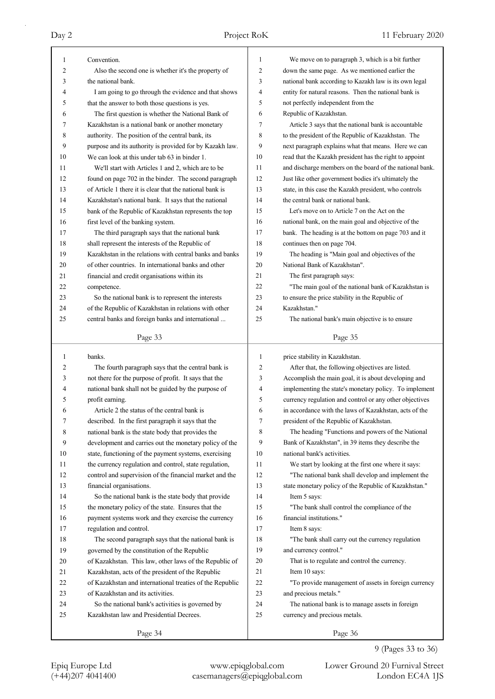| 1            | Convention.                                              | 1              | We move on to paragraph 3, which is a bit further        |
|--------------|----------------------------------------------------------|----------------|----------------------------------------------------------|
| 2            | Also the second one is whether it's the property of      | 2              | down the same page. As we mentioned earlier the          |
| 3            | the national bank.                                       | 3              | national bank according to Kazakh law is its own legal   |
| 4            | I am going to go through the evidence and that shows     | 4              | entity for natural reasons. Then the national bank is    |
| 5            | that the answer to both those questions is yes.          | 5              | not perfectly independent from the                       |
| 6            | The first question is whether the National Bank of       | 6              | Republic of Kazakhstan.                                  |
| 7            | Kazakhstan is a national bank or another monetary        | 7              | Article 3 says that the national bank is accountable     |
| 8            | authority. The position of the central bank, its         | 8              | to the president of the Republic of Kazakhstan. The      |
| 9            | purpose and its authority is provided for by Kazakh law. | 9              | next paragraph explains what that means. Here we can     |
| 10           | We can look at this under tab 63 in binder 1.            | 10             | read that the Kazakh president has the right to appoint  |
| 11           | We'll start with Articles 1 and 2, which are to be       | 11             | and discharge members on the board of the national bank. |
| 12           | found on page 702 in the binder. The second paragraph    | 12             | Just like other government bodies it's ultimately the    |
| 13           | of Article 1 there it is clear that the national bank is | 13             | state, in this case the Kazakh president, who controls   |
| 14           | Kazakhstan's national bank. It says that the national    | 14             | the central bank or national bank.                       |
| 15           | bank of the Republic of Kazakhstan represents the top    | 15             | Let's move on to Article 7 on the Act on the             |
| 16           | first level of the banking system.                       | 16             | national bank, on the main goal and objective of the     |
| 17           | The third paragraph says that the national bank          | 17             | bank. The heading is at the bottom on page 703 and it    |
| 18           | shall represent the interests of the Republic of         | 18             | continues then on page 704.                              |
| 19           | Kazakhstan in the relations with central banks and banks | 19             | The heading is "Main goal and objectives of the          |
| 20           | of other countries. In international banks and other     | 20             | National Bank of Kazakhstan".                            |
| 21           | financial and credit organisations within its            | 21             | The first paragraph says:                                |
| 22           | competence.                                              | 22             | "The main goal of the national bank of Kazakhstan is     |
| 23           | So the national bank is to represent the interests       | 23             | to ensure the price stability in the Republic of         |
| 24           | of the Republic of Kazakhstan in relations with other    | 24             | Kazakhstan."                                             |
| 25           | central banks and foreign banks and international        | 25             | The national bank's main objective is to ensure          |
|              | Page 33                                                  |                | Page 35                                                  |
|              |                                                          |                |                                                          |
|              |                                                          |                |                                                          |
| $\mathbf{1}$ | banks.                                                   | $\mathbf{1}$   | price stability in Kazakhstan.                           |
| 2            | The fourth paragraph says that the central bank is       | $\overline{2}$ | After that, the following objectives are listed.         |
| 3            | not there for the purpose of profit. It says that the    | 3              | Accomplish the main goal, it is about developing and     |
| 4            | national bank shall not be guided by the purpose of      | 4              | implementing the state's monetary policy. To implement   |
| 5            | profit earning.                                          | 5              | currency regulation and control or any other objectives  |
| 6            | Article 2 the status of the central bank is              | 6              | in accordance with the laws of Kazakhstan, acts of the   |
| 7            | described. In the first paragraph it says that the       | 7              | president of the Republic of Kazakhstan.                 |
| 8            | national bank is the state body that provides the        | 8              | The heading "Functions and powers of the National        |
| 9            | development and carries out the monetary policy of the   | 9              | Bank of Kazakhstan", in 39 items they describe the       |
| 10           | state, functioning of the payment systems, exercising    | 10             | national bank's activities.                              |
| 11           | the currency regulation and control, state regulation,   | 11             | We start by looking at the first one where it says:      |
| 12           | control and supervision of the financial market and the  | 12             | "The national bank shall develop and implement the       |
| 13           | financial organisations.                                 | 13             | state monetary policy of the Republic of Kazakhstan."    |
| 14           | So the national bank is the state body that provide      | 14             | Item 5 says:                                             |
| 15           | the monetary policy of the state. Ensures that the       | 15             | "The bank shall control the compliance of the            |
| 16           | payment systems work and they exercise the currency      | 16             | financial institutions."                                 |
| 17           | regulation and control.                                  | 17             | Item 8 says:                                             |
| 18           | The second paragraph says that the national bank is      | 18             | "The bank shall carry out the currency regulation        |
| 19           | governed by the constitution of the Republic             | 19             | and currency control."                                   |
| 20           | of Kazakhstan. This law, other laws of the Republic of   | 20             | That is to regulate and control the currency.            |
| 21           | Kazakhstan, acts of the president of the Republic        | 21             | Item 10 says:                                            |
| 22           | of Kazakhstan and international treaties of the Republic | 22             | "To provide management of assets in foreign currency     |
| 23           | of Kazakhstan and its activities.                        | 23             | and precious metals."                                    |
| 24           | So the national bank's activities is governed by         | 24             | The national bank is to manage assets in foreign         |
| 25           | Kazakhstan law and Presidential Decrees.                 | 25             | currency and precious metals.                            |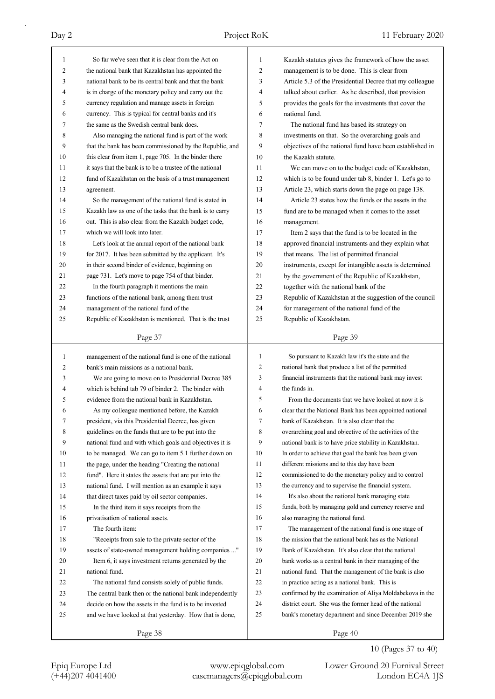| 1            | So far we've seen that it is clear from the Act on                                                         | 1              | Kazakh statutes gives the framework of how the asset                                                          |
|--------------|------------------------------------------------------------------------------------------------------------|----------------|---------------------------------------------------------------------------------------------------------------|
| 2            | the national bank that Kazakhstan has appointed the                                                        | 2              | management is to be done. This is clear from                                                                  |
| 3            | national bank to be its central bank and that the bank                                                     | 3              | Article 5.3 of the Presidential Decree that my colleague                                                      |
| 4            | is in charge of the monetary policy and carry out the                                                      | 4              | talked about earlier. As he described, that provision                                                         |
| 5            | currency regulation and manage assets in foreign                                                           | 5              | provides the goals for the investments that cover the                                                         |
| 6            | currency. This is typical for central banks and it's                                                       | 6              | national fund.                                                                                                |
| 7            | the same as the Swedish central bank does.                                                                 | 7              | The national fund has based its strategy on                                                                   |
| 8            | Also managing the national fund is part of the work                                                        | 8              | investments on that. So the overarching goals and                                                             |
| 9            | that the bank has been commissioned by the Republic, and                                                   | 9              | objectives of the national fund have been established in                                                      |
| 10           | this clear from item 1, page 705. In the binder there                                                      | 10             | the Kazakh statute.                                                                                           |
| 11           | it says that the bank is to be a trustee of the national                                                   | 11             | We can move on to the budget code of Kazakhstan,                                                              |
| 12           | fund of Kazakhstan on the basis of a trust management                                                      | 12             | which is to be found under tab 8, binder 1. Let's go to                                                       |
| 13           | agreement.                                                                                                 | 13             | Article 23, which starts down the page on page 138.                                                           |
| 14           | So the management of the national fund is stated in                                                        | 14             | Article 23 states how the funds or the assets in the                                                          |
| 15           | Kazakh law as one of the tasks that the bank is to carry                                                   | 15             | fund are to be managed when it comes to the asset                                                             |
| 16           | out. This is also clear from the Kazakh budget code,                                                       | 16             | management.                                                                                                   |
| 17           | which we will look into later.                                                                             | 17             | Item 2 says that the fund is to be located in the                                                             |
| 18           | Let's look at the annual report of the national bank                                                       | 18             | approved financial instruments and they explain what                                                          |
| 19           | for 2017. It has been submitted by the applicant. It's                                                     | 19             | that means. The list of permitted financial                                                                   |
| 20           | in their second binder of evidence, beginning on                                                           | 20             | instruments, except for intangible assets is determined                                                       |
| 21           | page 731. Let's move to page 754 of that binder.                                                           | 21             | by the government of the Republic of Kazakhstan,                                                              |
| 22           | In the fourth paragraph it mentions the main                                                               | 22             | together with the national bank of the                                                                        |
| 23           | functions of the national bank, among them trust                                                           | 23             | Republic of Kazakhstan at the suggestion of the council                                                       |
| 24           | management of the national fund of the                                                                     | 24             | for management of the national fund of the                                                                    |
| 25           | Republic of Kazakhstan is mentioned. That is the trust                                                     | 25             | Republic of Kazakhstan.                                                                                       |
|              |                                                                                                            |                |                                                                                                               |
|              | Page 37                                                                                                    |                | Page 39                                                                                                       |
|              |                                                                                                            |                |                                                                                                               |
| $\mathbf{1}$ |                                                                                                            | $\mathbf{1}$   |                                                                                                               |
| 2            | management of the national fund is one of the national<br>bank's main missions as a national bank.         | $\mathfrak{2}$ | So pursuant to Kazakh law it's the state and the                                                              |
| 3            | We are going to move on to Presidential Decree 385                                                         | 3              | national bank that produce a list of the permitted<br>financial instruments that the national bank may invest |
| 4            | which is behind tab 79 of binder 2. The binder with                                                        | 4              | the funds in.                                                                                                 |
| 5            | evidence from the national bank in Kazakhstan.                                                             | 5              | From the documents that we have looked at now it is                                                           |
| 6            | As my colleague mentioned before, the Kazakh                                                               | 6              | clear that the National Bank has been appointed national                                                      |
| 7            |                                                                                                            | 7              | bank of Kazakhstan. It is also clear that the                                                                 |
| 8            | president, via this Presidential Decree, has given<br>guidelines on the funds that are to be put into the  | 8              | overarching goal and objective of the activities of the                                                       |
| 9            |                                                                                                            | 9              | national bank is to have price stability in Kazakhstan.                                                       |
| 10           | national fund and with which goals and objectives it is                                                    | 10             |                                                                                                               |
| 11           | to be managed. We can go to item 5.1 further down on<br>the page, under the heading "Creating the national | 11             | In order to achieve that goal the bank has been given<br>different missions and to this day have been         |
| 12           |                                                                                                            | 12             | commissioned to do the monetary policy and to control                                                         |
| 13           | fund". Here it states the assets that are put into the                                                     | 13             |                                                                                                               |
| 14           | national fund. I will mention as an example it says                                                        | 14             | the currency and to supervise the financial system.<br>It's also about the national bank managing state       |
| 15           | that direct taxes paid by oil sector companies.                                                            | 15             |                                                                                                               |
|              | In the third item it says receipts from the                                                                | 16             | funds, both by managing gold and currency reserve and                                                         |
| 16<br>17     | privatisation of national assets.                                                                          | 17             | also managing the national fund.                                                                              |
|              | The fourth item:                                                                                           | 18             | The management of the national fund is one stage of<br>the mission that the national bank has as the National |
| 18           | "Receipts from sale to the private sector of the                                                           |                |                                                                                                               |
| 19           | assets of state-owned management holding companies "                                                       | 19             | Bank of Kazakhstan. It's also clear that the national                                                         |
| 20           | Item 6, it says investment returns generated by the                                                        | 20             | bank works as a central bank in their managing of the                                                         |
| 21           | national fund.                                                                                             | 21<br>22       | national fund. That the management of the bank is also                                                        |
| 22           | The national fund consists solely of public funds.                                                         | 23             | in practice acting as a national bank. This is                                                                |
| 23           | The central bank then or the national bank independently                                                   |                | confirmed by the examination of Aliya Moldabekova in the                                                      |
| 24           | decide on how the assets in the fund is to be invested                                                     | 24<br>25       | district court. She was the former head of the national                                                       |
| 25           | and we have looked at that yesterday. How that is done,                                                    |                | bank's monetary department and since December 2019 she                                                        |

## 10 (Pages 37 to 40)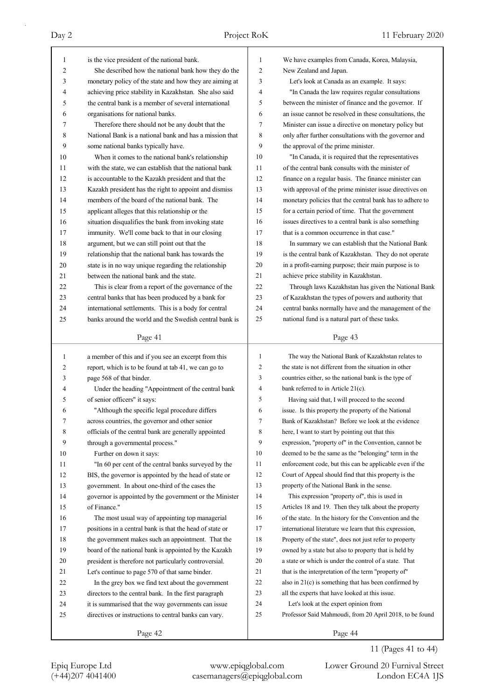| 1            | is the vice president of the national bank.                                               | 1              | We have examples from Canada, Korea, Malaysia,                                                            |
|--------------|-------------------------------------------------------------------------------------------|----------------|-----------------------------------------------------------------------------------------------------------|
| 2            | She described how the national bank how they do the                                       | 2              | New Zealand and Japan.                                                                                    |
| 3            | monetary policy of the state and how they are aiming at                                   | 3              | Let's look at Canada as an example. It says:                                                              |
| 4            | achieving price stability in Kazakhstan. She also said                                    | 4              | "In Canada the law requires regular consultations                                                         |
| 5            | the central bank is a member of several international                                     | 5              | between the minister of finance and the governor. If                                                      |
| 6            | organisations for national banks.                                                         | 6              | an issue cannot be resolved in these consultations, the                                                   |
| 7            | Therefore there should not be any doubt that the                                          | 7              | Minister can issue a directive on monetary policy but                                                     |
| 8            | National Bank is a national bank and has a mission that                                   | 8              | only after further consultations with the governor and                                                    |
| 9            | some national banks typically have.                                                       | 9              | the approval of the prime minister.                                                                       |
| 10           | When it comes to the national bank's relationship                                         | 10             | "In Canada, it is required that the representatives                                                       |
| 11           | with the state, we can establish that the national bank                                   | 11             | of the central bank consults with the minister of                                                         |
| 12           | is accountable to the Kazakh president and that the                                       | 12             | finance on a regular basis. The finance minister can                                                      |
| 13           | Kazakh president has the right to appoint and dismiss                                     | 13             | with approval of the prime minister issue directives on                                                   |
| 14           | members of the board of the national bank. The                                            | 14             | monetary policies that the central bank has to adhere to                                                  |
| 15           | applicant alleges that this relationship or the                                           | 15             | for a certain period of time. That the government                                                         |
| 16           | situation disqualifies the bank from invoking state                                       | 16             | issues directives to a central bank is also something                                                     |
| 17           | immunity. We'll come back to that in our closing                                          | 17             | that is a common occurrence in that case."                                                                |
| 18           | argument, but we can still point out that the                                             | 18             | In summary we can establish that the National Bank                                                        |
| 19           | relationship that the national bank has towards the                                       | 19             | is the central bank of Kazakhstan. They do not operate                                                    |
| 20           | state is in no way unique regarding the relationship                                      | 20             | in a profit-earning purpose; their main purpose is to                                                     |
| 21           | between the national bank and the state.                                                  | 21             | achieve price stability in Kazakhstan.                                                                    |
| 22           | This is clear from a report of the governance of the                                      | 22             | Through laws Kazakhstan has given the National Bank                                                       |
| 23           | central banks that has been produced by a bank for                                        | 23             | of Kazakhstan the types of powers and authority that                                                      |
| 24           | international settlements. This is a body for central                                     | 24             | central banks normally have and the management of the                                                     |
| 25           | banks around the world and the Swedish central bank is                                    | 25             | national fund is a natural part of these tasks.                                                           |
|              |                                                                                           |                |                                                                                                           |
|              | Page 41                                                                                   |                | Page 43                                                                                                   |
|              |                                                                                           |                |                                                                                                           |
| $\mathbf{1}$ |                                                                                           | $\mathbf{1}$   | The way the National Bank of Kazakhstan relates to                                                        |
| 2            | a member of this and if you see an excerpt from this                                      | $\overline{2}$ | the state is not different from the situation in other                                                    |
| 3            | report, which is to be found at tab 41, we can go to<br>page 568 of that binder.          | 3              | countries either, so the national bank is the type of                                                     |
| 4            |                                                                                           | $\overline{4}$ | bank referred to in Article 21(c).                                                                        |
| 5            | Under the heading "Appointment of the central bank<br>of senior officers" it says:        | 5              |                                                                                                           |
| 6            |                                                                                           | 6              | Having said that, I will proceed to the second<br>issue. Is this property the property of the National    |
| 7            | "Although the specific legal procedure differs                                            | 7              | Bank of Kazakhstan? Before we look at the evidence                                                        |
| 8            | across countries, the governor and other senior                                           | 8              |                                                                                                           |
| 9            | officials of the central bank are generally appointed<br>through a governmental process." | 9              | here, I want to start by pointing out that this<br>expression, "property of" in the Convention, cannot be |
| 10           |                                                                                           | 10             |                                                                                                           |
| 11           | Further on down it says:                                                                  | 11             | deemed to be the same as the "belonging" term in the                                                      |
| 12           | "In 60 per cent of the central banks surveyed by the                                      | 12             | enforcement code, but this can be applicable even if the                                                  |
| 13           | BIS, the governor is appointed by the head of state or                                    | 13             | Court of Appeal should find that this property is the<br>property of the National Bank in the sense.      |
|              | government. In about one-third of the cases the                                           | 14             |                                                                                                           |
| 14           | governor is appointed by the government or the Minister                                   | 15             | This expression "property of", this is used in                                                            |
| 15           | of Finance."                                                                              | 16             | Articles 18 and 19. Then they talk about the property                                                     |
| 16           | The most usual way of appointing top managerial                                           |                | of the state. In the history for the Convention and the                                                   |
| 17           | positions in a central bank is that the head of state or                                  | 17             | international literature we learn that this expression,                                                   |
| 18           | the government makes such an appointment. That the                                        | 18             | Property of the state", does not just refer to property                                                   |
| 19           | board of the national bank is appointed by the Kazakh                                     | 19             | owned by a state but also to property that is held by                                                     |
| 20           | president is therefore not particularly controversial.                                    | 20             | a state or which is under the control of a state. That                                                    |
| 21           | Let's continue to page 570 of that same binder.                                           | 21             | that is the interpretation of the term "property of"                                                      |
| 22           | In the grey box we find text about the government                                         | 22             | also in $21(c)$ is something that has been confirmed by                                                   |
| 23           | directors to the central bank. In the first paragraph                                     | 23             | all the experts that have looked at this issue.                                                           |
| 24           | it is summarised that the way governments can issue                                       | 24             | Let's look at the expert opinion from                                                                     |
| 25           | directives or instructions to central banks can vary.                                     | 25             | Professor Said Mahmoudi, from 20 April 2018, to be found                                                  |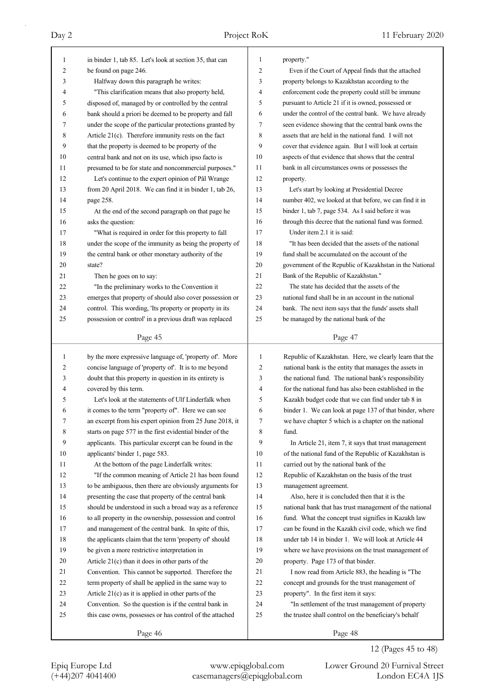| 1  | in binder 1, tab 85. Let's look at section 35, that can  | $\mathbf{1}$   | property."                                               |
|----|----------------------------------------------------------|----------------|----------------------------------------------------------|
| 2  | be found on page 246.                                    | $\overline{2}$ | Even if the Court of Appeal finds that the attached      |
| 3  | Halfway down this paragraph he writes:                   | 3              | property belongs to Kazakhstan according to the          |
| 4  | "This clarification means that also property held,       | 4              | enforcement code the property could still be immune      |
| 5  | disposed of, managed by or controlled by the central     | 5              | pursuant to Article 21 if it is owned, possessed or      |
| 6  | bank should a priori be deemed to be property and fall   | 6              | under the control of the central bank. We have already   |
| 7  | under the scope of the particular protections granted by | 7              | seen evidence showing that the central bank owns the     |
| 8  | Article 21(c). Therefore immunity rests on the fact      | 8              | assets that are held in the national fund. I will not    |
| 9  | that the property is deemed to be property of the        | 9              | cover that evidence again. But I will look at certain    |
| 10 | central bank and not on its use, which ipso facto is     | 10             | aspects of that evidence that shows that the central     |
| 11 | presumed to be for state and noncommercial purposes."    | 11             | bank in all circumstances owns or possesses the          |
| 12 | Let's continue to the expert opinion of Pål Wrange       | 12             | property.                                                |
| 13 | from 20 April 2018. We can find it in binder 1, tab 26,  | 13             | Let's start by looking at Presidential Decree            |
| 14 | page 258.                                                | 14             | number 402, we looked at that before, we can find it in  |
| 15 | At the end of the second paragraph on that page he       | 15             | binder 1, tab 7, page 534. As I said before it was       |
| 16 | asks the question:                                       | 16             | through this decree that the national fund was formed.   |
| 17 | "What is required in order for this property to fall     | 17             | Under item 2.1 it is said:                               |
| 18 | under the scope of the immunity as being the property of | 18             | "It has been decided that the assets of the national     |
| 19 | the central bank or other monetary authority of the      | 19             | fund shall be accumulated on the account of the          |
| 20 | state?                                                   | 20             | government of the Republic of Kazakhstan in the National |
| 21 | Then he goes on to say:                                  | 21             | Bank of the Republic of Kazakhstan."                     |
| 22 | "In the preliminary works to the Convention it           | 22             | The state has decided that the assets of the             |
| 23 | emerges that property of should also cover possession or | 23             | national fund shall be in an account in the national     |
| 24 | control. This wording, 'Its property or property in its  | 24             | bank. The next item says that the funds' assets shall    |
| 25 | possession or control' in a previous draft was replaced  | 25             | be managed by the national bank of the                   |
|    |                                                          |                |                                                          |
|    | Page 45                                                  |                | Page 47                                                  |
|    |                                                          |                |                                                          |
|    |                                                          |                |                                                          |
| 1  | by the more expressive language of, 'property of'. More  | 1              | Republic of Kazakhstan. Here, we clearly learn that the  |
| 2  | concise language of 'property of'. It is to me beyond    | $\overline{c}$ | national bank is the entity that manages the assets in   |
| 3  | doubt that this property in question in its entirety is  | 3              | the national fund. The national bank's responsibility    |
| 4  | covered by this term.                                    | 4              | for the national fund has also been established in the   |
| 5  | Let's look at the statements of Ulf Linderfalk when      | 5              | Kazakh budget code that we can find under tab 8 in       |
| 6  | it comes to the term "property of". Here we can see      | 6              | binder 1. We can look at page 137 of that binder, where  |
| 7  | an excerpt from his expert opinion from 25 June 2018, it | 7              | we have chapter 5 which is a chapter on the national     |
| 8  | starts on page 577 in the first evidential binder of the | 8              | fund.                                                    |
| 9  | applicants. This particular excerpt can be found in the  | 9              | In Article 21, item 7, it says that trust management     |
| 10 | applicants' binder 1, page 583.                          | 10             | of the national fund of the Republic of Kazakhstan is    |
| 11 | At the bottom of the page Linderfalk writes:             | 11             | carried out by the national bank of the                  |
| 12 | "If the common meaning of Article 21 has been found      | 12             | Republic of Kazakhstan on the basis of the trust         |
| 13 | to be ambiguous, then there are obviously arguments for  | 13             | management agreement.                                    |
| 14 | presenting the case that property of the central bank    | 14             | Also, here it is concluded then that it is the           |
| 15 | should be understood in such a broad way as a reference  | 15             | national bank that has trust management of the national  |
| 16 | to all property in the ownership, possession and control | 16             | fund. What the concept trust signifies in Kazakh law     |
| 17 | and management of the central bank. In spite of this,    | 17             | can be found in the Kazakh civil code, which we find     |
| 18 | the applicants claim that the term 'property of' should  | 18             | under tab 14 in binder 1. We will look at Article 44     |
| 19 | be given a more restrictive interpretation in            | 19             | where we have provisions on the trust management of      |
| 20 | Article 21(c) than it does in other parts of the         | 20             | property. Page 173 of that binder.                       |
| 21 | Convention. This cannot be supported. Therefore the      | 21             | I now read from Article 883, the heading is "The         |
| 22 | term property of shall be applied in the same way to     | 22             | concept and grounds for the trust management of          |
| 23 | Article $21(c)$ as it is applied in other parts of the   | 23             | property". In the first item it says:                    |
| 24 | Convention. So the question is if the central bank in    | 24             | "In settlement of the trust management of property       |
| 25 | this case owns, possesses or has control of the attached | 25             | the trustee shall control on the beneficiary's behalf    |

## 12 (Pages 45 to 48)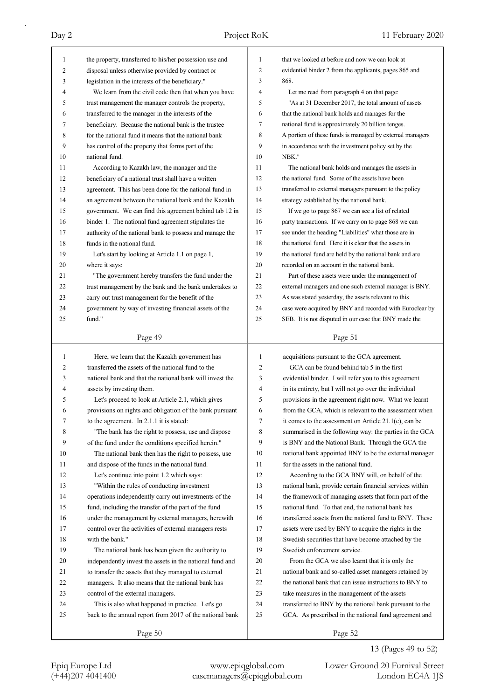| $\mathbf{1}$ | the property, transferred to his/her possession use and  | 1            | that we looked at before and now we can look at          |
|--------------|----------------------------------------------------------|--------------|----------------------------------------------------------|
| 2            | disposal unless otherwise provided by contract or        | 2            | evidential binder 2 from the applicants, pages 865 and   |
| 3            | legislation in the interests of the beneficiary."        | 3            | 868.                                                     |
| 4            | We learn from the civil code then that when you have     | 4            | Let me read from paragraph 4 on that page:               |
| 5            | trust management the manager controls the property,      | 5            | "As at 31 December 2017, the total amount of assets      |
| 6            | transferred to the manager in the interests of the       | 6            | that the national bank holds and manages for the         |
| 7            | beneficiary. Because the national bank is the trustee    | 7            | national fund is approximately 20 billion tenges.        |
| 8            | for the national fund it means that the national bank    | 8            | A portion of these funds is managed by external managers |
| 9            | has control of the property that forms part of the       | 9            | in accordance with the investment policy set by the      |
| 10           | national fund.                                           | 10           | NBK."                                                    |
| 11           | According to Kazakh law, the manager and the             | 11           | The national bank holds and manages the assets in        |
| 12           | beneficiary of a national trust shall have a written     | 12           | the national fund. Some of the assets have been          |
| 13           | agreement. This has been done for the national fund in   | 13           | transferred to external managers pursuant to the policy  |
| 14           | an agreement between the national bank and the Kazakh    | 14           | strategy established by the national bank.               |
| 15           | government. We can find this agreement behind tab 12 in  | 15           | If we go to page 867 we can see a list of related        |
| 16           | binder 1. The national fund agreement stipulates the     | 16           | party transactions. If we carry on to page 868 we can    |
| 17           | authority of the national bank to possess and manage the | 17           | see under the heading "Liabilities" what those are in    |
| 18           | funds in the national fund.                              | 18           | the national fund. Here it is clear that the assets in   |
| 19           | Let's start by looking at Article 1.1 on page 1,         | 19           | the national fund are held by the national bank and are  |
| 20           | where it says:                                           | 20           | recorded on an account in the national bank.             |
| 21           | "The government hereby transfers the fund under the      | 21           | Part of these assets were under the management of        |
| 22           | trust management by the bank and the bank undertakes to  | 22           | external managers and one such external manager is BNY.  |
| 23           |                                                          | 23           |                                                          |
|              | carry out trust management for the benefit of the        | 24           | As was stated yesterday, the assets relevant to this     |
| 24           | government by way of investing financial assets of the   | 25           | case were acquired by BNY and recorded with Euroclear by |
| 25           | fund."                                                   |              | SEB. It is not disputed in our case that BNY made the    |
|              | Page 49                                                  |              | Page 51                                                  |
|              |                                                          |              |                                                          |
|              |                                                          |              |                                                          |
| 1            | Here, we learn that the Kazakh government has            | $\mathbf{1}$ | acquisitions pursuant to the GCA agreement.              |
| 2            | transferred the assets of the national fund to the       | 2            | GCA can be found behind tab 5 in the first               |
| 3            | national bank and that the national bank will invest the | 3            | evidential binder. I will refer you to this agreement    |
| 4            | assets by investing them.                                | 4            | in its entirety, but I will not go over the individual   |
| 5            | Let's proceed to look at Article 2.1, which gives        | 5            | provisions in the agreement right now. What we learnt    |
| 6            | provisions on rights and obligation of the bank pursuant | 6            | from the GCA, which is relevant to the assessment when   |
| 7            | to the agreement. In 2.1.1 it is stated:                 | 7            | it comes to the assessment on Article $21.1(c)$ , can be |
| 8            | "The bank has the right to possess, use and dispose      | 8            | summarised in the following way: the parties in the GCA  |
| 9            | of the fund under the conditions specified herein."      | 9            | is BNY and the National Bank. Through the GCA the        |
| 10           | The national bank then has the right to possess, use     | 10           | national bank appointed BNY to be the external manager   |
| 11           | and dispose of the funds in the national fund.           | 11           | for the assets in the national fund.                     |
| 12           | Let's continue into point 1.2 which says:                | 12           | According to the GCA BNY will, on behalf of the          |
| 13           | "Within the rules of conducting investment               | 13           | national bank, provide certain financial services within |
| 14           | operations independently carry out investments of the    | 14           | the framework of managing assets that form part of the   |
| 15           | fund, including the transfer of the part of the fund     | 15           | national fund. To that end, the national bank has        |
| 16           | under the management by external managers, herewith      | 16           | transferred assets from the national fund to BNY. These  |
| 17           | control over the activities of external managers rests   | 17           | assets were used by BNY to acquire the rights in the     |
| 18           | with the bank."                                          | 18           | Swedish securities that have become attached by the      |
| 19           | The national bank has been given the authority to        | 19           | Swedish enforcement service.                             |
| 20           | independently invest the assets in the national fund and | 20           | From the GCA we also learnt that it is only the          |
| 21           | to transfer the assets that they managed to external     | 21           | national bank and so-called asset managers retained by   |
| 22           | managers. It also means that the national bank has       | 22           | the national bank that can issue instructions to BNY to  |
| 23           | control of the external managers.                        | 23           | take measures in the management of the assets            |
| 24           | This is also what happened in practice. Let's go         | 24           | transferred to BNY by the national bank pursuant to the  |
| 25           | back to the annual report from 2017 of the national bank | 25           | GCA. As prescribed in the national fund agreement and    |
|              | Page 50                                                  |              | Page 52                                                  |

13 (Pages 49 to 52)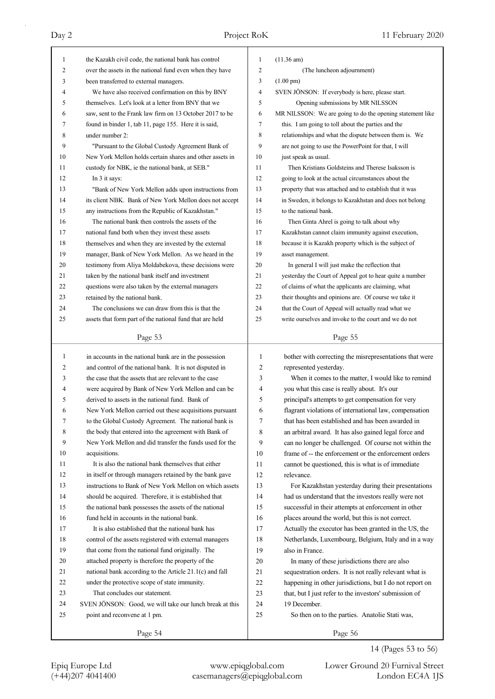| 1        | the Kazakh civil code, the national bank has control                                                               | 1              | $(11.36 \text{ am})$                                                                                           |
|----------|--------------------------------------------------------------------------------------------------------------------|----------------|----------------------------------------------------------------------------------------------------------------|
| 2        | over the assets in the national fund even when they have                                                           | $\overline{c}$ | (The luncheon adjournment)                                                                                     |
| 3        | been transferred to external managers.                                                                             | 3              | $(1.00 \text{ pm})$                                                                                            |
| 4        | We have also received confirmation on this by BNY                                                                  | $\overline{4}$ | SVEN JÖNSON: If everybody is here, please start.                                                               |
| 5        | themselves. Let's look at a letter from BNY that we                                                                | 5              | Opening submissions by MR NILSSON                                                                              |
| 6        | saw, sent to the Frank law firm on 13 October 2017 to be                                                           | 6              | MR NILSSON: We are going to do the opening statement like                                                      |
| 7        | found in binder 1, tab 11, page 155. Here it is said,                                                              | 7              | this. I am going to toll about the parties and the                                                             |
| 8        | under number 2:                                                                                                    | 8              | relationships and what the dispute between them is. We                                                         |
| 9        | "Pursuant to the Global Custody Agreement Bank of                                                                  | 9              | are not going to use the PowerPoint for that, I will                                                           |
| 10       | New York Mellon holds certain shares and other assets in                                                           | 10             | just speak as usual.                                                                                           |
| 11       | custody for NBK, ie the national bank, at SEB."                                                                    | 11             | Then Kristians Goldsteins and Therese Isaksson is                                                              |
| 12       | In 3 it says:                                                                                                      | 12             | going to look at the actual circumstances about the                                                            |
| 13       | "Bank of New York Mellon adds upon instructions from                                                               | 13             | property that was attached and to establish that it was                                                        |
| 14       | its client NBK. Bank of New York Mellon does not accept                                                            | 14             | in Sweden, it belongs to Kazakhstan and does not belong                                                        |
| 15       | any instructions from the Republic of Kazakhstan."                                                                 | 15             | to the national bank.                                                                                          |
| 16       | The national bank then controls the assets of the                                                                  | 16             | Then Ginta Ahrel is going to talk about why                                                                    |
| 17       | national fund both when they invest these assets                                                                   | 17             | Kazakhstan cannot claim immunity against execution,                                                            |
| 18       | themselves and when they are invested by the external                                                              | 18             | because it is Kazakh property which is the subject of                                                          |
| 19       | manager, Bank of New York Mellon. As we heard in the                                                               | 19             | asset management.                                                                                              |
| 20       | testimony from Aliya Moldabekova, these decisions were                                                             | 20             | In general I will just make the reflection that                                                                |
| 21       | taken by the national bank itself and investment                                                                   | 21             | yesterday the Court of Appeal got to hear quite a number                                                       |
| 22       | questions were also taken by the external managers                                                                 | 22             | of claims of what the applicants are claiming, what                                                            |
| 23       | retained by the national bank.                                                                                     | 23             | their thoughts and opinions are. Of course we take it                                                          |
| 24       | The conclusions we can draw from this is that the                                                                  | 24             | that the Court of Appeal will actually read what we                                                            |
| 25       | assets that form part of the national fund that are held                                                           | 25             | write ourselves and invoke to the court and we do not                                                          |
|          |                                                                                                                    |                |                                                                                                                |
|          | Page 53                                                                                                            |                | Page 55                                                                                                        |
|          |                                                                                                                    |                |                                                                                                                |
| 1        | in accounts in the national bank are in the possession                                                             | $\mathbf{1}$   |                                                                                                                |
| 2        | and control of the national bank. It is not disputed in                                                            | $\overline{c}$ | bother with correcting the misrepresentations that were<br>represented yesterday.                              |
| 3        | the case that the assets that are relevant to the case                                                             | 3              |                                                                                                                |
| 4        | were acquired by Bank of New York Mellon and can be                                                                | 4              | When it comes to the matter, I would like to remind<br>you what this case is really about. It's our            |
| 5        | derived to assets in the national fund. Bank of                                                                    | 5              |                                                                                                                |
| 6        | New York Mellon carried out these acquisitions pursuant                                                            | 6              | principal's attempts to get compensation for very<br>flagrant violations of international law, compensation    |
| 7        | to the Global Custody Agreement. The national bank is                                                              | 7              |                                                                                                                |
| 8        |                                                                                                                    | 8              | that has been established and has been awarded in                                                              |
| 9        | the body that entered into the agreement with Bank of<br>New York Mellon and did transfer the funds used for the   | 9              | an arbitral award. It has also gained legal force and                                                          |
| 10       | acquisitions.                                                                                                      | 10             | can no longer be challenged. Of course not within the<br>frame of -- the enforcement or the enforcement orders |
| 11       | It is also the national bank themselves that either                                                                | 11             |                                                                                                                |
| 12       |                                                                                                                    | 12             | cannot be questioned, this is what is of immediate<br>relevance.                                               |
| 13       | in itself or through managers retained by the bank gave<br>instructions to Bank of New York Mellon on which assets | 13             |                                                                                                                |
| 14       |                                                                                                                    | 14             | For Kazakhstan yesterday during their presentations                                                            |
| 15       | should be acquired. Therefore, it is established that                                                              | 15             | had us understand that the investors really were not                                                           |
| 16       | the national bank possesses the assets of the national                                                             |                | successful in their attempts at enforcement in other                                                           |
| 17       | fund held in accounts in the national bank.<br>It is also established that the national bank has                   | 16<br>17       | places around the world, but this is not correct.                                                              |
|          |                                                                                                                    | 18             | Actually the executor has been granted in the US, the                                                          |
| 18<br>19 | control of the assets registered with external managers                                                            | 19             | Netherlands, Luxembourg, Belgium, Italy and in a way<br>also in France.                                        |
| 20       | that come from the national fund originally. The                                                                   | 20             |                                                                                                                |
| 21       | attached property is therefore the property of the                                                                 | 21             | In many of these jurisdictions there are also                                                                  |
| 22       | national bank according to the Article 21.1(c) and fall                                                            | 22             | sequestration orders. It is not really relevant what is                                                        |
| 23       | under the protective scope of state immunity.<br>That concludes our statement.                                     | 23             | happening in other jurisdictions, but I do not report on                                                       |
| 24       | SVEN JÖNSON: Good, we will take our lunch break at this                                                            | 24             | that, but I just refer to the investors' submission of<br>19 December.                                         |
| 25       |                                                                                                                    | 25             |                                                                                                                |
|          | point and reconvene at 1 pm.<br>Page 54                                                                            |                | So then on to the parties. Anatolie Stati was,<br>Page 56                                                      |

14 (Pages 53 to 56)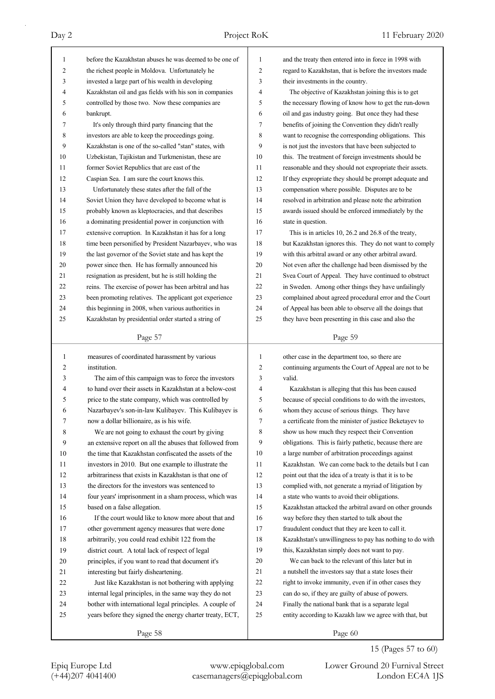| 1              | before the Kazakhstan abuses he was deemed to be one of  | 1            | and the treaty then entered into in force in 1998 with   |
|----------------|----------------------------------------------------------|--------------|----------------------------------------------------------|
| 2              | the richest people in Moldova. Unfortunately he          | 2            | regard to Kazakhstan, that is before the investors made  |
| 3              | invested a large part of his wealth in developing        | 3            | their investments in the country.                        |
| 4              | Kazakhstan oil and gas fields with his son in companies  | 4            | The objective of Kazakhstan joining this is to get       |
| 5              | controlled by those two. Now these companies are         | 5            | the necessary flowing of know how to get the run-down    |
| 6              | bankrupt.                                                | 6            | oil and gas industry going. But once they had these      |
| 7              | It's only through third party financing that the         | 7            | benefits of joining the Convention they didn't really    |
| 8              | investors are able to keep the proceedings going.        | 8            | want to recognise the corresponding obligations. This    |
| 9              | Kazakhstan is one of the so-called "stan" states, with   | 9            | is not just the investors that have been subjected to    |
| 10             | Uzbekistan, Tajikistan and Turkmenistan, these are       | 10           | this. The treatment of foreign investments should be     |
| 11             | former Soviet Republics that are east of the             | 11           | reasonable and they should not expropriate their assets. |
| 12             | Caspian Sea. I am sure the court knows this.             | 12           | If they expropriate they should be prompt adequate and   |
| 13             | Unfortunately these states after the fall of the         | 13           | compensation where possible. Disputes are to be          |
| 14             | Soviet Union they have developed to become what is       | 14           | resolved in arbitration and please note the arbitration  |
| 15             | probably known as kleptocracies, and that describes      | 15           | awards issued should be enforced immediately by the      |
| 16             | a dominating presidential power in conjunction with      | 16           | state in question.                                       |
| 17             | extensive corruption. In Kazakhstan it has for a long    | 17           | This is in articles 10, 26.2 and 26.8 of the treaty,     |
| 18             | time been personified by President Nazarbayev, who was   | 18           | but Kazakhstan ignores this. They do not want to comply  |
| 19             | the last governor of the Soviet state and has kept the   | 19           | with this arbitral award or any other arbitral award.    |
| 20             | power since then. He has formally announced his          | 20           | Not even after the challenge had been dismissed by the   |
| 21             | resignation as president, but he is still holding the    | 21           | Svea Court of Appeal. They have continued to obstruct    |
| 22             | reins. The exercise of power has been arbitral and has   | 22           | in Sweden. Among other things they have unfailingly      |
| 23             | been promoting relatives. The applicant got experience   | 23           | complained about agreed procedural error and the Court   |
| 24             | this beginning in 2008, when various authorities in      | 24           | of Appeal has been able to observe all the doings that   |
| 25             | Kazakhstan by presidential order started a string of     | 25           | they have been presenting in this case and also the      |
|                |                                                          |              |                                                          |
|                | Page 57                                                  |              | Page 59                                                  |
|                |                                                          |              |                                                          |
|                |                                                          |              |                                                          |
| $\mathbf{1}$   | measures of coordinated harassment by various            | $\mathbf{1}$ | other case in the department too, so there are           |
| $\overline{c}$ | institution.                                             | 2            | continuing arguments the Court of Appeal are not to be   |
| 3              | The aim of this campaign was to force the investors      | 3            | valid.                                                   |
| 4              | to hand over their assets in Kazakhstan at a below-cost  | 4            | Kazakhstan is alleging that this has been caused         |
| 5              | price to the state company, which was controlled by      | 5            | because of special conditions to do with the investors,  |
| 6              | Nazarbayev's son-in-law Kulibayev. This Kulibayev is     | 6            | whom they accuse of serious things. They have            |
| 7              | now a dollar billionaire, as is his wife.                | 7            | a certificate from the minister of justice Beketayev to  |
| $\,$ $\,$      | We are not going to exhaust the court by giving          | 8            | show us how much they respect their Convention           |
| 9              | an extensive report on all the abuses that followed from | 9            | obligations. This is fairly pathetic, because there are  |
| 10             | the time that Kazakhstan confiscated the assets of the   | 10           | a large number of arbitration proceedings against        |
| 11             | investors in 2010. But one example to illustrate the     | 11           | Kazakhstan. We can come back to the details but I can    |
| 12             | arbitrariness that exists in Kazakhstan is that one of   | 12           | point out that the idea of a treaty is that it is to be  |
| 13             | the directors for the investors was sentenced to         | 13           | complied with, not generate a myriad of litigation by    |
| 14             | four years' imprisonment in a sham process, which was    | 14           | a state who wants to avoid their obligations.            |
| 15             | based on a false allegation.                             | 15           | Kazakhstan attacked the arbitral award on other grounds  |
| 16             | If the court would like to know more about that and      | 16           | way before they then started to talk about the           |
| 17             | other government agency measures that were done          | 17           | fraudulent conduct that they are keen to call it.        |
| 18             | arbitrarily, you could read exhibit 122 from the         | 18           | Kazakhstan's unwillingness to pay has nothing to do with |
| 19             | district court. A total lack of respect of legal         | 19           | this, Kazakhstan simply does not want to pay.            |
| 20             | principles, if you want to read that document it's       | 20           | We can back to the relevant of this later but in         |
| 21             | interesting but fairly disheartening.                    | 21           | a nutshell the investors say that a state loses their    |
| 22             | Just like Kazakhstan is not bothering with applying      | 22           | right to invoke immunity, even if in other cases they    |
| 23             | internal legal principles, in the same way they do not   | 23           | can do so, if they are guilty of abuse of powers.        |
| 24             | bother with international legal principles. A couple of  | 24           | Finally the national bank that is a separate legal       |
| 25             | years before they signed the energy charter treaty, ECT, | 25           | entity according to Kazakh law we agree with that, but   |

15 (Pages 57 to 60)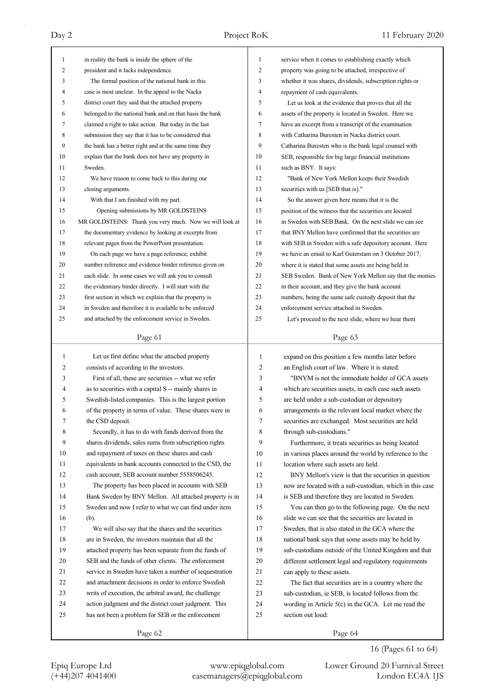| $\mathbf{1}$ |                                                          |                |                                                          |
|--------------|----------------------------------------------------------|----------------|----------------------------------------------------------|
|              | in reality the bank is inside the sphere of the          | $\mathbf{1}$   | service when it comes to establishing exactly which      |
| 2            | president and it lacks independence.                     | $\overline{2}$ | property was going to be attached, irrespective of       |
| 3            | The formal position of the national bank in this         | 3              | whether it was shares, dividends, subscription rights or |
| 4            | case is most unclear. In the appeal to the Nacka         | 4              | repayment of cash equivalents.                           |
| 5            | district court they said that the attached property      | 5              | Let us look at the evidence that proves that all the     |
| 6            | belonged to the national bank and on that basis the bank | 6              | assets of the property is located in Sweden. Here we     |
| 7            | claimed a right to take action. But today in the last    | 7              | have an excerpt from a transcript of the examination     |
| 8            | submission they say that it has to be considered that    | 8              | with Catharina Buresten in Nacka district court.         |
| 9            | the bank has a better right and at the same time they    | 9              | Catharina Buresten who is the bank legal counsel with    |
| 10           | explain that the bank does not have any property in      | 10             | SEB, responsible for big large financial institutions    |
| 11           | Sweden.                                                  | 11             | such as BNY. It says:                                    |
| 12           | We have reason to come back to this during our           | 12             | "Bank of New York Mellon keeps their Swedish             |
| 13           | closing arguments.                                       | 13             | securities with us [SEB that is]."                       |
| 14           | With that I am finished with my part.                    | 14             | So the answer given here means that it is the            |
| 15           | Opening submissions by MR GOLDSTEINS                     | 15             | position of the witness that the securities are located  |
| 16           | MR GOLDSTEINS: Thank you very much. Now we will look at  | 16             | in Sweden with SEB Bank. On the next slide we can see    |
| 17           | the documentary evidence by looking at excerpts from     | 17             | that BNY Mellon have confirmed that the securities are   |
| 18           | relevant pages from the PowerPoint presentation.         | 18             | with SEB in Sweden with a safe depository account. Here  |
| 19           | On each page we have a page reference, exhibit           | 19             | we have an email to Karl Guterstam on 3 October 2017,    |
| 20           | number reference and evidence binder reference given on  | 20             | where it is stated that some assets are being held in    |
| 21           | each slide. In some cases we will ask you to consult     | 21             | SEB Sweden. Bank of New York Mellon say that the monies  |
| 22           | the evidentiary binder directly. I will start with the   | 22             | in their account, and they give the bank account         |
| 23           | first section in which we explain that the property is   | 23             | numbers, being the same safe custody deposit that the    |
| 24           | in Sweden and therefore it is available to be enforced   | 24             | enforcement service attached in Sweden.                  |
| 25           | and attached by the enforcement service in Sweden.       | 25             | Let's proceed to the next slide, where we hear them      |
|              |                                                          |                |                                                          |
|              | Page 61                                                  |                | Page 63                                                  |
| 1            | Let us first define what the attached property           | $\mathbf{1}$   | expand on this position a few months later before        |
|              |                                                          |                |                                                          |
| 2            | consists of according to the investors.                  | 2              | an English court of law. Where it is stated:             |
| 3            | First of all, these are securities -- what we refer      | 3              | "BNYM is not the immediate holder of GCA assets          |
| 4            | as to securities with a capital S -- mainly shares in    | 4              | which are securities assets, in each case such assets    |
| 5            | Swedish-listed companies. This is the largest portion    | 5              | are held under a sub-custodian or depository             |
| 6            | of the property in terms of value. These shares were in  | 6              | arrangements in the relevant local market where the      |
| 7            | the CSD deposit.                                         | 7              | securities are exchanged. Most securities are held       |
| 8            | Secondly, it has to do with funds derived from the       | 8              | through sub-custodians."                                 |
| 9            | shares dividends, sales sums from subscription rights    | 9              | Furthermore, it treats securities as being located       |
| 10           | and repayment of taxes on these shares and cash          | 10             | in various places around the world by reference to the   |
| 11           | equivalents in bank accounts connected to the CSD, the   | 11             | location where such assets are held.                     |
| 12           | cash account, SEB account number 5558506245.             | 12             | BNY Mellon's view is that the securities in question     |
| 13           | The property has been placed in accounts with SEB        | 13             | now are located with a sub-custodian, which in this case |
| 14           | Bank Sweden by BNY Mellon. All attached property is in   | 14             | is SEB and therefore they are located in Sweden.         |
| 15           | Sweden and now I refer to what we can find under item    | 15             | You can then go to the following page. On the next       |
| 16           | (b).                                                     | 16             | slide we can see that the securities are located in      |
| 17           | We will also say that the shares and the securities      | 17             | Sweden, that is also stated in the GCA where the         |
| 18           | are in Sweden, the investors maintain that all the       | 18             | national bank says that some assets may be held by       |
| 19           | attached property has been separate from the funds of    | 19             | sub-custodians outside of the United Kingdom and that    |
| 20           | SEB and the funds of other clients. The enforcement      | 20             | different settlement legal and regulatory requirements   |
| 21           | service in Sweden have taken a number of sequestration   | 21             | can apply to these assets.                               |
| 22           | and attachment decisions in order to enforce Swedish     | 22             | The fact that securities are in a country where the      |
| 23           | writs of execution, the arbitral award, the challenge    | 23             | sub-custodian, ie SEB, is located follows from the       |
| 24           | action judgment and the district court judgment. This    | 24             | wording in Article $5(c)$ in the GCA. Let me read the    |
| 25           | has not been a problem for SEB or the enforcement        | 25             | section out loud:                                        |

16 (Pages 61 to 64)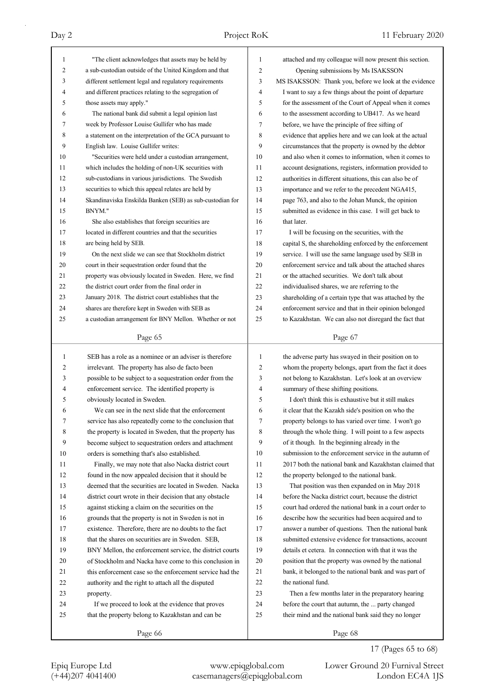| 1              | "The client acknowledges that assets may be held by      | 1              | attached and my colleague will now present this section. |
|----------------|----------------------------------------------------------|----------------|----------------------------------------------------------|
| $\overline{c}$ | a sub-custodian outside of the United Kingdom and that   | $\overline{c}$ | Opening submissions by Ms ISAKSSON                       |
| 3              | different settlement legal and regulatory requirements   | 3              | MS ISAKSSON: Thank you, before we look at the evidence   |
| $\overline{4}$ | and different practices relating to the segregation of   | 4              | I want to say a few things about the point of departure  |
| 5              | those assets may apply."                                 | 5              | for the assessment of the Court of Appeal when it comes  |
| 6              | The national bank did submit a legal opinion last        | 6              | to the assessment according to UB417. As we heard        |
| 7              | week by Professor Louise Gullifer who has made           | 7              | before, we have the principle of free sifting of         |
| 8              | a statement on the interpretation of the GCA pursuant to | 8              | evidence that applies here and we can look at the actual |
| 9              | English law. Louise Gullifer writes:                     | 9              | circumstances that the property is owned by the debtor   |
| 10             | "Securities were held under a custodian arrangement,     | 10             | and also when it comes to information, when it comes to  |
| 11             | which includes the holding of non-UK securities with     | 11             | account designations, registers, information provided to |
| 12             | sub-custodians in various jurisdictions. The Swedish     | 12             | authorities in different situations, this can also be of |
| 13             | securities to which this appeal relates are held by      | 13             | importance and we refer to the precedent NGA415,         |
| 14             | Skandinaviska Enskilda Banken (SEB) as sub-custodian for | 14             | page 763, and also to the Johan Munck, the opinion       |
| 15             | BNYM."                                                   | 15             | submitted as evidence in this case. I will get back to   |
| 16             | She also establishes that foreign securities are         | 16             | that later.                                              |
| 17             | located in different countries and that the securities   | 17             | I will be focusing on the securities, with the           |
| 18             | are being held by SEB.                                   | 18             | capital S, the shareholding enforced by the enforcement  |
| 19             | On the next slide we can see that Stockholm district     | 19             | service. I will use the same language used by SEB in     |
| 20             | court in their sequestration order found that the        | 20             | enforcement service and talk about the attached shares   |
| 21             | property was obviously located in Sweden. Here, we find  | 21             | or the attached securities. We don't talk about          |
| 22             | the district court order from the final order in         | 22             | individualised shares, we are referring to the           |
| 23             | January 2018. The district court establishes that the    | 23             | shareholding of a certain type that was attached by the  |
| 24             | shares are therefore kept in Sweden with SEB as          | 24             | enforcement service and that in their opinion belonged   |
| 25             | a custodian arrangement for BNY Mellon. Whether or not   | 25             | to Kazakhstan. We can also not disregard the fact that   |
|                |                                                          |                |                                                          |
|                | Page 65                                                  |                | Page 67                                                  |
|                |                                                          |                |                                                          |
|                |                                                          |                |                                                          |
| $\mathbf{1}$   | SEB has a role as a nominee or an adviser is therefore   | $\mathbf{1}$   | the adverse party has swayed in their position on to     |
| 2              | irrelevant. The property has also de facto been          | 2              | whom the property belongs, apart from the fact it does   |
| 3              | possible to be subject to a sequestration order from the | 3              | not belong to Kazakhstan. Let's look at an overview      |
| 4              | enforcement service. The identified property is          | 4              | summary of these shifting positions.                     |
| 5              | obviously located in Sweden.                             | 5              | I don't think this is exhaustive but it still makes      |
| 6              | We can see in the next slide that the enforcement        | 6              | it clear that the Kazakh side's position on who the      |
| 7              | service has also repeatedly come to the conclusion that  | 7              | property belongs to has varied over time. I won't go     |
| 8              | the property is located in Sweden, that the property has | 8              | through the whole thing. I will point to a few aspects   |
| 9              | become subject to sequestration orders and attachment    | 9              | of it though. In the beginning already in the            |
| 10             | orders is something that's also established.             | 10             | submission to the enforcement service in the autumn of   |
| 11             | Finally, we may note that also Nacka district court      | 11             | 2017 both the national bank and Kazakhstan claimed that  |
| 12             | found in the now appealed decision that it should be     | 12             | the property belonged to the national bank.              |
| 13             | deemed that the securities are located in Sweden. Nacka  | 13             | That position was then expanded on in May 2018           |
| 14             | district court wrote in their decision that any obstacle | 14             | before the Nacka district court, because the district    |
| 15             | against sticking a claim on the securities on the        | 15             | court had ordered the national bank in a court order to  |
| 16             | grounds that the property is not in Sweden is not in     | 16             | describe how the securities had been acquired and to     |
| 17             | existence. Therefore, there are no doubts to the fact    | 17             | answer a number of questions. Then the national bank     |
| 18             | that the shares on securities are in Sweden. SEB,        | 18             | submitted extensive evidence for transactions, account   |
| 19             | BNY Mellon, the enforcement service, the district courts | 19             | details et cetera. In connection with that it was the    |
| 20             | of Stockholm and Nacka have come to this conclusion in   | 20             | position that the property was owned by the national     |
| 21             | this enforcement case so the enforcement service had the | 21             | bank, it belonged to the national bank and was part of   |
| 22             | authority and the right to attach all the disputed       | 22             | the national fund.                                       |
| 23             | property.                                                | 23             | Then a few months later in the preparatory hearing       |
| 24             | If we proceed to look at the evidence that proves        | 24             | before the court that autumn, the  party changed         |
| 25             | that the property belong to Kazakhstan and can be        | 25             | their mind and the national bank said they no longer     |

## 17 (Pages 65 to 68)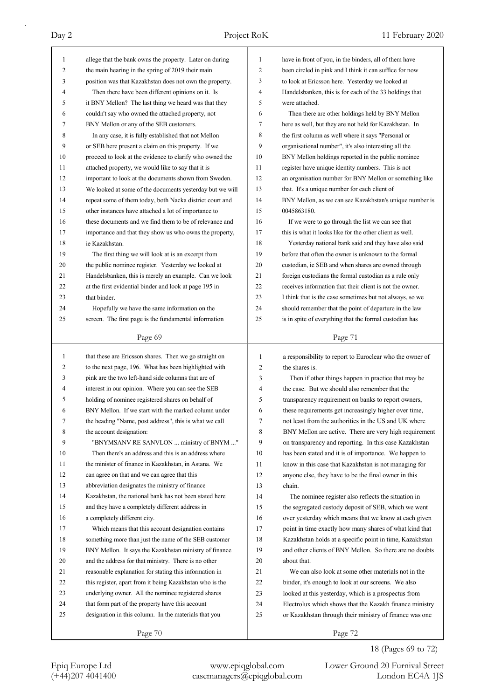| $\mathbf{1}$ | allege that the bank owns the property. Later on during                                                   | 1              | have in front of you, in the binders, all of them have   |
|--------------|-----------------------------------------------------------------------------------------------------------|----------------|----------------------------------------------------------|
| 2            | the main hearing in the spring of 2019 their main                                                         | $\overline{c}$ | been circled in pink and I think it can suffice for now  |
| 3            | position was that Kazakhstan does not own the property.                                                   | 3              | to look at Ericsson here. Yesterday we looked at         |
| 4            | Then there have been different opinions on it. Is                                                         | $\overline{4}$ | Handelsbanken, this is for each of the 33 holdings that  |
| 5            | it BNY Mellon? The last thing we heard was that they                                                      | 5              | were attached.                                           |
| 6            | couldn't say who owned the attached property, not                                                         | 6              | Then there are other holdings held by BNY Mellon         |
| 7            | BNY Mellon or any of the SEB customers.                                                                   | 7              | here as well, but they are not held for Kazakhstan. In   |
| 8            | In any case, it is fully established that not Mellon                                                      | 8              | the first column as well where it says "Personal or      |
| 9            | or SEB here present a claim on this property. If we                                                       | 9              | organisational number", it's also interesting all the    |
| 10           | proceed to look at the evidence to clarify who owned the                                                  | 10             | BNY Mellon holdings reported in the public nominee       |
| 11           | attached property, we would like to say that it is                                                        | 11             | register have unique identity numbers. This is not       |
| 12           | important to look at the documents shown from Sweden.                                                     | 12             | an organisation number for BNY Mellon or something like  |
| 13           | We looked at some of the documents yesterday but we will                                                  | 13             | that. It's a unique number for each client of            |
| 14           | repeat some of them today, both Nacka district court and                                                  | 14             | BNY Mellon, as we can see Kazakhstan's unique number is  |
| 15           | other instances have attached a lot of importance to                                                      | 15             | 0045863180.                                              |
| 16           | these documents and we find them to be of relevance and                                                   | 16             | If we were to go through the list we can see that        |
| 17           | importance and that they show us who owns the property,                                                   | 17             | this is what it looks like for the other client as well. |
| 18           | ie Kazakhstan.                                                                                            | 18             | Yesterday national bank said and they have also said     |
| 19           | The first thing we will look at is an excerpt from                                                        | 19             | before that often the owner is unknown to the formal     |
| 20           | the public nominee register. Yesterday we looked at                                                       | 20             | custodian, ie SEB and when shares are owned through      |
| 21           | Handelsbanken, this is merely an example. Can we look                                                     | 21             | foreign custodians the formal custodian as a rule only   |
| 22           | at the first evidential binder and look at page 195 in                                                    | 22             | receives information that their client is not the owner. |
| 23           | that binder.                                                                                              | 23             | I think that is the case sometimes but not always, so we |
| 24           | Hopefully we have the same information on the                                                             | 24             | should remember that the point of departure in the law   |
| 25           | screen. The first page is the fundamental information                                                     | 25             | is in spite of everything that the formal custodian has  |
|              |                                                                                                           |                |                                                          |
|              | Page 69                                                                                                   |                | Page 71                                                  |
|              |                                                                                                           |                |                                                          |
|              |                                                                                                           |                |                                                          |
| $\mathbf{1}$ | that these are Ericsson shares. Then we go straight on                                                    | $\mathbf{1}$   | a responsibility to report to Euroclear who the owner of |
| 2            | to the next page, 196. What has been highlighted with                                                     | 2              | the shares is.                                           |
| 3            | pink are the two left-hand side columns that are of                                                       | 3              | Then if other things happen in practice that may be      |
| 4            | interest in our opinion. Where you can see the SEB                                                        | 4              | the case. But we should also remember that the           |
| 5<br>6       | holding of nominee registered shares on behalf of<br>BNY Mellon. If we start with the marked column under | 5<br>6         | transparency requirement on banks to report owners,      |
|              |                                                                                                           |                | these requirements get increasingly higher over time,    |
| 7            | the heading "Name, post address", this is what we call                                                    | 7              | not least from the authorities in the US and UK where    |
| 8            | the account designation:                                                                                  | 8              | BNY Mellon are active. There are very high requirement   |
| 9            | "BNYMSANV RE SANVLON  ministry of BNYM "                                                                  | 9              | on transparency and reporting. In this case Kazakhstan   |
| 10           | Then there's an address and this is an address where                                                      | 10             | has been stated and it is of importance. We happen to    |
| 11           | the minister of finance in Kazakhstan, in Astana. We                                                      | 11             | know in this case that Kazakhstan is not managing for    |
| 12           | can agree on that and we can agree that this                                                              | 12             | anyone else, they have to be the final owner in this     |
| 13           | abbreviation designates the ministry of finance                                                           | 13             | chain.                                                   |
| 14           | Kazakhstan, the national bank has not been stated here                                                    | 14             | The nominee register also reflects the situation in      |
| 15           | and they have a completely different address in                                                           | 15             | the segregated custody deposit of SEB, which we went     |
| 16           | a completely different city.                                                                              | 16             | over yesterday which means that we know at each given    |
| 17           | Which means that this account designation contains                                                        | 17             | point in time exactly how many shares of what kind that  |
| 18           | something more than just the name of the SEB customer                                                     | 18             | Kazakhstan holds at a specific point in time, Kazakhstan |
| 19           | BNY Mellon. It says the Kazakhstan ministry of finance                                                    | 19             | and other clients of BNY Mellon. So there are no doubts  |
| 20           | and the address for that ministry. There is no other                                                      | 20             | about that.                                              |
| 21           | reasonable explanation for stating this information in                                                    | 21             | We can also look at some other materials not in the      |
| 22           | this register, apart from it being Kazakhstan who is the                                                  | 22             | binder, it's enough to look at our screens. We also      |
| 23           | underlying owner. All the nominee registered shares                                                       | 23             | looked at this yesterday, which is a prospectus from     |
| 24           | that form part of the property have this account                                                          | 24             | Electrolux which shows that the Kazakh finance ministry  |
| 25           | designation in this column. In the materials that you                                                     | 25             | or Kazakhstan through their ministry of finance was one  |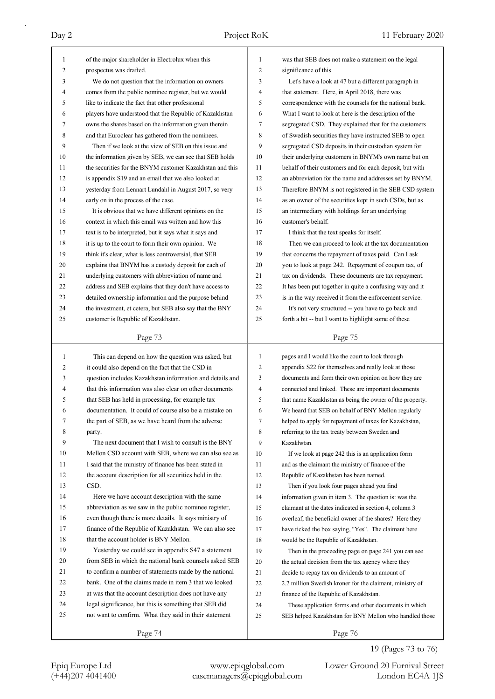| 1            | of the major shareholder in Electrolux when this                                                                | 1              | was that SEB does not make a statement on the legal                                                             |
|--------------|-----------------------------------------------------------------------------------------------------------------|----------------|-----------------------------------------------------------------------------------------------------------------|
| 2            | prospectus was drafted.                                                                                         | 2              | significance of this.                                                                                           |
| 3            | We do not question that the information on owners                                                               | 3              | Let's have a look at 47 but a different paragraph in                                                            |
| 4            | comes from the public nominee register, but we would                                                            | 4              | that statement. Here, in April 2018, there was                                                                  |
| 5            | like to indicate the fact that other professional                                                               | 5              | correspondence with the counsels for the national bank.                                                         |
| 6            | players have understood that the Republic of Kazakhstan                                                         | 6              | What I want to look at here is the description of the                                                           |
| 7            | owns the shares based on the information given therein                                                          | 7              | segregated CSD. They explained that for the customers                                                           |
| 8            | and that Euroclear has gathered from the nominees.                                                              | 8              | of Swedish securities they have instructed SEB to open                                                          |
| 9            | Then if we look at the view of SEB on this issue and                                                            | 9              | segregated CSD deposits in their custodian system for                                                           |
| 10           | the information given by SEB, we can see that SEB holds                                                         | 10             | their underlying customers in BNYM's own name but on                                                            |
| 11           | the securities for the BNYM customer Kazakhstan and this                                                        | 11             | behalf of their customers and for each deposit, but with                                                        |
| 12           | is appendix S19 and an email that we also looked at                                                             | 12             | an abbreviation for the name and addresses set by BNYM.                                                         |
| 13           | yesterday from Lennart Lundahl in August 2017, so very                                                          | 13             | Therefore BNYM is not registered in the SEB CSD system                                                          |
| 14           | early on in the process of the case.                                                                            | 14             | as an owner of the securities kept in such CSDs, but as                                                         |
| 15           | It is obvious that we have different opinions on the                                                            | 15             | an intermediary with holdings for an underlying                                                                 |
| 16           | context in which this email was written and how this                                                            | 16             | customer's behalf.                                                                                              |
| 17           | text is to be interpreted, but it says what it says and                                                         | 17             | I think that the text speaks for itself.                                                                        |
| 18           | it is up to the court to form their own opinion. We                                                             | 18             | Then we can proceed to look at the tax documentation                                                            |
| 19           | think it's clear, what is less controversial, that SEB                                                          | 19             | that concerns the repayment of taxes paid. Can I ask                                                            |
| 20           | explains that BNYM has a custody deposit for each of                                                            | 20             | you to look at page 242. Repayment of coupon tax, of                                                            |
| 21           | underlying customers with abbreviation of name and                                                              | 21             | tax on dividends. These documents are tax repayment.                                                            |
| 22           | address and SEB explains that they don't have access to                                                         | 22             | It has been put together in quite a confusing way and it                                                        |
| 23           | detailed ownership information and the purpose behind                                                           | 23             | is in the way received it from the enforcement service.                                                         |
| 24           | the investment, et cetera, but SEB also say that the BNY                                                        | 24             | It's not very structured -- you have to go back and                                                             |
| 25           | customer is Republic of Kazakhstan.                                                                             | 25             | forth a bit -- but I want to highlight some of these                                                            |
|              |                                                                                                                 |                |                                                                                                                 |
|              | Page 73                                                                                                         |                | Page 75                                                                                                         |
|              |                                                                                                                 |                |                                                                                                                 |
| $\mathbf{1}$ |                                                                                                                 | $\mathbf{1}$   |                                                                                                                 |
| 2            | This can depend on how the question was asked, but                                                              | $\overline{c}$ | pages and I would like the court to look through<br>appendix S22 for themselves and really look at those        |
| 3            | it could also depend on the fact that the CSD in<br>question includes Kazakhstan information and details and    | 3              | documents and form their own opinion on how they are                                                            |
| 4            | that this information was also clear on other documents                                                         | 4              | connected and linked. These are important documents                                                             |
| 5            | that SEB has held in processing, for example tax                                                                | 5              |                                                                                                                 |
| 6            | documentation. It could of course also be a mistake on                                                          | 6              | that name Kazakhstan as being the owner of the property.<br>We heard that SEB on behalf of BNY Mellon regularly |
| 7            |                                                                                                                 | 7              |                                                                                                                 |
| 8            | the part of SEB, as we have heard from the adverse                                                              | 8              | helped to apply for repayment of taxes for Kazakhstan,                                                          |
| 9            | party.<br>The next document that I wish to consult is the BNY                                                   | 9              | referring to the tax treaty between Sweden and<br>Kazakhstan.                                                   |
| 10           |                                                                                                                 | 10             |                                                                                                                 |
| 11           | Mellon CSD account with SEB, where we can also see as                                                           | 11             | If we look at page 242 this is an application form                                                              |
| 12           | I said that the ministry of finance has been stated in                                                          | 12             | and as the claimant the ministry of finance of the                                                              |
| 13           | the account description for all securities held in the<br>CSD.                                                  | 13             | Republic of Kazakhstan has been named.                                                                          |
| 14           |                                                                                                                 | 14             | Then if you look four pages ahead you find                                                                      |
| 15           | Here we have account description with the same                                                                  |                | information given in item 3. The question is: was the                                                           |
|              | abbreviation as we saw in the public nominee register,                                                          | 15             | claimant at the dates indicated in section 4, column 3                                                          |
| 16<br>17     | even though there is more details. It says ministry of                                                          | 16             | overleaf, the beneficial owner of the shares? Here they                                                         |
|              | finance of the Republic of Kazakhstan. We can also see                                                          | 17             | have ticked the box saying, "Yes". The claimant here                                                            |
| 18<br>19     | that the account holder is BNY Mellon.                                                                          | 18<br>19       | would be the Republic of Kazakhstan.                                                                            |
| 20           | Yesterday we could see in appendix S47 a statement<br>from SEB in which the national bank counsels asked SEB    |                | Then in the proceeding page on page 241 you can see                                                             |
| 21           |                                                                                                                 | 20             | the actual decision from the tax agency where they                                                              |
| 22           | to confirm a number of statements made by the national<br>bank. One of the claims made in item 3 that we looked | 21             | decide to repay tax on dividends to an amount of                                                                |
| 23           |                                                                                                                 | 22             | 2.2 million Swedish kroner for the claimant, ministry of                                                        |
| 24           | at was that the account description does not have any                                                           | 23             | finance of the Republic of Kazakhstan.                                                                          |
| 25           | legal significance, but this is something that SEB did                                                          | 24             | These application forms and other documents in which                                                            |
|              | not want to confirm. What they said in their statement<br>Page 74                                               | 25             | SEB helped Kazakhstan for BNY Mellon who handled those<br>Page 76                                               |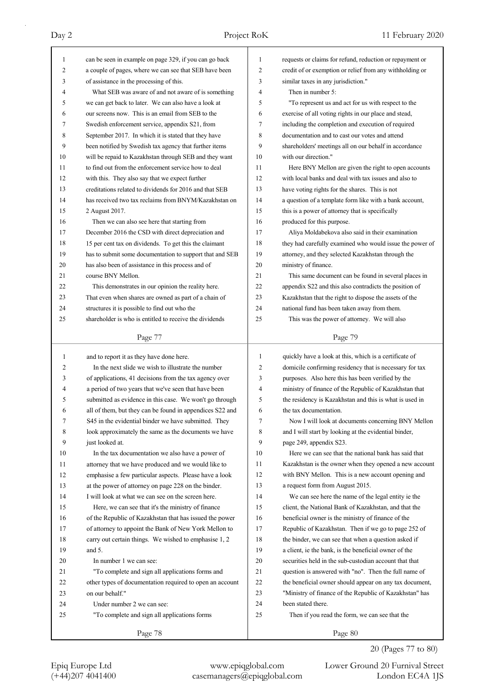| $\mathbf{1}$ | can be seen in example on page 329, if you can go back                                                          | 1<br>$\overline{2}$ | requests or claims for refund, reduction or repayment or                                                          |
|--------------|-----------------------------------------------------------------------------------------------------------------|---------------------|-------------------------------------------------------------------------------------------------------------------|
| 2            | a couple of pages, where we can see that SEB have been                                                          |                     | credit of or exemption or relief from any withholding or                                                          |
| 3            | of assistance in the processing of this.                                                                        | 3                   | similar taxes in any jurisdiction."                                                                               |
| 4            | What SEB was aware of and not aware of is something                                                             | 4<br>5              | Then in number 5:                                                                                                 |
| 5            | we can get back to later. We can also have a look at                                                            | 6                   | "To represent us and act for us with respect to the                                                               |
| 6            | our screens now. This is an email from SEB to the                                                               | 7                   | exercise of all voting rights in our place and stead,                                                             |
| 7            | Swedish enforcement service, appendix S21, from                                                                 |                     | including the completion and execution of required                                                                |
| 8            | September 2017. In which it is stated that they have                                                            | 8                   | documentation and to cast our votes and attend                                                                    |
| 9            | been notified by Swedish tax agency that further items                                                          | 9                   | shareholders' meetings all on our behalf in accordance                                                            |
| 10           | will be repaid to Kazakhstan through SEB and they want                                                          | 10                  | with our direction."                                                                                              |
| 11           | to find out from the enforcement service how to deal                                                            | 11                  | Here BNY Mellon are given the right to open accounts                                                              |
| 12           | with this. They also say that we expect further<br>creditations related to dividends for 2016 and that SEB      | 12<br>13            | with local banks and deal with tax issues and also to                                                             |
| 13           |                                                                                                                 | 14                  | have voting rights for the shares. This is not                                                                    |
| 14           | has received two tax reclaims from BNYM/Kazakhstan on                                                           |                     | a question of a template form like with a bank account,                                                           |
| 15           | 2 August 2017.                                                                                                  | 15                  | this is a power of attorney that is specifically                                                                  |
| 16           | Then we can also see here that starting from                                                                    | 16                  | produced for this purpose.                                                                                        |
| 17           | December 2016 the CSD with direct depreciation and                                                              | 17                  | Aliya Moldabekova also said in their examination                                                                  |
| 18           | 15 per cent tax on dividends. To get this the claimant                                                          | 18                  | they had carefully examined who would issue the power of                                                          |
| 19           | has to submit some documentation to support that and SEB                                                        | 19                  | attorney, and they selected Kazakhstan through the                                                                |
| 20           | has also been of assistance in this process and of                                                              | 20                  | ministry of finance.                                                                                              |
| 21           | course BNY Mellon.                                                                                              | 21                  | This same document can be found in several places in                                                              |
| 22           | This demonstrates in our opinion the reality here.                                                              | 22                  | appendix S22 and this also contradicts the position of                                                            |
| 23           | That even when shares are owned as part of a chain of                                                           | 23                  | Kazakhstan that the right to dispose the assets of the                                                            |
| 24           | structures it is possible to find out who the                                                                   | 24                  | national fund has been taken away from them.                                                                      |
| 25           | shareholder is who is entitled to receive the dividends                                                         | 25                  | This was the power of attorney. We will also                                                                      |
|              | Page 77                                                                                                         |                     | Page 79                                                                                                           |
|              |                                                                                                                 |                     |                                                                                                                   |
| 1            |                                                                                                                 | 1                   |                                                                                                                   |
|              | and to report it as they have done here.                                                                        | 2                   | quickly have a look at this, which is a certificate of                                                            |
| 2<br>3       | In the next slide we wish to illustrate the number                                                              | 3                   | domicile confirming residency that is necessary for tax                                                           |
| 4            | of applications, 41 decisions from the tax agency over                                                          | 4                   | purposes. Also here this has been verified by the                                                                 |
| 5            | a period of two years that we've seen that have been<br>submitted as evidence in this case. We won't go through | 5                   | ministry of finance of the Republic of Kazakhstan that<br>the residency is Kazakhstan and this is what is used in |
| 6            |                                                                                                                 | 6                   | the tax documentation.                                                                                            |
| 7            | all of them, but they can be found in appendices S22 and                                                        | 7                   |                                                                                                                   |
| 8            | S45 in the evidential binder we have submitted. They<br>look approximately the same as the documents we have    | 8                   | Now I will look at documents concerning BNY Mellon<br>and I will start by looking at the evidential binder,       |
| 9            | just looked at.                                                                                                 | 9                   | page 249, appendix S23.                                                                                           |
| 10           | In the tax documentation we also have a power of                                                                | 10                  | Here we can see that the national bank has said that                                                              |
| 11           | attorney that we have produced and we would like to                                                             | 11                  | Kazakhstan is the owner when they opened a new account                                                            |
| 12           | emphasise a few particular aspects. Please have a look                                                          | 12                  | with BNY Mellon. This is a new account opening and                                                                |
| 13           | at the power of attorney on page 228 on the binder.                                                             | 13                  | a request form from August 2015.                                                                                  |
| 14           | I will look at what we can see on the screen here.                                                              | 14                  | We can see here the name of the legal entity ie the                                                               |
| 15           | Here, we can see that it's the ministry of finance                                                              | 15                  | client, the National Bank of Kazakhstan, and that the                                                             |
| 16           | of the Republic of Kazakhstan that has issued the power                                                         | 16                  | beneficial owner is the ministry of finance of the                                                                |
| 17           | of attorney to appoint the Bank of New York Mellon to                                                           | 17                  | Republic of Kazakhstan. Then if we go to page 252 of                                                              |
| 18           | carry out certain things. We wished to emphasise 1, 2                                                           | 18                  | the binder, we can see that when a question asked if                                                              |
| 19           | and $5$ .                                                                                                       | 19                  | a client, ie the bank, is the beneficial owner of the                                                             |
| 20           | In number 1 we can see:                                                                                         | 20                  | securities held in the sub-custodian account that that                                                            |
| 21           | "To complete and sign all applications forms and                                                                | 21                  | question is answered with "no". Then the full name of                                                             |
| 22           | other types of documentation required to open an account                                                        | 22                  | the beneficial owner should appear on any tax document,                                                           |
| 23           | on our behalf."                                                                                                 | 23                  | "Ministry of finance of the Republic of Kazakhstan" has                                                           |
| 24           | Under number 2 we can see:                                                                                      | 24                  | been stated there.                                                                                                |
| 25           | "To complete and sign all applications forms                                                                    | 25                  | Then if you read the form, we can see that the                                                                    |

20 (Pages 77 to 80)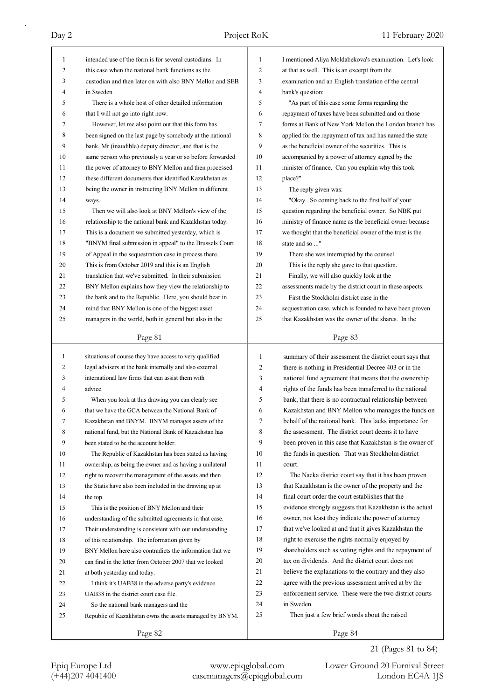| 1            | intended use of the form is for several custodians. In   | 1              | I mentioned Aliya Moldabekova's examination. Let's look  |
|--------------|----------------------------------------------------------|----------------|----------------------------------------------------------|
| 2            | this case when the national bank functions as the        | $\overline{2}$ | at that as well. This is an excerpt from the             |
| 3            | custodian and then later on with also BNY Mellon and SEB | 3              | examination and an English translation of the central    |
| 4            | in Sweden.                                               | $\overline{4}$ | bank's question:                                         |
| 5            | There is a whole host of other detailed information      | 5              | "As part of this case some forms regarding the           |
| 6            | that I will not go into right now.                       | 6              | repayment of taxes have been submitted and on those      |
| 7            | However, let me also point out that this form has        | 7              | forms at Bank of New York Mellon the London branch has   |
| 8            | been signed on the last page by somebody at the national | 8              | applied for the repayment of tax and has named the state |
| 9            | bank, Mr (inaudible) deputy director, and that is the    | 9              | as the beneficial owner of the securities. This is       |
| 10           | same person who previously a year or so before forwarded | 10             | accompanied by a power of attorney signed by the         |
| 11           | the power of attorney to BNY Mellon and then processed   | 11             | minister of finance. Can you explain why this took       |
| 12           | these different documents that identified Kazakhstan as  | 12             | place?"                                                  |
| 13           | being the owner in instructing BNY Mellon in different   | 13             | The reply given was:                                     |
| 14           | ways.                                                    | 14             | "Okay. So coming back to the first half of your          |
| 15           | Then we will also look at BNY Mellon's view of the       | 15             | question regarding the beneficial owner. So NBK put      |
| 16           | relationship to the national bank and Kazakhstan today.  | 16             | ministry of finance name as the beneficial owner because |
| 17           | This is a document we submitted yesterday, which is      | 17             | we thought that the beneficial owner of the trust is the |
| 18           | "BNYM final submission in appeal" to the Brussels Court  | 18             | state and so "                                           |
| 19           | of Appeal in the sequestration case in process there.    | 19             | There she was interrupted by the counsel.                |
| 20           | This is from October 2019 and this is an English         | 20             | This is the reply she gave to that question.             |
| 21           | translation that we've submitted. In their submission    | 21             | Finally, we will also quickly look at the                |
| 22           | BNY Mellon explains how they view the relationship to    | 22             | assessments made by the district court in these aspects. |
| 23           | the bank and to the Republic. Here, you should bear in   | 23             | First the Stockholm district case in the                 |
| 24           | mind that BNY Mellon is one of the biggest asset         | 24             | sequestration case, which is founded to have been proven |
| 25           | managers in the world, both in general but also in the   | 25             | that Kazakhstan was the owner of the shares. In the      |
|              | Page 81                                                  |                | Page 83                                                  |
|              |                                                          |                |                                                          |
|              |                                                          |                |                                                          |
| $\mathbf{1}$ | situations of course they have access to very qualified  | 1              | summary of their assessment the district court says that |
| 2            | legal advisers at the bank internally and also external  | 2              | there is nothing in Presidential Decree 403 or in the    |
| 3            | international law firms that can assist them with        | 3              | national fund agreement that means that the ownership    |
| 4            | advice.                                                  | 4              | rights of the funds has been transferred to the national |
| 5            | When you look at this drawing you can clearly see        | 5              | bank, that there is no contractual relationship between  |
| 6            | that we have the GCA between the National Bank of        | 6              | Kazakhstan and BNY Mellon who manages the funds on       |
| 7            | Kazakhstan and BNYM. BNYM manages assets of the          | 7              | behalf of the national bank. This lacks importance for   |
| 8            | national fund, but the National Bank of Kazakhstan has   | 8              | the assessment. The district court deems it to have      |
| 9            | been stated to be the account holder.                    | 9              | been proven in this case that Kazakhstan is the owner of |
| 10           | The Republic of Kazakhstan has been stated as having     | 10             | the funds in question. That was Stockholm district       |
| 11           | ownership, as being the owner and as having a unilateral | 11             | court.                                                   |
| 12           | right to recover the management of the assets and then   | 12             | The Nacka district court say that it has been proven     |
| 13           | the Statis have also been included in the drawing up at  | 13             | that Kazakhstan is the owner of the property and the     |
| 14           | the top.                                                 | 14             | final court order the court establishes that the         |
| 15           | This is the position of BNY Mellon and their             | 15             | evidence strongly suggests that Kazakhstan is the actual |
| 16           | understanding of the submitted agreements in that case.  | 16             | owner, not least they indicate the power of attorney     |
| 17           | Their understanding is consistent with our understanding | 17             | that we've looked at and that it gives Kazakhstan the    |
| 18           | of this relationship. The information given by           | 18             | right to exercise the rights normally enjoyed by         |
| 19           | BNY Mellon here also contradicts the information that we | 19             | shareholders such as voting rights and the repayment of  |
| 20           | can find in the letter from October 2007 that we looked  | 20             | tax on dividends. And the district court does not        |
| 21           | at both yesterday and today.                             | 21             | believe the explanations to the contrary and they also   |
| 22           | I think it's UAB38 in the adverse party's evidence.      | 22             | agree with the previous assessment arrived at by the     |
| 23           | UAB38 in the district court case file.                   | 23             | enforcement service. These were the two district courts  |
| 24           | So the national bank managers and the                    | 24             | in Sweden.                                               |
| 25           | Republic of Kazakhstan owns the assets managed by BNYM.  | 25             | Then just a few brief words about the raised             |

21 (Pages 81 to 84)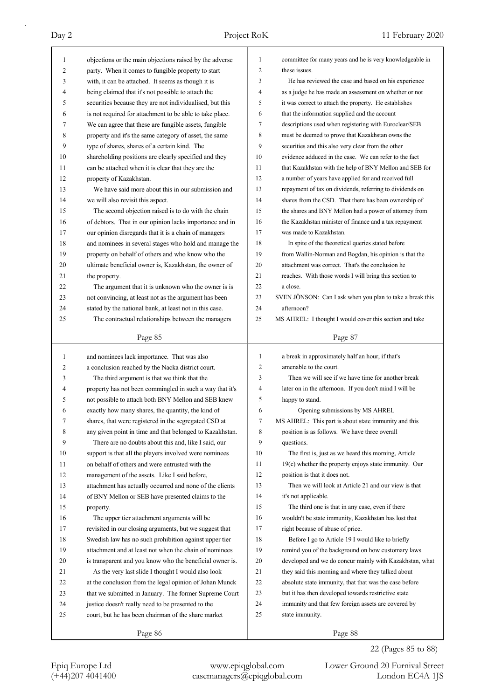| 1  | objections or the main objections raised by the adverse  | $\mathbf{1}$   | committee for many years and he is very knowledgeable in  |
|----|----------------------------------------------------------|----------------|-----------------------------------------------------------|
| 2  | party. When it comes to fungible property to start       | $\overline{c}$ | these issues.                                             |
| 3  | with, it can be attached. It seems as though it is       | 3              | He has reviewed the case and based on his experience      |
| 4  | being claimed that it's not possible to attach the       | 4              | as a judge he has made an assessment on whether or not    |
| 5  | securities because they are not individualised, but this | 5              | it was correct to attach the property. He establishes     |
| 6  | is not required for attachment to be able to take place. | 6              | that the information supplied and the account             |
| 7  | We can agree that these are fungible assets, fungible    | 7              | descriptions used when registering with Euroclear/SEB     |
| 8  | property and it's the same category of asset, the same   | 8              | must be deemed to prove that Kazakhstan owns the          |
| 9  | type of shares, shares of a certain kind. The            | 9              | securities and this also very clear from the other        |
| 10 | shareholding positions are clearly specified and they    | 10             | evidence adduced in the case. We can refer to the fact    |
| 11 | can be attached when it is clear that they are the       | 11             | that Kazakhstan with the help of BNY Mellon and SEB for   |
| 12 | property of Kazakhstan.                                  | 12             | a number of years have applied for and received full      |
| 13 | We have said more about this in our submission and       | 13             | repayment of tax on dividends, referring to dividends on  |
| 14 | we will also revisit this aspect.                        | 14             | shares from the CSD. That there has been ownership of     |
| 15 | The second objection raised is to do with the chain      | 15             | the shares and BNY Mellon had a power of attorney from    |
| 16 | of debtors. That in our opinion lacks importance and in  | 16             | the Kazakhstan minister of finance and a tax repayment    |
| 17 | our opinion disregards that it is a chain of managers    | 17             | was made to Kazakhstan.                                   |
| 18 | and nominees in several stages who hold and manage the   | 18             | In spite of the theoretical queries stated before         |
| 19 | property on behalf of others and who know who the        | 19             | from Wallin-Norman and Bogdan, his opinion is that the    |
| 20 | ultimate beneficial owner is, Kazakhstan, the owner of   | 20             | attachment was correct. That's the conclusion he          |
| 21 | the property.                                            | 21             | reaches. With those words I will bring this section to    |
| 22 | The argument that it is unknown who the owner is is      | 22             | a close.                                                  |
| 23 | not convincing, at least not as the argument has been    | 23             | SVEN JÖNSON: Can I ask when you plan to take a break this |
| 24 | stated by the national bank, at least not in this case.  | 24             | afternoon?                                                |
| 25 | The contractual relationships between the managers       | 25             | MS AHREL: I thought I would cover this section and take   |
|    |                                                          |                |                                                           |
|    | Page 85                                                  |                | Page 87                                                   |
|    |                                                          |                |                                                           |
| 1  | and nominees lack importance. That was also              | 1              | a break in approximately half an hour, if that's          |
| 2  | a conclusion reached by the Nacka district court.        | 2              | amenable to the court.                                    |
| 3  | The third argument is that we think that the             | 3              | Then we will see if we have time for another break        |
| 4  | property has not been commingled in such a way that it's | 4              | later on in the afternoon. If you don't mind I will be    |
| 5  | not possible to attach both BNY Mellon and SEB knew      | 5              | happy to stand.                                           |
| 6  | exactly how many shares, the quantity, the kind of       | 6              | Opening submissions by MS AHREL                           |
| 7  | shares, that were registered in the segregated CSD at    | 7              | MS AHREL: This part is about state immunity and this      |
| 8  | any given point in time and that belonged to Kazakhstan. | 8              | position is as follows. We have three overall             |
| 9  | There are no doubts about this and, like I said, our     | 9              | questions.                                                |
| 10 | support is that all the players involved were nominees   | 10             | The first is, just as we heard this morning, Article      |
| 11 | on behalf of others and were entrusted with the          | 11             | $19(c)$ whether the property enjoys state immunity. Our   |
| 12 | management of the assets. Like I said before,            | 12             | position is that it does not.                             |
| 13 | attachment has actually occurred and none of the clients | 13             | Then we will look at Article 21 and our view is that      |
| 14 | of BNY Mellon or SEB have presented claims to the        | 14             | it's not applicable.                                      |
| 15 | property.                                                | 15             | The third one is that in any case, even if there          |
| 16 | The upper tier attachment arguments will be              | 16             | wouldn't be state immunity, Kazakhstan has lost that      |
| 17 | revisited in our closing arguments, but we suggest that  | 17             | right because of abuse of price.                          |
| 18 | Swedish law has no such prohibition against upper tier   | 18             | Before I go to Article 19 I would like to briefly         |
| 19 | attachment and at least not when the chain of nominees   | 19             | remind you of the background on how customary laws        |
| 20 | is transparent and you know who the beneficial owner is. | 20             | developed and we do concur mainly with Kazakhstan, what   |
| 21 | As the very last slide I thought I would also look       | 21             | they said this morning and where they talked about        |
| 22 | at the conclusion from the legal opinion of Johan Munck  | 22             | absolute state immunity, that that was the case before    |
| 23 | that we submitted in January. The former Supreme Court   | 23             | but it has then developed towards restrictive state       |
| 24 | justice doesn't really need to be presented to the       | 24             | immunity and that few foreign assets are covered by       |
| 25 | court, but he has been chairman of the share market      | 25             | state immunity.                                           |

22 (Pages 85 to 88)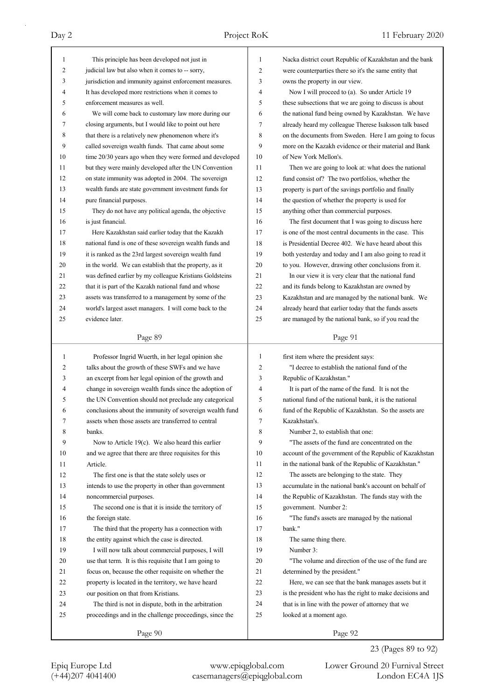| 1            | This principle has been developed not just in            | 1  | Nacka district court Republic of Kazakhstan and the bank |
|--------------|----------------------------------------------------------|----|----------------------------------------------------------|
| 2            | judicial law but also when it comes to -- sorry,         | 2  | were counterparties there so it's the same entity that   |
| 3            | jurisdiction and immunity against enforcement measures.  | 3  | owns the property in our view.                           |
| 4            | It has developed more restrictions when it comes to      | 4  | Now I will proceed to (a). So under Article 19           |
| 5            | enforcement measures as well.                            | 5  | these subsections that we are going to discuss is about  |
| 6            | We will come back to customary law more during our       | 6  | the national fund being owned by Kazakhstan. We have     |
| 7            | closing arguments, but I would like to point out here    | 7  | already heard my colleague Therese Isaksson talk based   |
| 8            | that there is a relatively new phenomenon where it's     | 8  | on the documents from Sweden. Here I am going to focus   |
| 9            | called sovereign wealth funds. That came about some      | 9  | more on the Kazakh evidence or their material and Bank   |
| 10           | time 20/30 years ago when they were formed and developed | 10 | of New York Mellon's.                                    |
| 11           | but they were mainly developed after the UN Convention   | 11 | Then we are going to look at: what does the national     |
| 12           | on state immunity was adopted in 2004. The sovereign     | 12 | fund consist of? The two portfolios, whether the         |
| 13           | wealth funds are state government investment funds for   | 13 | property is part of the savings portfolio and finally    |
| 14           | pure financial purposes.                                 | 14 | the question of whether the property is used for         |
| 15           | They do not have any political agenda, the objective     | 15 | anything other than commercial purposes.                 |
| 16           | is just financial.                                       | 16 | The first document that I was going to discuss here      |
| 17           | Here Kazakhstan said earlier today that the Kazakh       | 17 | is one of the most central documents in the case. This   |
| 18           | national fund is one of these sovereign wealth funds and | 18 | is Presidential Decree 402. We have heard about this     |
| 19           | it is ranked as the 23rd largest sovereign wealth fund   | 19 | both yesterday and today and I am also going to read it  |
| 20           | in the world. We can establish that the property, as it  | 20 | to you. However, drawing other conclusions from it.      |
| 21           | was defined earlier by my colleague Kristians Goldsteins | 21 | In our view it is very clear that the national fund      |
| 22           | that it is part of the Kazakh national fund and whose    | 22 | and its funds belong to Kazakhstan are owned by          |
| 23           | assets was transferred to a management by some of the    | 23 | Kazakhstan and are managed by the national bank. We      |
| 24           | world's largest asset managers. I will come back to the  | 24 | already heard that earlier today that the funds assets   |
| 25           | evidence later.                                          | 25 | are managed by the national bank, so if you read the     |
|              |                                                          |    |                                                          |
|              | Page 89                                                  |    | Page 91                                                  |
|              |                                                          |    |                                                          |
|              |                                                          |    |                                                          |
| $\mathbf{1}$ | Professor Ingrid Wuerth, in her legal opinion she        | 1  | first item where the president says:                     |
| 2            | talks about the growth of these SWFs and we have         | 2  | "I decree to establish the national fund of the          |
| 3            | an excerpt from her legal opinion of the growth and      | 3  | Republic of Kazakhstan."                                 |
| 4            | change in sovereign wealth funds since the adoption of   | 4  | It is part of the name of the fund. It is not the        |
| 5            | the UN Convention should not preclude any categorical    | 5  | national fund of the national bank, it is the national   |
| 6            | conclusions about the immunity of sovereign wealth fund  | 6  | fund of the Republic of Kazakhstan. So the assets are    |
| 7            | assets when those assets are transferred to central      | 7  | Kazakhstan's.                                            |
| 8            | banks.                                                   | 8  | Number 2, to establish that one:                         |
| 9            | Now to Article 19(c). We also heard this earlier         | 9  | "The assets of the fund are concentrated on the          |
| 10           | and we agree that there are three requisites for this    | 10 | account of the government of the Republic of Kazakhstan  |
| 11           | Article.                                                 | 11 | in the national bank of the Republic of Kazakhstan."     |
| 12           | The first one is that the state solely uses or           | 12 | The assets are belonging to the state. They              |
| 13           | intends to use the property in other than government     | 13 | accumulate in the national bank's account on behalf of   |
| 14           | noncommercial purposes.                                  | 14 | the Republic of Kazakhstan. The funds stay with the      |
| 15           | The second one is that it is inside the territory of     | 15 | government. Number 2:                                    |
| 16           | the foreign state.                                       | 16 | "The fund's assets are managed by the national           |
| 17           | The third that the property has a connection with        | 17 | bank."                                                   |
| 18           | the entity against which the case is directed.           | 18 | The same thing there.                                    |
| 19           | I will now talk about commercial purposes, I will        | 19 | Number 3:                                                |
| 20           | use that term. It is this requisite that I am going to   | 20 | "The volume and direction of the use of the fund are     |
| 21           | focus on, because the other requisite on whether the     | 21 | determined by the president."                            |
| 22           | property is located in the territory, we have heard      | 22 | Here, we can see that the bank manages assets but it     |
| 23           | our position on that from Kristians.                     | 23 | is the president who has the right to make decisions and |
| 24           | The third is not in dispute, both in the arbitration     | 24 | that is in line with the power of attorney that we       |
| 25           | proceedings and in the challenge proceedings, since the  | 25 | looked at a moment ago.                                  |

23 (Pages 89 to 92)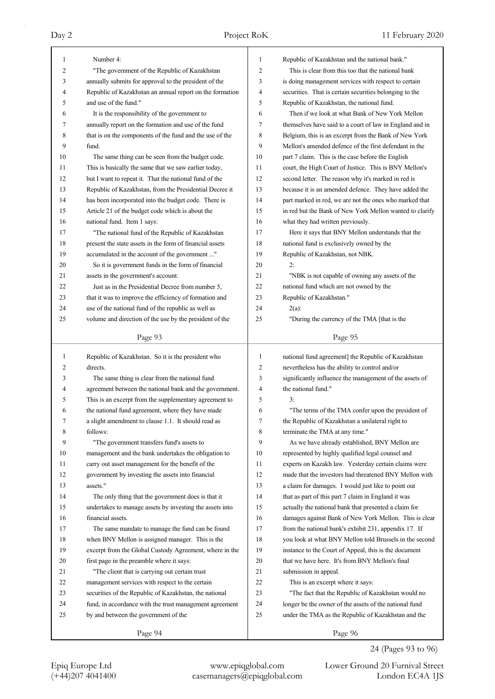| 1  | Number 4:                                                | 1  | Republic of Kazakhstan and the national bank."           |
|----|----------------------------------------------------------|----|----------------------------------------------------------|
| 2  | "The government of the Republic of Kazakhstan            | 2  | This is clear from this too that the national bank       |
| 3  | annually submits for approval to the president of the    | 3  | is doing management services with respect to certain     |
| 4  | Republic of Kazakhstan an annual report on the formation | 4  | securities. That is certain securities belonging to the  |
| 5  | and use of the fund."                                    | 5  | Republic of Kazakhstan, the national fund.               |
| 6  | It is the responsibility of the government to            | 6  | Then if we look at what Bank of New York Mellon          |
| 7  | annually report on the formation and use of the fund     | 7  | themselves have said to a court of law in England and in |
| 8  | that is on the components of the fund and the use of the | 8  | Belgium, this is an excerpt from the Bank of New York    |
| 9  | fund.                                                    | 9  | Mellon's amended defence of the first defendant in the   |
| 10 | The same thing can be seen from the budget code.         | 10 | part 7 claim. This is the case before the English        |
| 11 | This is basically the same that we saw earlier today,    | 11 | court, the High Court of Justice. This is BNY Mellon's   |
| 12 | but I want to repeat it. That the national fund of the   | 12 | second letter. The reason why it's marked in red is      |
| 13 | Republic of Kazakhstan, from the Presidential Decree it  | 13 | because it is an amended defence. They have added the    |
| 14 | has been incorporated into the budget code. There is     | 14 | part marked in red, we are not the ones who marked that  |
| 15 | Article 21 of the budget code which is about the         | 15 | in red but the Bank of New York Mellon wanted to clarify |
| 16 | national fund. Item 1 says:                              | 16 | what they had written previously.                        |
| 17 | "The national fund of the Republic of Kazakhstan         | 17 | Here it says that BNY Mellon understands that the        |
| 18 | present the state assets in the form of financial assets | 18 | national fund is exclusively owned by the                |
| 19 | accumulated in the account of the government "           | 19 | Republic of Kazakhstan, not NBK.                         |
| 20 | So it is government funds in the form of financial       | 20 | 2:                                                       |
| 21 | assets in the government's account.                      | 21 | "NBK is not capable of owning any assets of the          |
| 22 | Just as in the Presidential Decree from number 5,        | 22 | national fund which are not owned by the                 |
| 23 | that it was to improve the efficiency of formation and   | 23 | Republic of Kazakhstan."                                 |
| 24 | use of the national fund of the republic as well as      | 24 | $2(a)$ :                                                 |
| 25 | volume and direction of the use by the president of the  | 25 | "During the currency of the TMA [that is the             |
|    |                                                          |    |                                                          |
|    | Page 93                                                  |    | Page 95                                                  |
| 1  | Republic of Kazakhstan. So it is the president who       | 1  | national fund agreement] the Republic of Kazakhstan      |
| 2  | directs.                                                 | 2  | nevertheless has the ability to control and/or           |
| 3  | The same thing is clear from the national fund           | 3  | significantly influence the management of the assets of  |
| 4  | agreement between the national bank and the government.  | 4  | the national fund."                                      |
| 5  | This is an excerpt from the supplementary agreement to   | 5  | 3:                                                       |
| 6  | the national fund agreement, where they have made        | 6  | "The terms of the TMA confer upon the president of       |
| 7  | a slight amendment to clause 1.1. It should read as      | 7  | the Republic of Kazakhstan a unilateral right to         |
| 8  | follows:                                                 | 8  | terminate the TMA at any time."                          |
| 9  | "The government transfers fund's assets to               | 9  | As we have already established, BNY Mellon are           |
| 10 | management and the bank undertakes the obligation to     | 10 | represented by highly qualified legal counsel and        |
| 11 | carry out asset management for the benefit of the        | 11 | experts on Kazakh law. Yesterday certain claims were     |
| 12 | government by investing the assets into financial        | 12 | made that the investors had threatened BNY Mellon with   |
| 13 | assets."                                                 | 13 | a claim for damages. I would just like to point out      |
| 14 |                                                          | 14 |                                                          |
|    | The only thing that the government does is that it       | 15 | that as part of this part 7 claim in England it was      |
| 15 | undertakes to manage assets by investing the assets into | 16 | actually the national bank that presented a claim for    |
| 16 | financial assets.                                        |    | damages against Bank of New York Mellon. This is clear   |
| 17 | The same mandate to manage the fund can be found         | 17 | from the national bank's exhibit 231, appendix 17. If    |
| 18 | when BNY Mellon is assigned manager. This is the         | 18 | you look at what BNY Mellon told Brussels in the second  |
| 19 | excerpt from the Global Custody Agreement, where in the  | 19 | instance to the Court of Appeal, this is the document    |
| 20 | first page in the preamble where it says:                | 20 | that we have here. It's from BNY Mellon's final          |
| 21 | "The client that is carrying out certain trust           | 21 | submission in appeal.                                    |
| 22 | management services with respect to the certain          | 22 | This is an excerpt where it says:                        |
| 23 | securities of the Republic of Kazakhstan, the national   | 23 | "The fact that the Republic of Kazakhstan would no       |
| 24 | fund, in accordance with the trust management agreement  | 24 | longer be the owner of the assets of the national fund   |
| 25 | by and between the government of the                     | 25 | under the TMA as the Republic of Kazakhstan and the      |
|    | Page 94                                                  |    | Page 96                                                  |

24 (Pages 93 to 96)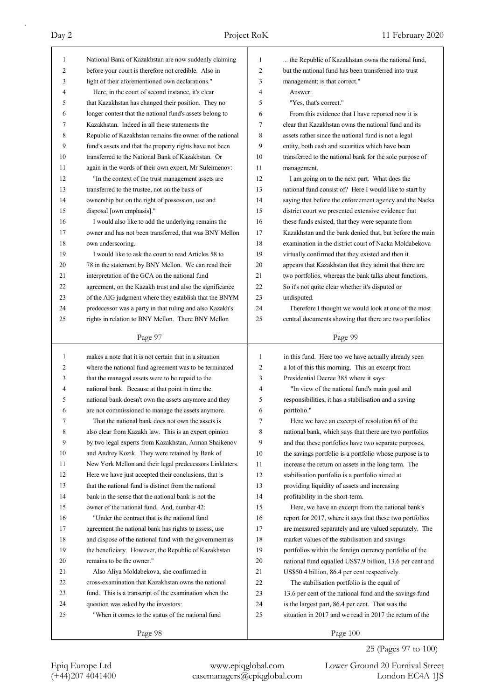| 1        | National Bank of Kazakhstan are now suddenly claiming                                                       | 1              | the Republic of Kazakhstan owns the national fund,                                                          |
|----------|-------------------------------------------------------------------------------------------------------------|----------------|-------------------------------------------------------------------------------------------------------------|
| 2        | before your court is therefore not credible. Also in                                                        | 2              | but the national fund has been transferred into trust                                                       |
| 3        | light of their aforementioned own declarations."                                                            | 3              | management; is that correct."                                                                               |
| 4        | Here, in the court of second instance, it's clear                                                           | 4              | Answer:                                                                                                     |
| 5        | that Kazakhstan has changed their position. They no                                                         | 5              | "Yes, that's correct."                                                                                      |
| 6        | longer contest that the national fund's assets belong to                                                    | 6              | From this evidence that I have reported now it is                                                           |
| 7        | Kazakhstan. Indeed in all these statements the                                                              | 7              | clear that Kazakhstan owns the national fund and its                                                        |
| 8        | Republic of Kazakhstan remains the owner of the national                                                    | 8              | assets rather since the national fund is not a legal                                                        |
| 9        | fund's assets and that the property rights have not been                                                    | 9              | entity, both cash and securities which have been                                                            |
| 10       | transferred to the National Bank of Kazakhstan. Or                                                          | 10             | transferred to the national bank for the sole purpose of                                                    |
| 11       | again in the words of their own expert, Mr Suleimenov:                                                      | 11             | management.                                                                                                 |
| 12       | "In the context of the trust management assets are                                                          | 12             | I am going on to the next part. What does the                                                               |
| 13       | transferred to the trustee, not on the basis of                                                             | 13             | national fund consist of? Here I would like to start by                                                     |
| 14       | ownership but on the right of possession, use and                                                           | 14             | saying that before the enforcement agency and the Nacka                                                     |
| 15       | disposal [own emphasis]."                                                                                   | 15             | district court we presented extensive evidence that                                                         |
| 16       | I would also like to add the underlying remains the                                                         | 16             | these funds existed, that they were separate from                                                           |
| 17       | owner and has not been transferred, that was BNY Mellon                                                     | 17             | Kazakhstan and the bank denied that, but before the main                                                    |
| 18       | own underscoring.                                                                                           | 18             | examination in the district court of Nacka Moldabekova                                                      |
| 19       | I would like to ask the court to read Articles 58 to                                                        | 19             | virtually confirmed that they existed and then it                                                           |
| 20       | 78 in the statement by BNY Mellon. We can read their                                                        | 20             | appears that Kazakhstan that they admit that there are                                                      |
| 21       | interpretation of the GCA on the national fund                                                              | 21             | two portfolios, whereas the bank talks about functions.                                                     |
| 22       | agreement, on the Kazakh trust and also the significance                                                    | 22             | So it's not quite clear whether it's disputed or                                                            |
| 23       | of the AIG judgment where they establish that the BNYM                                                      | 23             | undisputed.                                                                                                 |
| 24       | predecessor was a party in that ruling and also Kazakh's                                                    | 24             | Therefore I thought we would look at one of the most                                                        |
| 25       | rights in relation to BNY Mellon. There BNY Mellon                                                          | 25             | central documents showing that there are two portfolios                                                     |
|          |                                                                                                             |                |                                                                                                             |
|          | Page 97                                                                                                     |                | Page 99                                                                                                     |
|          |                                                                                                             |                |                                                                                                             |
|          | makes a note that it is not certain that in a situation                                                     | $\mathbf{1}$   |                                                                                                             |
| 1<br>2   |                                                                                                             | $\overline{2}$ | in this fund. Here too we have actually already seen                                                        |
| 3        | where the national fund agreement was to be terminated                                                      | 3              | a lot of this this morning. This an excerpt from                                                            |
| 4        | that the managed assets were to be repaid to the                                                            | 4              | Presidential Decree 385 where it says:                                                                      |
| 5        | national bank. Because at that point in time the                                                            |                | "In view of the national fund's main goal and                                                               |
| 6        | national bank doesn't own the assets anymore and they                                                       | 5<br>6         | responsibilities, it has a stabilisation and a saving<br>portfolio."                                        |
| 7        | are not commissioned to manage the assets anymore.<br>That the national bank does not own the assets is     |                |                                                                                                             |
|          |                                                                                                             | 7              | Here we have an excerpt of resolution 65 of the                                                             |
| 8        | also clear from Kazakh law. This is an expert opinion                                                       | 8              | national bank, which says that there are two portfolios                                                     |
| 9<br>10  | by two legal experts from Kazakhstan, Arman Shaikenov                                                       | 9<br>10        | and that these portfolios have two separate purposes,                                                       |
| 11       | and Andrey Kozik. They were retained by Bank of                                                             | 11             | the savings portfolio is a portfolio whose purpose is to                                                    |
| 12       | New York Mellon and their legal predecessors Linklaters.                                                    |                | increase the return on assets in the long term. The                                                         |
|          | Here we have just accepted their conclusions, that is                                                       | 12             | stabilisation portfolio is a portfolio aimed at                                                             |
| 13<br>14 | that the national fund is distinct from the national<br>bank in the sense that the national bank is not the | 13<br>14       | providing liquidity of assets and increasing                                                                |
|          |                                                                                                             |                | profitability in the short-term.                                                                            |
| 15<br>16 | owner of the national fund. And, number 42:<br>"Under the contract that is the national fund                | 15             | Here, we have an excerpt from the national bank's                                                           |
| 17       |                                                                                                             | 16<br>17       | report for 2017, where it says that these two portfolios                                                    |
|          | agreement the national bank has rights to assess, use                                                       |                | are measured separately and are valued separately. The                                                      |
| 18<br>19 | and dispose of the national fund with the government as                                                     | 18<br>19       | market values of the stabilisation and savings                                                              |
| 20       | the beneficiary. However, the Republic of Kazakhstan<br>remains to be the owner."                           | 20             | portfolios within the foreign currency portfolio of the                                                     |
| 21       |                                                                                                             | 21             | national fund equalled US\$7.9 billion, 13.6 per cent and                                                   |
| 22       | Also Aliya Moldabekova, she confirmed in<br>cross-examination that Kazakhstan owns the national             | 22             | US\$50.4 billion, 86.4 per cent respectively.                                                               |
| 23       |                                                                                                             | 23             | The stabilisation portfolio is the equal of                                                                 |
| 24       | fund. This is a transcript of the examination when the                                                      | 24             | 13.6 per cent of the national fund and the savings fund                                                     |
| 25       | question was asked by the investors:<br>"When it comes to the status of the national fund                   | 25             | is the largest part, 86.4 per cent. That was the<br>situation in 2017 and we read in 2017 the return of the |
|          | Page 98                                                                                                     |                | Page 100                                                                                                    |

25 (Pages 97 to 100)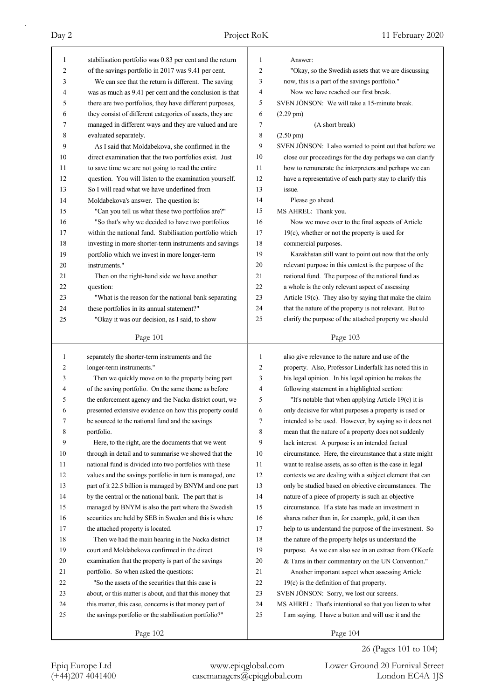| $\mathbf{1}$ | stabilisation portfolio was 0.83 per cent and the return | $\mathbf{1}$ | Answer:                                                  |
|--------------|----------------------------------------------------------|--------------|----------------------------------------------------------|
| 2            | of the savings portfolio in 2017 was 9.41 per cent.      | 2            | "Okay, so the Swedish assets that we are discussing      |
| 3            | We can see that the return is different. The saving      | 3            | now, this is a part of the savings portfolio."           |
| 4            | was as much as 9.41 per cent and the conclusion is that  | 4            | Now we have reached our first break.                     |
| 5            | there are two portfolios, they have different purposes,  | 5            | SVEN JÖNSON: We will take a 15-minute break.             |
| 6            | they consist of different categories of assets, they are | 6            | $(2.29 \text{ pm})$                                      |
| 7            | managed in different ways and they are valued and are    | $\tau$       | (A short break)                                          |
| 8            | evaluated separately.                                    | 8            | $(2.50 \text{ pm})$                                      |
| 9            | As I said that Moldabekova, she confirmed in the         | 9            | SVEN JÖNSON: I also wanted to point out that before we   |
| 10           | direct examination that the two portfolios exist. Just   | 10           | close our proceedings for the day perhaps we can clarify |
| 11           | to save time we are not going to read the entire         | 11           | how to remunerate the interpreters and perhaps we can    |
| 12           | question. You will listen to the examination yourself.   | 12           | have a representative of each party stay to clarify this |
| 13           | So I will read what we have underlined from              | 13           | issue.                                                   |
| 14           | Moldabekova's answer. The question is:                   | 14           | Please go ahead.                                         |
| 15           | "Can you tell us what these two portfolios are?"         | 15           | MS AHREL: Thank you.                                     |
| 16           | "So that's why we decided to have two portfolios         | 16           | Now we move over to the final aspects of Article         |
| 17           | within the national fund. Stabilisation portfolio which  | 17           | $19(c)$ , whether or not the property is used for        |
| 18           | investing in more shorter-term instruments and savings   | 18           | commercial purposes.                                     |
| 19           | portfolio which we invest in more longer-term            | 19           |                                                          |
|              | instruments."                                            | 20           | Kazakhstan still want to point out now that the only     |
| 20           |                                                          | 21           | relevant purpose in this context is the purpose of the   |
| 21           | Then on the right-hand side we have another              |              | national fund. The purpose of the national fund as       |
| 22           | question:                                                | 22           | a whole is the only relevant aspect of assessing         |
| 23           | "What is the reason for the national bank separating     | 23           | Article 19(c). They also by saying that make the claim   |
| 24           | these portfolios in its annual statement?"               | 24           | that the nature of the property is not relevant. But to  |
| 25           | "Okay it was our decision, as I said, to show            | 25           | clarify the purpose of the attached property we should   |
|              | Page 101                                                 |              | Page 103                                                 |
|              |                                                          |              |                                                          |
|              |                                                          |              |                                                          |
| 1            | separately the shorter-term instruments and the          | $\mathbf{1}$ | also give relevance to the nature and use of the         |
| 2            | longer-term instruments."                                | 2            | property. Also, Professor Linderfalk has noted this in   |
| 3            | Then we quickly move on to the property being part       | 3            | his legal opinion. In his legal opinion he makes the     |
| 4            | of the saving portfolio. On the same theme as before     | 4            | following statement in a highlighted section:            |
| 5            | the enforcement agency and the Nacka district court, we  | 5            | "It's notable that when applying Article $19(c)$ it is   |
| 6            | presented extensive evidence on how this property could  | 6            | only decisive for what purposes a property is used or    |
| 7            | be sourced to the national fund and the savings          | 7            | intended to be used. However, by saying so it does not   |
| 8            | portfolio.                                               | 8            | mean that the nature of a property does not suddenly     |
| 9            | Here, to the right, are the documents that we went       | 9            | lack interest. A purpose is an intended factual          |
| $10\,$       | through in detail and to summarise we showed that the    | 10           | circumstance. Here, the circumstance that a state might  |
| 11           | national fund is divided into two portfolios with these  | 11           | want to realise assets, as so often is the case in legal |
| 12           | values and the savings portfolio in turn is managed, one | 12           | contexts we are dealing with a subject element that can  |
| 13           | part of it 22.5 billion is managed by BNYM and one part  | 13           | only be studied based on objective circumstances. The    |
| 14           | by the central or the national bank. The part that is    | 14           | nature of a piece of property is such an objective       |
| 15           | managed by BNYM is also the part where the Swedish       | 15           | circumstance. If a state has made an investment in       |
| 16           | securities are held by SEB in Sweden and this is where   | 16           | shares rather than in, for example, gold, it can then    |
| 17           | the attached property is located.                        | 17           | help to us understand the purpose of the investment. So  |
| 18           | Then we had the main hearing in the Nacka district       | 18           | the nature of the property helps us understand the       |
| 19           | court and Moldabekova confirmed in the direct            | 19           | purpose. As we can also see in an extract from O'Keefe   |
| 20           | examination that the property is part of the savings     | 20           | & Tams in their commentary on the UN Convention."        |
| 21           | portfolio. So when asked the questions:                  | 21           | Another important aspect when assessing Article          |
| 22           | "So the assets of the securities that this case is       | 22           | $19(c)$ is the definition of that property.              |
| 23           | about, or this matter is about, and that this money that | 23           | SVEN JÖNSON: Sorry, we lost our screens.                 |
| 24           | this matter, this case, concerns is that money part of   | 24           | MS AHREL: That's intentional so that you listen to what  |
| 25           | the savings portfolio or the stabilisation portfolio?"   | 25           | I am saying. I have a button and will use it and the     |
|              | Page 102                                                 |              | Page 104                                                 |

Epiq Europe Ltd www.epiqglobal.com Lower Ground 20 Furnival Street<br>
(+44)207 4041400 casemanagers@epiqglobal.com London EC4A 1JS

Lower Ground 20 Furnival Street

26 (Pages 101 to 104)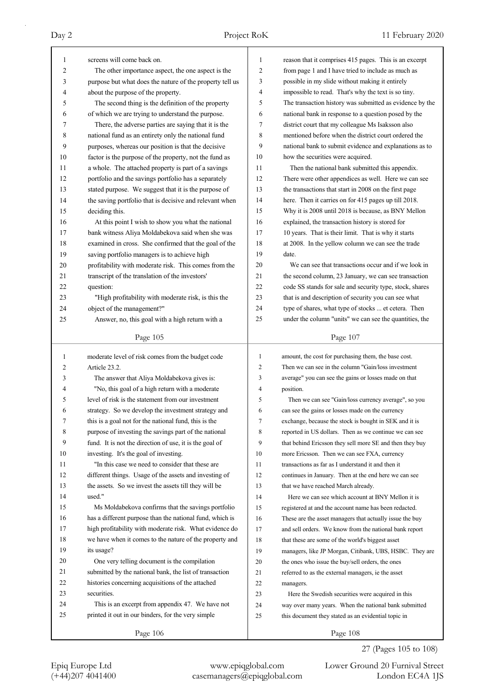| 1            | screens will come back on.                                                                 | 1              | reason that it comprises 415 pages. This is an excerpt   |
|--------------|--------------------------------------------------------------------------------------------|----------------|----------------------------------------------------------|
| 2            | The other importance aspect, the one aspect is the                                         | 2              | from page 1 and I have tried to include as much as       |
| 3            | purpose but what does the nature of the property tell us                                   | 3              | possible in my slide without making it entirely          |
| 4            | about the purpose of the property.                                                         | 4              | impossible to read. That's why the text is so tiny.      |
| 5            | The second thing is the definition of the property                                         | 5              | The transaction history was submitted as evidence by the |
| 6            | of which we are trying to understand the purpose.                                          | 6              | national bank in response to a question posed by the     |
| 7            | There, the adverse parties are saying that it is the                                       | 7              | district court that my colleague Ms Isaksson also        |
| 8            | national fund as an entirety only the national fund                                        | 8              | mentioned before when the district court ordered the     |
| 9            | purposes, whereas our position is that the decisive                                        | 9              | national bank to submit evidence and explanations as to  |
| 10           | factor is the purpose of the property, not the fund as                                     | 10             | how the securities were acquired.                        |
| 11           | a whole. The attached property is part of a savings                                        | 11             | Then the national bank submitted this appendix.          |
| 12           | portfolio and the savings portfolio has a separately                                       | 12             | There were other appendices as well. Here we can see     |
| 13           | stated purpose. We suggest that it is the purpose of                                       | 13             | the transactions that start in 2008 on the first page    |
| 14           | the saving portfolio that is decisive and relevant when                                    | 14             | here. Then it carries on for 415 pages up till 2018.     |
| 15           | deciding this.                                                                             | 15             | Why it is 2008 until 2018 is because, as BNY Mellon      |
| 16           | At this point I wish to show you what the national                                         | 16             | explained, the transaction history is stored for         |
| 17           | bank witness Aliya Moldabekova said when she was                                           | 17             | 10 years. That is their limit. That is why it starts     |
| 18           | examined in cross. She confirmed that the goal of the                                      | 18             | at 2008. In the yellow column we can see the trade       |
| 19           | saving portfolio managers is to achieve high                                               | 19             | date.                                                    |
| 20           | profitability with moderate risk. This comes from the                                      | 20             | We can see that transactions occur and if we look in     |
| 21           | transcript of the translation of the investors'                                            | 21             | the second column, 23 January, we can see transaction    |
| 22           | question:                                                                                  | 22             | code SS stands for sale and security type, stock, shares |
| 23           | "High profitability with moderate risk, is this the                                        | 23             | that is and description of security you can see what     |
| 24           | object of the management?"                                                                 | 24             | type of shares, what type of stocks  et cetera. Then     |
| 25           | Answer, no, this goal with a high return with a                                            | 25             | under the column "units" we can see the quantities, the  |
|              |                                                                                            |                |                                                          |
|              | Page 105                                                                                   |                | Page 107                                                 |
|              |                                                                                            |                |                                                          |
|              |                                                                                            |                |                                                          |
| $\mathbf{1}$ | moderate level of risk comes from the budget code                                          | $\mathbf{1}$   | amount, the cost for purchasing them, the base cost.     |
| 2            | Article 23.2.                                                                              | $\overline{c}$ | Then we can see in the column "Gain/loss investment      |
| 3            | The answer that Aliya Moldabekova gives is:                                                | 3              | average" you can see the gains or losses made on that    |
| 4            | "No, this goal of a high return with a moderate                                            | 4              | position.                                                |
| 5            | level of risk is the statement from our investment                                         | 5              | Then we can see "Gain/loss currency average", so you     |
| 6<br>7       | strategy. So we develop the investment strategy and                                        | 6              | can see the gains or losses made on the currency         |
|              | this is a goal not for the national fund, this is the                                      | 7              | exchange, because the stock is bought in SEK and it is   |
| 8            | purpose of investing the savings part of the national                                      | 8              | reported in US dollars. Then as we continue we can see   |
| 9            | fund. It is not the direction of use, it is the goal of                                    | 9              | that behind Ericsson they sell more SE and then they buy |
| 10           | investing. It's the goal of investing.<br>"In this case we need to consider that these are | 10             | more Ericsson. Then we can see FXA, currency             |
| 11           |                                                                                            | 11             | transactions as far as I understand it and then it       |
| 12           | different things. Usage of the assets and investing of                                     | 12             | continues in January. Then at the end here we can see    |
| 13           | the assets. So we invest the assets till they will be                                      | 13             | that we have reached March already.                      |
| 14           | used."                                                                                     | 14             | Here we can see which account at BNY Mellon it is        |
| 15           | Ms Moldabekova confirms that the savings portfolio                                         | 15             | registered at and the account name has been redacted.    |
| 16           | has a different purpose than the national fund, which is                                   | 16             | These are the asset managers that actually issue the buy |
| 17           | high profitability with moderate risk. What evidence do                                    | 17             | and sell orders. We know from the national bank report   |
| 18           | we have when it comes to the nature of the property and                                    | 18             | that these are some of the world's biggest asset         |
| 19           | its usage?                                                                                 | 19             | managers, like JP Morgan, Citibank, UBS, HSBC. They are  |
| 20           | One very telling document is the compilation                                               | 20             | the ones who issue the buy/sell orders, the ones         |
| 21           | submitted by the national bank, the list of transaction                                    | 21             | referred to as the external managers, ie the asset       |
| 22           | histories concerning acquisitions of the attached                                          | 22             | managers.                                                |
| 23           | securities.                                                                                | 23             | Here the Swedish securities were acquired in this        |
| 24           | This is an excerpt from appendix 47. We have not                                           | 24             | way over many years. When the national bank submitted    |
| 25           | printed it out in our binders, for the very simple                                         | 25             | this document they stated as an evidential topic in      |

27 (Pages 105 to 108)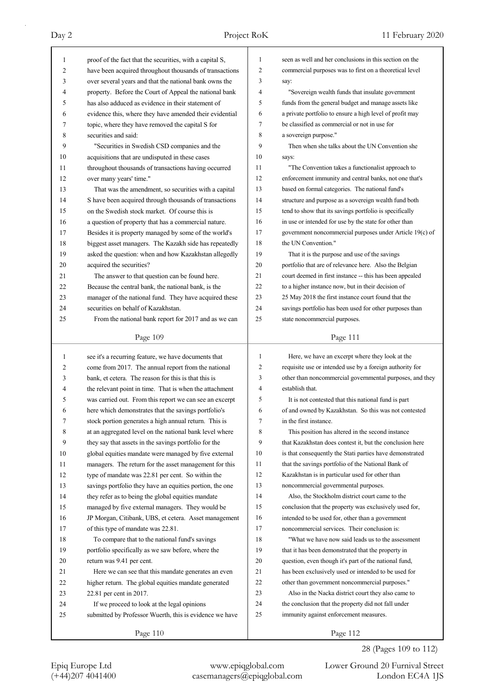| 1  | proof of the fact that the securities, with a capital S, | 1              | seen as well and her conclusions in this section on the  |
|----|----------------------------------------------------------|----------------|----------------------------------------------------------|
| 2  | have been acquired throughout thousands of transactions  | 2              | commercial purposes was to first on a theoretical level  |
| 3  | over several years and that the national bank owns the   | 3              | say:                                                     |
| 4  | property. Before the Court of Appeal the national bank   | $\overline{4}$ | "Sovereign wealth funds that insulate government         |
| 5  | has also adduced as evidence in their statement of       | 5              | funds from the general budget and manage assets like     |
| 6  | evidence this, where they have amended their evidential  | 6              | a private portfolio to ensure a high level of profit may |
| 7  | topic, where they have removed the capital S for         | 7              | be classified as commercial or not in use for            |
| 8  | securities and said:                                     | 8              | a sovereign purpose."                                    |
| 9  | "Securities in Swedish CSD companies and the             | 9              | Then when she talks about the UN Convention she          |
| 10 | acquisitions that are undisputed in these cases          | 10             | says:                                                    |
| 11 | throughout thousands of transactions having occurred     | 11             | "The Convention takes a functionalist approach to        |
| 12 | over many years' time."                                  | 12             | enforcement immunity and central banks, not one that's   |
| 13 | That was the amendment, so securities with a capital     | 13             | based on formal categories. The national fund's          |
| 14 | S have been acquired through thousands of transactions   | 14             | structure and purpose as a sovereign wealth fund both    |
| 15 | on the Swedish stock market. Of course this is           | 15             | tend to show that its savings portfolio is specifically  |
| 16 | a question of property that has a commercial nature.     | 16             | in use or intended for use by the state for other than   |
| 17 | Besides it is property managed by some of the world's    | 17             | government noncommercial purposes under Article 19(c) of |
| 18 | biggest asset managers. The Kazakh side has repeatedly   | 18             | the UN Convention."                                      |
| 19 | asked the question: when and how Kazakhstan allegedly    | 19             | That it is the purpose and use of the savings            |
| 20 | acquired the securities?                                 | 20             | portfolio that are of relevance here. Also the Belgian   |
| 21 | The answer to that question can be found here.           | 21             | court deemed in first instance -- this has been appealed |
| 22 | Because the central bank, the national bank, is the      | 22             | to a higher instance now, but in their decision of       |
| 23 | manager of the national fund. They have acquired these   | 23             | 25 May 2018 the first instance court found that the      |
| 24 | securities on behalf of Kazakhstan.                      | 24             | savings portfolio has been used for other purposes than  |
| 25 | From the national bank report for 2017 and as we can     | 25             | state noncommercial purposes.                            |
|    |                                                          |                |                                                          |
|    | Page 109                                                 |                | Page 111                                                 |
|    |                                                          |                |                                                          |
|    |                                                          |                |                                                          |
| 1  | see it's a recurring feature, we have documents that     | $\mathbf{1}$   | Here, we have an excerpt where they look at the          |
| 2  | come from 2017. The annual report from the national      | 2              | requisite use or intended use by a foreign authority for |
| 3  | bank, et cetera. The reason for this is that this is     | 3              | other than noncommercial governmental purposes, and they |
| 4  | the relevant point in time. That is when the attachment  | $\overline{4}$ | establish that.                                          |
| 5  | was carried out. From this report we can see an excerpt  | 5              | It is not contested that this national fund is part      |
| 6  | here which demonstrates that the savings portfolio's     | 6              | of and owned by Kazakhstan. So this was not contested    |
| 7  | stock portion generates a high annual return. This is    | 7              | in the first instance.                                   |
| 8  | at an aggregated level on the national bank level where  | 8              | This position has altered in the second instance         |
| 9  | they say that assets in the savings portfolio for the    | 9              | that Kazakhstan does contest it, but the conclusion here |
| 10 | global equities mandate were managed by five external    | 10             | is that consequently the Stati parties have demonstrated |
| 11 | managers. The return for the asset management for this   | 11             | that the savings portfolio of the National Bank of       |
| 12 | type of mandate was 22.81 per cent. So within the        | 12             | Kazakhstan is in particular used for other than          |
| 13 | savings portfolio they have an equities portion, the one | 13             | noncommercial governmental purposes.                     |
| 14 | they refer as to being the global equities mandate       | 14             | Also, the Stockholm district court came to the           |
| 15 | managed by five external managers. They would be         | 15             | conclusion that the property was exclusively used for,   |
| 16 | JP Morgan, Citibank, UBS, et cetera. Asset management    | 16             | intended to be used for, other than a government         |
| 17 | of this type of mandate was 22.81.                       | 17             | noncommercial services. Their conclusion is:             |
| 18 | To compare that to the national fund's savings           | 18             | "What we have now said leads us to the assessment        |
| 19 | portfolio specifically as we saw before, where the       | 19             | that it has been demonstrated that the property in       |
| 20 | return was 9.41 per cent.                                | 20             | question, even though it's part of the national fund,    |
| 21 | Here we can see that this mandate generates an even      | 21             | has been exclusively used or intended to be used for     |
| 22 | higher return. The global equities mandate generated     | 22             | other than government noncommercial purposes."           |
| 23 | 22.81 per cent in 2017.                                  | 23             | Also in the Nacka district court they also came to       |
| 24 | If we proceed to look at the legal opinions              | 24             | the conclusion that the property did not fall under      |
| 25 | submitted by Professor Wuerth, this is evidence we have  | 25             | immunity against enforcement measures.                   |

28 (Pages 109 to 112)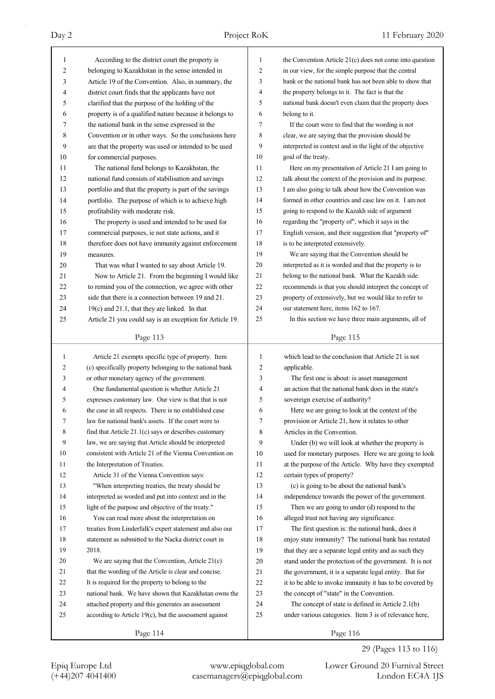Page 113 1 According to the district court the property is 2 belonging to Kazakhstan in the sense intended in 3 Article 19 of the Convention. Also, in summary, the 4 district court finds that the applicants have not 5 clarified that the purpose of the holding of the 6 property is of a qualified nature because it belongs to 7 the national bank in the sense expressed in the 8 Convention or in other ways. So the conclusions here 9 are that the property was used or intended to be used 10 for commercial purposes. 11 The national fund belongs to Kazakhstan, the 12 national fund consists of stabilisation and savings 13 portfolio and that the property is part of the savings 14 portfolio. The purpose of which is to achieve high 15 profitability with moderate risk. 16 The property is used and intended to be used for 17 commercial purposes, ie not state actions, and it 18 therefore does not have immunity against enforcement 19 measures. 20 That was what I wanted to say about Article 19. 21 Now to Article 21. From the beginning I would like 22 to remind you of the connection, we agree with other 23 side that there is a connection between 19 and 21. 24 19(c) and 21.1, that they are linked. In that 25 Article 21 you could say is an exception for Article 19. Page 114 1 Article 21 exempts specific type of property. Item 2 (c) specifically property belonging to the national bank 3 or other monetary agency of the government. 4 One fundamental question is whether Article 21 5 expresses customary law. Our view is that that is not 6 the case in all respects. There is no established case 7 law for national bank's assets. If the court were to 8 find that Article 21.1(c) says or describes customary 9 law, we are saying that Article should be interpreted 10 consistent with Article 21 of the Vienna Convention on 11 the Interpretation of Treaties. 12 Article 31 of the Vienna Convention says: 13 "When interpreting treaties, the treaty should be 14 interpreted as worded and put into context and in the 15 light of the purpose and objective of the treaty." 16 You can read more about the interpretation on 17 treaties from Linderfalk's expert statement and also our 18 statement as submitted to the Nacka district court in 19 2018. 20 We are saying that the Convention, Article 21(c) 21 that the wording of the Article is clear and concise. 22 It is required for the property to belong to the 23 national bank. We have shown that Kazakhstan owns the 24 attached property and this generates an assessment 25 according to Article 19(c), but the assessment against Page 115 1 the Convention Article 21(c) does not come into question 2 in our view, for the simple purpose that the central 3 bank or the national bank has not been able to show that 4 the property belongs to it. The fact is that the 5 national bank doesn't even claim that the property does 6 belong to it. 7 If the court were to find that the wording is not 8 clear, we are saying that the provision should be 9 interpreted in context and in the light of the objective 10 goal of the treaty. 11 Here on my presentation of Article 21 I am going to 12 talk about the context of the provision and its purpose. 13 I am also going to talk about how the Convention was 14 formed in other countries and case law on it. I am not 15 going to respond to the Kazakh side of argument 16 regarding the "property of", which it says in the 17 English version, and their suggestion that "property of" 18 is to be interpreted extensively. 19 We are saying that the Convention should be 20 interpreted as it is worded and that the property is to 21 belong to the national bank. What the Kazakh side 22 recommends is that you should interpret the concept of 23 property of extensively, but we would like to refer to 24 our statement here, items 162 to 167. 25 In this section we have three main arguments, all of Page 116 1 which lead to the conclusion that Article 21 is not 2 applicable. 3 The first one is about: is asset management 4 an action that the national bank does in the state's 5 sovereign exercise of authority? 6 Here we are going to look at the context of the 7 provision or Article 21, how it relates to other 8 Articles in the Convention. 9 Under (b) we will look at whether the property is 10 used for monetary purposes. Here we are going to look 11 at the purpose of the Article. Why have they exempted 12 certain types of property? 13 (c) is going to be about the national bank's 14 independence towards the power of the government. 15 Then we are going to under (d) respond to the 16 alleged trust not having any significance. 17 The first question is: the national bank, does it 18 enjoy state immunity? The national bank has restated 19 that they are a separate legal entity and as such they 20 stand under the protection of the government. It is not 21 the government, it is a separate legal entity. But for 22 it to be able to invoke immunity it has to be covered by 23 the concept of "state" in the Convention. 24 The concept of state is defined in Article 2.1(b) 25 under various categories. Item 3 is of relevance here,

### 29 (Pages 113 to 116)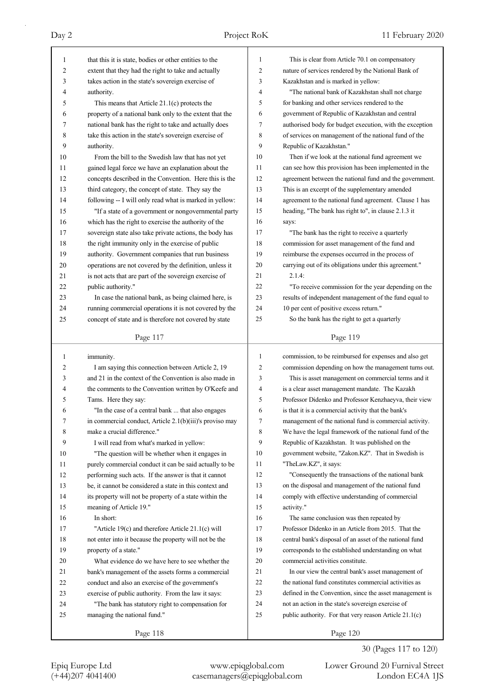| 1        | that this it is state, bodies or other entities to the   | $\mathbf{1}$ | This is clear from Article 70.1 on compensatory          |
|----------|----------------------------------------------------------|--------------|----------------------------------------------------------|
| 2        | extent that they had the right to take and actually      | 2            | nature of services rendered by the National Bank of      |
| 3        | takes action in the state's sovereign exercise of        | 3            | Kazakhstan and is marked in yellow:                      |
| 4        | authority.                                               | 4            | "The national bank of Kazakhstan shall not charge        |
| 5        | This means that Article $21.1(c)$ protects the           | 5            | for banking and other services rendered to the           |
| 6        | property of a national bank only to the extent that the  | 6            | government of Republic of Kazakhstan and central         |
| 7        | national bank has the right to take and actually does    | 7            | authorised body for budget execution, with the exception |
| 8        | take this action in the state's sovereign exercise of    | 8            | of services on management of the national fund of the    |
| 9        | authority.                                               | 9            | Republic of Kazakhstan."                                 |
| 10       | From the bill to the Swedish law that has not yet        | 10           | Then if we look at the national fund agreement we        |
|          |                                                          | 11           | can see how this provision has been implemented in the   |
| 11<br>12 | gained legal force we have an explanation about the      | 12           |                                                          |
|          | concepts described in the Convention. Here this is the   |              | agreement between the national fund and the government   |
| 13       | third category, the concept of state. They say the       | 13           | This is an excerpt of the supplementary amended          |
| 14       | following -- I will only read what is marked in yellow:  | 14           | agreement to the national fund agreement. Clause 1 has   |
| 15       | "If a state of a government or nongovernmental party     | 15           | heading, "The bank has right to", in clause 2.1.3 it     |
| 16       | which has the right to exercise the authority of the     | 16           | says:                                                    |
| 17       | sovereign state also take private actions, the body has  | 17           | "The bank has the right to receive a quarterly           |
| 18       | the right immunity only in the exercise of public        | 18           | commission for asset management of the fund and          |
| 19       | authority. Government companies that run business        | 19           | reimburse the expenses occurred in the process of        |
| 20       | operations are not covered by the definition, unless it  | 20           | carrying out of its obligations under this agreement."   |
| 21       | is not acts that are part of the sovereign exercise of   | 21           | 2.1.4:                                                   |
| 22       | public authority."                                       | 22           | "To receive commission for the year depending on the     |
| 23       | In case the national bank, as being claimed here, is     | 23           | results of independent management of the fund equal to   |
| 24       | running commercial operations it is not covered by the   | 24           | 10 per cent of positive excess return."                  |
| 25       | concept of state and is therefore not covered by state   | 25           | So the bank has the right to get a quarterly             |
|          |                                                          |              |                                                          |
|          | Page 117                                                 |              | Page 119                                                 |
|          |                                                          |              |                                                          |
| 1        | immunity.                                                | $\mathbf{1}$ | commission, to be reimbursed for expenses and also get   |
| 2        | I am saying this connection between Article 2, 19        | 2            | commission depending on how the management turns out.    |
| 3        | and 21 in the context of the Convention is also made in  | 3            | This is asset management on commercial terms and it      |
| 4        | the comments to the Convention written by O'Keefe and    | 4            | is a clear asset management mandate. The Kazakh          |
| 5        | Tams. Here they say:                                     | 5            | Professor Didenko and Professor Kenzhaeyva, their view   |
| 6        | "In the case of a central bank  that also engages        | 6            | is that it is a commercial activity that the bank's      |
| 7        | in commercial conduct, Article 2.1(b)(iii)'s proviso may | 7            | management of the national fund is commercial activity.  |
| 8        | make a crucial difference."                              | 8            | We have the legal framework of the national fund of the  |
| 9        | I will read from what's marked in yellow:                | 9            | Republic of Kazakhstan. It was published on the          |
| 10       | "The question will be whether when it engages in         | 10           | government website, "Zakon.KZ". That in Swedish is       |
| 11       | purely commercial conduct it can be said actually to be  | 11           | "TheLaw.KZ", it says:                                    |
| 12       | performing such acts. If the answer is that it cannot    | 12           | "Consequently the transactions of the national bank      |
| 13       | be, it cannot be considered a state in this context and  | 13           | on the disposal and management of the national fund      |
| 14       | its property will not be property of a state within the  | 14           | comply with effective understanding of commercial        |
| 15       | meaning of Article 19."                                  | 15           | activity."                                               |
| 16       | In short:                                                | 16           | The same conclusion was then repeated by                 |
| 17       | "Article 19(c) and therefore Article 21.1(c) will        | 17           | Professor Didenko in an Article from 2015. That the      |
| 18       | not enter into it because the property will not be the   | 18           | central bank's disposal of an asset of the national fund |
| 19       | property of a state."                                    | 19           | corresponds to the established understanding on what     |
| 20       | What evidence do we have here to see whether the         | 20           | commercial activities constitute.                        |
| 21       | bank's management of the assets forms a commercial       | 21           | In our view the central bank's asset management of       |
| 22       | conduct and also an exercise of the government's         | 22           | the national fund constitutes commercial activities as   |

24 "The bank has statutory right to compensation for

25 managing the national fund."

30 (Pages 117 to 120)

Epiq Europe Ltd www.epiqglobal.com Lower Ground 20 Furnival Street<br>
(+44)207 4041400 casemanagers@epiqglobal.com London EC4A 1JS Lower Ground 20 Furnival Street

Page 120

24 not an action in the state's sovereign exercise of 25 public authority. For that very reason Article 21.1(c)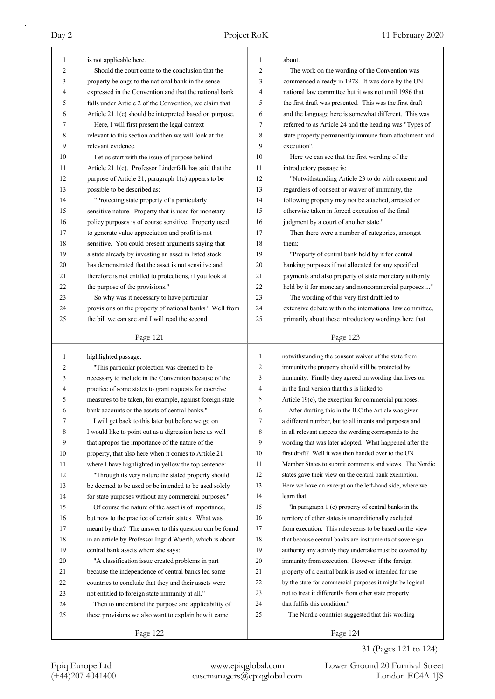| 1      | is not applicable here.                                                                                    | 1      | about.                                                                                                            |
|--------|------------------------------------------------------------------------------------------------------------|--------|-------------------------------------------------------------------------------------------------------------------|
| 2      | Should the court come to the conclusion that the                                                           | 2      | The work on the wording of the Convention was                                                                     |
| 3      | property belongs to the national bank in the sense                                                         | 3      | commenced already in 1978. It was done by the UN                                                                  |
| 4      | expressed in the Convention and that the national bank                                                     | 4      | national law committee but it was not until 1986 that                                                             |
| 5      | falls under Article 2 of the Convention, we claim that                                                     | 5      | the first draft was presented. This was the first draft                                                           |
| 6      | Article 21.1(c) should be interpreted based on purpose.                                                    | 6      | and the language here is somewhat different. This was                                                             |
| 7      | Here, I will first present the legal context                                                               | 7      | referred to as Article 24 and the heading was "Types of                                                           |
| 8      | relevant to this section and then we will look at the                                                      | 8      | state property permanently immune from attachment and                                                             |
| 9      | relevant evidence.                                                                                         | 9      | execution".                                                                                                       |
| 10     | Let us start with the issue of purpose behind                                                              | 10     | Here we can see that the first wording of the                                                                     |
| 11     | Article 21.1(c). Professor Linderfalk has said that the                                                    | 11     | introductory passage is:                                                                                          |
| 12     | purpose of Article 21, paragraph 1(c) appears to be                                                        | 12     | "Notwithstanding Article 23 to do with consent and                                                                |
| 13     | possible to be described as:                                                                               | 13     | regardless of consent or waiver of immunity, the                                                                  |
| 14     | "Protecting state property of a particularly                                                               | 14     | following property may not be attached, arrested or                                                               |
| 15     | sensitive nature. Property that is used for monetary                                                       | 15     | otherwise taken in forced execution of the final                                                                  |
| 16     | policy purposes is of course sensitive. Property used                                                      | 16     | judgment by a court of another state."                                                                            |
| 17     | to generate value appreciation and profit is not                                                           | 17     | Then there were a number of categories, amongst                                                                   |
| 18     | sensitive. You could present arguments saying that                                                         | 18     | them:                                                                                                             |
| 19     | a state already by investing an asset in listed stock                                                      | 19     | "Property of central bank held by it for central                                                                  |
| 20     | has demonstrated that the asset is not sensitive and                                                       | 20     | banking purposes if not allocated for any specified                                                               |
| 21     | therefore is not entitled to protections, if you look at                                                   | 21     | payments and also property of state monetary authority                                                            |
| 22     | the purpose of the provisions."                                                                            | 22     | held by it for monetary and noncommercial purposes "                                                              |
| 23     | So why was it necessary to have particular                                                                 | 23     | The wording of this very first draft led to                                                                       |
| 24     | provisions on the property of national banks? Well from                                                    | 24     | extensive debate within the international law committee,                                                          |
| 25     | the bill we can see and I will read the second                                                             | 25     | primarily about these introductory wordings here that                                                             |
|        | Page 121                                                                                                   |        | Page 123                                                                                                          |
|        |                                                                                                            |        |                                                                                                                   |
|        |                                                                                                            |        |                                                                                                                   |
| 1      | highlighted passage:                                                                                       | 1      | notwithstanding the consent waiver of the state from                                                              |
| 2<br>3 | "This particular protection was deemed to be                                                               | 2<br>3 | immunity the property should still be protected by                                                                |
| 4      | necessary to include in the Convention because of the                                                      | 4      | immunity. Finally they agreed on wording that lives on<br>in the final version that this is linked to             |
| 5      | practice of some states to grant requests for coercive                                                     | 5      |                                                                                                                   |
| 6      | measures to be taken, for example, against foreign state<br>bank accounts or the assets of central banks." | 6      | Article 19(c), the exception for commercial purposes.                                                             |
| 7      |                                                                                                            | 7      | After drafting this in the ILC the Article was given                                                              |
| 8      | I will get back to this later but before we go on                                                          | 8      | a different number, but to all intents and purposes and                                                           |
| 9      | I would like to point out as a digression here as well<br>that apropos the importance of the nature of the | 9      | in all relevant aspects the wording corresponds to the<br>wording that was later adopted. What happened after the |
| 10     | property, that also here when it comes to Article 21                                                       | 10     | first draft? Well it was then handed over to the UN                                                               |
| 11     | where I have highlighted in yellow the top sentence:                                                       | 11     | Member States to submit comments and views. The Nordic                                                            |
| 12     | "Through its very nature the stated property should                                                        | 12     | states gave their view on the central bank exemption.                                                             |
| 13     | be deemed to be used or be intended to be used solely                                                      | 13     | Here we have an excerpt on the left-hand side, where we                                                           |
| 14     | for state purposes without any commercial purposes."                                                       | 14     | learn that:                                                                                                       |
| 15     | Of course the nature of the asset is of importance,                                                        | 15     | "In paragraph 1 (c) property of central banks in the                                                              |
| 16     | but now to the practice of certain states. What was                                                        | 16     | territory of other states is unconditionally excluded                                                             |
| 17     | meant by that? The answer to this question can be found                                                    | 17     | from execution. This rule seems to be based on the view                                                           |
| 18     | in an article by Professor Ingrid Wuerth, which is about                                                   | 18     | that because central banks are instruments of sovereign                                                           |
| 19     | central bank assets where she says:                                                                        | 19     | authority any activity they undertake must be covered by                                                          |
| 20     | "A classification issue created problems in part                                                           | 20     | immunity from execution. However, if the foreign                                                                  |
| 21     | because the independence of central banks led some                                                         | 21     | property of a central bank is used or intended for use                                                            |
| 22     | countries to conclude that they and their assets were                                                      | 22     | by the state for commercial purposes it might be logical                                                          |
| 23     | not entitled to foreign state immunity at all."                                                            | 23     | not to treat it differently from other state property                                                             |
| 24     | Then to understand the purpose and applicability of                                                        | 24     | that fulfils this condition."                                                                                     |
| 25     | these provisions we also want to explain how it came                                                       | 25     | The Nordic countries suggested that this wording                                                                  |

31 (Pages 121 to 124)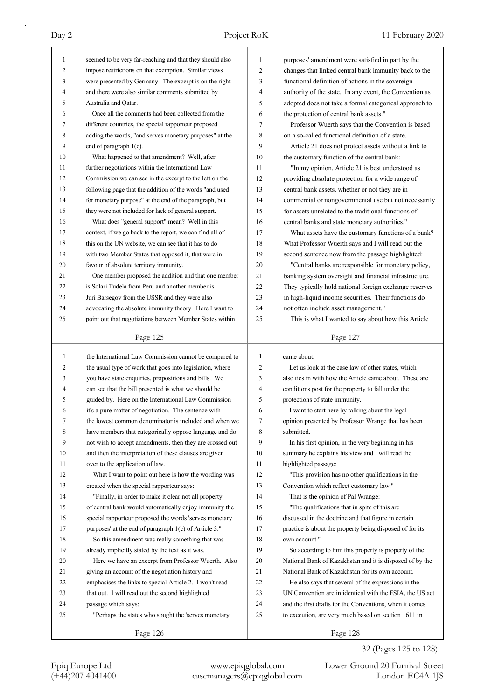| 1<br>2              | seemed to be very far-reaching and that they should also                                                         | 1            | purposes' amendment were satisfied in part by the                                                                |
|---------------------|------------------------------------------------------------------------------------------------------------------|--------------|------------------------------------------------------------------------------------------------------------------|
|                     | impose restrictions on that exemption. Similar views<br>were presented by Germany. The excerpt is on the right   | 2<br>3       | changes that linked central bank immunity back to the                                                            |
| 3<br>$\overline{4}$ | and there were also similar comments submitted by                                                                | 4            | functional definition of actions in the sovereign                                                                |
| 5                   | Australia and Qatar.                                                                                             | 5            | authority of the state. In any event, the Convention as                                                          |
| 6                   | Once all the comments had been collected from the                                                                | 6            | adopted does not take a formal categorical approach to<br>the protection of central bank assets."                |
| 7                   | different countries, the special rapporteur proposed                                                             | 7            |                                                                                                                  |
| 8                   | adding the words, "and serves monetary purposes" at the                                                          | 8            | Professor Wuerth says that the Convention is based<br>on a so-called functional definition of a state.           |
| 9                   | end of paragraph 1(c).                                                                                           | 9            | Article 21 does not protect assets without a link to                                                             |
| 10                  | What happened to that amendment? Well, after                                                                     | 10           | the customary function of the central bank:                                                                      |
| 11                  | further negotiations within the International Law                                                                | 11           | "In my opinion, Article 21 is best understood as                                                                 |
| 12                  | Commission we can see in the excerpt to the left on the                                                          | 12           | providing absolute protection for a wide range of                                                                |
| 13                  | following page that the addition of the words "and used                                                          | 13           | central bank assets, whether or not they are in                                                                  |
| 14                  | for monetary purpose" at the end of the paragraph, but                                                           | 14           | commercial or nongovernmental use but not necessarily                                                            |
| 15                  | they were not included for lack of general support.                                                              | 15           | for assets unrelated to the traditional functions of                                                             |
| 16                  | What does "general support" mean? Well in this                                                                   | 16           | central banks and state monetary authorities."                                                                   |
| 17                  | context, if we go back to the report, we can find all of                                                         | 17           | What assets have the customary functions of a bank?                                                              |
| 18                  | this on the UN website, we can see that it has to do                                                             | 18           | What Professor Wuerth says and I will read out the                                                               |
| 19                  | with two Member States that opposed it, that were in                                                             | 19           | second sentence now from the passage highlighted:                                                                |
| 20                  | favour of absolute territory immunity.                                                                           | 20           | "Central banks are responsible for monetary policy,                                                              |
| 21                  | One member proposed the addition and that one member                                                             | 21           |                                                                                                                  |
| 22                  | is Solari Tudela from Peru and another member is                                                                 | 22           | banking system oversight and financial infrastructure.<br>They typically hold national foreign exchange reserves |
| 23                  | Juri Barsegov from the USSR and they were also                                                                   | 23           | in high-liquid income securities. Their functions do                                                             |
| 24                  | advocating the absolute immunity theory. Here I want to                                                          | 24           | not often include asset management."                                                                             |
| 25                  | point out that negotiations between Member States within                                                         | 25           | This is what I wanted to say about how this Article                                                              |
|                     |                                                                                                                  |              |                                                                                                                  |
|                     | Page 125                                                                                                         |              | Page 127                                                                                                         |
|                     |                                                                                                                  |              |                                                                                                                  |
| 1                   |                                                                                                                  | $\mathbf{1}$ | came about.                                                                                                      |
| 2                   | the International Law Commission cannot be compared to                                                           | 2            | Let us look at the case law of other states, which                                                               |
| 3                   | the usual type of work that goes into legislation, where<br>you have state enquiries, propositions and bills. We | 3            | also ties in with how the Article came about. These are                                                          |
| 4                   | can see that the bill presented is what we should be                                                             | 4            | conditions post for the property to fall under the                                                               |
| 5                   | guided by. Here on the International Law Commission                                                              | 5            | protections of state immunity.                                                                                   |
| 6                   |                                                                                                                  | 6            | I want to start here by talking about the legal                                                                  |
| 7                   | it's a pure matter of negotiation. The sentence with<br>the lowest common denominator is included and when we    | Τ            | opinion presented by Professor Wrange that has been                                                              |
| 8                   | have members that categorically oppose language and do                                                           | 8            | submitted.                                                                                                       |
| 9                   | not wish to accept amendments, then they are crossed out                                                         | 9            | In his first opinion, in the very beginning in his                                                               |
| 10                  | and then the interpretation of these clauses are given                                                           | 10           | summary he explains his view and I will read the                                                                 |
| 11                  | over to the application of law.                                                                                  | 11           | highlighted passage:                                                                                             |
| 12                  | What I want to point out here is how the wording was                                                             | 12           | "This provision has no other qualifications in the                                                               |
| 13                  | created when the special rapporteur says:                                                                        | 13           | Convention which reflect customary law."                                                                         |
| 14                  | "Finally, in order to make it clear not all property                                                             | 14           | That is the opinion of Pål Wrange:                                                                               |
| 15                  | of central bank would automatically enjoy immunity the                                                           | 15           | "The qualifications that in spite of this are                                                                    |
| 16                  | special rapporteur proposed the words 'serves monetary                                                           | 16           | discussed in the doctrine and that figure in certain                                                             |
| 17                  | purposes' at the end of paragraph 1(c) of Article 3."                                                            | 17           | practice is about the property being disposed of for its                                                         |
| 18                  | So this amendment was really something that was                                                                  | 18           | own account."                                                                                                    |
| 19                  | already implicitly stated by the text as it was.                                                                 | 19           | So according to him this property is property of the                                                             |
| 20                  | Here we have an excerpt from Professor Wuerth. Also                                                              | 20           | National Bank of Kazakhstan and it is disposed of by the                                                         |
| 21                  | giving an account of the negotiation history and                                                                 | 21           | National Bank of Kazakhstan for its own account.                                                                 |
| 22                  | emphasises the links to special Article 2. I won't read                                                          | 22           | He also says that several of the expressions in the                                                              |
| 23                  | that out. I will read out the second highlighted                                                                 | 23           | UN Convention are in identical with the FSIA, the US act                                                         |
| 24                  | passage which says:                                                                                              | 24           | and the first drafts for the Conventions, when it comes                                                          |
| 25                  | "Perhaps the states who sought the 'serves monetary                                                              | 25           | to execution, are very much based on section 1611 in                                                             |

32 (Pages 125 to 128) Page 128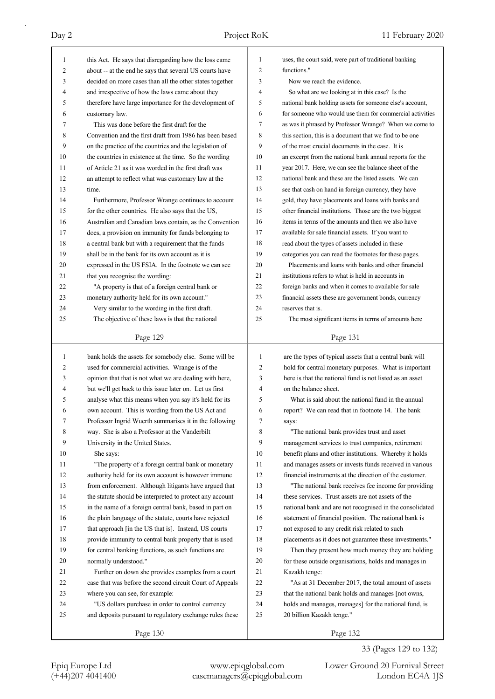| 1  | this Act. He says that disregarding how the loss came    | 1            | uses, the court said, were part of traditional banking   |
|----|----------------------------------------------------------|--------------|----------------------------------------------------------|
| 2  | about -- at the end he says that several US courts have  | 2            | functions."                                              |
| 3  | decided on more cases than all the other states together | 3            | Now we reach the evidence.                               |
| 4  | and irrespective of how the laws came about they         | 4            | So what are we looking at in this case? Is the           |
| 5  | therefore have large importance for the development of   | 5            | national bank holding assets for someone else's account, |
| 6  | customary law.                                           | 6            | for someone who would use them for commercial activities |
| 7  | This was done before the first draft for the             | 7            | as was it phrased by Professor Wrange? When we come to   |
| 8  | Convention and the first draft from 1986 has been based  | 8            | this section, this is a document that we find to be one  |
| 9  | on the practice of the countries and the legislation of  | 9            | of the most crucial documents in the case. It is         |
| 10 | the countries in existence at the time. So the wording   | 10           | an excerpt from the national bank annual reports for the |
| 11 | of Article 21 as it was worded in the first draft was    | 11           | year 2017. Here, we can see the balance sheet of the     |
| 12 | an attempt to reflect what was customary law at the      | 12           | national bank and these are the listed assets. We can    |
| 13 | time.                                                    | 13           | see that cash on hand in foreign currency, they have     |
| 14 | Furthermore, Professor Wrange continues to account       | 14           | gold, they have placements and loans with banks and      |
| 15 | for the other countries. He also says that the US,       | 15           | other financial institutions. Those are the two biggest  |
| 16 | Australian and Canadian laws contain, as the Convention  | 16           | items in terms of the amounts and then we also have      |
| 17 | does, a provision on immunity for funds belonging to     | 17           | available for sale financial assets. If you want to      |
| 18 | a central bank but with a requirement that the funds     | 18           | read about the types of assets included in these         |
| 19 | shall be in the bank for its own account as it is        | 19           | categories you can read the footnotes for these pages.   |
| 20 | expressed in the US FSIA. In the footnote we can see     | 20           | Placements and loans with banks and other financial      |
| 21 | that you recognise the wording:                          | 21           | institutions refers to what is held in accounts in       |
| 22 | "A property is that of a foreign central bank or         | 22           | foreign banks and when it comes to available for sale    |
| 23 | monetary authority held for its own account."            | 23           | financial assets these are government bonds, currency    |
| 24 | Very similar to the wording in the first draft.          | 24           | reserves that is.                                        |
| 25 | The objective of these laws is that the national         | 25           | The most significant items in terms of amounts here      |
|    |                                                          |              |                                                          |
|    | Page 129                                                 |              | Page 131                                                 |
|    |                                                          |              |                                                          |
| 1  | bank holds the assets for somebody else. Some will be    | $\mathbf{1}$ | are the types of typical assets that a central bank will |
| 2  | used for commercial activities. Wrange is of the         | 2            | hold for central monetary purposes. What is important    |
| 3  | opinion that that is not what we are dealing with here,  | 3            | here is that the national fund is not listed as an asset |
| 4  | but we'll get back to this issue later on. Let us first  | 4            | on the balance sheet.                                    |
| 5  | analyse what this means when you say it's held for its   | 5            | What is said about the national fund in the annual       |
| 6  | own account. This is wording from the US Act and         | 6            | report? We can read that in footnote 14. The bank        |
| 7  | Professor Ingrid Wuerth summarises it in the following   | 7            | says:                                                    |
| 8  | way. She is also a Professor at the Vanderbilt           | 8            | "The national bank provides trust and asset              |
| 9  | University in the United States.                         | 9            | management services to trust companies, retirement       |
| 10 | She says:                                                | 10           | benefit plans and other institutions. Whereby it holds   |
| 11 | "The property of a foreign central bank or monetary      | 11           | and manages assets or invests funds received in various  |
| 12 | authority held for its own account is however immune     | 12           | financial instruments at the direction of the customer.  |
| 13 | from enforcement. Although litigants have argued that    | 13           | "The national bank receives fee income for providing     |
| 14 | the statute should be interpreted to protect any account | 14           | these services. Trust assets are not assets of the       |
| 15 | in the name of a foreign central bank, based in part on  | 15           | national bank and are not recognised in the consolidated |
| 16 | the plain language of the statute, courts have rejected  | 16           | statement of financial position. The national bank is    |
| 17 | that approach [in the US that is]. Instead, US courts    | 17           | not exposed to any credit risk related to such           |
| 18 | provide immunity to central bank property that is used   | 18           | placements as it does not guarantee these investments."  |
| 19 | for central banking functions, as such functions are     | 19           | Then they present how much money they are holding        |
| 20 | normally understood."                                    | 20           | for these outside organisations, holds and manages in    |
| 21 | Further on down she provides examples from a court       | 21           | Kazakh tenge:                                            |
| 22 | case that was before the second circuit Court of Appeals | 22           | "As at 31 December 2017, the total amount of assets      |
| 23 | where you can see, for example:                          | 23           | that the national bank holds and manages [not owns,      |
| 24 | "US dollars purchase in order to control currency        | 24           | holds and manages, manages] for the national fund, is    |
| 25 | and deposits pursuant to regulatory exchange rules these | 25           | 20 billion Kazakh tenge."                                |
|    | Page 130                                                 |              | Page 132                                                 |

33 (Pages 129 to 132)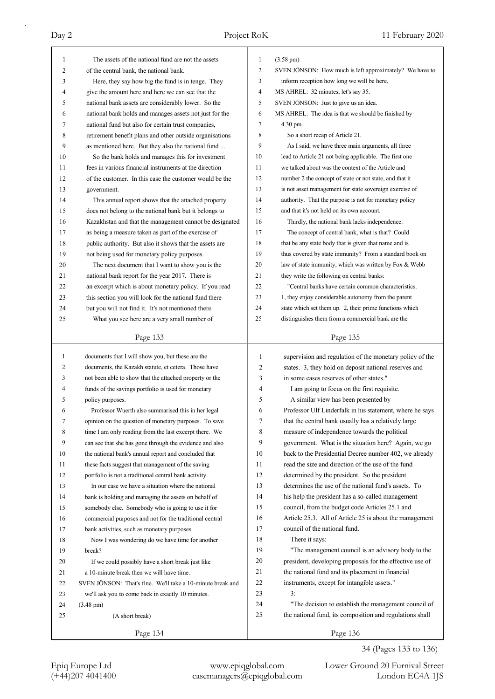| 1            | The assets of the national fund are not the assets                                                              | 1              | $(3.58 \text{ pm})$                                                                                          |
|--------------|-----------------------------------------------------------------------------------------------------------------|----------------|--------------------------------------------------------------------------------------------------------------|
| 2            | of the central bank, the national bank.                                                                         | $\overline{c}$ | SVEN JÖNSON: How much is left approximately? We have to                                                      |
| 3            | Here, they say how big the fund is in tenge. They                                                               | 3              | inform reception how long we will be here.                                                                   |
| 4            | give the amount here and here we can see that the                                                               | 4              | MS AHREL: 32 minutes, let's say 35.                                                                          |
| 5            | national bank assets are considerably lower. So the                                                             | 5              | SVEN JÖNSON: Just to give us an idea.                                                                        |
| 6            | national bank holds and manages assets not just for the                                                         | 6              | MS AHREL: The idea is that we should be finished by                                                          |
| 7            | national fund but also for certain trust companies,                                                             | 7              | 4.30 pm.                                                                                                     |
| 8            | retirement benefit plans and other outside organisations                                                        | 8              | So a short recap of Article 21.                                                                              |
| 9            | as mentioned here. But they also the national fund                                                              | 9              | As I said, we have three main arguments, all three                                                           |
| 10           | So the bank holds and manages this for investment                                                               | 10             | lead to Article 21 not being applicable. The first one                                                       |
| 11           | fees in various financial instruments at the direction                                                          | 11             | we talked about was the context of the Article and                                                           |
| 12           | of the customer. In this case the customer would be the                                                         | 12             | number 2 the concept of state or not state, and that it                                                      |
| 13           | government.                                                                                                     | 13             | is not asset management for state sovereign exercise of                                                      |
| 14           | This annual report shows that the attached property                                                             | 14             | authority. That the purpose is not for monetary policy                                                       |
| 15           | does not belong to the national bank but it belongs to                                                          | 15             | and that it's not held on its own account.                                                                   |
| 16           | Kazakhstan and that the management cannot be designated                                                         | 16             | Thirdly, the national bank lacks independence.                                                               |
| 17           | as being a measure taken as part of the exercise of                                                             | 17             | The concept of central bank, what is that? Could                                                             |
| 18           | public authority. But also it shows that the assets are                                                         | 18             | that be any state body that is given that name and is                                                        |
| 19           | not being used for monetary policy purposes.                                                                    | 19             | thus covered by state immunity? From a standard book on                                                      |
| 20           | The next document that I want to show you is the                                                                | 20             | law of state immunity, which was written by Fox & Webb                                                       |
| 21           | national bank report for the year 2017. There is                                                                | 21             | they write the following on central banks:                                                                   |
| 22           | an excerpt which is about monetary policy. If you read                                                          | 22             | "Central banks have certain common characteristics.                                                          |
| 23           | this section you will look for the national fund there                                                          | 23             | 1, they enjoy considerable autonomy from the parent                                                          |
| 24           | but you will not find it. It's not mentioned there.                                                             | 24             | state which set them up. 2, their prime functions which                                                      |
| 25           | What you see here are a very small number of                                                                    | 25             | distinguishes them from a commercial bank are the                                                            |
|              |                                                                                                                 |                |                                                                                                              |
|              | Page 133                                                                                                        |                | Page 135                                                                                                     |
|              |                                                                                                                 |                |                                                                                                              |
| $\mathbf{1}$ | documents that I will show you, but these are the                                                               | $\mathbf{1}$   |                                                                                                              |
| 2            | documents, the Kazakh statute, et cetera. Those have                                                            | 2              | supervision and regulation of the monetary policy of the                                                     |
| 3            | not been able to show that the attached property or the                                                         | 3              | states. 3, they hold on deposit national reserves and<br>in some cases reserves of other states."            |
| 4            | funds of the savings portfolio is used for monetary                                                             | 4              | I am going to focus on the first requisite.                                                                  |
| 5            | policy purposes.                                                                                                | 5              | A similar view has been presented by                                                                         |
| 6            | Professor Wuerth also summarised this in her legal                                                              | 6              | Professor Ulf Linderfalk in his statement, where he says                                                     |
|              |                                                                                                                 | 7              | that the central bank usually has a relatively large                                                         |
| 8            | opinion on the question of monetary purposes. To save                                                           | 8              | measure of independence towards the political                                                                |
| 9            | time I am only reading from the last excerpt there. We                                                          | 9              | government. What is the situation here? Again, we go                                                         |
| 10           | can see that she has gone through the evidence and also<br>the national bank's annual report and concluded that | 10             |                                                                                                              |
| 11           | these facts suggest that management of the saving                                                               | 11             | back to the Presidential Decree number 402, we already<br>read the size and direction of the use of the fund |
| 12           | portfolio is not a traditional central bank activity.                                                           | 12             |                                                                                                              |
| 13           | In our case we have a situation where the national                                                              | 13             | determined by the president. So the president<br>determines the use of the national fund's assets. To        |
| 14           |                                                                                                                 | 14             |                                                                                                              |
| 15           | bank is holding and managing the assets on behalf of                                                            | 15             | his help the president has a so-called management                                                            |
| 16           | somebody else. Somebody who is going to use it for                                                              | 16             | council, from the budget code Articles 25.1 and                                                              |
|              | commercial purposes and not for the traditional central                                                         | 17             | Article 25.3. All of Article 25 is about the management<br>council of the national fund.                     |
| 17<br>18     | bank activities, such as monetary purposes.                                                                     | 18             |                                                                                                              |
|              | Now I was wondering do we have time for another                                                                 | 19             | There it says:                                                                                               |
| 19           | break?                                                                                                          | 20             | "The management council is an advisory body to the                                                           |
| 20           | If we could possibly have a short break just like                                                               | 21             | president, developing proposals for the effective use of                                                     |
| 21           | a 10-minute break then we will have time.                                                                       | 22             | the national fund and its placement in financial                                                             |
| 22           | SVEN JÖNSON: That's fine. We'll take a 10-minute break and                                                      | 23             | instruments, except for intangible assets."<br>3:                                                            |
| 23           | we'll ask you to come back in exactly 10 minutes.                                                               | 24             |                                                                                                              |
| 24           | $(3.48 \text{ pm})$                                                                                             | 25             | "The decision to establish the management council of                                                         |
| 25           | (A short break)                                                                                                 |                | the national fund, its composition and regulations shall                                                     |

34 (Pages 133 to 136)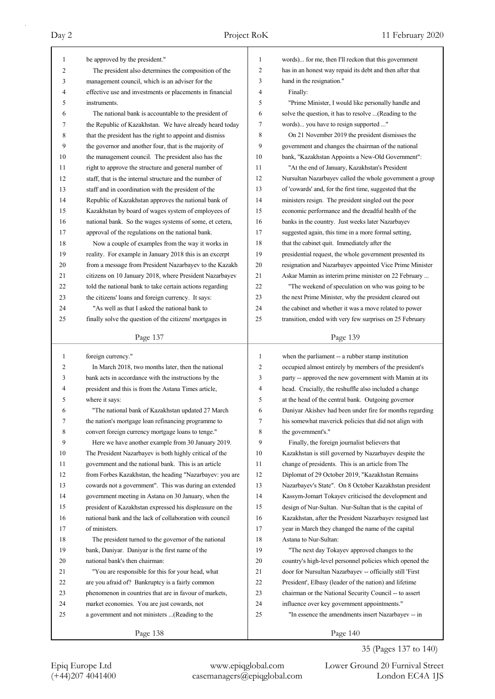|                                |                                                                                                                   | $\mathbf{1}$   | words) for me, then I'll reckon that this government                                                             |
|--------------------------------|-------------------------------------------------------------------------------------------------------------------|----------------|------------------------------------------------------------------------------------------------------------------|
| $\mathbf{1}$<br>$\overline{c}$ | be approved by the president."                                                                                    | $\overline{2}$ | has in an honest way repaid its debt and then after that                                                         |
| 3                              | The president also determines the composition of the<br>management council, which is an adviser for the           | 3              | hand in the resignation."                                                                                        |
| 4                              | effective use and investments or placements in financial                                                          | 4              | Finally:                                                                                                         |
| 5                              | instruments.                                                                                                      | 5              | "Prime Minister, I would like personally handle and                                                              |
| 6                              | The national bank is accountable to the president of                                                              | 6              | solve the question, it has to resolve  (Reading to the                                                           |
| 7                              | the Republic of Kazakhstan. We have already heard today                                                           | 7              | words) you have to resign supported "                                                                            |
| 8                              | that the president has the right to appoint and dismiss                                                           | 8              | On 21 November 2019 the president dismisses the                                                                  |
| 9                              | the governor and another four, that is the majority of                                                            | 9              | government and changes the chairman of the national                                                              |
| 10                             | the management council. The president also has the                                                                | 10             | bank, "Kazakhstan Appoints a New-Old Government":                                                                |
| 11                             |                                                                                                                   | 11             | "At the end of January, Kazakhstan's President                                                                   |
| 12                             | right to approve the structure and general number of<br>staff, that is the internal structure and the number of   | 12             | Nursultan Nazarbayev called the whole government a group                                                         |
| 13                             |                                                                                                                   | 13             | of 'cowards' and, for the first time, suggested that the                                                         |
|                                | staff and in coordination with the president of the                                                               | 14             |                                                                                                                  |
| 14<br>15                       | Republic of Kazakhstan approves the national bank of                                                              | 15             | ministers resign. The president singled out the poor<br>economic performance and the dreadful health of the      |
| 16                             | Kazakhstan by board of wages system of employees of                                                               | 16             |                                                                                                                  |
| 17                             | national bank. So the wages systems of some, et cetera,                                                           | 17             | banks in the country. Just weeks later Nazarbayev                                                                |
| 18                             | approval of the regulations on the national bank.                                                                 | 18             | suggested again, this time in a more formal setting,<br>that the cabinet quit. Immediately after the             |
| 19                             | Now a couple of examples from the way it works in                                                                 | 19             | presidential request, the whole government presented its                                                         |
| 20                             | reality. For example in January 2018 this is an excerpt<br>from a message from President Nazarbayev to the Kazakh | 20             | resignation and Nazarbayev appointed Vice Prime Minister                                                         |
| 21                             |                                                                                                                   | 21             | Askar Mamin as interim prime minister on 22 February                                                             |
| 22                             | citizens on 10 January 2018, where President Nazarbayev                                                           | 22             | "The weekend of speculation on who was going to be                                                               |
| 23                             | told the national bank to take certain actions regarding                                                          | 23             |                                                                                                                  |
| 24                             | the citizens' loans and foreign currency. It says:<br>"As well as that I asked the national bank to               | 24             | the next Prime Minister, why the president cleared out<br>the cabinet and whether it was a move related to power |
| 25                             | finally solve the question of the citizens' mortgages in                                                          | 25             | transition, ended with very few surprises on 25 February                                                         |
|                                |                                                                                                                   |                |                                                                                                                  |
|                                | Page 137                                                                                                          |                | Page 139                                                                                                         |
|                                |                                                                                                                   |                |                                                                                                                  |
|                                |                                                                                                                   | $\mathbf{1}$   |                                                                                                                  |
| $\mathbf{1}$<br>2              | foreign currency."                                                                                                | 2              | when the parliament -- a rubber stamp institution                                                                |
|                                | In March 2018, two months later, then the national                                                                |                | occupied almost entirely by members of the president's                                                           |
| 3<br>4                         | bank acts in accordance with the instructions by the<br>president and this is from the Astana Times article,      | 3<br>4         | party -- approved the new government with Mamin at its                                                           |
| 5                              | where it says:                                                                                                    | 5              | head. Crucially, the reshuffle also included a change                                                            |
| 6                              | "The national bank of Kazakhstan updated 27 March                                                                 | 6              | at the head of the central bank. Outgoing governor<br>Daniyar Akishev had been under fire for months regarding   |
| Τ                              | the nation's mortgage loan refinancing programme to                                                               | Τ              | his somewhat maverick policies that did not align with                                                           |
| 8                              | convert foreign currency mortgage loans to tenge."                                                                | 8              | the government's."                                                                                               |
| 9                              | Here we have another example from 30 January 2019.                                                                | 9              | Finally, the foreign journalist believers that                                                                   |
| 10                             | The President Nazarbayev is both highly critical of the                                                           | 10             | Kazakhstan is still governed by Nazarbayev despite the                                                           |
| 11                             | government and the national bank. This is an article                                                              | 11             | change of presidents. This is an article from The                                                                |
| 12                             | from Forbes Kazakhstan, the heading "Nazarbayev: you are                                                          | 12             | Diplomat of 29 October 2019, "Kazakhstan Remains                                                                 |
| 13                             | cowards not a government". This was during an extended                                                            | 13             | Nazarbayev's State". On 8 October Kazakhstan president                                                           |
| 14                             | government meeting in Astana on 30 January, when the                                                              | 14             | Kassym-Jomart Tokayev criticised the development and                                                             |
| 15                             | president of Kazakhstan expressed his displeasure on the                                                          | 15             | design of Nur-Sultan. Nur-Sultan that is the capital of                                                          |
| 16                             | national bank and the lack of collaboration with council                                                          | 16             | Kazakhstan, after the President Nazarbayev resigned last                                                         |
| 17                             | of ministers.                                                                                                     | 17             | year in March they changed the name of the capital                                                               |
| 18                             | The president turned to the governor of the national                                                              | 18             | Astana to Nur-Sultan:                                                                                            |
| 19                             | bank, Daniyar. Daniyar is the first name of the                                                                   | 19             | "The next day Tokayev approved changes to the                                                                    |
| 20                             | national bank's then chairman:                                                                                    | 20             | country's high-level personnel policies which opened the                                                         |
| 21                             | "You are responsible for this for your head, what                                                                 | 21             | door for Nursultan Nazarbayev -- officially still 'First                                                         |
| 22                             | are you afraid of? Bankruptcy is a fairly common                                                                  | 22             | President', Elbasy (leader of the nation) and lifetime                                                           |
| 23                             | phenomenon in countries that are in favour of markets,                                                            | 23             | chairman or the National Security Council -- to assert                                                           |
| 24                             | market economies. You are just cowards, not                                                                       | 24             | influence over key government appointments."                                                                     |
| 25                             | a government and not ministers (Reading to the                                                                    | 25             | "In essence the amendments insert Nazarbayev -- in                                                               |
|                                | Page 138                                                                                                          |                | Page 140                                                                                                         |

35 (Pages 137 to 140)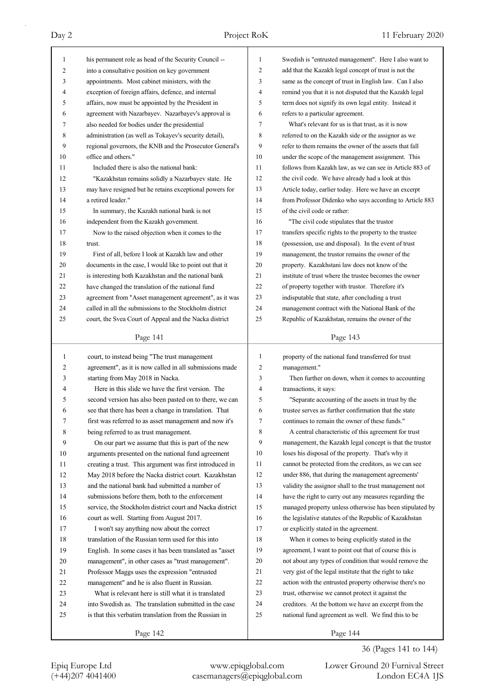| 1              | his permanent role as head of the Security Council --    | 1              | Swedish is "entrusted management". Here I also want to   |
|----------------|----------------------------------------------------------|----------------|----------------------------------------------------------|
| $\overline{c}$ | into a consultative position on key government           | $\mathfrak{2}$ | add that the Kazakh legal concept of trust is not the    |
| 3              | appointments. Most cabinet ministers, with the           | 3              | same as the concept of trust in English law. Can I also  |
| 4              | exception of foreign affairs, defence, and internal      | 4              | remind you that it is not disputed that the Kazakh legal |
| 5              | affairs, now must be appointed by the President in       | 5              | term does not signify its own legal entity. Instead it   |
| 6              | agreement with Nazarbayev. Nazarbayev's approval is      | 6              | refers to a particular agreement.                        |
| 7              | also needed for bodies under the presidential            | 7              | What's relevant for us is that trust, as it is now       |
| 8              | administration (as well as Tokayev's security detail),   | 8              | referred to on the Kazakh side or the assignor as we     |
| 9              | regional governors, the KNB and the Prosecutor General's | 9              | refer to them remains the owner of the assets that fall  |
| 10             | office and others."                                      | 10             | under the scope of the management assignment. This       |
| 11             | Included there is also the national bank:                | 11             | follows from Kazakh law, as we can see in Article 883 of |
| 12             | "Kazakhstan remains solidly a Nazarbayev state. He       | 12             | the civil code. We have already had a look at this       |
| 13             | may have resigned but he retains exceptional powers for  | 13             | Article today, earlier today. Here we have an excerpt    |
| 14             | a retired leader."                                       | 14             | from Professor Didenko who says according to Article 883 |
| 15             | In summary, the Kazakh national bank is not              | 15             | of the civil code or rather:                             |
| 16             | independent from the Kazakh government.                  | 16             | "The civil code stipulates that the trustor              |
| 17             | Now to the raised objection when it comes to the         | 17             | transfers specific rights to the property to the trustee |
| 18             | trust.                                                   | 18             | (possession, use and disposal). In the event of trust    |
| 19             | First of all, before I look at Kazakh law and other      | 19             | management, the trustor remains the owner of the         |
| 20             | documents in the case, I would like to point out that it | 20             | property. Kazakhstani law does not know of the           |
| 21             | is interesting both Kazakhstan and the national bank     | 21             | institute of trust where the trustee becomes the owner   |
| 22             | have changed the translation of the national fund        | 22             | of property together with trustor. Therefore it's        |
| 23             | agreement from "Asset management agreement", as it was   | 23             | indisputable that state, after concluding a trust        |
| 24             | called in all the submissions to the Stockholm district  | 24             | management contract with the National Bank of the        |
| 25             | court, the Svea Court of Appeal and the Nacka district   | 25             | Republic of Kazakhstan, remains the owner of the         |
|                |                                                          |                |                                                          |
|                | Page 141                                                 |                | Page 143                                                 |
| 1              | court, to instead being "The trust management            | 1              | property of the national fund transferred for trust      |
|                |                                                          |                |                                                          |
|                |                                                          |                |                                                          |
| 2              | agreement", as it is now called in all submissions made  | 2              | management."                                             |
| 3              | starting from May 2018 in Nacka.                         | 3              | Then further on down, when it comes to accounting        |
| 4              | Here in this slide we have the first version. The        | 4              | transactions, it says:                                   |
| 5              | second version has also been pasted on to there, we can  | 5              | "Separate accounting of the assets in trust by the       |
| 6              | see that there has been a change in translation. That    | 6              | trustee serves as further confirmation that the state    |
| Τ              | first was referred to as asset management and now it's   | Τ              | continues to remain the owner of these funds."           |
| 8              | being referred to as trust management.                   | 8              | A central characteristic of this agreement for trust     |
| 9              | On our part we assume that this is part of the new       | 9              | management, the Kazakh legal concept is that the trustor |
| 10             | arguments presented on the national fund agreement       | 10             | loses his disposal of the property. That's why it        |
| 11             | creating a trust. This argument was first introduced in  | 11             | cannot be protected from the creditors, as we can see    |
| 12             | May 2018 before the Nacka district court. Kazakhstan     | 12             | under 886, that during the management agreements'        |
| 13             | and the national bank had submitted a number of          | 13             | validity the assignor shall to the trust management not  |
| 14             | submissions before them, both to the enforcement         | 14             | have the right to carry out any measures regarding the   |
| 15             | service, the Stockholm district court and Nacka district | 15             | managed property unless otherwise has been stipulated by |
| 16             | court as well. Starting from August 2017.                | 16             | the legislative statutes of the Republic of Kazakhstan   |
| 17             | I won't say anything now about the correct               | 17             | or explicitly stated in the agreement.                   |
| 18             | translation of the Russian term used for this into       | 18             | When it comes to being explicitly stated in the          |
| 19             | English. In some cases it has been translated as "asset  | 19             | agreement, I want to point out that of course this is    |
| $20\,$         | management", in other cases as "trust management".       | 20             | not about any types of condition that would remove the   |
| 21             | Professor Maggs uses the expression "entrusted           | 21             | very gist of the legal institute that the right to take  |
| 22             | management" and he is also fluent in Russian.            | 22             | action with the entrusted property otherwise there's no  |
| 23             | What is relevant here is still what it is translated     | 23             | trust, otherwise we cannot protect it against the        |
| 24             | into Swedish as. The translation submitted in the case   | 24             | creditors. At the bottom we have an excerpt from the     |
| 25             | is that this verbatim translation from the Russian in    | 25             | national fund agreement as well. We find this to be      |
|                | Page 142                                                 |                | Page 144                                                 |

36 (Pages 141 to 144)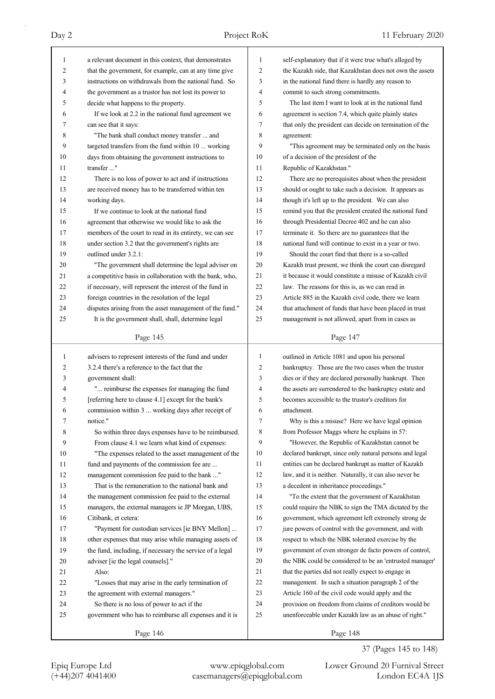| 1  | a relevant document in this context, that demonstrates   | 1  | self-explanatory that if it were true what's alleged by  |
|----|----------------------------------------------------------|----|----------------------------------------------------------|
| 2  | that the government, for example, can at any time give   | 2  | the Kazakh side, that Kazakhstan does not own the assets |
| 3  | instructions on withdrawals from the national fund. So   | 3  | in the national fund there is hardly any reason to       |
| 4  | the government as a trustor has not lost its power to    | 4  | commit to such strong commitments.                       |
| 5  | decide what happens to the property.                     | 5  | The last item I want to look at in the national fund     |
| 6  | If we look at 2.2 in the national fund agreement we      | 6  | agreement is section 7.4, which quite plainly states     |
| 7  | can see that it says:                                    | 7  | that only the president can decide on termination of the |
| 8  | "The bank shall conduct money transfer  and              | 8  | agreement:                                               |
| 9  | targeted transfers from the fund within 10  working      | 9  | "This agreement may be terminated only on the basis      |
| 10 | days from obtaining the government instructions to       | 10 | of a decision of the president of the                    |
| 11 | transfer "                                               | 11 | Republic of Kazakhstan."                                 |
| 12 | There is no loss of power to act and if instructions     | 12 | There are no prerequisites about when the president      |
| 13 | are received money has to be transferred within ten      | 13 | should or ought to take such a decision. It appears as   |
| 14 | working days.                                            | 14 | though it's left up to the president. We can also        |
| 15 | If we continue to look at the national fund              | 15 | remind you that the president created the national fund  |
| 16 | agreement that otherwise we would like to ask the        | 16 | through Presidential Decree 402 and he can also          |
| 17 | members of the court to read in its entirety, we can see | 17 | terminate it. So there are no guarantees that the        |
| 18 | under section 3.2 that the government's rights are       | 18 | national fund will continue to exist in a year or two.   |
| 19 | outlined under 3.2.1:                                    | 19 | Should the court find that there is a so-called          |
| 20 | "The government shall determine the legal adviser on     | 20 | Kazakh trust present, we think the court can disregard   |
| 21 | a competitive basis in collaboration with the bank, who, | 21 | it because it would constitute a misuse of Kazakh civil  |
| 22 | if necessary, will represent the interest of the fund in | 22 | law. The reasons for this is, as we can read in          |
| 23 | foreign countries in the resolution of the legal         | 23 | Article 885 in the Kazakh civil code, there we learn     |
| 24 | disputes arising from the asset management of the fund." | 24 | that attachment of funds that have been placed in trust  |
| 25 | It is the government shall, shall, determine legal       | 25 | management is not allowed, apart from in cases as        |
|    | Page 145                                                 |    | Page 147                                                 |
|    |                                                          |    |                                                          |
|    |                                                          |    |                                                          |
| 1  | advisers to represent interests of the fund and under    | 1  | outlined in Article 1081 and upon his personal           |
| 2  | 3.2.4 there's a reference to the fact that the           | 2  | bankruptcy. Those are the two cases when the trustor     |
| 3  | government shall:                                        | 3  | dies or if they are declared personally bankrupt. Then   |
| 4  | " reimburse the expenses for managing the fund           | 4  | the assets are surrendered to the bankruptcy estate and  |
| 5  | [referring here to clause 4.1] except for the bank's     | 5  | becomes accessible to the trustor's creditors for        |
| 6  | commission within 3  working days after receipt of       | 6  | attachment.                                              |
| 7  | notice."                                                 | 7  | Why is this a misuse? Here we have legal opinion         |
| 8  | So within three days expenses have to be reimbursed.     | 8  | from Professor Maggs where he explains in 57:            |
| 9  | From clause 4.1 we learn what kind of expenses:          | 9  | "However, the Republic of Kazakhstan cannot be           |
| 10 | "The expenses related to the asset management of the     | 10 | declared bankrupt, since only natural persons and legal  |
| 11 | fund and payments of the commission fee are              | 11 | entities can be declared bankrupt as matter of Kazakh    |
| 12 | management commission fee paid to the bank "             | 12 | law, and it is neither. Naturally, it can also never be  |
| 13 | That is the remuneration to the national bank and        | 13 | a decedent in inheritance proceedings."                  |
| 14 | the management commission fee paid to the external       | 14 | "To the extent that the government of Kazakhstan         |
| 15 | managers, the external managers ie JP Morgan, UBS,       | 15 | could require the NBK to sign the TMA dictated by the    |
| 16 | Citibank, et cetera:                                     | 16 | government, which agreement left extremely strong de     |
| 17 | "Payment for custodian services [ie BNY Mellon]          | 17 | jure powers of control with the government, and with     |
| 18 | other expenses that may arise while managing assets of   | 18 | respect to which the NBK tolerated exercise by the       |
| 19 | the fund, including, if necessary the service of a legal | 19 | government of even stronger de facto powers of control,  |
| 20 | adviser [ie the legal counsels]."                        | 20 | the NBK could be considered to be an 'entrusted manager' |
| 21 | Also:                                                    | 21 | that the parties did not really expect to engage in      |
| 22 | "Losses that may arise in the early termination of       | 22 | management. In such a situation paragraph 2 of the       |
| 23 | the agreement with external managers."                   | 23 | Article 160 of the civil code would apply and the        |
| 24 | So there is no loss of power to act if the               | 24 | provision on freedom from claims of creditors would be   |
| 25 | government who has to reimburse all expenses and it is   | 25 | unenforceable under Kazakh law as an abuse of right."    |

37 (Pages 145 to 148)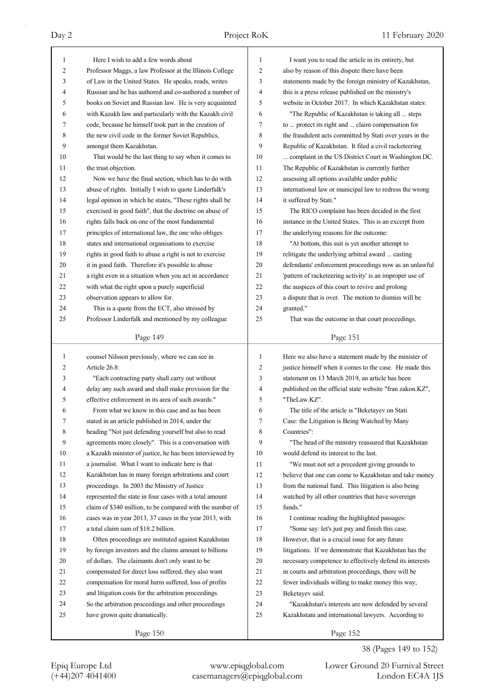| 1  | Here I wish to add a few words about                      | 1              | I want you to read the article in its entirety, but      |
|----|-----------------------------------------------------------|----------------|----------------------------------------------------------|
| 2  | Professor Maggs, a law Professor at the Illinois College  | 2              | also by reason of this dispute there have been           |
| 3  | of Law in the United States. He speaks, reads, writes     | 3              | statements made by the foreign ministry of Kazakhstan,   |
| 4  | Russian and he has authored and co-authored a number of   | 4              | this is a press release published on the ministry's      |
| 5  | books on Soviet and Russian law. He is very acquainted    | 5              | website in October 2017. In which Kazakhstan states:     |
| 6  | with Kazakh law and particularly with the Kazakh civil    | 6              | "The Republic of Kazakhstan is taking all  steps         |
| 7  | code, because he himself took part in the creation of     | 7              | to  protect its right and  claim compensation for        |
| 8  | the new civil code in the former Soviet Republics,        | 8              | the fraudulent acts committed by Stati over years in the |
| 9  | amongst them Kazakhstan.                                  | 9              | Republic of Kazakhstan. It filed a civil racketeering    |
| 10 | That would be the last thing to say when it comes to      | 10             | complaint in the US District Court in Washington DC.     |
| 11 | the trust objection.                                      | 11             | The Republic of Kazakhstan is currently further          |
| 12 | Now we have the final section, which has to do with       | 12             | assessing all options available under public             |
| 13 | abuse of rights. Initially I wish to quote Linderfalk's   | 13             | international law or municipal law to redress the wrong  |
| 14 | legal opinion in which he states, "These rights shall be  | 14             | it suffered by Stati."                                   |
| 15 | exercised in good faith", that the doctrine on abuse of   | 15             | The RICO complaint has been decided in the first         |
| 16 | rights falls back on one of the most fundamental          | 16             | instance in the United States. This is an excerpt from   |
| 17 | principles of international law, the one who obliges      | 17             | the underlying reasons for the outcome:                  |
| 18 | states and international organisations to exercise        | 18             | "At bottom, this suit is yet another attempt to          |
| 19 | rights in good faith to abuse a right is not to exercise  | 19             | relitigate the underlying arbitral award  casting        |
| 20 | it in good faith. Therefore it's possible to abuse        | 20             | defendants' enforcement proceedings now as an unlawful   |
| 21 | a right even in a situation when you act in accordance    | 21             | 'pattern of racketeering activity' is an improper use of |
| 22 | with what the right upon a purely superficial             | 22             | the auspices of this court to revive and prolong         |
| 23 | observation appears to allow for.                         | 23             | a dispute that is over. The motion to dismiss will be    |
| 24 | This is a quote from the ECT, also stressed by            | 24             | granted."                                                |
| 25 | Professor Linderfalk and mentioned by my colleague        | 25             | That was the outcome in that court proceedings.          |
|    |                                                           |                |                                                          |
|    | Page 149                                                  |                | Page 151                                                 |
|    |                                                           |                |                                                          |
|    |                                                           |                |                                                          |
| 1  | counsel Nilsson previously, where we can see in           | 1              | Here we also have a statement made by the minister of    |
| 2  | Article 26.8:                                             | $\overline{c}$ | justice himself when it comes to the case. He made this  |
| 3  | "Each contracting party shall carry out without           | 3              | statement on 13 March 2019, an article has been          |
| 4  | delay any such award and shall make provision for the     | 4              | published on the official state website "fran zakon.KZ", |
| 5  | effective enforcement in its area of such awards."        | 5              | "TheLaw.KZ".                                             |
| 6  | From what we know in this case and as has been            | 6              | The title of the article is "Beketayev on Stati          |
| 7  | stated in an article published in 2014, under the         | 7              | Case: the Litigation is Being Watched by Many            |
| 8  | heading "Not just defending yourself but also to read     | 8              | Countries":                                              |
| 9  | agreements more closely". This is a conversation with     | 9              | "The head of the ministry reassured that Kazakhstan      |
| 10 | a Kazakh minister of justice, he has been interviewed by  | 10             | would defend its interest to the last.                   |
| 11 | a journalist. What I want to indicate here is that        | 11             | "We must not set a precedent giving grounds to           |
| 12 | Kazakhstan has in many foreign arbitrations and court     | 12             | believe that one can come to Kazakhstan and take money   |
| 13 | proceedings. In 2003 the Ministry of Justice              | 13             | from the national fund. This litigation is also being    |
| 14 | represented the state in four cases with a total amount   | 14             | watched by all other countries that have sovereign       |
| 15 | claim of \$340 million, to be compared with the number of | 15             | funds."                                                  |
| 16 | cases was in year 2013, 37 cases in the year 2013, with   | 16             | I continue reading the highlighted passages:             |
| 17 | a total claim sum of \$18.2 billion.                      | 17             | "Some say: let's just pay and finish this case.          |
| 18 | Often proceedings are instituted against Kazakhstan       | 18             | However, that is a crucial issue for any future          |
| 19 | by foreign investors and the claims amount to billions    | 19             | litigations. If we demonstrate that Kazakhstan has the   |
| 20 | of dollars. The claimants don't only want to be           | 20             | necessary competence to effectively defend its interests |
| 21 | compensated for direct loss suffered, they also want      | 21             | in courts and arbitration proceedings, there will be     |
| 22 | compensation for moral harm suffered, loss of profits     | 22             | fewer individuals willing to make money this way,        |
| 23 | and litigation costs for the arbitration proceedings.     | 23             | Beketayev said.                                          |
| 24 | So the arbitration proceedings and other proceedings      | 24             | "Kazakhstan's interests are now defended by several      |
| 25 | have grown quite dramatically.                            | 25             | Kazakhstani and international lawyers. According to      |

38 (Pages 149 to 152)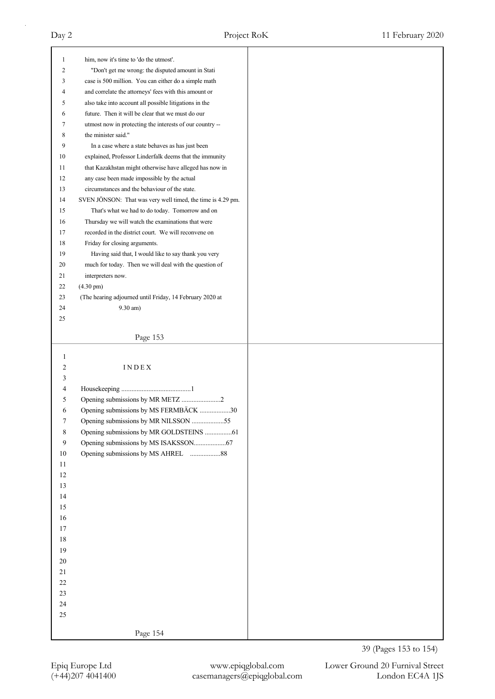| $\mathbf{1}$     | him, now it's time to 'do the utmost'.                      |
|------------------|-------------------------------------------------------------|
| 2                | "Don't get me wrong: the disputed amount in Stati           |
| 3                | case is 500 million. You can either do a simple math        |
| 4                | and correlate the attorneys' fees with this amount or       |
| 5                | also take into account all possible litigations in the      |
| 6                | future. Then it will be clear that we must do our           |
| 7                | utmost now in protecting the interests of our country --    |
| 8                | the minister said."                                         |
| 9                | In a case where a state behaves as has just been            |
| 10               | explained, Professor Linderfalk deems that the immunity     |
| 11               | that Kazakhstan might otherwise have alleged has now in     |
| 12               | any case been made impossible by the actual                 |
| 13               | circumstances and the behaviour of the state.               |
| 14               | SVEN JÖNSON: That was very well timed, the time is 4.29 pm. |
| 15               | That's what we had to do today. Tomorrow and on             |
| 16               | Thursday we will watch the examinations that were           |
| 17               | recorded in the district court. We will reconvene on        |
| 18               | Friday for closing arguments.                               |
| 19               | Having said that, I would like to say thank you very        |
| 20               | much for today. Then we will deal with the question of      |
| 21               | interpreters now.                                           |
| 22               | $(4.30 \text{ pm})$                                         |
| 23               | (The hearing adjourned until Friday, 14 February 2020 at    |
| 24               | $9.30$ am)                                                  |
| 25               |                                                             |
|                  |                                                             |
|                  | Page 153                                                    |
|                  |                                                             |
|                  |                                                             |
| $\mathbf{1}$     |                                                             |
| 2                | $\text{I} \, \text{N} \, \text{D} \, \text{E} \, \text{X}$  |
| 3                |                                                             |
| 4                |                                                             |
| 5                | Opening submissions by MR METZ 2                            |
| 6                | Opening submissions by MS FERMBÄCK 30                       |
|                  | Opening submissions by MR NILSSON 55                        |
| 8                | Opening submissions by MR GOLDSTEINS 61                     |
| $\boldsymbol{9}$ |                                                             |
| 10               |                                                             |
| 11               |                                                             |
| $12\,$           |                                                             |
| 13               |                                                             |
| 14               |                                                             |
| 15               |                                                             |
| 16               |                                                             |
| 17               |                                                             |
| 18               |                                                             |
| 19               |                                                             |
| 20               |                                                             |
| 21               |                                                             |
| $22\,$           |                                                             |
| 23               |                                                             |
| 24               |                                                             |
| 25               |                                                             |
|                  | Page 154                                                    |

39 (Pages 153 to 154)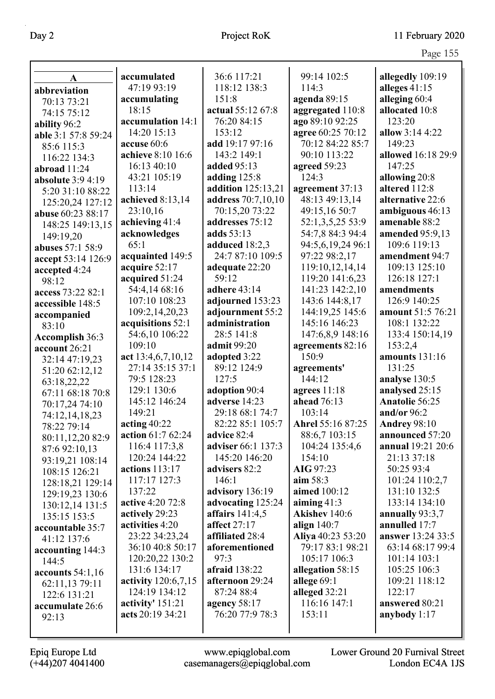|                          |                       |                    |                   | $\circ$               |
|--------------------------|-----------------------|--------------------|-------------------|-----------------------|
| $\mathbf A$              | accumulated           | 36:6 117:21        | 99:14 102:5       | allegedly 109:19      |
| abbreviation             | 47:19 93:19           | 118:12 138:3       | 114:3             | alleges $41:15$       |
| 70:13 73:21              | accumulating          | 151:8              | agenda 89:15      | alleging 60:4         |
| 74:15 75:12              | 18:15                 | actual 55:12 67:8  | aggregated 110:8  | allocated 10:8        |
| ability 96:2             | accumulation 14:1     | 76:20 84:15        | ago 89:10 92:25   | 123:20                |
| able 3:1 57:8 59:24      | 14:20 15:13           | 153:12             | agree 60:25 70:12 | allow 3:14 4:22       |
| 85:6 115:3               | accuse 60:6           | add 19:17 97:16    | 70:12 84:22 85:7  | 149:23                |
| 116:22 134:3             | achieve 8:10 16:6     | 143:2 149:1        | 90:10 113:22      | allowed 16:18 29:9    |
| abroad 11:24             | 16:13 40:10           | added 95:13        | agreed 59:23      | 147:25                |
| <b>absolute</b> 3:9 4:19 | 43:21 105:19          | adding $125:8$     | 124:3             | allowing 20:8         |
| 5:20 31:10 88:22         | 113:14                | addition 125:13,21 | agreement 37:13   | altered 112:8         |
| 125:20,24 127:12         | achieved 8:13,14      | address 70:7,10,10 | 48:13 49:13,14    | alternative 22:6      |
| abuse 60:23 88:17        | 23:10,16              | 70:15,20 73:22     | 49:15,16 50:7     | ambiguous 46:13       |
| 148:25 149:13,15         | achieving 41:4        | addresses 75:12    | 52:1,3,5,25 53:9  | amenable 88:2         |
| 149:19,20                | acknowledges          | adds 53:13         | 54:7,8 84:3 94:4  | amended 95:9,13       |
| abuses 57:1 58:9         | 65:1                  | adduced 18:2,3     | 94:5,6,19,24 96:1 | 109:6 119:13          |
| accept 53:14 126:9       | acquainted 149:5      | 24:7 87:10 109:5   | 97:22 98:2,17     | amendment 94:7        |
| accepted 4:24            | acquire 52:17         | adequate 22:20     | 119:10,12,14,14   | 109:13 125:10         |
| 98:12                    | acquired 51:24        | 59:12              | 119:20 141:6,23   | 126:18 127:1          |
| access 73:22 82:1        | 54:4,14 68:16         | adhere 43:14       | 141:23 142:2,10   | amendments            |
| accessible 148:5         | 107:10 108:23         | adjourned 153:23   | 143:6 144:8,17    | 126:9 140:25          |
| accompanied              | 109:2,14,20,23        | adjournment 55:2   | 144:19,25 145:6   | amount 51:5 76:21     |
| 83:10                    | acquisitions 52:1     | administration     | 145:16 146:23     | 108:1 132:22          |
| <b>Accomplish 36:3</b>   | 54:6,10 106:22        | 28:5 141:8         | 147:6,8,9 148:16  | 133:4 150:14,19       |
| account 26:21            | 109:10                | admit 99:20        | agreements 82:16  | 153:2,4               |
| 32:14 47:19,23           | act 13:4,6,7,10,12    | adopted 3:22       | 150:9             | amounts 131:16        |
| 51:20 62:12,12           | 27:14 35:15 37:1      | 89:12 124:9        | agreements'       | 131:25                |
| 63:18,22,22              | 79:5 128:23           | 127:5              | 144:12            | analyse 130:5         |
| 67:11 68:18 70:8         | 129:1 130:6           | adoption 90:4      | agrees $11:18$    | analysed 25:15        |
| 70:17,24 74:10           | 145:12 146:24         | adverse 14:23      | ahead 76:13       | <b>Anatolie 56:25</b> |
| 74:12,14,18,23           | 149:21                | 29:18 68:1 74:7    | 103:14            | and/or $96:2$         |
| 78:22 79:14              | acting $40:22$        | 82:22 85:1 105:7   | Ahrel 55:16 87:25 | <b>Andrey 98:10</b>   |
| 80:11,12,20 82:9         | action 61:7 62:24     | advice 82:4        | 88:6,7 103:15     | announced 57:20       |
| 87:6 92:10,13            | 116:4 117:3,8         | adviser 66:1 137:3 | 104:24 135:4,6    | annual 19:21 20:6     |
| 93:19,21 108:14          | 120:24 144:22         | 145:20 146:20      | 154:10            | 21:13 37:18           |
| 108:15 126:21            | <b>actions</b> 113:17 | advisers 82:2      | AIG 97:23         | 50:25 93:4            |
| 128:18,21 129:14         | 117:17 127:3          | 146:1              | aim 58:3          | 101:24 110:2,7        |
| 129:19,23 130:6          | 137:22                | advisory 136:19    | aimed 100:12      | 131:10 132:5          |
| 130:12,14 131:5          | active 4:20 72:8      | advocating 125:24  | aiming $41:3$     | 133:14 134:10         |
| 135:15 153:5             | actively 29:23        | affairs $141:4,5$  | Akishev 140:6     | annually 93:3,7       |
| accountable 35:7         | activities 4:20       | affect 27:17       | align $140:7$     | annulled 17:7         |
| 41:12 137:6              | 23:22 34:23,24        | affiliated 28:4    | Aliya 40:23 53:20 | answer 13:24 33:5     |
| accounting 144:3         | 36:10 40:8 50:17      | aforementioned     | 79:17 83:1 98:21  | 63:14 68:17 99:4      |
| 144:5                    | 120:20,22 130:2       | 97:3               | 105:17 106:3      | 101:14 103:1          |
| accounts $54:1,16$       | 131:6 134:17          | afraid 138:22      | allegation 58:15  | 105:25 106:3          |
| 62:11,13 79:11           | activity 120:6,7,15   | afternoon 29:24    | allege 69:1       | 109:21 118:12         |
| 122:6 131:21             | 124:19 134:12         | 87:24 88:4         | alleged 32:21     | 122:17                |
| accumulate 26:6          | activity' $151:21$    | agency $58:17$     | 116:16 147:1      | answered 80:21        |
| 92:13                    | acts 20:19 34:21      | 76:20 77:9 78:3    | 153:11            | anybody $1:17$        |
|                          |                       |                    |                   |                       |
|                          |                       |                    |                   |                       |

Epiq Europe Ltd www.epiqglobal.com Lower Ground 20 Furnival Street

(+44)207 4041400 casemanagers@epiqglobal.com London EC4A 1JS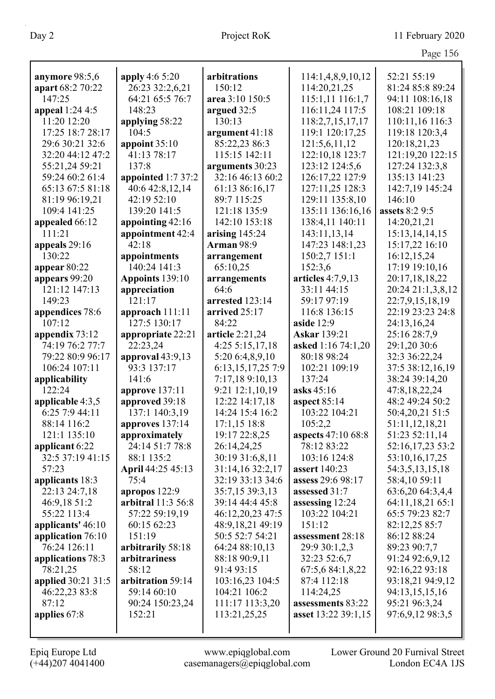| anymore 98:5,6          | apply 4:6 5:20               | arbitrations                          | 114:1,4,8,9,10,12   | 52:21 55:19       |
|-------------------------|------------------------------|---------------------------------------|---------------------|-------------------|
| apart 68:2 70:22        | 26:23 32:2,6,21              | 150:12                                | 114:20,21,25        | 81:24 85:8 89:24  |
| 147:25                  | 64:21 65:5 76:7              | area 3:10 150:5                       | 115:1,11 116:1,7    | 94:11 108:16,18   |
| appeal 1:24 4:5         | 148:23                       | argued 32:5                           | 116:11,24 117:5     | 108:21 109:18     |
| 11:20 12:20             | applying 58:22               | 130:13                                | 118:2,7,15,17,17    | 110:11,16 116:3   |
| 17:25 18:7 28:17        | 104:5                        | argument 41:18                        | 119:1 120:17,25     | 119:18 120:3,4    |
| 29:6 30:21 32:6         | appoint $35:10$              | 85:22,23 86:3                         | 121:5,6,11,12       | 120:18,21,23      |
| 32:20 44:12 47:2        | 41:13 78:17                  | 115:15 142:11                         | 122:10,18 123:7     | 121:19,20 122:15  |
| 55:21,24 59:21          | 137:8                        | arguments 30:23                       | 123:12 124:5,6      | 127:24 132:3,8    |
| 59:24 60:2 61:4         | appointed 1:7 37:2           | 32:16 46:13 60:2                      | 126:17,22 127:9     | 135:13 141:23     |
| 65:13 67:5 81:18        | 40:6 42:8,12,14              | 61:13 86:16,17                        | 127:11,25 128:3     | 142:7,19 145:24   |
| 81:19 96:19,21          | 42:19 52:10                  | 89:7 115:25                           | 129:11 135:8,10     | 146:10            |
| 109:4 141:25            | 139:20 141:5                 | 121:18 135:9                          | 135:11 136:16,16    | assets 8:2 9:5    |
| appealed 66:12          | appointing 42:16             | 142:10 153:18                         | 138:4,11 140:11     | 14:20,21,21       |
| 111:21                  | appointment 42:4             |                                       | 143:11,13,14        | 15:13,14,14,15    |
|                         | 42:18                        | arising $145:24$<br><b>Arman</b> 98:9 |                     |                   |
| appeals 29:16<br>130:22 |                              |                                       | 147:23 148:1,23     | 15:17,22 16:10    |
|                         | appointments<br>140:24 141:3 | arrangement                           | 150:2,7 151:1       | 16:12,15,24       |
| appear $80:22$          |                              | 65:10,25                              | 152:3,6             | 17:19 19:10,16    |
| appears 99:20           | Appoints 139:10              | arrangements                          | articles $4:7,9,13$ | 20:17,18,18,22    |
| 121:12 147:13           | appreciation                 | 64:6                                  | 33:11 44:15         | 20:24 21:1,3,8,12 |
| 149:23                  | 121:17                       | arrested 123:14                       | 59:17 97:19         | 22:7,9,15,18,19   |
| appendices 78:6         | approach $111:11$            | arrived 25:17                         | 116:8 136:15        | 22:19 23:23 24:8  |
| 107:12                  | 127:5 130:17                 | 84:22                                 | aside 12:9          | 24:13,16,24       |
| appendix 73:12          | appropriate 22:21            | article 2:21,24                       | <b>Askar</b> 139:21 | 25:16 28:7,9      |
| 74:19 76:2 77:7         | 22:23,24                     | 4:255:15,17,18                        | asked 1:16 74:1,20  | 29:1,20 30:6      |
| 79:22 80:9 96:17        | approval $43:9,13$           | 5:20 6:4,8,9,10                       | 80:18 98:24         | 32:3 36:22,24     |
| 106:24 107:11           | 93:3 137:17                  | 6:13,15,17,25 7:9                     | 102:21 109:19       | 37:5 38:12,16,19  |
| applicability           | 141:6                        | 7:17,18 9:10,13                       | 137:24              | 38:24 39:14,20    |
| 122:24                  | approve $137:11$             | 9:21 12:1,10,19                       | asks 45:16          | 47:8,18,22,24     |
| applicable 4:3,5        | approved 39:18               | 12:22 14:17,18                        | aspect $85:14$      | 48:2 49:24 50:2   |
| 6:25 7:9 44:11          | 137:1 140:3,19               | 14:24 15:4 16:2                       | 103:22 104:21       | 50:4,20,21 51:5   |
| 88:14 116:2             | approves 137:14              | $17:1,15$ 18:8                        | 105:2,2             | 51:11,12,18,21    |
| 121:1 135:10            | approximately                | 19:17 22:8,25                         | aspects 47:10 68:8  | 51:23 52:11,14    |
| applicant 6:22          | 24:14 51:7 78:8              | 26:14,24,25                           | 78:12 83:22         | 52:16,17,23 53:2  |
| 32:5 37:19 41:15        | 88:1 135:2                   | 30:19 31:6,8,11                       | 103:16 124:8        | 53:10,16,17,25    |
| 57:23                   | April 44:25 45:13            | 31:14,16 32:2,17                      | assert 140:23       | 54:3,5,13,15,18   |
| applicants 18:3         | 75:4                         | 32:19 33:13 34:6                      | assess 29:6 98:17   | 58:4,10 59:11     |
| 22:13 24:7,18           | apropos 122:9                | 35:7,15 39:3,13                       | assessed 31:7       | 63:6,20 64:3,4,4  |
| 46:9,18 51:2            | arbitral 11:3 56:8           | 39:14 44:4 45:8                       | assessing 12:24     | 64:11,18,21 65:1  |
| 55:22 113:4             | 57:22 59:19,19               | 46:12,20,23 47:5                      | 103:22 104:21       | 65:5 79:23 82:7   |
| applicants' 46:10       | 60:15 62:23                  | 48:9,18,21 49:19                      | 151:12              | 82:12,25 85:7     |
| application 76:10       | 151:19                       | 50:5 52:7 54:21                       | assessment 28:18    | 86:12 88:24       |
| 76:24 126:11            | arbitrarily 58:18            | 64:24 88:10,13                        | 29:9 30:1,2,3       | 89:23 90:7,7      |
| applications 78:3       | arbitrariness                | 88:18 90:9,11                         | 32:23 52:6,7        | 91:24 92:6,9,12   |
| 78:21,25                | 58:12                        | 91:4 93:15                            | 67:5,6 84:1,8,22    | 92:16,22 93:18    |
| applied 30:21 31:5      | arbitration 59:14            | 103:16,23 104:5                       | 87:4 112:18         | 93:18,21 94:9,12  |
| 46:22,23 83:8           | 59:14 60:10                  | 104:21 106:2                          | 114:24,25           | 94:13,15,15,16    |
| 87:12                   | 90:24 150:23,24              | 111:17 113:3,20                       | assessments 83:22   | 95:21 96:3,24     |
| applies 67:8            | 152:21                       | 113:21,25,25                          | asset 13:22 39:1,15 | 97:6,9,12 98:3,5  |
|                         |                              |                                       |                     |                   |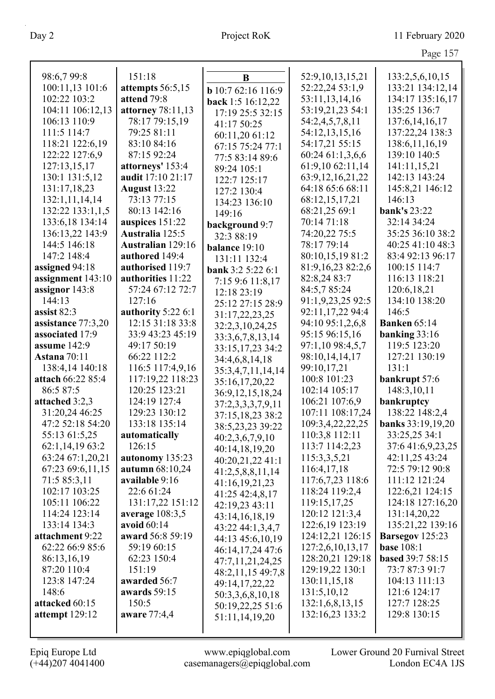| 98:6,7 99:8                           | 151:18                   | $\bf{B}$                  | 52:9, 10, 13, 15, 21          | 133:2,5,6,10,15                 |
|---------------------------------------|--------------------------|---------------------------|-------------------------------|---------------------------------|
| 100:11,13 101:6                       | attempts 56:5,15         |                           | 52:22,24 53:1,9               | 133:21 134:12,14                |
| 102:22 103:2                          | attend 79:8              | <b>b</b> 10:7 62:16 116:9 | 53:11,13,14,16                | 134:17 135:16,17                |
| 104:11 106:12,13                      | attorney 78:11,13        | back 1:5 16:12,22         | 53:19,21,23 54:1              | 135:25 136:7                    |
| 106:13 110:9                          | 78:17 79:15,19           | 17:19 25:5 32:15          | 54:2,4,5,7,8,11               | 137:6, 14, 16, 17               |
| 111:5 114:7                           | 79:25 81:11              | 41:17 50:25               | 54:12,13,15,16                | 137:22,24 138:3                 |
| 118:21 122:6,19                       | 83:10 84:16              | 60:11,20 61:12            | 54:17,21 55:15                | 138:6, 11, 16, 19               |
| 122:22 127:6,9                        | 87:15 92:24              | 67:15 75:24 77:1          | 60:24 61:1,3,6,6              | 139:10 140:5                    |
| 127:13,15,17                          | attorneys' 153:4         | 77:5 83:14 89:6           | 61:9,10 62:11,14              | 141:11,15,21                    |
| 130:1 131:5,12                        | audit 17:10 21:17        | 89:24 105:1               | 63:9, 12, 16, 21, 22          | 142:13 143:24                   |
| 131:17,18,23                          | <b>August 13:22</b>      | 122:7 125:17              | 64:18 65:6 68:11              | 145:8,21 146:12                 |
| 132:1,11,14,14                        | 73:13 77:15              | 127:2 130:4               | 68:12,15,17,21                | 146:13                          |
| 132:22 133:1,1,5                      | 80:13 142:16             | 134:23 136:10             | 68:21,25 69:1                 | <b>bank's 23:22</b>             |
| 133:6,18 134:14                       | auspices 151:22          | 149:16                    | 70:14 71:18                   | 32:14 34:24                     |
| 136:13,22 143:9                       | Australia 125:5          | background 9:7            | 74:20,22 75:5                 | 35:25 36:10 38:2                |
| 144:5 146:18                          | <b>Australian</b> 129:16 | 32:3 88:19                | 78:17 79:14                   | 40:25 41:10 48:3                |
| 147:2 148:4                           | authored 149:4           | balance 19:10             | 80:10,15,19 81:2              | 83:4 92:13 96:17                |
| assigned 94:18                        | authorised 119:7         | 131:11 132:4              | 81:9,16,23 82:2,6             | 100:15 114:7                    |
| assignment 143:10                     | authorities 11:22        | <b>bank</b> 3:2 5:22 6:1  | 82:8,24 83:7                  | 116:13 118:21                   |
|                                       | 57:24 67:12 72:7         | 7:15 9:6 11:8,17          | 84:5,7 85:24                  | 120:6, 18, 21                   |
| assignor 143:8<br>144:13              | 127:16                   | 12:18 23:19               | 91:1,9,23,25 92:5             | 134:10 138:20                   |
| assist 82:3                           | authority 5:22 6:1       | 25:12 27:15 28:9          | 92:11,17,22 94:4              | 146:5                           |
|                                       | 12:15 31:18 33:8         | 31:17,22,23,25            | 94:10 95:1,2,6,8              | <b>Banken</b> 65:14             |
| assistance 77:3,20<br>associated 17:9 | 33:9 43:23 45:19         | 32:2,3,10,24,25           | 95:15 96:15,16                |                                 |
| assume 142:9                          | 49:17 50:19              | 33:3,6,7,8,13,14          |                               | banking $33:16$<br>119:5 123:20 |
| <b>Astana</b> 70:11                   | 66:22 112:2              | 33:15,17,23 34:2          | 97:1,10 98:4,5,7              | 127:21 130:19                   |
| 138:4,14 140:18                       | 116:5 117:4,9,16         | 34:4,6,8,14,18            | 98:10,14,14,17<br>99:10,17,21 | 131:1                           |
| attach 66:22 85:4                     | 117:19,22 118:23         | 35:3,4,7,11,14,14         | 100:8 101:23                  |                                 |
| 86:5 87:5                             | 120:25 123:21            | 35:16,17,20,22            | 102:14 105:17                 | bankrupt 57:6<br>148:3,10,11    |
| attached 3:2,3                        | 124:19 127:4             | 36:9, 12, 15, 18, 24      | 106:21 107:6,9                | bankruptcy                      |
| 31:20,24 46:25                        | 129:23 130:12            | 37:2,3,3,3,7,9,11         | 107:11 108:17,24              | 138:22 148:2,4                  |
| 47:2 52:18 54:20                      | 133:18 135:14            | 37:15,18,23 38:2          | 109:3,4,22,22,25              | banks 33:19,19,20               |
| 55:13 61:5,25                         | automatically            | 38:5,23,23 39:22          | 110:3,8 112:11                | 33:25,25 34:1                   |
| 62:1,14,19 63:2                       | 126:15                   | 40:2,3,6,7,9,10           | 113:7 114:2,23                | 37:6 41:6,9,23,25               |
| 63:24 67:1,20,21                      | autonomy 135:23          | 40:14,18,19,20            | 115:3,3,5,21                  | 42:11,25 43:24                  |
| 67:23 69:6,11,15                      | autumn 68:10,24          | 40:20,21,22 41:1          | 116:4,17,18                   | 72:5 79:12 90:8                 |
| 71:5 85:3,11                          | available 9:16           | 41:2,5,8,8,11,14          | 117:6,7,23 118:6              | 111:12 121:24                   |
| 102:17 103:25                         | 22:6 61:24               | 41:16,19,21,23            | 118:24 119:2,4                | 122:6,21 124:15                 |
| 105:11 106:22                         | 131:17,22 151:12         | 41:25 42:4,8,17           | 119:15,17,25                  | 124:18 127:16,20                |
| 114:24 123:14                         | average $108:3,5$        | 42:19,23 43:11            | 120:12 121:3,4                | 131:14,20,22                    |
| 133:14 134:3                          | avoid 60:14              | 43:14,16,18,19            | 122:6,19 123:19               | 135:21,22 139:16                |
| attachment 9:22                       | award 56:8 59:19         | 43:22 44:1,3,4,7          | 124:12,21 126:15              | Barsegov 125:23                 |
| 62:22 66:9 85:6                       | 59:19 60:15              | 44:13 45:6,10,19          | 127:2,6,10,13,17              | <b>base 108:1</b>               |
| 86:13,16,19                           | 62:23 150:4              | 46:14,17,24 47:6          | 128:20,21 129:18              | based 39:7 58:15                |
| 87:20 110:4                           | 151:19                   | 47:7,11,21,24,25          | 129:19,22 130:1               | 73:7 87:3 91:7                  |
| 123:8 147:24                          | awarded 56:7             | 48:2,11,15 49:7,8         | 130:11,15,18                  | 104:13 111:13                   |
| 148:6                                 | awards 59:15             | 49:14,17,22,22            | 131:5,10,12                   | 121:6 124:17                    |
| attacked 60:15                        | 150:5                    | 50:3,3,6,8,10,18          | 132:1,6,8,13,15               | 127:7 128:25                    |
| attempt $129:12$                      | aware 77:4,4             | 50:19,22,25 51:6          | 132:16,23 133:2               | 129:8 130:15                    |
|                                       |                          | 51:11,14,19,20            |                               |                                 |
|                                       |                          |                           |                               |                                 |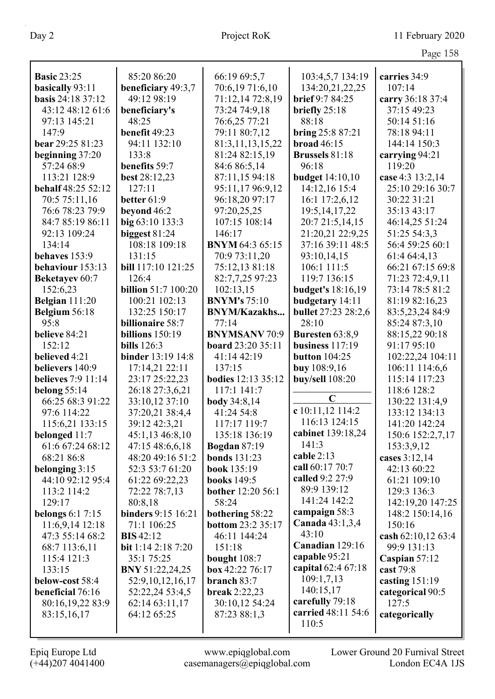| <b>Basic 23:25</b>        | 85:20 86:20                | 66:19 69:5,7                      | 103:4,5,7 134:19         | carries 34:9       |
|---------------------------|----------------------------|-----------------------------------|--------------------------|--------------------|
| basically 93:11           | beneficiary 49:3,7         | 70:6,19 71:6,10                   | 134:20,21,22,25          | 107:14             |
| <b>basis</b> 24:18 37:12  | 49:12 98:19                | 71:12,14 72:8,19                  | brief 9:7 84:25          | carry 36:18 37:4   |
| 43:12 48:12 61:6          | beneficiary's              | 73:24 74:9,18                     | briefly 25:18            | 37:15 49:23        |
| 97:13 145:21              | 48:25                      | 76:6,25 77:21                     | 88:18                    | 50:14 51:16        |
| 147:9                     | benefit 49:23              | 79:11 80:7,12                     | bring 25:8 87:21         | 78:18 94:11        |
| bear 29:25 81:23          | 94:11 132:10               | 81:3,11,13,15,22                  | <b>broad</b> 46:15       | 144:14 150:3       |
| beginning 37:20           | 133:8                      | 81:24 82:15,19                    | <b>Brussels 81:18</b>    | carrying 94:21     |
| 57:24 68:9                | benefits 59:7              | 84:6 86:5,14                      | 96:18                    | 119:20             |
| 113:21 128:9              | best 28:12,23              | 87:11,15 94:18                    | <b>budget</b> 14:10,10   | case 4:3 13:2,14   |
| <b>behalf</b> 48:25 52:12 | 127:11                     | 95:11,17 96:9,12                  | 14:12,16 15:4            | 25:10 29:16 30:7   |
| 70:5 75:11,16             | better $61:9$              | 96:18,20 97:17                    | 16:1 17:2,6,12           | 30:22 31:21        |
| 76:6 78:23 79:9           | beyond 46:2                | 97:20,25,25                       | 19:5, 14, 17, 22         | 35:13 43:17        |
| 84:7 85:19 86:11          | big 63:10 133:3            | 107:15 108:14                     | 20:7 21:5,14,15          | 46:14,25 51:24     |
| 92:13 109:24              | biggest 81:24              | 146:17                            | 21:20,21 22:9,25         | 51:25 54:3,3       |
| 134:14                    | 108:18 109:18              | <b>BNYM 64:3 65:15</b>            | 37:16 39:11 48:5         | 56:4 59:25 60:1    |
| behaves 153:9             | 131:15                     | 70:9 73:11,20                     | 93:10,14,15              | 61:4 64:4,13       |
| behaviour 153:13          | bill 117:10 121:25         | 75:12,13 81:18                    | 106:1 111:5              | 66:21 67:15 69:8   |
|                           | 126:4                      |                                   | 119:7 136:15             |                    |
| <b>Beketayev</b> 60:7     | <b>billion</b> 51:7 100:20 | 82:7,7,25 97:23<br>102:13,15      |                          | 71:23 72:4,9,11    |
| 152:6,23                  |                            | <b>BNYM's</b> 75:10               | <b>budget's</b> 18:16,19 | 73:14 78:5 81:2    |
| Belgian 111:20            | 100:21 102:13              |                                   | budgetary 14:11          | 81:19 82:16,23     |
| Belgium 56:18             | 132:25 150:17              | <b>BNYM/Kazakhs</b>               | bullet 27:23 28:2,6      | 83:5,23,24 84:9    |
| 95:8                      | <b>billionaire</b> 58:7    | 77:14                             | 28:10                    | 85:24 87:3,10      |
| believe 84:21             | billions $150:19$          | <b>BNYMSANV 70:9</b>              | <b>Buresten 63:8,9</b>   | 88:15,22 90:18     |
| 152:12                    | <b>bills</b> 126:3         | board 23:20 35:11                 | business $117:19$        | 91:17 95:10        |
| believed 4:21             | <b>binder</b> 13:19 14:8   | 41:14 42:19                       | <b>button</b> 104:25     | 102:22,24 104:11   |
| believers 140:9           | 17:14,21 22:11             | 137:15                            | <b>buy</b> 108:9,16      | 106:11 114:6,6     |
| <b>believes</b> 7:9 11:14 | 23:17 25:22,23             | bodies 12:13 35:12<br>117:1 141:7 | buy/sell 108:20          | 115:14 117:23      |
| belong 55:14              | 26:18 27:3,6,21            |                                   | $\mathbf C$              | 118:6 128:2        |
| 66:25 68:3 91:22          | 33:10,12 37:10             | body 34:8,14                      | c 10:11,12 114:2         | 130:22 131:4,9     |
| 97:6 114:22               | 37:20,21 38:4,4            | 41:24 54:8                        | 116:13 124:15            | 133:12 134:13      |
| 115:6,21 133:15           | 39:12 42:3,21              | 117:17 119:7                      | cabinet 139:18,24        | 141:20 142:24      |
| belonged 11:7             | 45:1,13 46:8,10            | 135:18 136:19                     | 141:3                    | 150:6 152:2,7,17   |
| 61:6 67:24 68:12          | 47:15 48:6,6,18            | <b>Bogdan</b> 87:19               | cable $2:13$             | 153:3,9,12         |
| 68:21 86:8                | 48:20 49:16 51:2           | <b>bonds</b> 131:23               | call 60:17 70:7          | cases $3:12,14$    |
| belonging 3:15            | 52:3 53:7 61:20            | book 135:19                       | called 9:2 27:9          | 42:13 60:22        |
| 44:10 92:12 95:4          | 61:22 69:22,23             | <b>books</b> 149:5                | 89:9 139:12              | 61:21 109:10       |
| 113:2 114:2               | 72:22 78:7,13              | bother 12:20 56:1                 | 141:24 142:2             | 129:3 136:3        |
| 129:17                    | 80:8,18                    | 58:24                             | campaign 58:3            | 142:19,20 147:25   |
| <b>belongs</b> 6:1 7:15   | binders 9:15 16:21         | bothering 58:22                   | Canada $43:1,3,4$        | 148:2 150:14,16    |
| 11:6,9,14 12:18           | 71:1 106:25                | bottom 23:2 35:17                 | 43:10                    | 150:16             |
| 47:3 55:14 68:2           | <b>BIS</b> 42:12           | 46:11 144:24                      | Canadian 129:16          | cash 62:10,12 63:4 |
| 68:7 113:6,11             | bit $1:142:187:20$         | 151:18                            | capable 95:21            | 99:9 131:13        |
| 115:4 121:3               | 35:1 75:25                 | bought $108:7$                    | capital 62:4 67:18       | Caspian $57:12$    |
| 133:15                    | <b>BNY</b> 51:22,24,25     | box 42:22 76:17                   | 109:1,7,13               | cast 79:8          |
| below-cost 58:4           | 52:9, 10, 12, 16, 17       | branch 83:7                       |                          | casting $151:19$   |
| beneficial 76:16          | 52:22,24 53:4,5            | break $2:22,23$                   | 140:15,17                | categorical 90:5   |
| 80:16,19,22 83:9          | 62:14 63:11,17             | 30:10,12 54:24                    | carefully 79:18          | 127:5              |
| 83:15,16,17               | 64:12 65:25                | 87:23 88:1,3                      | carried 48:11 54:6       | categorically      |
|                           |                            |                                   | 110:5                    |                    |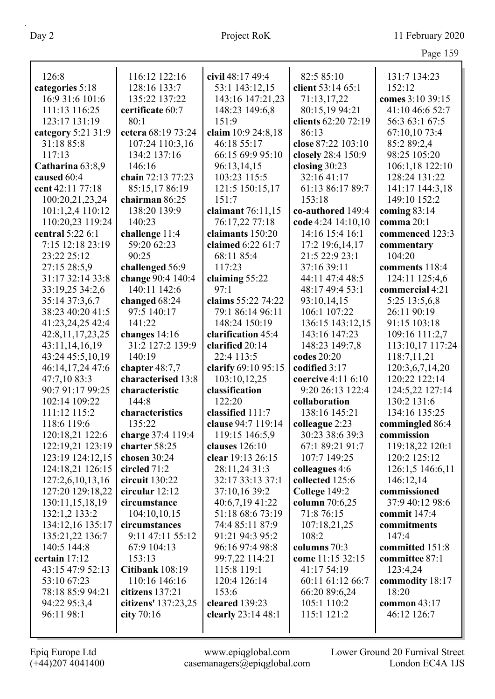|                    |                     |                     |                                 | $145c$ $152$                        |
|--------------------|---------------------|---------------------|---------------------------------|-------------------------------------|
|                    |                     |                     |                                 |                                     |
| 126:8              | 116:12 122:16       | civil 48:17 49:4    | 82:5 85:10<br>client 53:14 65:1 | 131:7 134:23<br>152:12              |
| categories 5:18    | 128:16 133:7        | 53:1 143:12,15      |                                 |                                     |
| 16:9 31:6 101:6    | 135:22 137:22       | 143:16 147:21,23    | 71:13,17,22                     | comes 3:10 39:15<br>41:10 46:6 52:7 |
| 111:13 116:25      | certificate 60:7    | 148:23 149:6,8      | 80:15,19 94:21                  |                                     |
| 123:17 131:19      | 80:1                | 151:9               | clients 62:20 72:19             | 56:3 63:1 67:5                      |
| category 5:21 31:9 | cetera 68:19 73:24  | claim 10:9 24:8,18  | 86:13                           | 67:10,10 73:4                       |
| 31:18 85:8         | 107:24 110:3,16     | 46:18 55:17         | close 87:22 103:10              | 85:2 89:2,4                         |
| 117:13             | 134:2 137:16        | 66:15 69:9 95:10    | closely 28:4 150:9              | 98:25 105:20                        |
| Catharina 63:8,9   | 146:16              | 96:13,14,15         | closing 30:23                   | 106:1,18 122:10                     |
| caused 60:4        | chain 72:13 77:23   | 103:23 115:5        | 32:16 41:17                     | 128:24 131:22                       |
| cent 42:11 77:18   | 85:15,17 86:19      | 121:5 150:15,17     | 61:13 86:17 89:7                | 141:17 144:3,18                     |
| 100:20,21,23,24    | chairman 86:25      | 151:7               | 153:18                          | 149:10 152:2                        |
| 101:1,2,4 110:12   | 138:20 139:9        | claimant 76:11,15   | co-authored 149:4               | coming $83:14$                      |
| 110:20,23 119:24   | 140:23              | 76:17,22 77:18      | code 4:24 14:10,10              | comma 20:1                          |
| central 5:22 6:1   | challenge 11:4      | claimants 150:20    | 14:16 15:4 16:1                 | commenced 123:3                     |
| 7:15 12:18 23:19   | 59:20 62:23         | claimed 6:22 61:7   | 17:2 19:6,14,17                 | commentary                          |
| 23:22 25:12        | 90:25               | 68:11 85:4          | 21:5 22:9 23:1                  | 104:20                              |
| 27:15 28:5,9       | challenged 56:9     | 117:23              | 37:16 39:11                     | comments 118:4                      |
| 31:17 32:14 33:8   | change 90:4 140:4   | claiming 55:22      | 44:11 47:4 48:5                 | 124:11 125:4,6                      |
| 33:19,25 34:2,6    | 140:11 142:6        | 97:1                | 48:17 49:4 53:1                 | commercial 4:21                     |
| 35:14 37:3,6,7     | changed 68:24       | claims 55:22 74:22  | 93:10,14,15                     | 5:25 13:5,6,8                       |
| 38:23 40:20 41:5   | 97:5 140:17         | 79:1 86:14 96:11    | 106:1 107:22                    | 26:11 90:19                         |
| 41:23,24,25 42:4   | 141:22              | 148:24 150:19       | 136:15 143:12,15                | 91:15 103:18                        |
| 42:8,11,17,23,25   | changes 14:16       | clarification 45:4  | 143:16 147:23                   | 109:16 111:2,7                      |
| 43:11,14,16,19     | 31:2 127:2 139:9    | clarified 20:14     | 148:23 149:7,8                  | 113:10,17 117:24                    |
| 43:24 45:5,10,19   | 140:19              | 22:4 113:5          | codes 20:20                     | 118:7,11,21                         |
| 46:14,17,24 47:6   | chapter $48:7,7$    | clarify 69:10 95:15 | codified 3:17                   | 120:3,6,7,14,20                     |
| 47:7,10 83:3       | characterised 13:8  | 103:10,12,25        | coercive 4:11 6:10              | 120:22 122:14                       |
| 90:7 91:17 99:25   | characteristic      | classification      | 9:20 26:13 122:4                | 124:5,22 127:14                     |
| 102:14 109:22      | 144:8               | 122:20              | collaboration                   | 130:2 131:6                         |
| 111:12 115:2       | characteristics     | classified 111:7    | 138:16 145:21                   | 134:16 135:25                       |
| 118:6 119:6        | 135:22              | clause 94:7 119:14  | colleague 2:23                  | commingled 86:4                     |
| 120:18,21 122:6    | charge 37:4 119:4   | 119:15 146:5,9      | 30:23 38:6 39:3                 | commission                          |
| 122:19,21 123:19   | charter 58:25       | clauses 126:10      | 67:1 89:21 91:7                 | 119:18,22 120:1                     |
| 123:19 124:12,15   | chosen $30:24$      | clear 19:13 26:15   | 107:7 149:25                    | 120:2 125:12                        |
| 124:18,21 126:15   | circled $71:2$      | 28:11,24 31:3       | colleagues 4:6                  | 126:1,5 146:6,11                    |
| 127:2,6,10,13,16   | circuit 130:22      | 32:17 33:13 37:1    | collected 125:6                 | 146:12,14                           |
| 127:20 129:18,22   | circular $12:12$    | 37:10,16 39:2       | College 149:2                   | commissioned                        |
| 130:11,15,18,19    | circumstance        | 40:6,7,19 41:22     | column 70:6,25                  | 37:9 40:12 98:6                     |
| 132:1,2 133:2      | 104:10,10,15        | 51:18 68:6 73:19    | 71:8 76:15                      | commit $147:4$                      |
| 134:12,16 135:17   | circumstances       | 74:4 85:11 87:9     | 107:18,21,25                    | commitments                         |
| 135:21,22 136:7    | 9:11 47:11 55:12    | 91:21 94:3 95:2     | 108:2                           | 147:4                               |
| 140:5 144:8        | 67:9 104:13         | 96:16 97:4 98:8     | columns 70:3                    | committed 151:8                     |
| certain 17:12      | 153:13              | 99:7,22 114:21      | come 11:15 32:15                | committee 87:1                      |
| 43:15 47:9 52:13   | Citibank 108:19     | 115:8 119:1         | 41:17 54:19                     | 123:4,24                            |
| 53:10 67:23        | 110:16 146:16       | 120:4 126:14        | 60:11 61:12 66:7                | commodity 18:17                     |
| 78:18 85:9 94:21   | citizens 137:21     | 153:6               | 66:20 89:6,24                   | 18:20                               |
| 94:22 95:3,4       | citizens' 137:23,25 | cleared 139:23      | 105:1 110:2                     | common $43:17$                      |
| 96:11 98:1         | city $70:16$        | clearly 23:14 48:1  | 115:1 121:2                     | 46:12 126:7                         |
|                    |                     |                     |                                 |                                     |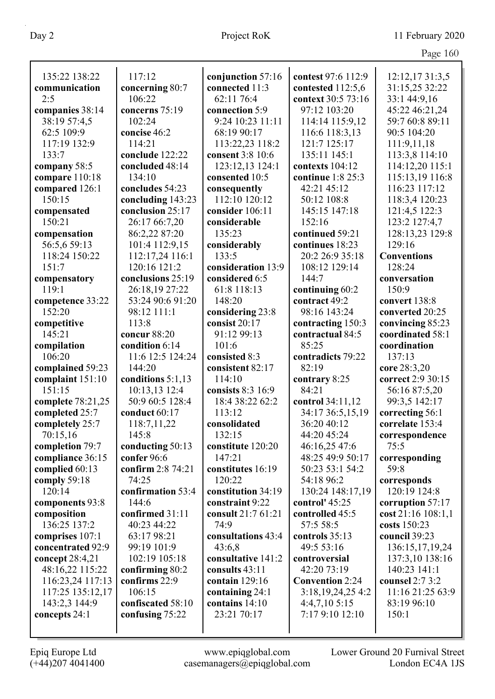|                                      |                                |                            |                              | Page 160                           |
|--------------------------------------|--------------------------------|----------------------------|------------------------------|------------------------------------|
| 135:22 138:22                        | 117:12                         | conjunction 57:16          | contest 97:6 112:9           | 12:12,17 31:3,5                    |
| communication                        | concerning 80:7                | connected 11:3             | contested 112:5,6            | 31:15,25 32:22                     |
| 2:5                                  | 106:22                         | 62:11 76:4                 | context 30:5 73:16           | 33:1 44:9,16                       |
| companies 38:14                      | concerns 75:19                 | connection 5:9             | 97:12 103:20                 | 45:22 46:21,24                     |
| 38:19 57:4,5                         | 102:24                         | 9:24 10:23 11:11           | 114:14 115:9,12              | 59:7 60:8 89:11                    |
| 62:5 109:9                           | concise 46:2                   | 68:19 90:17                | 116:6 118:3,13               | 90:5 104:20                        |
| 117:19 132:9                         | 114:21                         | 113:22,23 118:2            | 121:7 125:17                 | 111:9,11,18                        |
| 133:7                                | conclude 122:22                | consent 3:8 10:6           | 135:11 145:1                 | 113:3,8 114:10                     |
| company 58:5                         | concluded 48:14                | 123:12,13 124:1            | contexts 104:12              | 114:12,20 115:1                    |
| compare 110:18                       | 134:10                         | consented 10:5             | continue 1:8 25:3            | 115:13,19 116:8                    |
| compared 126:1                       | concludes 54:23                | consequently               | 42:21 45:12                  | 116:23 117:12                      |
| 150:15                               | concluding 143:23              | 112:10 120:12              | 50:12 108:8                  | 118:3,4 120:23                     |
| compensated                          | conclusion 25:17               | consider 106:11            | 145:15 147:18                | 121:4,5 122:3                      |
| 150:21                               | 26:17 66:7,20                  | considerable               | 152:16                       | 123:2 127:4,7                      |
| compensation                         | 86:2,22 87:20                  | 135:23                     | continued 59:21              | 128:13,23 129:8                    |
| 56:5,6 59:13                         | 101:4 112:9,15                 | considerably               | continues 18:23              | 129:16                             |
| 118:24 150:22                        | 112:17,24 116:1                | 133:5                      | 20:2 26:9 35:18              | <b>Conventions</b>                 |
| 151:7                                | 120:16 121:2                   | consideration 13:9         | 108:12 129:14                | 128:24                             |
| compensatory                         | conclusions 25:19              | considered 6:5             | 144:7                        | conversation                       |
| 119:1                                | 26:18,19 27:22                 | 61:8 118:13                | continuing 60:2              | 150:9                              |
| competence 33:22                     | 53:24 90:6 91:20               | 148:20                     | contract 49:2                | convert 138:8                      |
| 152:20                               | 98:12 111:1                    | considering 23:8           | 98:16 143:24                 | converted 20:25                    |
| competitive                          | 113:8                          | consist 20:17              | contracting 150:3            | convincing 85:23                   |
| 145:21                               | concur 88:20                   | 91:12 99:13                | contractual 84:5             | coordinated 58:1                   |
| compilation                          | condition 6:14                 | 101:6                      | 85:25                        | coordination                       |
| 106:20                               | 11:6 12:5 124:24               | consisted 8:3              | contradicts 79:22            | 137:13                             |
| complained 59:23                     | 144:20                         | consistent 82:17           | 82:19                        | core 28:3,20                       |
| complaint 151:10                     | conditions $5:1,13$            | 114:10                     | contrary 8:25                | correct 2:9 30:15                  |
| 151:15                               | 10:13,13 12:4                  | consists 8:3 16:9          | 84:21                        | 56:16 87:5,20                      |
| complete 78:21,25                    | 50:9 60:5 128:4                | 18:4 38:22 62:2            | control 34:11,12             | 99:3,5 142:17                      |
| completed 25:7                       | conduct 60:17                  | 113:12                     | 34:17 36:5,15,19             | correcting 56:1                    |
| completely 25:7                      | 118:7,11,22                    | consolidated               | 36:20 40:12                  | correlate 153:4                    |
| 70:15,16                             | 145:8                          | 132:15                     | 44:20 45:24                  | correspondence                     |
| completion 79:7                      | conducting 50:13               | constitute 120:20          | 46:16,25 47:6                | 75:5                               |
| compliance 36:15                     | confer 96:6                    | 147:21                     | 48:25 49:9 50:17             | corresponding                      |
| complied 60:13                       | confirm 2:8 74:21              | constitutes 16:19          | 50:23 53:1 54:2              | 59:8                               |
| comply 59:18                         | 74:25                          | 120:22                     | 54:18 96:2                   | corresponds                        |
| 120:14                               | confirmation 53:4              | constitution 34:19         | 130:24 148:17,19             | 120:19 124:8                       |
| components 93:8                      | 144:6                          | constraint 9:22            | control' $45:25$             | corruption 57:17                   |
| composition<br>136:25 137:2          | confirmed 31:11<br>40:23 44:22 | consult 21:7 61:21<br>74:9 | controlled 45:5<br>57:5 58:5 | cost 21:16 108:1,1<br>costs 150:23 |
|                                      | 63:17 98:21                    | consultations 43:4         | controls 35:13               | council 39:23                      |
| comprises 107:1<br>concentrated 92:9 | 99:19 101:9                    | 43:6,8                     | 49:5 53:16                   | 136:15,17,19,24                    |
| concept 28:4,21                      | 102:19 105:18                  | consultative 141:2         | controversial                | 137:3,10 138:16                    |
| 48:16,22 115:22                      | confirming 80:2                | consults 43:11             | 42:20 73:19                  | 140:23 141:1                       |
| 116:23,24 117:13                     | confirms 22:9                  | contain $129:16$           | <b>Convention 2:24</b>       | counsel 2:7 3:2                    |
| 117:25 135:12,17                     | 106:15                         | containing 24:1            | 3:18,19,24,254:2             | 11:16 21:25 63:9                   |
| 143:2,3 144:9                        | confiscated 58:10              | contains 14:10             | 4:4,7,105:15                 | 83:19 96:10                        |
| concepts 24:1                        | confusing 75:22                | 23:21 70:17                | 7:17 9:10 12:10              | 150:1                              |
|                                      |                                |                            |                              |                                    |
|                                      |                                |                            |                              |                                    |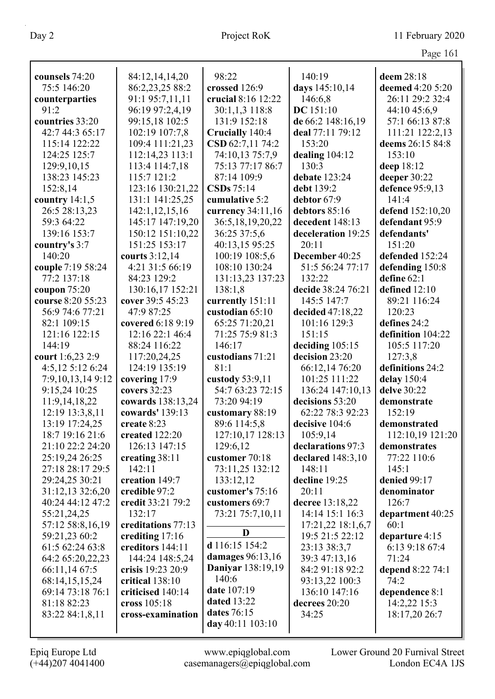| Page 161 |  |
|----------|--|
|          |  |

|                   |                    |                          |                    | $445c$ $101$      |
|-------------------|--------------------|--------------------------|--------------------|-------------------|
| counsels 74:20    | 84:12,14,14,20     | 98:22                    | 140:19             | deem 28:18        |
| 75:5 146:20       | 86:2,23,25 88:2    | crossed 126:9            | days 145:10,14     | deemed 4:20 5:20  |
| counterparties    | 91:1 95:7,11,11    | crucial 8:16 12:22       | 146:6,8            | 26:11 29:2 32:4   |
| 91:2              | 96:19 97:2,4,19    | 30:1,1,3 118:8           | DC 151:10          | 44:10 45:6,9      |
| countries 33:20   | 99:15,18 102:5     | 131:9 152:18             | de 66:2 148:16,19  | 57:1 66:13 87:8   |
| 42:7 44:3 65:17   | 102:19 107:7,8     | Crucially 140:4          | deal 77:11 79:12   | 111:21 122:2,13   |
| 115:14 122:22     | 109:4 111:21,23    | CSD 62:7,11 74:2         | 153:20             | deems 26:15 84:8  |
| 124:25 125:7      | 112:14,23 113:1    | 74:10,13 75:7,9          | dealing $104:12$   | 153:10            |
| 129:9,10,15       | 113:4 114:7,18     | 75:13 77:17 86:7         | 130:3              | deep 18:12        |
| 138:23 145:23     | 115:7 121:2        | 87:14 109:9              | debate 123:24      | deeper 30:22      |
| 152:8,14          | 123:16 130:21,22   | CSDs 75:14               | debt 139:2         | defence 95:9,13   |
| country $14:1,5$  | 131:1 141:25,25    | cumulative 5:2           | debtor 67:9        | 141:4             |
| 26:5 28:13,23     | 142:1,12,15,16     | currency 34:11,16        | debtors 85:16      | defend 152:10,20  |
| 59:3 64:22        | 145:17 147:19,20   | 36:5,18,19,20,22         | decedent 148:13    | defendant 95:9    |
| 139:16 153:7      | 150:12 151:10,22   | 36:25 37:5,6             | deceleration 19:25 | defendants'       |
| country's 3:7     | 151:25 153:17      | 40:13,15 95:25           | 20:11              | 151:20            |
| 140:20            | courts 3:12,14     | 100:19 108:5,6           | December 40:25     | defended 152:24   |
| couple 7:19 58:24 | 4:21 31:5 66:19    | 108:10 130:24            | 51:5 56:24 77:17   | defending 150:8   |
| 77:2 137:18       | 84:23 129:2        | 131:13,23 137:23         | 132:22             | define $62:1$     |
| coupon $75:20$    | 130:16,17 152:21   | 138:1,8                  | decide 38:24 76:21 | defined 12:10     |
| course 8:20 55:23 | cover 39:5 45:23   | currently 151:11         | 145:5 147:7        | 89:21 116:24      |
| 56:9 74:6 77:21   | 47:9 87:25         | custodian 65:10          | decided 47:18,22   | 120:23            |
| 82:1 109:15       | covered 6:18 9:19  | 65:25 71:20,21           | 101:16 129:3       | defines 24:2      |
| 121:16 122:15     | 12:16 22:1 46:4    | 71:25 75:9 81:3          | 151:15             | definition 104:22 |
| 144:19            | 88:24 116:22       | 146:17                   | deciding 105:15    | 105:5 117:20      |
| court 1:6,23 2:9  | 117:20,24,25       | custodians 71:21         | decision 23:20     | 127:3,8           |
| 4:5,12 5:12 6:24  | 124:19 135:19      | 81:1                     | 66:12,14 76:20     | definitions 24:2  |
| 7:9,10,13,149:12  | covering 17:9      | custody 53:9,11          | 101:25 111:22      | delay 150:4       |
| 9:15,24 10:25     | covers 32:23       | 54:7 63:23 72:15         | 136:24 147:10,13   | delve 30:22       |
| 11:9,14,18,22     | cowards 138:13,24  | 73:20 94:19              | decisions 53:20    | demonstrate       |
| 12:19 13:3,8,11   | cowards' 139:13    | customary 88:19          | 62:22 78:3 92:23   | 152:19            |
| 13:19 17:24,25    | create 8:23        | 89:6 114:5,8             | decisive 104:6     | demonstrated      |
| 18:7 19:16 21:6   | created 122:20     | 127:10,17 128:13         | 105:9,14           | 112:10,19 121:20  |
| 21:10 22:2 24:20  | 126:13 147:15      | 129:6,12                 | declarations 97:3  | demonstrates      |
| 25:19,24 26:25    | creating 38:11     | customer 70:18           | declared 148:3,10  | 77:22 110:6       |
| 27:18 28:17 29:5  | 142:11             | 73:11,25 132:12          | 148:11             | 145:1             |
| 29:24,25 30:21    | creation 149:7     | 133:12,12                | decline 19:25      | denied 99:17      |
| 31:12,13 32:6,20  | credible 97:2      | customer's 75:16         | 20:11              | denominator       |
| 40:24 44:12 47:2  | credit 33:21 79:2  | customers 69:7           | decree 13:18,22    | 126:7             |
| 55:21,24,25       | 132:17             | 73:21 75:7,10,11         | 14:14 15:1 16:3    | department 40:25  |
| 57:12 58:8,16,19  | creditations 77:13 |                          | 17:21,22 18:1,6,7  | 60:1              |
| 59:21,23 60:2     | crediting 17:16    | D                        | 19:5 21:5 22:12    | departure 4:15    |
| 61:5 62:24 63:8   | creditors 144:11   | d 116:15 154:2           | 23:13 38:3,7       | 6:13 9:18 67:4    |
| 64:2 65:20,22,23  | 144:24 148:5,24    | damages 96:13,16         | 39:3 47:13,16      | 71:24             |
| 66:11,14 67:5     | crisis 19:23 20:9  | <b>Daniyar</b> 138:19,19 | 84:2 91:18 92:2    | depend 8:22 74:1  |
| 68:14,15,15,24    | critical 138:10    | 140:6                    | 93:13,22 100:3     | 74:2              |
| 69:14 73:18 76:1  | criticised 140:14  | date 107:19              | 136:10 147:16      | dependence 8:1    |
| 81:18 82:23       | cross 105:18       | <b>dated</b> 13:22       | decrees 20:20      | 14:2,22 15:3      |
| 83:22 84:1,8,11   | cross-examination  | dates 76:15              | 34:25              | 18:17,20 26:7     |
|                   |                    | day 40:11 103:10         |                    |                   |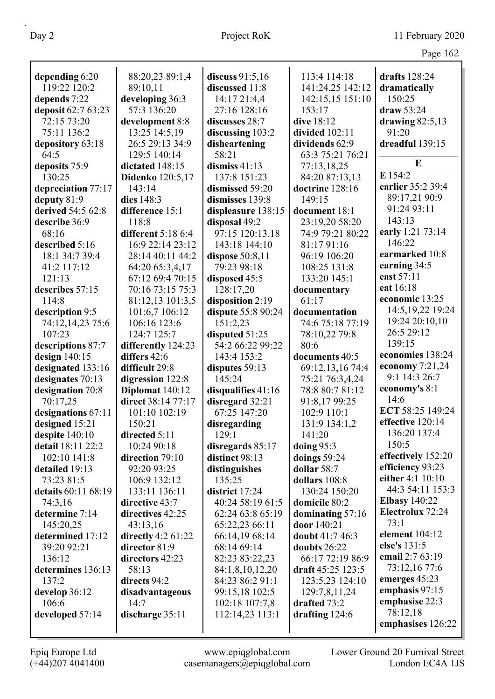| depending 6:20      | 88:20,23 89:1,4         | discuss $91:5,16$  | 113:4 114:18       | drafts 128:24        |
|---------------------|-------------------------|--------------------|--------------------|----------------------|
| 119:22 120:2        | 89:10,11                | discussed 11:8     | 141:24,25 142:12   | dramatically         |
| depends 7:22        | developing 36:3         | 14:17 21:4,4       | 142:15,15 151:10   | 150:25               |
| deposit 62:7 63:23  | 57:3 136:20             | 27:16 128:16       | 153:17             | draw 53:24           |
| 72:15 73:20         | development 8:8         | discusses 28:7     | dive 18:12         | drawing $82:5,13$    |
| 75:11 136:2         | 13:25 14:5,19           | discussing 103:2   | divided 102:11     | 91:20                |
| depository 63:18    | 26:5 29:13 34:9         | disheartening      | dividends 62:9     | dreadful 139:15      |
| 64:5                | 129:5 140:14            | 58:21              | 63:3 75:21 76:21   |                      |
| deposits 75:9       | dictated 148:15         | dismiss $41:13$    | 77:13,18,25        | E                    |
| 130:25              | <b>Didenko</b> 120:5,17 | 137:8 151:23       | 84:20 87:13,13     | E 154:2              |
| depreciation 77:17  | 143:14                  | dismissed 59:20    | doctrine 128:16    | earlier 35:2 39:4    |
| deputy 81:9         | dies 148:3              | dismisses 139:8    | 149:15             | 89:17,21 90:9        |
| derived 54:5 62:8   | difference 15:1         | displeasure 138:15 | document 18:1      | 91:24 93:11          |
| describe 36:9       | 118:8                   | disposal 49:2      | 23:19,20 58:20     | 143:13               |
| 68:16               | different 5:18 6:4      | 97:15 120:13,18    | 74:9 79:21 80:22   | early 1:21 73:14     |
| described 5:16      | 16:9 22:14 23:12        | 143:18 144:10      | 81:17 91:16        | 146:22               |
| 18:1 34:7 39:4      | 28:14 40:11 44:2        | dispose $50:8,11$  | 96:19 106:20       | earmarked 10:8       |
| 41:2 117:12         | 64:20 65:3,4,17         | 79:23 98:18        | 108:25 131:8       | earning 34:5         |
| 121:13              | 67:12 69:4 70:15        | disposed 45:5      | 133:20 145:1       | east 57:11           |
| describes 57:15     | 70:16 73:15 75:3        | 128:17,20          | documentary        | eat 16:18            |
| 114:8               | 81:12,13 101:3,5        | disposition 2:19   | 61:17              | economic 13:25       |
| description 9:5     | 101:6,7 106:12          | dispute 55:8 90:24 | documentation      | 14:5, 19, 22 19: 24  |
| 74:12,14,23 75:6    | 106:16 123:6            | 151:2,23           | 74:6 75:18 77:19   | 19:24 20:10,10       |
| 107:23              | 124:7 125:7             | disputed 51:25     | 78:10,22 79:8      | 26:5 29:12           |
| descriptions 87:7   | differently 124:23      | 54:2 66:22 99:22   | 80:6               | 139:15               |
| design $140:15$     | differs 42:6            | 143:4 153:2        | documents 40:5     | economies 138:24     |
| designated 133:16   | difficult 29:8          | disputes 59:13     | 69:12,13,16 74:4   | economy $7:21,24$    |
| designates 70:13    | digression 122:8        | 145:24             | 75:21 76:3,4,24    | 9:1 14:3 26:7        |
| designation 70:8    | Diplomat 140:12         | disqualifies 41:16 | 78:8 80:7 81:12    | economy's 8:1        |
| 70:17,25            | direct 38:14 77:17      | disregard 32:21    | 91:8,17 99:25      | 14:6                 |
| designations 67:11  | 101:10 102:19           | 67:25 147:20       | 102:9 110:1        | ECT 58:25 149:24     |
| designed 15:21      | 150:21                  | disregarding       | 131:9 134:1,2      | effective 120:14     |
| despite 140:10      | directed 5:11           | 129:1              | 141:20             | 136:20 137:4         |
| detail 18:11 22:2   | 10:24 90:18             | disregards 85:17   | doing $95:3$       | 150:5                |
| 102:10 141:8        | direction 79:10         | distinct 98:13     | doings 59:24       | effectively 152:20   |
| detailed 19:13      | 92:20 93:25             | distinguishes      | dollar 58:7        | efficiency 93:23     |
| 73:23 81:5          | 106:9 132:12            | 135:25             | dollars 108:8      | either 4:1 10:10     |
| details 60:11 68:19 | 133:11 136:11           | district 17:24     | 130:24 150:20      | 44:3 54:11 153:3     |
| 74:3,16             | directive 43:7          | 40:24 58:19 61:5   | domicile 80:2      | <b>Elbasy</b> 140:22 |
| determine 7:14      | directives 42:25        | 62:24 63:8 65:19   | dominating $57:16$ | Electrolux 72:24     |
| 145:20,25           | 43:13,16                | 65:22,23 66:11     | door 140:21        | 73:1                 |
| determined 17:12    | directly $4:2 61:22$    | 66:14,19 68:14     | doubt 41:7 46:3    | element 104:12       |
| 39:20 92:21         | director 81:9           | 68:14 69:14        | doubts 26:22       | else's 131:5         |
| 136:12              | directors 42:23         | 82:23 83:22,23     | 66:17 72:19 86:9   | email 2:7 63:19      |
| determines 136:13   | 58:13                   | 84:1,8,10,12,20    | draft 45:25 123:5  | 73:12,16 77:6        |
| 137:2               | directs 94:2            | 84:23 86:2 91:1    | 123:5,23 124:10    | emerges 45:23        |
|                     |                         |                    | 129:7,8,11,24      | emphasis 97:15       |
| develop 36:12       | disadvantageous         | 99:15,18 102:5     |                    |                      |
| 106:6               | 14:7                    | 102:18 107:7,8     | drafted 73:2       | emphasise 22:3       |
| developed 57:14     | discharge 35:11         | 112:14,23 113:1    | drafting $124:6$   | 78:12,18             |
|                     |                         |                    |                    | emphasises 126:22    |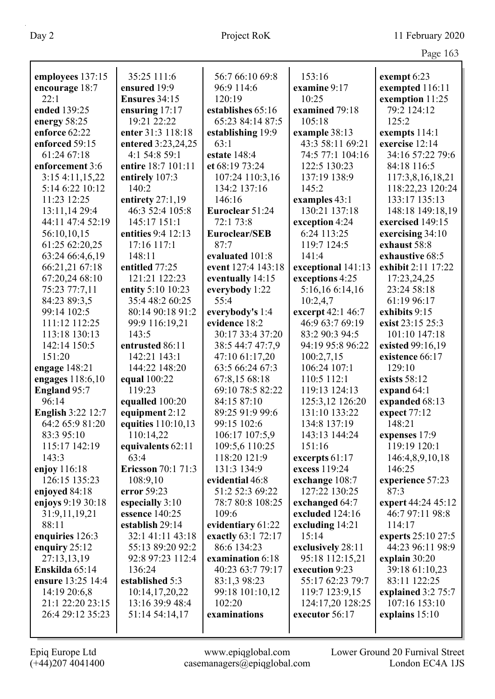|                                         |                                       |                                   |                                  | Page 163                          |
|-----------------------------------------|---------------------------------------|-----------------------------------|----------------------------------|-----------------------------------|
|                                         |                                       |                                   | 153:16                           |                                   |
| employees 137:15                        | 35:25 111:6                           | 56:7 66:10 69:8                   |                                  | exempt 6:23                       |
| encourage 18:7<br>22:1                  | ensured 19:9<br>Ensures 34:15         | 96:9 114:6                        | examine 9:17<br>10:25            | exempted 116:11                   |
|                                         |                                       | 120:19                            |                                  | exemption 11:25<br>79:2 124:12    |
| ended 139:25                            | ensuring $17:17$<br>19:21 22:22       | establishes 65:16                 | examined 79:18<br>105:18         | 125:2                             |
| energy 58:25<br>enforce 62:22           |                                       | 65:23 84:14 87:5                  |                                  |                                   |
|                                         | enter 31:3 118:18                     | establishing 19:9                 | example 38:13                    | exempts 114:1                     |
| enforced 59:15                          | entered 3:23,24,25                    | 63:1                              | 43:3 58:11 69:21                 | exercise 12:14                    |
| 61:24 67:18<br>enforcement 3:6          | 4:1 54:8 59:1<br>entire 18:7 101:11   | estate 148:4                      | 74:5 77:1 104:16<br>122:5 130:23 | 34:16 57:22 79:6                  |
|                                         |                                       | et 68:19 73:24                    |                                  | 84:18 116:5                       |
| 3:154:11,15,22<br>5:14 6:22 10:12       | entirely 107:3<br>140:2               | 107:24 110:3,16<br>134:2 137:16   | 137:19 138:9<br>145:2            | 117:3,8,16,18,21                  |
| 11:23 12:25                             |                                       | 146:16                            |                                  | 118:22,23 120:24<br>133:17 135:13 |
| 13:11,14 29:4                           | entirety $27:1,19$<br>46:3 52:4 105:8 | Euroclear 51:24                   | examples 43:1<br>130:21 137:18   | 148:18 149:18,19                  |
| 44:11 47:4 52:19                        | 145:17 151:1                          | 72:1 73:8                         |                                  | exercised 149:15                  |
|                                         | entities 9:4 12:13                    | <b>Euroclear/SEB</b>              | exception 4:24<br>6:24 113:25    |                                   |
| 56:10,10,15                             |                                       | 87:7                              | 119:7 124:5                      | exercising 34:10                  |
| 61:25 62:20,25<br>63:24 66:4,6,19       | 17:16 117:1<br>148:11                 | evaluated 101:8                   | 141:4                            | exhaust 58:8<br>exhaustive 68:5   |
|                                         | entitled 77:25                        | event 127:4 143:18                | exceptional 141:13               | exhibit 2:11 17:22                |
| 66:21,21 67:18<br>67:20,24 68:10        | 121:21 122:23                         |                                   | exceptions 4:25                  |                                   |
| 75:23 77:7,11                           | entity 5:10 10:23                     | eventually 14:15                  | 5:16,16 6:14,16                  | 17:23,24,25<br>23:24 58:18        |
| 84:23 89:3,5                            | 35:4 48:2 60:25                       | everybody 1:22<br>55:4            | 10:2,4,7                         | 61:19 96:17                       |
| 99:14 102:5                             | 80:14 90:18 91:2                      |                                   | excerpt 42:1 46:7                | exhibits 9:15                     |
| 111:12 112:25                           |                                       | everybody's 1:4<br>evidence 18:2  | 46:9 63:7 69:19                  | exist 23:15 25:3                  |
| 113:18 130:13                           | 99:9 116:19,21<br>143:5               | 30:17 33:4 37:20                  | 83:2 90:3 94:5                   | 101:10 147:18                     |
| 142:14 150:5                            | entrusted 86:11                       |                                   | 94:19 95:8 96:22                 |                                   |
| 151:20                                  |                                       | 38:5 44:7 47:7,9                  |                                  | existed 99:16,19                  |
|                                         | 142:21 143:1<br>144:22 148:20         | 47:10 61:17,20                    | 100:2,7,15                       | existence 66:17<br>129:10         |
| engage 148:21                           |                                       | 63:5 66:24 67:3                   | 106:24 107:1<br>110:5 112:1      | exists 58:12                      |
| engages 118:6,10<br><b>England 95:7</b> | equal 100:22<br>119:23                | 67:8,15 68:18<br>69:10 78:5 82:22 | 119:13 124:13                    |                                   |
| 96:14                                   |                                       | 84:15 87:10                       | 125:3,12 126:20                  | expand 64:1<br>expanded 68:13     |
| <b>English 3:22 12:7</b>                | equalled 100:20<br>equipment 2:12     | 89:25 91:9 99:6                   | 131:10 133:22                    | expect 77:12                      |
| 64:2 65:9 81:20                         |                                       | 99:15 102:6                       | 134:8 137:19                     | 148:21                            |
| 83:3 95:10                              | equities $110:10,13$<br>110:14,22     | 106:17 107:5,9                    | 143:13 144:24                    | expenses 17:9                     |
| 115:17 142:19                           | equivalents 62:11                     | 109:5,6 110:25                    | 151:16                           | 119:19 120:1                      |
| 143:3                                   | 63:4                                  | 118:20 121:9                      | excerpts 61:17                   | 146:4,8,9,10,18                   |
| enjoy $116:18$                          | <b>Ericsson</b> 70:1 71:3             | 131:3 134:9                       | excess 119:24                    | 146:25                            |
| 126:15 135:23                           | 108:9,10                              | evidential 46:8                   | exchange 108:7                   | experience 57:23                  |
| enjoyed 84:18                           | error 59:23                           | 51:2 52:3 69:22                   | 127:22 130:25                    | 87:3                              |
| enjoys 9:19 30:18                       | especially 3:10                       | 78:7 80:8 108:25                  | exchanged 64:7                   | expert 44:24 45:12                |
| 31:9,11,19,21                           | essence 140:25                        | 109:6                             | excluded 124:16                  | 46:7 97:11 98:8                   |
| 88:11                                   | establish 29:14                       | evidentiary 61:22                 | excluding $14:21$                | 114:17                            |
| enquiries 126:3                         | 32:1 41:11 43:18                      | exactly 63:1 72:17                | 15:14                            | experts 25:10 27:5                |
| enquiry $25:12$                         | 55:13 89:20 92:2                      | 86:6 134:23                       | exclusively 28:11                | 44:23 96:11 98:9                  |
| 27:13,13,19                             | 92:8 97:23 112:4                      | examination 6:18                  | 95:18 112:15,21                  | explain 30:20                     |
| Enskilda 65:14                          | 136:24                                | 40:23 63:7 79:17                  | execution 9:23                   | 39:18 61:10,23                    |
| ensure 13:25 14:4                       | established 5:3                       | 83:1,3 98:23                      | 55:17 62:23 79:7                 | 83:11 122:25                      |
| 14:19 20:6,8                            | 10:14,17,20,22                        | 99:18 101:10,12                   | 119:7 123:9,15                   | explained $3:275:7$               |
| 21:1 22:20 23:15                        | 13:16 39:9 48:4                       | 102:20                            | 124:17,20 128:25                 | 107:16 153:10                     |
| 26:4 29:12 35:23                        | 51:14 54:14,17                        | examinations                      | executor 56:17                   | explains 15:10                    |
|                                         |                                       |                                   |                                  |                                   |
|                                         |                                       |                                   |                                  |                                   |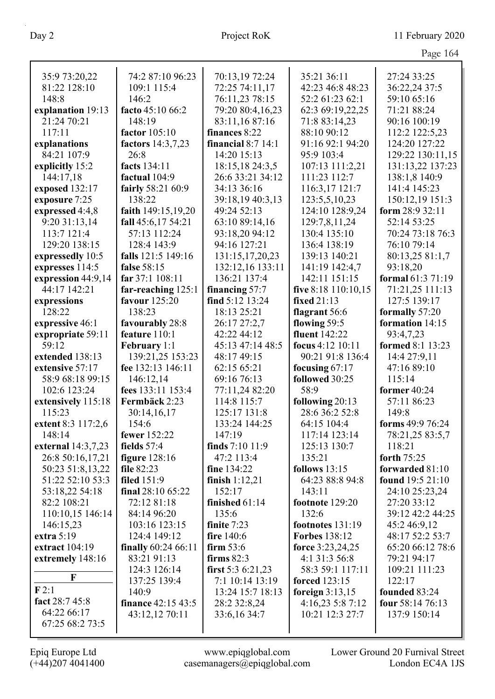|                            |                                  |                             |                                      | Page 164                      |
|----------------------------|----------------------------------|-----------------------------|--------------------------------------|-------------------------------|
| 35:9 73:20,22              | 74:2 87:10 96:23                 | 70:13,19 72:24              | 35:21 36:11                          | 27:24 33:25                   |
| 81:22 128:10               | 109:1 115:4                      | 72:25 74:11,17              | 42:23 46:8 48:23                     | 36:22,24 37:5                 |
| 148:8                      | 146:2                            | 76:11,23 78:15              | 52:2 61:23 62:1                      | 59:10 65:16                   |
| explanation 19:13          | facto 45:10 66:2                 | 79:20 80:4,16,23            | 62:3 69:19,22,25                     | 71:21 88:24                   |
| 21:24 70:21                | 148:19                           | 83:11,16 87:16              | 71:8 83:14,23                        | 90:16 100:19                  |
| 117:11                     | factor 105:10                    | finances 8:22               | 88:10 90:12                          | 112:2 122:5,23                |
| explanations               | factors 14:3,7,23                | financial $8:7$ 14:1        | 91:16 92:1 94:20                     | 124:20 127:22                 |
| 84:21 107:9                | 26:8                             | 14:20 15:13                 | 95:9 103:4                           | 129:22 130:11,15              |
| explicitly 15:2            | facts 134:11                     | 18:15,18 24:3,5             | 107:13 111:2,21                      | 131:13,22 137:23              |
| 144:17,18                  | factual 104:9                    | 26:6 33:21 34:12            | 111:23 112:7                         | 138:1,8 140:9                 |
| exposed 132:17             | fairly 58:21 60:9                | 34:13 36:16                 | 116:3,17 121:7                       | 141:4 145:23                  |
| exposure 7:25              | 138:22                           | 39:18,19 40:3,13            | 123:5,5,10,23                        | 150:12,19 151:3               |
| expressed 4:4,8            | faith 149:15,19,20               | 49:24 52:13                 | 124:10 128:9,24                      | form $28:932:11$              |
| 9:20 31:13,14              | fall 45:6,17 54:21               | 63:10 89:14,16              | 129:7,8,11,24                        | 52:14 53:25                   |
| 113:7 121:4                | 57:13 112:24                     | 93:18,20 94:12              | 130:4 135:10                         | 70:24 73:18 76:3              |
| 129:20 138:15              | 128:4 143:9                      | 94:16 127:21                | 136:4 138:19                         | 76:10 79:14                   |
| expressedly 10:5           | falls 121:5 149:16               | 131:15,17,20,23             | 139:13 140:21                        | 80:13,25 81:1,7               |
| expresses 114:5            | false 58:15                      | 132:12,16 133:11            | 141:19 142:4,7                       | 93:18,20                      |
| expression 44:9,14         | far 37:1 108:11                  | 136:21 137:4                | 142:11 151:15                        | formal 61:3 71:19             |
| 44:17 142:21               | far-reaching 125:1               | financing $57:7$            | five $8:18$ 110:10,15                | 71:21,25 111:13               |
| expressions                | favour 125:20                    | find $5:12$ 13:24           | <b>fixed</b> 21:13                   | 127:5 139:17                  |
| 128:22                     | 138:23                           | 18:13 25:21                 | flagrant 56:6                        | formally 57:20                |
| expressive 46:1            | favourably 28:8<br>feature 110:1 | 26:17 27:2,7<br>42:22 44:12 | flowing 59:5<br><b>fluent</b> 142:22 | formation 14:15               |
| expropriate 59:11<br>59:12 | <b>February</b> 1:1              | 45:13 47:14 48:5            | focus 4:12 10:11                     | 93:4,7,23<br>formed 8:1 13:23 |
| extended 138:13            | 139:21,25 153:23                 | 48:17 49:15                 | 90:21 91:8 136:4                     | 14:4 27:9,11                  |
| extensive 57:17            | fee 132:13 146:11                | 62:15 65:21                 | focusing $67:17$                     | 47:16 89:10                   |
| 58:9 68:18 99:15           | 146:12,14                        | 69:16 76:13                 | followed 30:25                       | 115:14                        |
| 102:6 123:24               | fees 133:11 153:4                | 77:11,24 82:20              | 58:9                                 | former 40:24                  |
| extensively 115:18         | Fermbäck 2:23                    | 114:8 115:7                 | following 20:13                      | 57:11 86:23                   |
| 115:23                     | 30:14,16,17                      | 125:17 131:8                | 28:6 36:2 52:8                       | 149:8                         |
| extent 8:3 117:2,6         | 154:6                            | 133:24 144:25               | 64:15 104:4                          | forms 49:9 76:24              |
| 148:14                     | fewer 152:22                     | 147:19                      | 117:14 123:14                        | 78:21,25 83:5,7               |
| external 14:3,7,23         | fields $57:4$                    | finds 7:10 11:9             | 125:13 130:7                         | 118:21                        |
| 26:8 50:16,17,21           | figure $128:16$                  | 47:2 113:4                  | 135:21                               | forth 75:25                   |
| 50:23 51:8,13,22           | file 82:23                       | fine 134:22                 | follows $13:15$                      | forwarded 81:10               |
| 51:22 52:10 53:3           | <b>filed</b> 151:9               | finish $1:12,21$            | 64:23 88:8 94:8                      | found 19:5 21:10              |
| 53:18,22 54:18             | final 28:10 65:22                | 152:17                      | 143:11                               | 24:10 25:23,24                |
| 82:2 108:21                | 72:12 81:18                      | finished $61:14$            | footnote 129:20                      | 27:20 33:12                   |
| 110:10,15 146:14           | 84:14 96:20                      | 135:6                       | 132:6                                | 39:12 42:2 44:25              |
| 146:15,23                  | 103:16 123:15                    | finite 7:23                 | footnotes 131:19                     | 45:2 46:9,12                  |
| extra 5:19                 | 124:4 149:12                     | fire 140:6                  | <b>Forbes</b> 138:12                 | 48:17 52:2 53:7               |
| extract 104:19             | finally 60:24 66:11              | firm $53:6$                 | force 3:23,24,25                     | 65:20 66:12 78:6              |
| extremely 148:16           | 83:21 91:13                      | firms $82:3$                | 4:1 31:3 56:8                        | 79:21 94:17                   |
|                            | 124:3 126:14                     | first 5:3 6:21,23           | 58:3 59:1 117:11                     | 109:21 111:23                 |
| $\mathbf{F}$               | 137:25 139:4                     | 7:1 10:14 13:19             | <b>forced</b> 123:15                 | 122:17                        |
| F2:1                       | 140:9                            | 13:24 15:7 18:13            | foreign $3:13,15$                    | founded 83:24                 |
| fact 28:7 45:8             | <b>finance</b> 42:15 43:5        | 28:2 32:8,24                | 4:16,235:87:12                       | four 58:14 76:13              |
| 64:22 66:17                | 43:12,12 70:11                   | 33:6, 16 34:7               | 10:21 12:3 27:7                      | 137:9 150:14                  |
| 67:25 68:2 73:5            |                                  |                             |                                      |                               |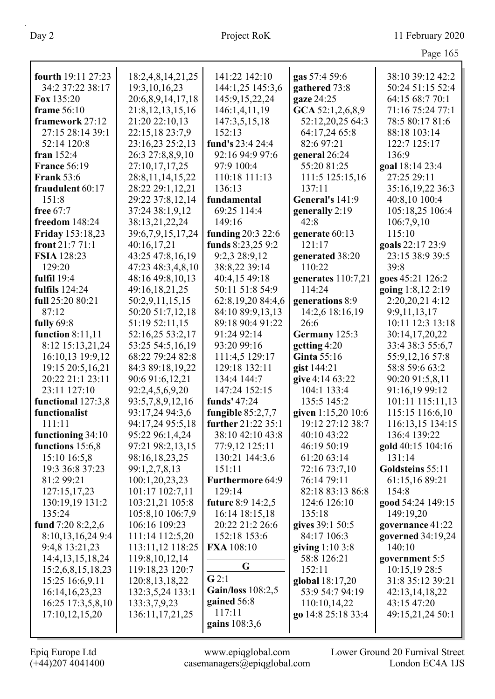|                                     |                                     |                                     |                                    | Page 165                            |
|-------------------------------------|-------------------------------------|-------------------------------------|------------------------------------|-------------------------------------|
| fourth 19:11 27:23                  | 18:2,4,8,14,21,25                   | 141:22 142:10                       | gas 57:4 59:6                      | 38:10 39:12 42:2                    |
| 34:2 37:22 38:17                    | 19:3, 10, 16, 23                    | 144:1,25 145:3,6                    | gathered 73:8                      | 50:24 51:15 52:4                    |
| Fox 135:20                          | 20:6,8,9,14,17,18                   | 145:9,15,22,24                      | gaze 24:25                         | 64:15 68:7 70:1                     |
| frame $56:10$                       | 21:8, 12, 13, 15, 16                | 146:1,4,11,19                       | GCA 52:1,2,6,8,9                   | 71:16 75:24 77:1                    |
| framework 27:12                     | 21:20 22:10,13                      | 147:3,5,15,18                       | 52:12,20,25 64:3                   | 78:5 80:17 81:6                     |
| 27:15 28:14 39:1                    | 22:15,18 23:7,9                     | 152:13                              | 64:17,24 65:8                      | 88:18 103:14                        |
| 52:14 120:8                         | 23:16,23 25:2,13                    | fund's 23:4 24:4                    | 82:6 97:21                         | 122:7 125:17                        |
| fran $152:4$                        | 26:3 27:8,8,9,10                    | 92:16 94:9 97:6                     | general 26:24                      | 136:9                               |
| <b>France 56:19</b>                 | 27:10,17,17,25                      | 97:9 100:4                          | 55:20 81:25                        | goal 18:14 23:4                     |
| <b>Frank 53:6</b>                   | 28:8, 11, 14, 15, 22                | 110:18 111:13                       | 111:5 125:15,16                    | 27:25 29:11                         |
| fraudulent 60:17                    | 28:22 29:1,12,21                    | 136:13                              | 137:11                             | 35:16,19,22 36:3                    |
| 151:8                               | 29:22 37:8,12,14                    | fundamental                         | General's 141:9                    | 40:8,10 100:4                       |
| free 67:7                           | 37:24 38:1,9,12                     | 69:25 114:4                         | generally 2:19                     | 105:18,25 106:4                     |
| freedom 148:24                      | 38:13,21,22,24                      | 149:16                              | 42:8                               | 106:7,9,10                          |
| <b>Friday</b> 153:18,23             | 39:6,7,9,15,17,24                   | funding 20:3 22:6                   | generate 60:13                     | 115:10                              |
| front 21:7 71:1                     | 40:16,17,21                         | funds 8:23,25 9:2                   | 121:17                             | goals 22:17 23:9                    |
| <b>FSIA</b> 128:23                  | 43:25 47:8,16,19                    | 9:2,3 28:9,12                       | generated 38:20                    | 23:15 38:9 39:5                     |
| 129:20                              | 47:23 48:3,4,8,10                   | 38:8,22 39:14                       | 110:22                             | 39:8                                |
| fulfil $19:4$                       | 48:16 49:8,10,13                    | 40:4,15 49:18                       | generates 110:7,21                 | goes 45:21 126:2                    |
| <b>fulfils</b> 124:24               | 49:16,18,21,25                      | 50:11 51:8 54:9                     | 114:24                             | going 1:8,12 2:19                   |
| full 25:20 80:21                    | 50:2,9,11,15,15                     | 62:8,19,20 84:4,6                   | generations 8:9                    | 2:20,20,21 4:12                     |
| 87:12                               | 50:20 51:7,12,18                    | 84:10 89:9,13,13                    | 14:2,6 18:16,19                    | 9:9,11,13,17                        |
| fully $69:8$                        | 51:19 52:11,15                      | 89:18 90:4 91:22                    | 26:6                               | 10:11 12:3 13:18                    |
| function $8:11,11$                  | 52:16,25 53:2,17                    | 91:24 92:14                         | Germany 125:3                      | 30:14,17,20,22                      |
| 8:12 15:13,21,24                    | 53:25 54:5,16,19                    | 93:20 99:16                         | getting 4:20                       | 33:4 38:3 55:6,7                    |
| 16:10,13 19:9,12                    | 68:22 79:24 82:8                    | 111:4,5 129:17                      | <b>Ginta 55:16</b>                 | 55:9,12,16 57:8                     |
| 19:15 20:5,16,21                    | 84:3 89:18,19,22                    | 129:18 132:11                       | gist 144:21                        | 58:8 59:6 63:2                      |
| 20:22 21:1 23:11                    | 90:6 91:6,12,21                     | 134:4 144:7                         | give 4:14 63:22                    | 90:20 91:5,8,11                     |
| 23:11 127:10                        | 92:2,4,5,6,9,20                     | 147:24 152:15                       | 104:1 133:4                        | 91:16,19 99:12                      |
| functional 127:3,8<br>functionalist | 93:5,7,8,9,12,16<br>93:17,24 94:3,6 | funds' 47:24<br>fungible $85:2,7,7$ | 135:5 145:2<br>given $1:15,2010:6$ | 101:11 115:11,13<br>115:15 116:6,10 |
| 111:11                              | 94:17,24 95:5,18                    | further 21:22 35:1                  | 19:12 27:12 38:7                   | 116:13,15 134:15                    |
| functioning 34:10                   | 95:22 96:1,4,24                     | 38:10 42:10 43:8                    | 40:10 43:22                        | 136:4 139:22                        |
| functions 15:6,8                    | 97:21 98:2,13,15                    | 77:9,12 125:11                      | 46:19 50:19                        | gold 40:15 104:16                   |
| 15:10 16:5,8                        | 98:16,18,23,25                      | 130:21 144:3,6                      | 61:20 63:14                        | 131:14                              |
| 19:3 36:8 37:23                     | 99:1,2,7,8,13                       | 151:11                              | 72:16 73:7,10                      | Goldsteins 55:11                    |
| 81:2 99:21                          | 100:1,20,23,23                      | <b>Furthermore 64:9</b>             | 76:14 79:11                        | 61:15,16 89:21                      |
| 127:15,17,23                        | 101:17 102:7,11                     | 129:14                              | 82:18 83:13 86:8                   | 154:8                               |
| 130:19,19 131:2                     | 103:21,21 105:8                     | <b>future</b> 8:9 14:2,5            | 124:6 126:10                       | good 54:24 149:15                   |
| 135:24                              | 105:8,10 106:7,9                    | 16:14 18:15,18                      | 135:18                             | 149:19,20                           |
| fund $7:208:2,2,6$                  | 106:16 109:23                       | 20:22 21:2 26:6                     | gives 39:1 50:5                    | governance 41:22                    |
| 8:10,13,16,24 9:4                   | 111:14 112:5,20                     | 152:18 153:6                        | 84:17 106:3                        | governed 34:19,24                   |
| 9:4,8 13:21,23                      | 113:11,12 118:25                    | FXA 108:10                          | giving $1:103:8$                   | 140:10                              |
| 14:4, 13, 15, 18, 24                | 119:8, 10, 12, 14                   |                                     | 58:8 126:21                        | government 5:5                      |
| 15:2,6,8,15,18,23                   | 119:18,23 120:7                     | G                                   | 152:11                             | 10:15,19 28:5                       |
| 15:25 16:6,9,11                     | 120:8, 13, 18, 22                   | G2:1                                | global 18:17,20                    | 31:8 35:12 39:21                    |
| 16:14, 16, 23, 23                   | 132:3,5,24 133:1                    | <b>Gain/loss</b> 108:2,5            | 53:9 54:7 94:19                    | 42:13,14,18,22                      |
| 16:25 17:3,5,8,10                   | 133:3,7,9,23                        | gained 56:8                         | 110:10,14,22                       | 43:15 47:20                         |
| 17:10,12,15,20                      | 136:11,17,21,25                     | 117:11                              | go 14:8 25:18 33:4                 | 49:15,21,24 50:1                    |
|                                     |                                     | gains 108:3,6                       |                                    |                                     |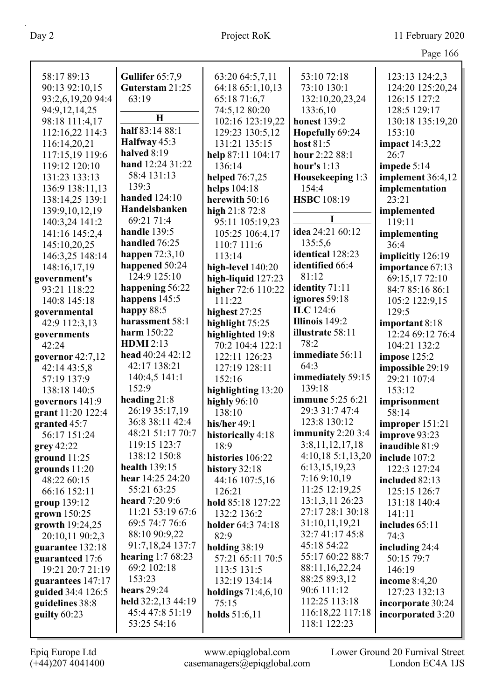| Page 166 |  |
|----------|--|
|          |  |

| 58:17 89:13                      | Gullifer 65:7,9       | 63:20 64:5,7,11                      | 53:10 72:18                    | 123:13 124:2,3                  |
|----------------------------------|-----------------------|--------------------------------------|--------------------------------|---------------------------------|
| 90:13 92:10,15                   | Guterstam 21:25       | 64:18 65:1,10,13                     | 73:10 130:1                    | 124:20 125:20,24                |
| 93:2,6,19,20 94:4                | 63:19                 | 65:18 71:6,7                         | 132:10,20,23,24                | 126:15 127:2                    |
| 94:9,12,14,25                    |                       | 74:5,12 80:20                        | 133:6,10                       | 128:5 129:17                    |
| 98:18 111:4,17                   | H                     | 102:16 123:19,22                     | <b>honest</b> 139:2            | 130:18 135:19,20                |
| 112:16,22 114:3                  | half 83:14 88:1       | 129:23 130:5,12                      |                                | 153:10                          |
| 116:14,20,21                     | Halfway 45:3          | 131:21 135:15                        | Hopefully 69:24<br>host $81:5$ |                                 |
| 117:15,19 119:6                  | halved 8:19           | help 87:11 104:17                    | hour 2:22 88:1                 | <b>impact</b> 14:3,22<br>26:7   |
| 119:12 120:10                    | hand 12:24 31:22      | 136:14                               | hour's $1:13$                  |                                 |
| 131:23 133:13                    | 58:4 131:13           | helped 76:7,25                       |                                | impede 5:14                     |
| 136:9 138:11,13                  | 139:3                 | helps 104:18                         | Housekeeping 1:3<br>154:4      | implement 36:4,12               |
| 138:14,25 139:1                  | <b>handed</b> 124:10  | herewith 50:16                       | <b>HSBC</b> 108:19             | implementation<br>23:21         |
|                                  | Handelsbanken         |                                      |                                |                                 |
| 139:9, 10, 12, 19                | 69:21 71:4            | high 21:8 72:8                       | I                              | implemented<br>119:11           |
| 140:3,24 141:2<br>141:16 145:2,4 | handle 139:5          | 95:11 105:19,23                      | idea 24:21 60:12               |                                 |
|                                  | handled 76:25         | 105:25 106:4,17                      | 135:5,6                        | implementing<br>36:4            |
| 145:10,20,25                     | happen $72:3,10$      | 110:7 111:6                          | identical 128:23               |                                 |
| 146:3,25 148:14                  | happened 50:24        | 113:14                               | identified 66:4                | implicitly 126:19               |
| 148:16,17,19                     | 124:9 125:10          | high-level 140:20                    | 81:12                          | importance 67:13                |
| government's                     | happening 56:22       | high-liquid $127:23$                 | identity 71:11                 | 69:15,17 72:10                  |
| 93:21 118:22                     | happens 145:5         | higher 72:6 110:22<br>111:22         | ignores 59:18                  | 84:7 85:16 86:1                 |
| 140:8 145:18                     | happy 88:5            |                                      | ILC 124:6                      | 105:2 122:9,15                  |
| governmental                     | harassment 58:1       | highest 27:25                        | Illinois 149:2                 | 129:5                           |
| 42:9 112:3,13                    | harm 150:22           | highlight 75:25                      | illustrate 58:11               | important 8:18                  |
| governments                      | <b>HDMI</b> 2:13      | highlighted 19:8                     | 78:2                           | 12:24 69:12 76:4                |
| 42:24                            | head 40:24 42:12      | 70:2 104:4 122:1                     | immediate 56:11                | 104:21 132:2                    |
| governor $42:7,12$               | 42:17 138:21          | 122:11 126:23                        | 64:3                           | impose 125:2                    |
| 42:14 43:5,8                     | 140:4,5 141:1         | 127:19 128:11<br>152:16              | immediately 59:15              | impossible 29:19<br>29:21 107:4 |
| 57:19 137:9<br>138:18 140:5      | 152:9                 |                                      | 139:18                         | 153:12                          |
| governors 141:9                  | heading 21:8          | highlighting 13:20<br>highly $96:10$ | <b>immune</b> 5:25 6:21        |                                 |
| grant 11:20 122:4                | 26:19 35:17,19        | 138:10                               | 29:3 31:7 47:4                 | imprisonment<br>58:14           |
| granted 45:7                     | 36:8 38:11 42:4       | his/her 49:1                         | 123:8 130:12                   | improper $151:21$               |
| 56:17 151:24                     | 48:21 51:17 70:7      |                                      | immunity $2:203:4$             |                                 |
| grey 42:22                       | 119:15 123:7          | historically 4:18<br>18:9            | 3:8,11,12,17,18                | improve 93:23<br>inaudible 81:9 |
| ground $11:25$                   | 138:12 150:8          | histories 106:22                     | 4:10,185:1,13,20               | include 107:2                   |
| grounds $11:20$                  | health $139:15$       | history 32:18                        | 6:13,15,19,23                  | 122:3 127:24                    |
| 48:22 60:15                      | hear 14:25 24:20      | 44:16 107:5,16                       | 7:16 9:10,19                   | included 82:13                  |
| 66:16 152:11                     | 55:21 63:25           | 126:21                               | 11:25 12:19,25                 | 125:15 126:7                    |
| group 139:12                     | <b>heard</b> 7:20 9:6 | hold 85:18 127:22                    | 13:1,3,11 26:23                | 131:18 140:4                    |
| grown 150:25                     | 11:21 53:19 67:6      | 132:2 136:2                          | 27:17 28:1 30:18               | 141:11                          |
| growth 19:24,25                  | 69:5 74:7 76:6        | holder 64:3 74:18                    | 31:10,11,19,21                 | includes 65:11                  |
| 20:10,11 90:2,3                  | 88:10 90:9,22         | 82:9                                 | 32:7 41:17 45:8                | 74:3                            |
| guarantee 132:18                 | 91:7,18,24 137:7      | holding 38:19                        | 45:18 54:22                    | including 24:4                  |
| guaranteed 17:6                  | hearing $1:768:23$    | 57:21 65:11 70:5                     | 55:17 60:22 88:7               | 50:15 79:7                      |
| 19:21 20:7 21:19                 | 69:2 102:18           | 113:5 131:5                          | 88:11,16,22,24                 | 146:19                          |
| guarantees 147:17                | 153:23                | 132:19 134:14                        | 88:25 89:3,12                  | income $8:4,20$                 |
| guided 34:4 126:5                | hears $29:24$         | holdings $71:4,6,10$                 | 90:6 111:12                    | 127:23 132:13                   |
| guidelines 38:8                  | held 32:2,13 44:19    | 75:15                                | 112:25 113:18                  | incorporate 30:24               |
| guilty $60:23$                   | 45:4 47:8 51:19       | holds $51:6,11$                      | 116:18,22 117:18               | incorporated 3:20               |
|                                  | 53:25 54:16           |                                      | 118:1 122:23                   |                                 |
|                                  |                       |                                      |                                |                                 |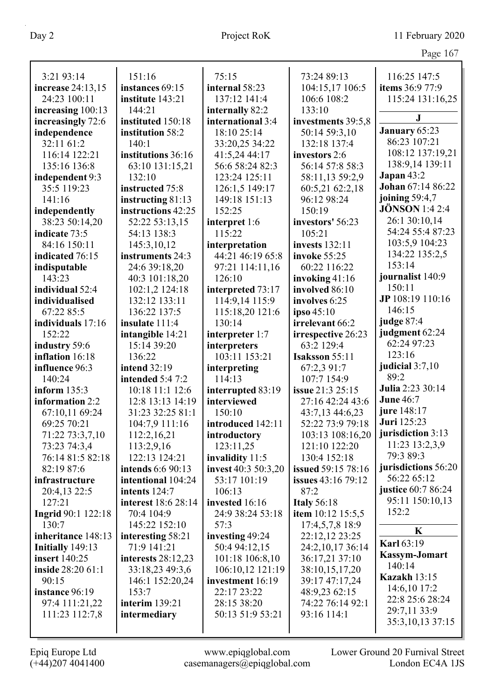|                                    |                                      |                          |                                   | O                        |
|------------------------------------|--------------------------------------|--------------------------|-----------------------------------|--------------------------|
| 3:21 93:14                         | 151:16                               | 75:15                    | 73:24 89:13                       | 116:25 147:5             |
| increase 24:13,15                  | instances 69:15                      | internal 58:23           | 104:15,17 106:5                   | items 36:9 77:9          |
| 24:23 100:11                       | institute 143:21                     | 137:12 141:4             | 106:6 108:2                       | 115:24 131:16,25         |
| increasing 100:13                  | 144:21                               | internally 82:2          | 133:10                            |                          |
| increasingly 72:6                  | instituted 150:18                    | international 3:4        | investments 39:5,8                | J                        |
| independence                       | institution 58:2                     | 18:10 25:14              | 50:14 59:3,10                     | January 65:23            |
| 32:11 61:2                         | 140:1                                | 33:20,25 34:22           | 132:18 137:4                      | 86:23 107:21             |
| 116:14 122:21                      | institutions 36:16                   | 41:5,24 44:17            | investors 2:6                     | 108:12 137:19,21         |
| 135:16 136:8                       | 63:10 131:15,21                      | 56:6 58:24 82:3          | 56:14 57:8 58:3                   | 138:9,14 139:11          |
| independent 9:3                    | 132:10                               | 123:24 125:11            | 58:11,13 59:2,9                   | Japan $43:2$             |
| 35:5 119:23                        | instructed 75:8                      | 126:1,5 149:17           | 60:5,21 62:2,18                   | <b>Johan</b> 67:14 86:22 |
| 141:16                             | instructing $81:13$                  | 149:18 151:13            | 96:12 98:24                       | joining $59:4,7$         |
| independently                      | instructions 42:25                   | 152:25                   | 150:19                            | <b>JÖNSON</b> 1:4 2:4    |
| 38:23 50:14,20                     | 52:22 53:13,15                       | interpret 1:6            | investors' 56:23                  | 26:1 30:10,14            |
| indicate 73:5                      | 54:13 138:3                          | 115:22                   | 105:21                            | 54:24 55:4 87:23         |
| 84:16 150:11                       | 145:3,10,12                          | interpretation           | invests $132:11$                  | 103:5,9 104:23           |
| indicated 76:15                    | instruments 24:3                     | 44:21 46:19 65:8         | invoke 55:25                      | 134:22 135:2,5           |
| indisputable                       | 24:6 39:18,20                        | 97:21 114:11,16          | 60:22 116:22                      | 153:14                   |
| 143:23                             | 40:3 101:18,20                       | 126:10                   | invoking 41:16                    | journalist 140:9         |
| individual 52:4                    | 102:1,2 124:18                       | interpreted 73:17        | involved 86:10                    | 150:11                   |
| individualised                     | 132:12 133:11                        | 114:9,14 115:9           | involves 6:25                     | JP 108:19 110:16         |
| 67:22 85:5                         | 136:22 137:5                         | 115:18,20 121:6          | ipso $45:10$                      | 146:15                   |
| individuals 17:16                  | insulate 111:4                       | 130:14                   | irrelevant 66:2                   | judge 87:4               |
| 152:22                             | intangible 14:21                     | interpreter 1:7          | irrespective 26:23                | judgment 62:24           |
| industry 59:6                      | 15:14 39:20                          | interpreters             | 63:2 129:4                        | 62:24 97:23              |
| inflation 16:18                    | 136:22                               | 103:11 153:21            | <b>Isaksson</b> 55:11             | 123:16                   |
| influence 96:3                     | <b>intend</b> 32:19                  | interpreting             | 67:2,3 91:7                       | judicial $3:7,10$        |
| 140:24                             | intended 5:4 7:2                     | 114:13                   | 107:7 154:9                       | 89:2<br>Julia 2:23 30:14 |
| inform $135:3$                     | 10:18 11:1 12:6                      | interrupted 83:19        | issue 21:3 25:15                  | <b>June 46:7</b>         |
| information 2:2                    | 12:8 13:13 14:19                     | interviewed              | 27:16 42:24 43:6                  | jure 148:17              |
| 67:10,11 69:24                     | 31:23 32:25 81:1                     | 150:10                   | 43:7,13 44:6,23                   | Juri 125:23              |
| 69:25 70:21                        | 104:7,9 111:16                       | introduced 142:11        | 52:22 73:9 79:18                  | jurisdiction 3:13        |
| 71:22 73:3,7,10                    | 112:2,16,21                          | introductory             | 103:13 108:16,20                  | 11:23 13:2,3,9           |
| 73:23 74:3,4                       | 113:2,9,16                           | 123:11,25                | 121:10 122:20                     | 79:3 89:3                |
| 76:14 81:5 82:18                   | 122:13 124:21                        | invalidity 11:5          | 130:4 152:18                      | jurisdictions 56:20      |
| 82:19 87:6                         | intends 6:6 90:13                    | invest 40:3 50:3,20      | issued 59:15 78:16                | 56:22 65:12              |
| infrastructure                     | intentional 104:24                   | 53:17 101:19             | <b>issues</b> 43:16 79:12         | justice 60:7 86:24       |
| 20:4,13 22:5                       | intents 124:7<br>interest 18:6 28:14 | 106:13<br>invested 16:16 | 87:2                              | 95:11 150:10,13          |
| 127:21                             |                                      |                          | <b>Italy 56:18</b>                | 152:2                    |
| <b>Ingrid</b> 90:1 122:18<br>130:7 | 70:4 104:9                           | 24:9 38:24 53:18         | item 10:12 15:5,5                 |                          |
| inheritance 148:13                 | 145:22 152:10                        | 57:3<br>investing 49:24  | 17:4,5,7,8 18:9<br>22:12,12 23:25 | K                        |
| Initially 149:13                   | interesting 58:21<br>71:9 141:21     | 50:4 94:12,15            | 24:2,10,17 36:14                  | <b>Karl 63:19</b>        |
| <b>insert</b> 140:25               | interests $28:12,23$                 | 101:18 106:8,10          | 36:17,21 37:10                    | <b>Kassym-Jomart</b>     |
| inside 28:20 61:1                  | 33:18,23 49:3,6                      | 106:10,12 121:19         | 38:10,15,17,20                    | 140:14                   |
| 90:15                              | 146:1 152:20,24                      | investment 16:19         | 39:17 47:17,24                    | <b>Kazakh 13:15</b>      |
| instance 96:19                     | 153:7                                | 22:17 23:22              | 48:9,23 62:15                     | 14:6,10 17:2             |
| 97:4 111:21,22                     | <b>interim</b> 139:21                | 28:15 38:20              | 74:22 76:14 92:1                  | 22:8 25:6 28:24          |
| 111:23 112:7,8                     | intermediary                         | 50:13 51:9 53:21         | 93:16 114:1                       | 29:7,11 33:9             |
|                                    |                                      |                          |                                   | 35:3, 10, 13 37:15       |
|                                    |                                      |                          |                                   |                          |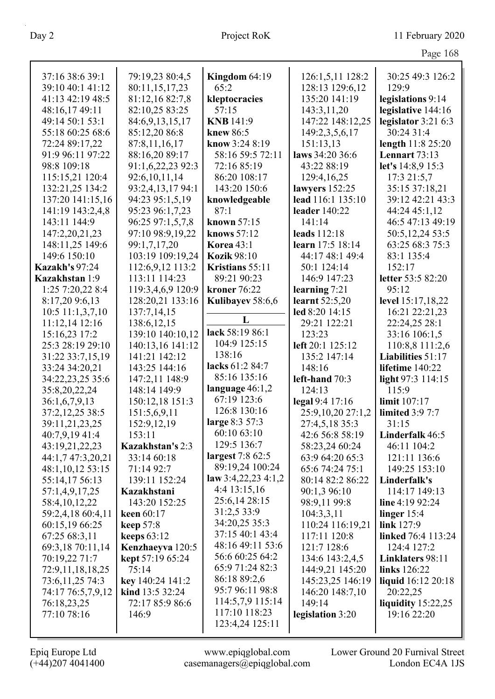$P<sub>2009</sub> 168$ 

|                                 |                                   |                                     |                             | 1 agu 100                        |
|---------------------------------|-----------------------------------|-------------------------------------|-----------------------------|----------------------------------|
| 37:16 38:6 39:1                 | 79:19,23 80:4,5                   | Kingdom $64:19$                     | 126:1,5,11 128:2            | 30:25 49:3 126:2                 |
| 39:10 40:1 41:12                | 80:11,15,17,23                    | 65:2                                | 128:13 129:6,12             | 129:9                            |
| 41:13 42:19 48:5                | 81:12,16 82:7,8                   | kleptocracies                       | 135:20 141:19               | legislations 9:14                |
| 48:16,17 49:11                  | 82:10,25 83:25                    | 57:15                               | 143:3,11,20                 | legislative 144:16               |
| 49:14 50:1 53:1                 | 84:6,9,13,15,17                   | <b>KNB</b> 141:9                    | 147:22 148:12,25            | legislator $3:216:3$             |
| 55:18 60:25 68:6                | 85:12,20 86:8                     | knew 86:5                           | 149:2,3,5,6,17              | 30:24 31:4                       |
| 72:24 89:17,22                  | 87:8,11,16,17                     | know 3:24 8:19                      | 151:13,13                   | length 11:8 25:20                |
| 91:9 96:11 97:22                | 88:16,20 89:17                    | 58:16 59:5 72:11                    | laws 34:20 36:6             | Lennart $73:13$                  |
| 98:8 109:18                     | 91:1,6,22,23 92:3                 | 72:16 85:19                         | 43:22 88:19                 | let's 14:8,9 15:3                |
| 115:15,21 120:4                 | 92:6,10,11,14                     | 86:20 108:17                        | 129:4,16,25                 | 17:3 21:5,7                      |
| 132:21,25 134:2                 | 93:2,4,13,17 94:1                 | 143:20 150:6                        | lawyers $152:25$            | 35:15 37:18,21                   |
| 137:20 141:15,16                | 94:23 95:1,5,19                   | knowledgeable                       | lead 116:1 135:10           | 39:12 42:21 43:3                 |
| 141:19 143:2,4,8                | 95:23 96:1,7,23                   | 87:1                                | leader 140:22               | 44:24 45:1,12                    |
| 143:11 144:9                    | 96:25 97:1,5,7,8                  | known 57:15                         | 141:14                      | 46:5 47:13 49:19                 |
| 147:2,20,21,23                  | 97:10 98:9,19,22                  | knows 57:12                         | leads 112:18                | 50:5, 12, 24 53:5                |
| 148:11,25 149:6                 | 99:1,7,17,20                      | <b>Korea</b> 43:1                   | learn 17:5 18:14            | 63:25 68:3 75:3                  |
| 149:6 150:10                    | 103:19 109:19,24                  | <b>Kozik 98:10</b>                  | 44:17 48:1 49:4             | 83:1 135:4                       |
| <b>Kazakh's 97:24</b>           | 112:6,9,12 113:2                  | Kristians 55:11                     | 50:1 124:14                 | 152:17                           |
| Kazakhstan 1:9                  | 113:11 114:23                     | 89:21 90:23                         | 146:9 147:23                | letter 53:5 82:20                |
| 1:25 7:20,22 8:4                | 119:3,4,6,9 120:9                 | <b>kroner</b> 76:22                 | learning $7:21$             | 95:12                            |
| 8:17,20 9:6,13                  | 128:20,21 133:16                  | Kulibayev 58:6,6                    | <b>learnt</b> 52:5,20       | level 15:17,18,22                |
| 10:5 11:1,3,7,10                | 137:7,14,15                       |                                     | led 8:20 14:15              | 16:21 22:21,23                   |
| 11:12,14 12:16                  | 138:6, 12, 15                     | L                                   | 29:21 122:21                | 22:24,25 28:1                    |
| 15:16,23 17:2                   | 139:10 140:10,12                  | lack 58:19 86:1                     | 123:23                      | 33:16 106:1,5                    |
| 25:3 28:19 29:10                | 140:13,16 141:12                  | 104:9 125:15                        | left 20:1 125:12            | 110:8,8 111:2,6                  |
| 31:22 33:7,15,19                | 141:21 142:12                     | 138:16                              | 135:2 147:14                | Liabilities 51:17                |
| 33:24 34:20,21                  | 143:25 144:16                     | lacks 61:2 84:7                     | 148:16                      | lifetime 140:22                  |
| 34:22,23,25 35:6                | 147:2,11 148:9                    | 85:16 135:16                        | left-hand 70:3              | light 97:3 114:15                |
| 35:8,20,22,24                   | 148:14 149:9                      | language $46:1,2$                   | 124:13                      | 115:9                            |
| 36:1,6,7,9,13                   | 150:12,18 151:3                   | 67:19 123:6                         | legal 9:4 17:16             | limit 107:17                     |
| 37:2,12,25 38:5                 | 151:5,6,9,11                      | 126:8 130:16                        | 25:9,10,20 27:1,2           | <b>limited</b> 3:9 7:7           |
| 39:11,21,23,25                  | 152:9,12,19                       | large 8:3 57:3                      | 27:4,5,18 35:3              | 31:15                            |
| 40:7,9,19 41:4                  | 153:11                            | 60:10 63:10                         | 42:6 56:8 58:19             | Linderfalk 46:5                  |
| 43:19,21,22,23                  | Kazakhstan's 2:3                  | 129:5 136:7                         | 58:23,24 60:24              | 46:11 104:2                      |
| 44:1,7 47:3,20,21               | 33:14 60:18                       | largest 7:8 62:5<br>89:19,24 100:24 | 63:9 64:20 65:3             | 121:11 136:6                     |
| 48:1,10,12 53:15                | 71:14 92:7                        | law $3:4,22,23$ 4:1,2               | 65:6 74:24 75:1             | 149:25 153:10                    |
| 55:14,17 56:13                  | 139:11 152:24                     | 4:4 13:15,16                        | 80:14 82:2 86:22            | Linderfalk's                     |
| 57:1,4,9,17,25                  | Kazakhstani                       | 25:6,14 28:15                       | 90:1,3 96:10                | 114:17 149:13                    |
| 58:4, 10, 12, 22                | 143:20 152:25                     | 31:2,5 33:9                         | 98:9,11 99:8                | line 4:19 92:24<br>linger $15:4$ |
| 59:2,4,18 60:4,11               | keen $60:17$                      | 34:20,25 35:3                       | 104:3,3,11                  | link 127:9                       |
| 60:15,19 66:25<br>67:25 68:3,11 | keep $57:8$                       | 37:15 40:1 43:4                     | 110:24 116:19,21            | linked 76:4 113:24               |
| 69:3,18 70:11,14                | keeps $63:12$<br>Kenzhaeyva 120:5 | 48:16 49:11 53:6                    | 117:11 120:8<br>121:7 128:6 | 124:4 127:2                      |
| 70:19,22 71:7                   | kept 57:19 65:24                  | 56:6 60:25 64:2                     | 134:6 143:2,4,5             | Linklaters 98:11                 |
| 72:9,11,18,18,25                | 75:14                             | 65:9 71:24 82:3                     | 144:9,21 145:20             | links 126:22                     |
| 73:6,11,25 74:3                 | key 140:24 141:2                  | 86:18 89:2,6                        | 145:23,25 146:19            | liquid 16:12 20:18               |
| 74:17 76:5,7,9,12               | kind 13:5 32:24                   | 95:7 96:11 98:8                     | 146:20 148:7,10             | 20:22,25                         |
| 76:18,23,25                     | 72:17 85:9 86:6                   | 114:5,7,9 115:14                    | 149:14                      | liquidity $15:22,25$             |
| 77:10 78:16                     | 146:9                             | 117:10 118:23                       | legislation 3:20            | 19:16 22:20                      |
|                                 |                                   | 123:4,24 125:11                     |                             |                                  |
|                                 |                                   |                                     |                             |                                  |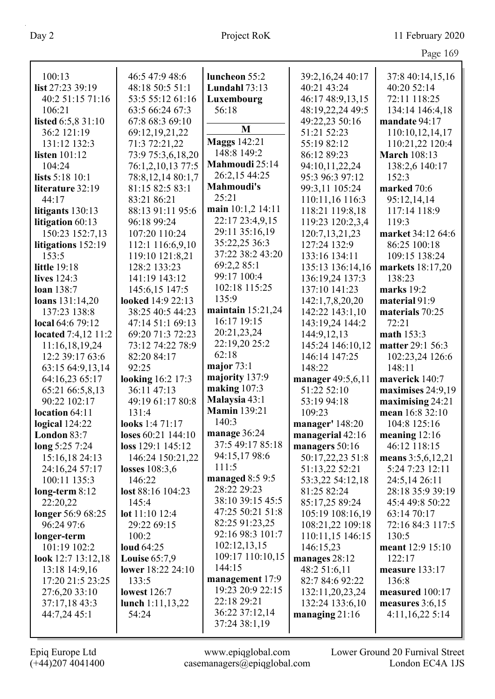|                            |                    |                     |                    | 1450102             |
|----------------------------|--------------------|---------------------|--------------------|---------------------|
| 100:13                     | 46:5 47:9 48:6     | luncheon 55:2       | 39:2,16,24 40:17   | 37:8 40:14,15,16    |
| list 27:23 39:19           | 48:18 50:5 51:1    | Lundahl $73:13$     | 40:21 43:24        | 40:20 52:14         |
| 40:2 51:15 71:16           | 53:5 55:12 61:16   | Luxembourg          | 46:17 48:9,13,15   | 72:11 118:25        |
| 106:21                     | 63:5 66:24 67:3    | 56:18               | 48:19,22,24 49:5   | 134:14 146:4,18     |
| listed 6:5,8 31:10         | 67:8 68:3 69:10    |                     | 49:22,23 50:16     | mandate 94:17       |
| 36:2 121:19                | 69:12,19,21,22     | M                   | 51:21 52:23        | 110:10,12,14,17     |
| 131:12 132:3               | 71:3 72:21,22      | <b>Maggs 142:21</b> | 55:19 82:12        | 110:21,22 120:4     |
| listen $101:12$            | 73:9 75:3,6,18,20  | 148:8 149:2         | 86:12 89:23        | <b>March 108:13</b> |
| 104:24                     | 76:1,2,10,13 77:5  | Mahmoudi 25:14      | 94:10,11,22,24     | 138:2,6 140:17      |
| lists 5:18 10:1            | 78:8,12,14 80:1,7  | 26:2,15 44:25       | 95:3 96:3 97:12    | 152:3               |
| literature 32:19           | 81:15 82:5 83:1    | <b>Mahmoudi's</b>   | 99:3,11 105:24     | marked 70:6         |
| 44:17                      | 83:21 86:21        | 25:21               | 110:11,16 116:3    | 95:12,14,14         |
| litigants 130:13           | 88:13 91:11 95:6   | main 10:1,2 14:11   | 118:21 119:8,18    | 117:14 118:9        |
| litigation 60:13           | 96:18 99:24        | 22:17 23:4,9,15     | 119:23 120:2,3,4   | 119:3               |
| 150:23 152:7,13            | 107:20 110:24      | 29:11 35:16,19      | 120:7, 13, 21, 23  | market 34:12 64:6   |
| litigations 152:19         | 112:1 116:6,9,10   | 35:22,25 36:3       | 127:24 132:9       | 86:25 100:18        |
| 153:5                      | 119:10 121:8,21    | 37:22 38:2 43:20    | 133:16 134:11      | 109:15 138:24       |
| <b>little</b> 19:18        | 128:2 133:23       | 69:2,2 85:1         | 135:13 136:14,16   | markets 18:17,20    |
| lives 124:3                | 141:19 143:12      | 99:17 100:4         | 136:19,24 137:3    | 138:23              |
| loan 138:7                 | 145:6,15 147:5     | 102:18 115:25       | 137:10 141:23      | marks 19:2          |
| loans 131:14,20            | looked 14:9 22:13  | 135:9               | 142:1,7,8,20,20    | material 91:9       |
| 137:23 138:8               | 38:25 40:5 44:23   | maintain $15:21,24$ | 142:22 143:1,10    | materials 70:25     |
| local 64:6 79:12           | 47:14 51:1 69:13   | 16:17 19:15         | 143:19,24 144:2    | 72:21               |
| <b>located</b> 7:4,12 11:2 | 69:20 71:3 72:23   | 20:21,23,24         | 144:9,12,13        | math 153:3          |
| 11:16,18,19,24             | 73:12 74:22 78:9   | 22:19,20 25:2       | 145:24 146:10,12   | matter 29:1 56:3    |
| 12:2 39:17 63:6            | 82:20 84:17        | 62:18               | 146:14 147:25      | 102:23,24 126:6     |
| 63:15 64:9,13,14           | 92:25              | major $73:1$        | 148:22             | 148:11              |
| 64:16,23 65:17             | looking 16:2 17:3  | majority 137:9      | manager 49:5,6,11  | maverick 140:7      |
| 65:21 66:5,8,13            | 36:11 47:13        | making 107:3        | 51:22 52:10        | maximises 24:9,19   |
| 90:22 102:17               | 49:19 61:17 80:8   | Malaysia 43:1       | 53:19 94:18        | maximising 24:21    |
| location 64:11             | 131:4              | <b>Mamin 139:21</b> | 109:23             | mean 16:8 32:10     |
| logical $124:22$           | looks 1:4 71:17    | 140:3               | manager' $148:20$  | 104:8 125:16        |
| London 83:7                | loses 60:21 144:10 | manage 36:24        | managerial $42:16$ | meaning $12:16$     |
| long 5:25 7:24             | loss 129:1 145:12  | 37:5 49:17 85:18    | managers 50:16     | 46:12 118:15        |
| 15:16,18 24:13             | 146:24 150:21,22   | 94:15,17 98:6       | 50:17,22,23 51:8   | means 3:5,6,12,21   |
| 24:16,24 57:17             | losses 108:3,6     | 111:5               | 51:13,22 52:21     | 5:24 7:23 12:11     |
| 100:11 135:3               | 146:22             | managed $8:59:5$    | 53:3,22 54:12,18   | 24:5,14 26:11       |
| $long-term 8:12$           | lost 88:16 104:23  | 28:22 29:23         | 81:25 82:24        | 28:18 35:9 39:19    |
| 22:20,22                   | 145:4              | 38:10 39:15 45:5    | 85:17,25 89:24     | 45:4 49:8 50:22     |
| longer 56:9 68:25          | lot $11:10$ 12:4   | 47:25 50:21 51:8    | 105:19 108:16,19   | 63:14 70:17         |
| 96:24 97:6                 | 29:22 69:15        | 82:25 91:23,25      | 108:21,22 109:18   | 72:16 84:3 117:5    |
| longer-term                | 100:2              | 92:16 98:3 101:7    | 110:11,15 146:15   | 130:5               |
| 101:19 102:2               | <b>loud</b> 64:25  | 102:12,13,15        | 146:15,23          | meant 12:9 15:10    |
| look $12:7$ $13:12,18$     | Louise $65:7,9$    | 109:17 110:10,15    | manages 28:12      | 122:17              |
| 13:18 14:9,16              | lower 18:22 24:10  | 144:15              | 48:2 51:6,11       | measure 133:17      |
| 17:20 21:5 23:25           | 133:5              | management 17:9     | 82:7 84:6 92:22    | 136:8               |
| 27:6,20 33:10              | lowest $126:7$     | 19:23 20:9 22:15    | 132:11,20,23,24    | measured 100:17     |
| 37:17,18 43:3              | lunch $1:11,13,22$ | 22:18 29:21         | 132:24 133:6,10    | measures $3:6,15$   |
| 44:7,24 45:1               | 54:24              | 36:22 37:12,14      | managing $21:16$   | 4:11,16,225:14      |
|                            |                    | 37:24 38:1,19       |                    |                     |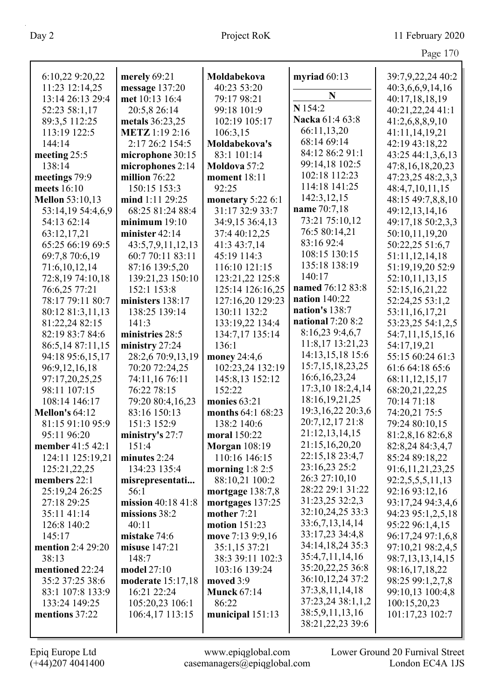| 6:10,22 9:20,22        | merely 69:21          | Moldabekova          | myriad $60:13$                      | 39:7,9,22,24 40:2    |
|------------------------|-----------------------|----------------------|-------------------------------------|----------------------|
| 11:23 12:14,25         | message 137:20        | 40:23 53:20          |                                     | 40:3,6,6,9,14,16     |
| 13:14 26:13 29:4       | met 10:13 16:4        | 79:17 98:21          | N                                   | 40:17,18,18,19       |
| 52:23 58:1,17          | 20:5,8 26:14          | 99:18 101:9          | N 154:2                             | 40:21,22,24 41:1     |
| 89:3,5 112:25          | metals 36:23,25       | 102:19 105:17        | Nacka 61:4 63:8                     | 41:2,6,8,8,9,10      |
| 113:19 122:5           | <b>METZ</b> 1:19 2:16 | 106:3,15             | 66:11,13,20                         | 41:11,14,19,21       |
| 144:14                 | 2:17 26:2 154:5       | Moldabekova's        | 68:14 69:14                         | 42:19 43:18,22       |
| meeting 25:5           | microphone 30:15      | 83:1 101:14          | 84:12 86:2 91:1                     | 43:25 44:1,3,6,13    |
| 138:14                 | microphones 2:14      | Moldova 57:2         | 99:14,18 102:5                      | 47:8,16,18,20,23     |
| meetings 79:9          | million $76:22$       | <b>moment</b> 18:11  | 102:18 112:23                       | 47:23,25 48:2,3,3    |
| meets $16:10$          | 150:15 153:3          | 92:25                | 114:18 141:25                       | 48:4,7,10,11,15      |
| <b>Mellon</b> 53:10,13 | mind 1:11 29:25       | monetary 5:22 6:1    | 142:3,12,15                         | 48:15 49:7,8,8,10    |
| 53:14,19 54:4,6,9      | 68:25 81:24 88:4      | 31:17 32:9 33:7      | name 70:7,18                        | 49:12,13,14,16       |
| 54:13 62:14            | minimum 19:10         | 34:9,15 36:4,13      | 73:21 75:10,12                      | 49:17,18 50:2,3,3    |
| 63:12,17,21            | minister 42:14        | 37:4 40:12,25        | 76:5 80:14,21                       | 50:10,11,19,20       |
| 65:25 66:19 69:5       | 43:5,7,9,11,12,13     | 41:3 43:7,14         | 83:16 92:4                          | 50:22,25 51:6,7      |
| 69:7,8 70:6,19         | 60:7 70:11 83:11      | 45:19 114:3          | 108:15 130:15                       | 51:11,12,14,18       |
| 71:6,10,12,14          | 87:16 139:5,20        | 116:10 121:15        | 135:18 138:19                       | 51:19,19,20 52:9     |
| 72:8,19 74:10,18       | 139:21,23 150:10      | 123:21,22 125:8      | 140:17                              | 52:10,11,13,15       |
| 76:6,25 77:21          | 152:1 153:8           | 125:14 126:16,25     | named 76:12 83:8                    | 52:15,16,21,22       |
| 78:17 79:11 80:7       | ministers 138:17      | 127:16,20 129:23     | nation $140:22$                     | 52:24,25 53:1,2      |
| 80:12 81:3,11,13       | 138:25 139:14         | 130:11 132:2         | nation's 138:7                      | 53:11,16,17,21       |
| 81:22,24 82:15         | 141:3                 | 133:19,22 134:4      | national 7:20 8:2                   | 53:23,25 54:1,2,5    |
| 82:19 83:7 84:6        | ministries 28:5       | 134:7,17 135:14      | 8:16,23 9:4,6,7                     | 54:7,11,15,15,16     |
| 86:5,14 87:11,15       | ministry 27:24        | 136:1                | 11:8,17 13:21,23                    | 54:17,19,21          |
| 94:18 95:6,15,17       | 28:2,6 70:9,13,19     | money 24:4,6         | 14:13,15,18 15:6                    | 55:15 60:24 61:3     |
| 96:9,12,16,18          | 70:20 72:24,25        | 102:23,24 132:19     | 15:7, 15, 18, 23, 25                | 61:6 64:18 65:6      |
| 97:17,20,25,25         | 74:11,16 76:11        | 145:8,13 152:12      | 16:6, 16, 23, 24                    | 68:11,12,15,17       |
| 98:11 107:15           | 76:22 78:15           | 152:22               | 17:3,10 18:2,4,14                   | 68:20,21,22,25       |
| 108:14 146:17          | 79:20 80:4,16,23      | monies 63:21         | 18:16, 19, 21, 25                   | 70:14 71:18          |
| <b>Mellon's 64:12</b>  | 83:16 150:13          | months 64:1 68:23    | 19:3, 16, 22 20:3, 6                | 74:20,21 75:5        |
| 81:15 91:10 95:9       | 151:3 152:9           | 138:2 140:6          | 20:7,12,17 21:8                     | 79:24 80:10,15       |
| 95:11 96:20            | ministry's 27:7       | moral 150:22         | 21:12,13,14,15                      | 81:2,8,16 82:6,8     |
| member 41:5 42:1       | 151:4                 | <b>Morgan</b> 108:19 | 21:15,16,20,20                      | 82:8,24 84:3,4,7     |
| 124:11 125:19,21       | minutes 2:24          | 110:16 146:15        | 22:15,18 23:4,7                     | 85:24 89:18,22       |
| 125:21,22,25           | 134:23 135:4          | morning $1:82:5$     | 23:16,23 25:2<br>26:3 27:10,10      | 91:6, 11, 21, 23, 25 |
| members 22:1           | misrepresentati       | 88:10,21 100:2       | 28:22 29:1 31:22                    | 92:2,5,5,5,11,13     |
| 25:19,24 26:25         | 56:1                  | mortgage 138:7,8     | 31:23,25 32:2,3                     | 92:16 93:12,16       |
| 27:18 29:25            | mission 40:18 41:8    | mortgages 137:25     |                                     | 93:17,24 94:3,4,6    |
| 35:11 41:14            | missions 38:2         | mother 7:21          | 32:10,24,25 33:3<br>33:6,7,13,14,14 | 94:23 95:1,2,5,18    |
| 126:8 140:2            | 40:11                 | motion 151:23        | 33:17,23 34:4,8                     | 95:22 96:1,4,15      |
| 145:17                 | mistake 74:6          | move 7:13 9:9,16     | 34:14,18,24 35:3                    | 96:17,24 97:1,6,8    |
| mention 2:4 29:20      | misuse 147:21         | 35:1,15 37:21        | 35:4,7,11,14,16                     | 97:10,21 98:2,4,5    |
| 38:13                  | 148:7                 | 38:3 39:11 102:3     | 35:20,22,25 36:8                    | 98:7,13,13,14,15     |
| mentioned 22:24        | model 27:10           | 103:16 139:24        | 36:10,12,24 37:2                    | 98:16,17,18,22       |
| 35:2 37:25 38:6        | moderate 15:17,18     | moved $3:9$          | 37:3,8,11,14,18                     | 98:25 99:1,2,7,8     |
| 83:1 107:8 133:9       | 16:21 22:24           | <b>Munck 67:14</b>   | 37:23,24 38:1,1,2                   | 99:10,13 100:4,8     |
| 133:24 149:25          | 105:20,23 106:1       | 86:22                | 38:5,9,11,13,16                     | 100:15,20,23         |
| mentions 37:22         | 106:4,17 113:15       | municipal 151:13     | 38:21,22,23 39:6                    | 101:17,23 102:7      |
|                        |                       |                      |                                     |                      |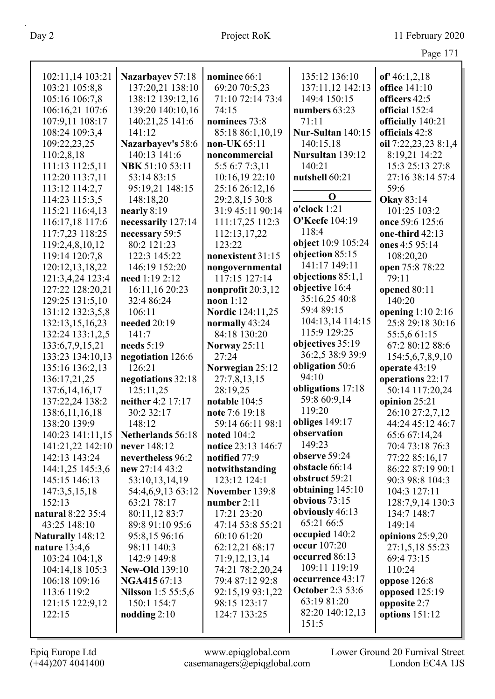| 102:11,14 103:21     | Nazarbayev 57:18          | nominee 66:1            | 135:12 136:10           | of $46:1,2,18$       |
|----------------------|---------------------------|-------------------------|-------------------------|----------------------|
| 103:21 105:8,8       | 137:20,21 138:10          | 69:20 70:5,23           | 137:11,12 142:13        | office 141:10        |
|                      |                           |                         |                         |                      |
| 105:16 106:7,8       | 138:12 139:12,16          | 71:10 72:14 73:4        | 149:4 150:15            | officers 42:5        |
| 106:16,21 107:6      | 139:20 140:10,16          | 74:15                   | numbers 63:23           | official 152:4       |
| 107:9,11 108:17      | 140:21,25 141:6           | nominees 73:8           | 71:11                   | officially 140:21    |
| 108:24 109:3,4       | 141:12                    | 85:18 86:1,10,19        | Nur-Sultan 140:15       | officials 42:8       |
| 109:22,23,25         | Nazarbayev's 58:6         | non-UK $65:11$          | 140:15,18               | oil 7:22,23,23 8:1,4 |
| 110:2,8,18           | 140:13 141:6              | noncommercial           | Nursultan 139:12        | 8:19,21 14:22        |
| 111:13 112:5,11      | NBK 51:10 53:11           | 5:5 6:7 7:3,11          | 140:21                  | 15:3 25:13 27:8      |
| 112:20 113:7,11      | 53:14 83:15               | 10:16,19 22:10          | nutshell 60:21          | 27:16 38:14 57:4     |
| 113:12 114:2,7       | 95:19,21 148:15           | 25:16 26:12,16          | $\mathbf 0$             | 59:6                 |
| 114:23 115:3,5       | 148:18,20                 | 29:2,8,15 30:8          |                         | <b>Okay 83:14</b>    |
| 115:21 116:4,13      | nearly 8:19               | 31:9 45:11 90:14        | o'clock 1:21            | 101:25 103:2         |
| 116:17,18 117:6      | necessarily 127:14        | 111:17,25 112:3         | <b>O'Keefe</b> 104:19   | once 59:6 125:6      |
| 117:7,23 118:25      | necessary 59:5            | 112:13,17,22            | 118:4                   | one-third 42:13      |
| 119:2,4,8,10,12      | 80:2 121:23               | 123:22                  | object 10:9 105:24      | ones 4:5 95:14       |
| 119:14 120:7,8       | 122:3 145:22              | nonexistent 31:15       | objection 85:15         | 108:20,20            |
| 120:12,13,18,22      | 146:19 152:20             | nongovernmental         | 141:17 149:11           | open 75:8 78:22      |
| 121:3,4,24 123:4     | need 1:19 2:12            | 117:15 127:14           | objections $85:1,1$     | 79:11                |
| 127:22 128:20,21     | 16:11,16 20:23            | nonprofit $20:3,12$     | objective 16:4          | opened 80:11         |
| 129:25 131:5,10      | 32:4 86:24                | $noon$ 1:12             | 35:16,25 40:8           | 140:20               |
| 131:12 132:3,5,8     | 106:11                    | <b>Nordic</b> 124:11,25 | 59:4 89:15              | opening $1:102:16$   |
| 132:13,15,16,23      | needed 20:19              | normally 43:24          | 104:13,14 114:15        | 25:8 29:18 30:16     |
| 132:24 133:1,2,5     | 141:7                     | 84:18 130:20            | 115:9 129:25            | 55:5,6 61:15         |
| 133:6,7,9,15,21      | needs $5:19$              | <b>Norway</b> 25:11     | objectives 35:19        | 67:2 80:12 88:6      |
| 133:23 134:10,13     | negotiation 126:6         | 27:24                   | 36:2,5 38:9 39:9        | 154:5,6,7,8,9,10     |
| 135:16 136:2,13      | 126:21                    | Norwegian 25:12         | obligation 50:6         | operate 43:19        |
| 136:17,21,25         | negotiations 32:18        | 27:7,8,13,15            | 94:10                   | operations 22:17     |
| 137:6, 14, 16, 17    | 125:11,25                 | 28:19,25                | obligations 17:18       | 50:14 117:20,24      |
| 137:22,24 138:2      | neither 4:2 17:17         | notable 104:5           | 59:8 60:9,14            | opinion 25:21        |
| 138:6, 11, 16, 18    | 30:2 32:17                | note 7:6 19:18          | 119:20                  | 26:10 27:2,7,12      |
| 138:20 139:9         | 148:12                    | 59:14 66:11 98:1        | obliges 149:17          | 44:24 45:12 46:7     |
| 140:23 141:11,15     | Netherlands 56:18         | noted 104:2             | observation             | 65:6 67:14,24        |
| 141:21,22 142:10     | never 148:12              | notice 23:13 146:7      | 149:23                  | 70:4 73:18 76:3      |
| 142:13 143:24        | nevertheless 96:2         | notified 77:9           | observe 59:24           | 77:22 85:16,17       |
| 144:1,25 145:3,6     | new 27:14 43:2            | notwithstanding         | obstacle 66:14          | 86:22 87:19 90:1     |
| 145:15 146:13        | 53:10,13,14,19            | 123:12 124:1            | obstruct 59:21          | 90:3 98:8 104:3      |
| 147:3,5,15,18        | 54:4,6,9,13 63:12         | November 139:8          | obtaining $145:10$      | 104:3 127:11         |
| 152:13               | 63:21 78:17               | number $2:11$           | obvious 73:15           | 128:7,9,14 130:3     |
| natural 8:22 35:4    | 80:11,12 83:7             | 17:21 23:20             | obviously 46:13         | 134:7 148:7          |
| 43:25 148:10         | 89:8 91:10 95:6           | 47:14 53:8 55:21        | 65:21 66:5              | 149:14               |
| Naturally 148:12     | 95:8,15 96:16             | 60:10 61:20             | occupied 140:2          | opinions 25:9,20     |
| <b>nature</b> 13:4,6 | 98:11 140:3               | 62:12,21 68:17          | <b>occur</b> 107:20     | 27:1,5,18 55:23      |
| 103:24 104:1,8       | 142:9 149:8               | 71:9,12,13,14           | occurred 86:13          | 69:4 73:15           |
| 104:14,18 105:3      | <b>New-Old</b> 139:10     | 74:21 78:2,20,24        | 109:11 119:19           | 110:24               |
| 106:18 109:16        | <b>NGA415</b> 67:13       | 79:4 87:12 92:8         | occurrence 43:17        | oppose 126:8         |
| 113:6 119:2          | <b>Nilsson</b> 1:5 55:5,6 | 92:15,19 93:1,22        | <b>October 2:3 53:6</b> | opposed 125:19       |
| 121:15 122:9,12      | 150:1 154:7               | 98:15 123:17            | 63:19 81:20             | opposite 2:7         |
| 122:15               | nodding $2:10$            | 124:7 133:25            | 82:20 140:12,13         | options $151:12$     |
|                      |                           |                         | 151:5                   |                      |
|                      |                           |                         |                         |                      |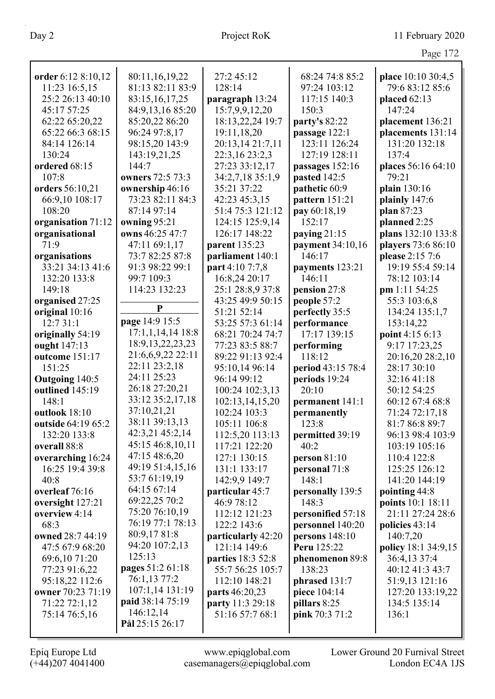|                                |                      |                                     |                      | Page 172                        |
|--------------------------------|----------------------|-------------------------------------|----------------------|---------------------------------|
| order 6:12 8:10,12             | 80:11,16,19,22       | 27:245:12                           | 68:24 74:8 85:2      | place 10:10 30:4,5              |
| 11:23 16:5,15                  | 81:13 82:11 83:9     | 128:14                              | 97:24 103:12         | 79:6 83:12 85:6                 |
| 25:2 26:13 40:10               | 83:15,16,17,25       | paragraph 13:24                     | 117:15 140:3         | placed $62:13$                  |
| 45:17 57:25                    | 84:9,13,16 85:20     | 15:7,9,9,12,20                      | 150:3                | 147:24                          |
| 62:22 65:20,22                 | 85:20,22 86:20       | 18:13,22,24 19:7                    | party's 82:22        | placement 136:21                |
| 65:22 66:3 68:15               | 96:24 97:8,17        | 19:11,18,20                         | passage 122:1        | placements 131:14               |
| 84:14 126:14                   | 98:15,20 143:9       | 20:13,14 21:7,11                    | 123:11 126:24        | 131:20 132:18                   |
| 130:24                         | 143:19,21,25         | 22:3,16 23:2,3                      | 127:19 128:11        | 137:4                           |
| ordered 68:15                  | 144:7                | 27:23 33:12,17                      | passages 152:16      | places 56:16 64:10              |
| 107:8                          | owners 72:5 73:3     | 34:2,7,18 35:1,9                    | pasted 142:5         | 79:21                           |
| orders 56:10,21                | ownership 46:16      | 35:21 37:22                         | pathetic 60:9        | plain 130:16                    |
| 66:9,10 108:17                 | 73:23 82:11 84:3     | 42:23 45:3,15                       | pattern 151:21       | plainly 147:6                   |
| 108:20                         | 87:14 97:14          | 51:4 75:3 121:12                    | pay 60:18,19         | plan 87:23                      |
| organisation 71:12             | owning 95:21         | 124:15 125:9,14                     | 152:17               | planned 2:25                    |
| organisational                 | owns 46:25 47:7      | 126:17 148:22                       | paying $21:15$       | plans 132:10 133:8              |
| 71:9                           | 47:11 69:1,17        | parent 135:23                       | payment 34:10,16     | players 73:6 86:10              |
| organisations                  | 73:7 82:25 87:8      | parliament 140:1                    | 146:17               | please 2:15 7:6                 |
| 33:21 34:13 41:6               | 91:3 98:22 99:1      | part 4:10 7:7,8                     | payments 123:21      | 19:19 55:4 59:14                |
| 132:20 133:8                   | 99:7 109:3           | 16:8,24 20:17                       | 146:11               | 78:12 103:14                    |
| 149:18                         | 114:23 132:23        | 25:1 28:8,9 37:8                    | pension 27:8         | pm 1:11 54:25                   |
| organised 27:25                | $\mathbf{P}$         | 43:25 49:9 50:15                    | people 57:2          | 55:3 103:6,8                    |
| original 10:16                 | page 14:9 15:5       | 51:21 52:14                         | perfectly 35:5       | 134:24 135:1,7                  |
| 12:7 31:1                      | $17:1,1,14,14$ 18:8  | 53:25 57:3 61:14                    | performance          | 153:14,22                       |
| originally 54:19               | 18:9, 13, 22, 23, 23 | 68:21 70:24 74:7                    | 17:17 139:15         | point 4:15 6:13                 |
| ought 147:13<br>outcome 151:17 | 21:6,6,9,22 22:11    | 77:23 83:5 88:7<br>89:22 91:13 92:4 | performing<br>118:12 | 9:17 17:23,25                   |
| 151:25                         | 22:11 23:2,18        | 95:10,14 96:14                      | period 43:15 78:4    | 20:16,20 28:2,10<br>28:17 30:10 |
| Outgoing 140:5                 | 24:11 25:23          | 96:14 99:12                         | periods 19:24        | 32:16 41:18                     |
| outlined 145:19                | 26:18 27:20,21       | 100:24 102:3,13                     | 20:10                | 50:12 54:25                     |
| 148:1                          | 33:12 35:2,17,18     | 102:13,14,15,20                     | permanent 141:1      | 60:12 67:4 68:8                 |
| outlook 18:10                  | 37:10,21,21          | 102:24 103:3                        | permanently          | 71:24 72:17,18                  |
| outside 64:19 65:2             | 38:11 39:13,13       | 105:11 106:8                        | 123:8                | 81:7 86:8 89:7                  |
| 132:20 133:8                   | 42:3,21 45:2,14      | 112:5,20 113:13                     | permitted 39:19      | 96:13 98:4 103:9                |
| overall 88:8                   | 45:15 46:8,10,11     | 117:21 122:20                       | 40:2                 | 103:19 105:16                   |
| overarching 16:24              | 47:15 48:6,20        | 127:1 130:15                        | person $81:10$       | 110:4 122:8                     |
| 16:25 19:4 39:8                | 49:19 51:4,15,16     | 131:1 133:17                        | personal 71:8        | 125:25 126:12                   |
| 40:8                           | 53:7 61:19,19        | 142:9,9 149:7                       | 148:1                | 141:20 144:19                   |
| overleaf 76:16                 | 64:15 67:14          | particular 45:7                     | personally 139:5     | pointing 44:8                   |
| oversight 127:21               | 69:22,25 70:2        | 46:9 78:12                          | 148:3                | points 10:1 18:11               |
| overview 4:14                  | 75:20 76:10,19       | 112:12 121:23                       | personified 57:18    | 21:11 27:24 28:6                |
| 68:3                           | 76:19 77:1 78:13     | 122:2 143:6                         | personnel 140:20     | policies 43:14                  |
| owned 28:7 44:19               | 80:9,17 81:8         | particularly 42:20                  | persons $148:10$     | 140:7,20                        |
| 47:5 67:9 68:20                | 94:20 107:2,13       | 121:14 149:6                        | <b>Peru</b> 125:22   | policy 18:1 34:9,15             |
| 69:6,10 71:20                  | 125:13               | parties 18:3 52:8                   | phenomenon 89:8      | 36:4,13 37:4                    |
| 77:23 91:6,22                  | pages 51:2 61:18     | 55:7 56:25 105:7                    | 138:23               | 40:12 41:3 43:7                 |
| 95:18,22 112:6                 | 76:1,13 77:2         | 112:10 148:21                       | phrased 131:7        | 51:9,13 121:16                  |
| owner 70:23 71:19              | 107:1,14 131:19      | parts 46:20,23                      | piece 104:14         | 127:20 133:19,22                |
| 71:22 72:1,12                  | paid 38:14 75:19     | party 11:3 29:18                    | pillars 8:25         | 134:5 135:14                    |
| 75:14 76:5,16                  | 146:12,14            | 51:16 57:7 68:1                     | pink 70:3 71:2       | 136:1                           |
|                                | Pål 25:15 26:17      |                                     |                      |                                 |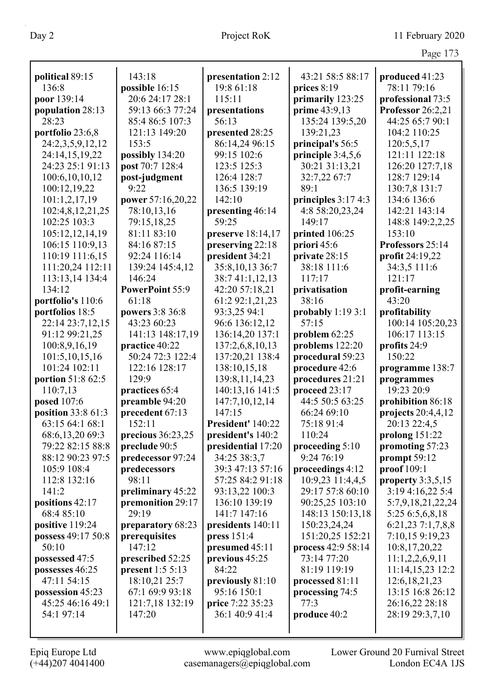| political 89:15    | 143:18             | presentation 2:12  | 43:21 58:5 88:17    | produced 41:23       |
|--------------------|--------------------|--------------------|---------------------|----------------------|
| 136:8              | possible 16:15     | 19:8 61:18         | prices 8:19         | 78:11 79:16          |
| poor 139:14        | 20:6 24:17 28:1    | 115:11             | primarily 123:25    | professional 73:5    |
| population 28:13   | 59:13 66:3 77:24   | presentations      | prime 43:9,13       | Professor 26:2,21    |
| 28:23              | 85:4 86:5 107:3    | 56:13              | 135:24 139:5,20     | 44:25 65:7 90:1      |
| portfolio 23:6,8   | 121:13 149:20      | presented 28:25    | 139:21,23           | 104:2 110:25         |
| 24:2,3,5,9,12,12   | 153:5              | 86:14,24 96:15     | principal's 56:5    | 120:5,5,17           |
| 24:14,15,19,22     | possibly 134:20    | 99:15 102:6        | principle 3:4,5,6   | 121:11 122:18        |
| 24:23 25:1 91:13   | post 70:7 128:4    | 123:5 125:3        | 30:21 31:13,21      | 126:20 127:7,18      |
| 100:6,10,10,12     | post-judgment      | 126:4 128:7        | 32:7,22 67:7        | 128:7 129:14         |
| 100:12,19,22       | 9:22               | 136:5 139:19       | 89:1                | 130:7,8 131:7        |
| 101:1,2,17,19      | power 57:16,20,22  | 142:10             | principles 3:17 4:3 | 134:6 136:6          |
| 102:4,8,12,21,25   | 78:10,13,16        | presenting 46:14   | 4:8 58:20,23,24     | 142:21 143:14        |
| 102:25 103:3       | 79:15,18,25        | 59:25              | 149:17              | 148:8 149:2,2,25     |
| 105:12,12,14,19    | 81:11 83:10        | preserve 18:14,17  | printed 106:25      | 153:10               |
| 106:15 110:9,13    | 84:16 87:15        | preserving 22:18   | priori 45:6         | Professors 25:14     |
| 110:19 111:6,15    | 92:24 116:14       | president 34:21    | private 28:15       | profit 24:19,22      |
| 111:20,24 112:11   | 139:24 145:4,12    | 35:8,10,13 36:7    | 38:18 111:6         | 34:3,5 111:6         |
| 113:13,14 134:4    | 146:24             | 38:741:1,12,13     | 117:17              | 121:17               |
| 134:12             | PowerPoint 55:9    | 42:20 57:18,21     | privatisation       | profit-earning       |
| portfolio's 110:6  | 61:18              | 61:2 92:1,21,23    | 38:16               | 43:20                |
| portfolios 18:5    | powers 3:8 36:8    | 93:3,25 94:1       | probably $1:193:1$  | profitability        |
| 22:14 23:7,12,15   | 43:23 60:23        | 96:6 136:12,12     | 57:15               | 100:14 105:20,23     |
| 91:12 99:21,25     | 141:13 148:17,19   | 136:14,20 137:1    | problem 62:25       | 106:17 113:15        |
| 100:8,9,16,19      | practice 40:22     | 137:2,6,8,10,13    | problems 122:20     | profits 24:9         |
| 101:5, 10, 15, 16  | 50:24 72:3 122:4   | 137:20,21 138:4    | procedural 59:23    | 150:22               |
| 101:24 102:11      | 122:16 128:17      | 138:10,15,18       | procedure 42:6      | programme 138:7      |
| portion 51:8 62:5  | 129:9              | 139:8, 11, 14, 23  | procedures 21:21    | programmes           |
| 110:7,13           | practices 65:4     | 140:13,16 141:5    | proceed 23:17       | 19:23 20:9           |
| posed 107:6        | preamble 94:20     | 147:7,10,12,14     | 44:5 50:5 63:25     | prohibition 86:18    |
| position 33:8 61:3 | precedent 67:13    | 147:15             | 66:24 69:10         | projects $20:4,4,12$ |
| 63:15 64:1 68:1    | 152:11             | President' 140:22  | 75:18 91:4          | 20:13 22:4,5         |
| 68:6,13,20 69:3    | precious 36:23,25  | president's 140:2  | 110:24              | prolong 151:22       |
| 79:22 82:15 88:8   | preclude 90:5      | presidential 17:20 | proceeding 5:10     | promoting 57:23      |
| 88:12 90:23 97:5   | predecessor 97:24  | 34:25 38:3,7       | 9:24 76:19          | prompt 59:12         |
| 105:9 108:4        | predecessors       | 39:3 47:13 57:16   | proceedings 4:12    | proof 109:1          |
| 112:8 132:16       | 98:11              | 57:25 84:2 91:18   | 10:9,23 11:4,4,5    | property $3:3,5,15$  |
| 141:2              | preliminary 45:22  | 93:13,22 100:3     | 29:17 57:8 60:10    | 3:19 4:16,22 5:4     |
| positions 42:17    | premonition 29:17  | 136:10 139:19      | 90:25,25 103:10     | 5:7,9,18,21,22,24    |
| 68:4 85:10         | 29:19              | 141:7 147:16       | 148:13 150:13,18    | 5:25 6:5,6,8,18      |
| positive 119:24    | preparatory 68:23  | presidents 140:11  | 150:23,24,24        | 6:21,23 7:1,7,8,8    |
| possess 49:17 50:8 | prerequisites      | press 151:4        | 151:20,25 152:21    | 7:10,15 9:19,23      |
| 50:10              | 147:12             | presumed 45:11     | process 42:9 58:14  | 10:8,17,20,22        |
| possessed 47:5     | prescribed 52:25   | previous 45:25     | 73:14 77:20         | 11:1,2,2,6,9,11      |
| possesses 46:25    | present $1:5 5:13$ | 84:22              | 81:19 119:19        | 11:14,15,23 12:2     |
| 47:11 54:15        | 18:10,21 25:7      | previously 81:10   | processed 81:11     | 12:6, 18, 21, 23     |
| possession 45:23   | 67:1 69:9 93:18    | 95:16 150:1        | processing 74:5     | 13:15 16:8 26:12     |
| 45:25 46:16 49:1   | 121:7,18 132:19    | price 7:22 35:23   | 77:3                | 26:16,22 28:18       |
| 54:1 97:14         | 147:20             | 36:1 40:9 41:4     | produce 40:2        | 28:19 29:3,7,10      |
|                    |                    |                    |                     |                      |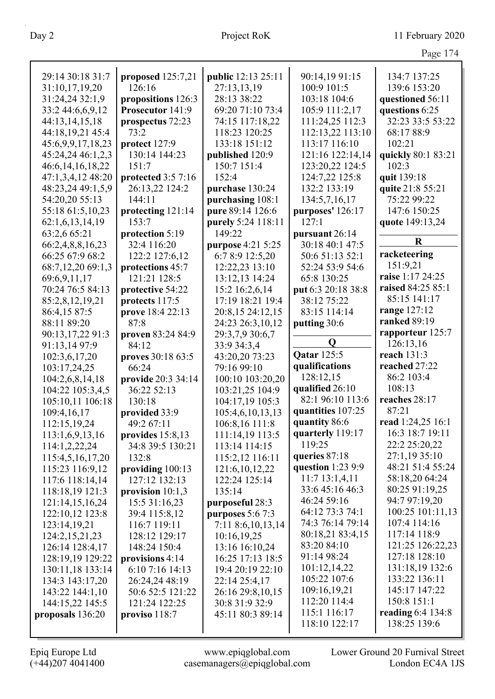| ι |
|---|
|---|

|                      |                    |                                |                                     | $1 \, 4 \, 8 \, 1 \, 1$           |
|----------------------|--------------------|--------------------------------|-------------------------------------|-----------------------------------|
| 29:14 30:18 31:7     | proposed 125:7,21  | <b>public</b> 12:13 25:11      | 90:14,19 91:15                      | 134:7 137:25                      |
| 31:10,17,19,20       | 126:16             | 27:13,13,19                    | 100:9 101:5                         | 139:6 153:20                      |
| 31:24,24 32:1,9      | propositions 126:3 | 28:13 38:22                    | 103:18 104:6                        | questioned 56:11                  |
| 33:2 44:6,6,9,12     | Prosecutor 141:9   | 69:20 71:10 73:4               | 105:9 111:2,17                      | questions 6:25                    |
| 44:13,14,15,18       | prospectus 72:23   | 74:15 117:18,22                | 111:24,25 112:3                     | 32:23 33:5 53:22                  |
| 44:18,19,21 45:4     | 73:2               | 118:23 120:25                  | 112:13,22 113:10                    | 68:17 88:9                        |
| 45:6,9,9,17,18,23    | protect 127:9      | 133:18 151:12                  | 113:17 116:10                       | 102:21                            |
|                      | 130:14 144:23      |                                | 121:16 122:14,14                    | quickly 80:1 83:21                |
| 45:24,24 46:1,2,3    | 151:7              | published 120:9<br>150:7 151:4 | 123:20,22 124:5                     | 102:3                             |
| 46:6, 14, 16, 18, 22 | protected 3:5 7:16 | 152:4                          | 124:7,22 125:8                      | quit 139:18                       |
| 47:1,3,4,12 48:20    |                    |                                | 132:2 133:19                        |                                   |
| 48:23,24 49:1,5,9    | 26:13,22 124:2     | purchase 130:24                |                                     | quite 21:8 55:21                  |
| 54:20,20 55:13       | 144:11             | purchasing 108:1               | 134:5,7,16,17                       | 75:22 99:22                       |
| 55:18 61:5,10,23     | protecting 121:14  | pure 89:14 126:6               | purposes' 126:17                    | 147:6 150:25                      |
| 62:1,6,13,14,19      | 153:7              | purely 5:24 118:11             | 127:1                               | quote 149:13,24                   |
| 63:2,6 65:21         | protection 5:19    | 149:22                         | pursuant 26:14                      | $\mathbf R$                       |
| 66:2,4,8,8,16,23     | 32:4 116:20        | purpose 4:21 5:25              | 30:18 40:1 47:5                     | racketeering                      |
| 66:25 67:9 68:2      | 122:2 127:6,12     | 6:7 8:9 12:5,20                | 50:6 51:13 52:1                     | 151:9,21                          |
| 68:7,12,20 69:1,3    | protections 45:7   | 12:22,23 13:10                 | 52:24 53:9 54:6                     | raise 1:17 24:25                  |
| 69:6,9,11,17         | 121:21 128:5       | 13:12,13 14:24                 | 65:8 130:25                         | raised 84:25 85:1                 |
| 70:24 76:5 84:13     | protective 54:22   | 15:2 16:2,6,14                 | put 6:3 20:18 38:8                  | 85:15 141:17                      |
| 85:2,8,12,19,21      | protects 117:5     | 17:19 18:21 19:4               | 38:12 75:22                         |                                   |
| 86:4,15 87:5         | prove 18:4 22:13   | 20:8,15 24:12,15               | 83:15 114:14                        | range 127:12<br>ranked 89:19      |
| 88:11 89:20          | 87:8               | 24:23 26:3,10,12               | putting 30:6                        |                                   |
| 90:13,17,22 91:3     | proven 83:24 84:9  | 29:3,7,9 30:6,7                | $\mathbf Q$                         | rapporteur 125:7                  |
| 91:13,14 97:9        | 84:12              | 33:9 34:3,4                    | <b>Qatar</b> 125:5                  | 126:13,16<br>reach 131:3          |
| 102:3,6,17,20        | proves 30:18 63:5  | 43:20,20 73:23                 |                                     | reached 27:22                     |
| 103:17,24,25         | 66:24              | 79:16 99:10                    | qualifications<br>128:12,15         | 86:2 103:4                        |
| 104:2,6,8,14,18      | provide 20:3 34:14 | 100:10 103:20,20               | qualified 26:10                     | 108:13                            |
| 104:22 105:3,4,5     | 36:22 52:13        | 103:21,25 104:9                | 82:1 96:10 113:6                    | reaches 28:17                     |
| 105:10,11 106:18     | 130:18             | 104:17,19 105:3                |                                     | 87:21                             |
| 109:4,16,17          | provided 33:9      | 105:4,6,10,13,13               | quantities 107:25                   |                                   |
| 112:15,19,24         | 49:2 67:11         | 106:8,16 111:8                 | quantity 86:6                       | read 1:24,25 16:1                 |
| 113:1,6,9,13,16      | provides $15:8,13$ | 111:14,19 113:5                | quarterly 119:17<br>119:25          | 16:3 18:7 19:11                   |
| 114:1,2,22,24        | 34:8 39:5 130:21   | 113:14 114:15                  | queries 87:18                       | 22:2 25:20,22<br>27:1,19 35:10    |
| 115:4,5,16,17,20     | 132:8              | 115:2,12 116:11                |                                     | 48:21 51:4 55:24                  |
| 115:23 116:9,12      | providing $100:13$ | 121:6, 10, 12, 22              | question $1:239:9$<br>11:713:1,4,11 | 58:18,20 64:24                    |
| 117:6 118:14,14      | 127:12 132:13      | 122:24 125:14                  | 33:6 45:16 46:3                     | 80:25 91:19,25                    |
| 118:18,19 121:3      | provision $10:1,3$ | 135:14                         | 46:24 59:16                         | 94:7 97:19,20                     |
| 121:14,15,16,24      | 15:5 31:16,23      | purposeful 28:3                | 64:12 73:3 74:1                     | 100:25 101:11,13                  |
| 122:10,12 123:8      | 39:4 115:8,12      | purposes 5:6 7:3               | 74:3 76:14 79:14                    | 107:4 114:16                      |
| 123:14,19,21         | 116:7 119:11       | 7:11 8:6,10,13,14              |                                     |                                   |
| 124:2, 15, 21, 23    | 128:12 129:17      | 10:16,19,25                    | 80:18,21 83:4,15<br>83:20 84:10     | 117:14 118:9                      |
| 126:14 128:4,17      | 148:24 150:4       | 13:16 16:10,24                 | 91:14 98:24                         | 121:25 126:22,23<br>127:18 128:10 |
| 128:19,19 129:22     | provisions 4:14    | 16:25 17:13 18:5               |                                     |                                   |
| 130:11,18 133:14     | 6:10 7:16 14:13    | 19:4 20:19 22:10               | 101:12,14,22<br>105:22 107:6        | 131:18,19 132:6<br>133:22 136:11  |
| 134:3 143:17,20      | 26:24,24 48:19     | 22:14 25:4,17                  | 109:16,19,21                        | 145:17 147:22                     |
| 143:22 144:1,10      | 50:6 52:5 121:22   | 26:16 29:8,10,15               | 112:20 114:4                        |                                   |
| 144:15,22 145:5      | 121:24 122:25      | 30:8 31:9 32:9                 | 115:1 116:17                        | 150:8 151:1                       |
| proposals 136:20     | proviso 118:7      | 45:11 80:3 89:14               |                                     | reading 6:4 134:8<br>138:25 139:6 |
|                      |                    |                                | 118:10 122:17                       |                                   |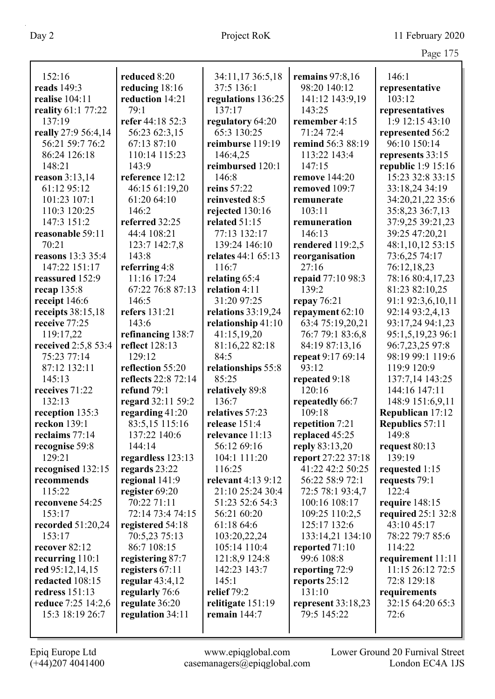|                           |                     |                      |                      | Page 175               |
|---------------------------|---------------------|----------------------|----------------------|------------------------|
|                           |                     |                      |                      |                        |
| 152:16                    | reduced 8:20        | 34:11,17 36:5,18     | remains $97:8,16$    | 146:1                  |
| reads 149:3               | reducing 18:16      | 37:5 136:1           | 98:20 140:12         | representative         |
| realise 104:11            | reduction 14:21     | regulations 136:25   | 141:12 143:9,19      | 103:12                 |
| reality 61:1 77:22        | 79:1                | 137:17               | 143:25               | representatives        |
| 137:19                    | refer 44:18 52:3    | regulatory 64:20     | remember 4:15        | 1:9 12:15 43:10        |
| really 27:9 56:4,14       | 56:23 62:3,15       | 65:3 130:25          | 71:24 72:4           | represented 56:2       |
| 56:21 59:7 76:2           | 67:13 87:10         | reimburse 119:19     | remind 56:3 88:19    | 96:10 150:14           |
| 86:24 126:18              | 110:14 115:23       | 146:4,25             | 113:22 143:4         | represents 33:15       |
| 148:21                    | 143:9               | reimbursed 120:1     | 147:15               | republic 1:9 15:16     |
| reason $3:13,14$          | reference 12:12     | 146:8                | remove 144:20        | 15:23 32:8 33:15       |
| 61:12 95:12               | 46:15 61:19,20      | reins 57:22          | removed 109:7        | 33:18,24 34:19         |
| 101:23 107:1              | 61:20 64:10         | reinvested 8:5       | remunerate           | 34:20,21,22 35:6       |
| 110:3 120:25              | 146:2               | rejected 130:16      | 103:11               | 35:8,23 36:7,13        |
| 147:3 151:2               | referred 32:25      | related 51:15        | remuneration         | 37:9,25 39:21,23       |
| reasonable 59:11          | 44:4 108:21         | 77:13 132:17         | 146:13               | 39:25 47:20,21         |
| 70:21                     | 123:7 142:7,8       | 139:24 146:10        | rendered 119:2,5     | 48:1,10,12 53:15       |
| reasons 13:3 35:4         | 143:8               | relates 44:1 65:13   | reorganisation       | 73:6,25 74:17          |
| 147:22 151:17             | referring 4:8       | 116:7                | 27:16                | 76:12,18,23            |
| reassured 152:9           | 11:16 17:24         | relating 65:4        | repaid 77:10 98:3    | 78:16 80:4,17,23       |
| recap 135:8               | 67:22 76:8 87:13    | relation 4:11        | 139:2                | 81:23 82:10,25         |
| receipt 146:6             | 146:5               | 31:20 97:25          | repay $76:21$        | 91:1 92:3,6,10,11      |
| receipts $38:15,18$       | refers 131:21       | relations $33:19,24$ | repayment 62:10      | 92:14 93:2,4,13        |
| receive 77:25             | 143:6               | relationship 41:10   | 63:4 75:19,20,21     | 93:17,24 94:1,23       |
| 119:17,22                 | refinancing 138:7   | 41:15,19,20          | 76:7 79:1 83:6,8     | 95:1,5,19,23 96:1      |
| received 2:5,8 53:4       | reflect 128:13      | 81:16,22 82:18       | 84:19 87:13,16       | 96:7,23,25 97:8        |
| 75:23 77:14               | 129:12              | 84:5                 | repeat 9:17 69:14    | 98:19 99:1 119:6       |
| 87:12 132:11              | reflection 55:20    | relationships 55:8   | 93:12                | 119:9 120:9            |
| 145:13                    | reflects 22:8 72:14 | 85:25                | repeated 9:18        | 137:7,14 143:25        |
| receives 71:22            | refund 79:1         | relatively 89:8      | 120:16               | 144:16 147:11          |
| 132:13                    | regard 32:11 59:2   | 136:7                | repeatedly 66:7      | 148:9 151:6,9,11       |
| reception 135:3           | regarding $41:20$   | relatives 57:23      | 109:18               | Republican 17:12       |
| reckon $139:1$            | 83:5,15 115:16      | release $151:4$      | repetition 7:21      | <b>Republics</b> 57:11 |
| reclaims 77:14            | 137:22 140:6        | relevance 11:13      | replaced 45:25       | 149:8                  |
| recognise 59:8            | 144:14              | 56:12 69:16          | reply 83:13,20       | request 80:13          |
| 129:21                    | regardless 123:13   | 104:1 111:20         | report 27:22 37:18   | 139:19                 |
| recognised 132:15         | regards 23:22       | 116:25               | 41:22 42:2 50:25     | requested 1:15         |
| recommends                | regional 141:9      | relevant 4:13 9:12   | 56:22 58:9 72:1      | requests 79:1          |
| 115:22                    | register 69:20      | 21:10 25:24 30:4     | 72:5 78:1 93:4,7     | 122:4                  |
| reconvene 54:25           | 70:22 71:11         | 51:23 52:6 54:3      | 100:16 108:17        | require 148:15         |
| 153:17                    | 72:14 73:4 74:15    | 56:21 60:20          | 109:25 110:2,5       | required $25:1$ 32:8   |
| recorded 51:20,24         | registered 54:18    | 61:18 64:6           | 125:17 132:6         | 43:10 45:17            |
| 153:17                    | 70:5,23 75:13       | 103:20,22,24         | 133:14,21 134:10     | 78:22 79:7 85:6        |
| recover $82:12$           | 86:7 108:15         | 105:14 110:4         | reported 71:10       | 114:22                 |
| recurring 110:1           | registering 87:7    | 121:8,9 124:8        | 99:6 108:8           | requirement 11:11      |
| red $95:12,14,15$         | registers $67:11$   | 142:23 143:7         | reporting 72:9       | 11:15 26:12 72:5       |
| redacted 108:15           | regular $43:4,12$   | 145:1                | reports 25:12        | 72:8 129:18            |
| redress 151:13            | regularly 76:6      | relief 79:2          | 131:10               | requirements           |
| <b>reduce</b> 7:25 14:2,6 | regulate 36:20      | relitigate 151:19    | represent $33:18,23$ | 32:15 64:20 65:3       |
| 15:3 18:19 26:7           | regulation 34:11    | remain $144:7$       | 79:5 145:22          | 72:6                   |
|                           |                     |                      |                      |                        |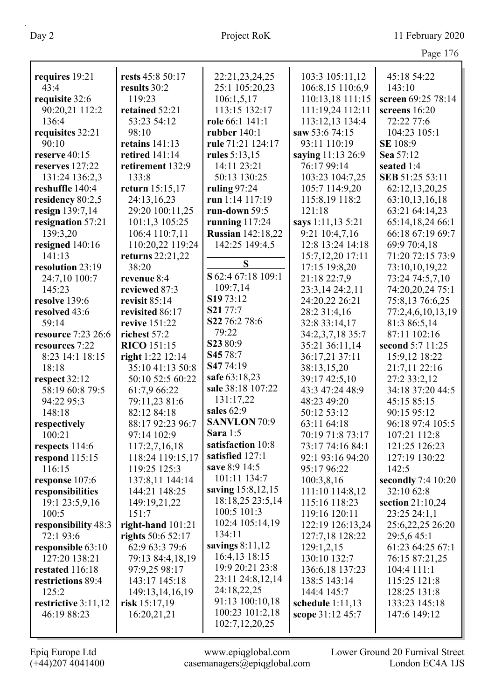| requires 19:21            | rests 45:8 50:17    | 22:21,23,24,25           | 103:3 105:11,12    | 45:18 54:22                       |
|---------------------------|---------------------|--------------------------|--------------------|-----------------------------------|
| 43:4                      | results 30:2        | 25:1 105:20,23           | 106:8,15 110:6,9   | 143:10                            |
| requisite 32:6            | 119:23              | 106:1, 5, 17             | 110:13,18 111:15   | screen 69:25 78:14                |
| 90:20,21 112:2            | retained 52:21      | 113:15 132:17            | 111:19,24 112:11   | screens 16:20                     |
| 136:4                     | 53:23 54:12         | role 66:1 141:1          | 113:12,13 134:4    | 72:22 77:6                        |
| requisites 32:21          | 98:10               | rubber $140:1$           | saw 53:6 74:15     | 104:23 105:1                      |
| 90:10                     | retains 141:13      | rule 71:21 124:17        | 93:11 110:19       | SE 108:9                          |
| reserve 40:15             | retired 141:14      | rules 5:13,15            | saying 11:13 26:9  | Sea 57:12                         |
| reserves 127:22           | retirement 132:9    | 14:11 23:21              | 76:17 99:14        | seated 1:4                        |
| 131:24 136:2,3            | 133:8               | 50:13 130:25             | 103:23 104:7,25    | SEB 51:25 53:11                   |
| reshuffle 140:4           | return 15:15,17     | ruling $97:24$           | 105:7 114:9,20     | 62:12,13,20,25                    |
| residency 80:2,5          | 24:13,16,23         | run 1:14 117:19          | 115:8,19 118:2     | 63:10,13,16,18                    |
| resign 139:7,14           | 29:20 100:11,25     | run-down 59:5            | 121:18             | 63:21 64:14,23                    |
| resignation 57:21         | 101:1,3 105:25      | running $117:24$         | says 1:11,13 5:21  | 65:14,18,24 66:1                  |
| 139:3,20                  | 106:4 110:7,11      | <b>Russian 142:18,22</b> | 9:21 10:4,7,16     | 66:18 67:19 69:7                  |
| resigned 140:16           | 110:20,22 119:24    | 142:25 149:4,5           | 12:8 13:24 14:18   | 69:9 70:4,18                      |
| 141:13                    | returns 22:21,22    |                          | 15:7,12,20 17:11   | 71:20 72:15 73:9                  |
| resolution 23:19          | 38:20               | S                        | 17:15 19:8,20      | 73:10,10,19,22                    |
| 24:7,10 100:7             | revenue 8:4         | S 62:4 67:18 109:1       | 21:18 22:7,9       | 73:24 74:5,7,10                   |
| 145:23                    | reviewed 87:3       | 109:7,14                 | 23:3,14 24:2,11    | 74:20,20,24 75:1                  |
| resolve 139:6             | revisit 85:14       | S1973:12                 | 24:20,22 26:21     | 75:8,13 76:6,25                   |
| resolved 43:6             | revisited 86:17     | S21 77:7                 | 28:2 31:4,16       |                                   |
| 59:14                     | revive 151:22       | S22 76:2 78:6            | 32:8 33:14,17      | 77:2,4,6,10,13,19<br>81:3 86:5,14 |
| <b>resource</b> 7:23 26:6 | richest 57:2        | 79:22                    | 34:2,3,7,18 35:7   | 87:11 102:16                      |
| resources 7:22            | <b>RICO</b> 151:15  | S2380:9                  | 35:21 36:11,14     | second 5:7 11:25                  |
| 8:23 14:1 18:15           | right 1:22 12:14    | S45 78:7                 | 36:17,21 37:11     | 15:9,12 18:22                     |
| 18:18                     | 35:10 41:13 50:8    | S4774:19                 | 38:13,15,20        | 21:7,11 22:16                     |
| respect 32:12             | 50:10 52:5 60:22    | safe 63:18,23            | 39:17 42:5,10      | 27:2 33:2,12                      |
| 58:19 60:8 79:5           | 61:7,9 66:22        | sale 38:18 107:22        | 43:3 47:24 48:9    | 34:18 37:20 44:5                  |
| 94:22 95:3                | 79:11,23 81:6       | 131:17,22                | 48:23 49:20        | 45:15 85:15                       |
| 148:18                    | 82:12 84:18         | sales 62:9               | 50:12 53:12        | 90:15 95:12                       |
| respectively              | 88:17 92:23 96:7    | <b>SANVLON 70:9</b>      | 63:11 64:18        | 96:18 97:4 105:5                  |
| 100:21                    | 97:14 102:9         | <b>Sara</b> 1:5          | 70:19 71:8 73:17   | 107:21 112:8                      |
| respects 114:6            | 117:2,7,16,18       | satisfaction 10:8        | 73:17 74:16 84:1   | 121:25 126:23                     |
| respond $115:15$          | 118:24 119:15,17    | satisfied 127:1          | 92:1 93:16 94:20   | 127:19 130:22                     |
| 116:15                    | 119:25 125:3        | save 8:9 14:5            | 95:17 96:22        | 142:5                             |
| response 107:6            | 137:8,11 144:14     | 101:11 134:7             | 100:3,8,16         | secondly $7:410:20$               |
| responsibilities          | 144:21 148:25       | saving 15:8,12,15        | 111:10 114:8,12    | 32:10 62:8                        |
| 19:1 23:5,9,16            | 149:19,21,22        | 18:18,25 23:5,14         | 115:16 118:23      | section 21:10,24                  |
| 100:5                     | 151:7               | 100:5 101:3              | 119:16 120:11      | 23:25 24:1,1                      |
| responsibility 48:3       | right-hand $101:21$ | 102:4 105:14,19          | 122:19 126:13,24   | 25:6,22,25 26:20                  |
| 72:1 93:6                 | rights 50:6 52:17   | 134:11                   | 127:7,18 128:22    | 29:5,645:1                        |
| responsible 63:10         | 62:9 63:3 79:6      | savings $8:11,12$        | 129:1,2,15         | 61:23 64:25 67:1                  |
| 127:20 138:21             | 79:13 84:4,18,19    | 16:4,13 18:15            | 130:10 132:7       | 76:15 87:21,25                    |
| restated 116:18           | 97:9,25 98:17       | 19:9 20:21 23:8          | 136:6,18 137:23    | 104:4 111:1                       |
| restrictions 89:4         | 143:17 145:18       | 23:11 24:8,12,14         | 138:5 143:14       | 115:25 121:8                      |
| 125:2                     | 149:13,14,16,19     | 24:18,22,25              | 144:4 145:7        | 128:25 131:8                      |
| restrictive 3:11,12       | risk 15:17,19       | 91:13 100:10,18          | schedule $1:11,13$ | 133:23 145:18                     |
| 46:19 88:23               | 16:20,21,21         | 100:23 101:2,18          | scope 31:12 45:7   | 147:6 149:12                      |
|                           |                     | 102:7,12,20,25           |                    |                                   |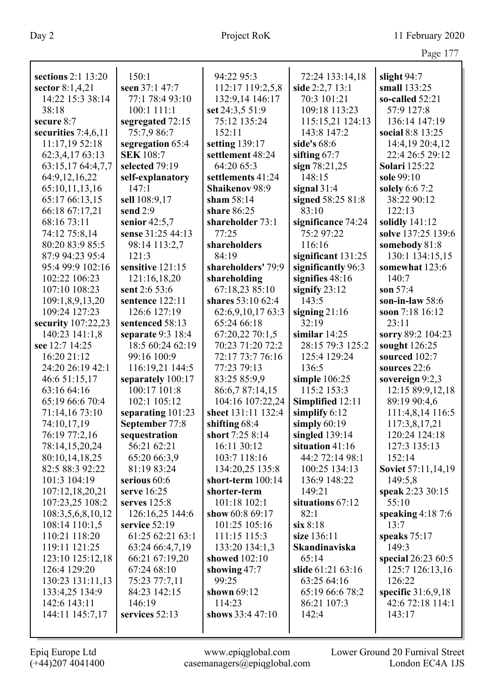|                                       |                                      |                                    |                                    | Page 177                    |
|---------------------------------------|--------------------------------------|------------------------------------|------------------------------------|-----------------------------|
| sections 2:1 13:20                    | 150:1                                | 94:22 95:3                         |                                    |                             |
|                                       | seen 37:1 47:7                       | 112:17 119:2,5,8                   | 72:24 133:14,18<br>side 2:2,7 13:1 | slight 94:7<br>small 133:25 |
| sector $8:1,4,21$<br>14:22 15:3 38:14 | 77:1 78:4 93:10                      | 132:9,14 146:17                    | 70:3 101:21                        | so-called $52:21$           |
| 38:18                                 | 100:1 111:1                          | set 24:3,5 51:9                    | 109:18 113:23                      | 57:9 127:8                  |
| secure 8:7                            |                                      | 75:12 135:24                       | 115:15,21 124:13                   | 136:14 147:19               |
|                                       | segregated 72:15<br>75:7,9 86:7      | 152:11                             | 143:8 147:2                        | social 8:8 13:25            |
| securities $7:4,6,11$                 |                                      |                                    | side's 68:6                        | 14:4,19 20:4,12             |
| 11:17,19 52:18<br>62:3,4,17 63:13     | segregation 65:4<br><b>SEK</b> 108:7 | setting 139:17<br>settlement 48:24 | sifting $67:7$                     | 22:4 26:5 29:12             |
| 63:15,17 64:4,7,7                     | selected 79:19                       | 64:20 65:3                         | sign $78:21,25$                    | <b>Solari</b> 125:22        |
| 64:9,12,16,22                         | self-explanatory                     | settlements 41:24                  | 148:15                             | sole 99:10                  |
| 65:10,11,13,16                        | 147:1                                | <b>Shaikenov 98:9</b>              | signal $31:4$                      | <b>solely</b> 6:6 7:2       |
| 65:17 66:13,15                        | sell 108:9,17                        | sham $58:14$                       | signed 58:25 81:8                  | 38:22 90:12                 |
| 66:18 67:17,21                        | send 2:9                             | share 86:25                        | 83:10                              | 122:13                      |
| 68:16 73:11                           | senior $42:5,7$                      | shareholder 73:1                   | significance 74:24                 | solidly $141:12$            |
| 74:12 75:8,14                         | sense 31:25 44:13                    | 77:25                              | 75:2 97:22                         | solve 137:25 139:6          |
| 80:20 83:9 85:5                       | 98:14 113:2,7                        | shareholders                       | 116:16                             | somebody 81:8               |
| 87:9 94:23 95:4                       | 121:3                                | 84:19                              | significant 131:25                 | 130:1 134:15,15             |
| 95:4 99:9 102:16                      | sensitive 121:15                     | shareholders' 79:9                 | significantly 96:3                 | somewhat 123:6              |
| 102:22 106:23                         | 121:16,18,20                         | shareholding                       | signifies 48:16                    | 140:7                       |
| 107:10 108:23                         | sent 2:6 53:6                        | 67:18,23 85:10                     | signify $23:12$                    | son 57:4                    |
| 109:1,8,9,13,20                       | sentence 122:11                      | shares 53:10 62:4                  | 143:5                              | son-in-law $58:6$           |
| 109:24 127:23                         | 126:6 127:19                         | 62:6,9,10,17 63:3                  | signing $21:16$                    | soon 7:18 16:12             |
| security 107:22,23                    | sentenced 58:13                      | 65:24 66:18                        | 32:19                              | 23:11                       |
| 140:23 141:1,8                        | separate $9:3$ 18:4                  | 67:20,22 70:1,5                    | similar $14:25$                    | sorry 89:2 104:23           |
| see 12:7 14:25                        | 18:5 60:24 62:19                     | 70:23 71:20 72:2                   | 28:15 79:3 125:2                   | sought 126:25               |
| 16:20 21:12                           | 99:16 100:9                          | 72:17 73:7 76:16                   | 125:4 129:24                       | sourced 102:7               |
| 24:20 26:19 42:1                      | 116:19,21 144:5                      | 77:23 79:13                        | 136:5                              | sources 22:6                |
| 46:6 51:15,17                         | separately 100:17                    | 83:25 85:9,9                       | simple $106:25$                    | sovereign $9:2,3$           |
| 63:16 64:16                           | 100:17 101:8                         | 86:6,7 87:14,15                    | 115:2 153:3                        | 12:15 89:9,12,18            |
| 65:19 66:6 70:4                       | 102:1 105:12                         | 104:16 107:22,24                   | Simplified 12:11                   | 89:19 90:4,6                |
| 71:14,16 73:10                        | separating 101:23                    | sheet 131:11 132:4                 | simplify $6:12$                    | 111:4,8,14 116:5            |
| 74:10,17,19                           | September 77:8                       | shifting 68:4                      | simply $60:19$                     | 117:3,8,17,21               |
| 76:19 77:2,16                         | sequestration                        | short 7:25 8:14                    | singled 139:14                     | 120:24 124:18               |
| 78:14,15,20,24                        | 56:21 62:21                          | 16:11 30:12                        | situation 41:16                    | 127:3 135:13                |
| 80:10,14,18,25                        | 65:20 66:3,9                         | 103:7 118:16                       | 44:2 72:14 98:1                    | 152:14                      |
| 82:5 88:3 92:22                       | 81:19 83:24                          | 134:20,25 135:8                    | 100:25 134:13                      | Soviet 57:11,14,19          |
| 101:3 104:19                          | serious 60:6                         | short-term 100:14                  | 136:9 148:22                       | 149:5,8                     |
| 107:12,18,20,21                       | serve 16:25                          | shorter-term                       | 149:21                             | speak 2:23 30:15            |
| 107:23,25 108:2                       | serves $125:8$                       | 101:18 102:1                       | situations 67:12                   | 55:10                       |
| 108:3,5,6,8,10,12                     | 126:16,25 144:6                      | show 60:8 69:17                    | 82:1                               | speaking $4:187:6$          |
| 108:14 110:1,5                        | service 52:19                        | 101:25 105:16                      | six 8:18                           | 13:7                        |
| 110:21 118:20                         | 61:25 62:21 63:1                     | 111:15 115:3                       | size 136:11                        | speaks 75:17                |
| 119:11 121:25                         | 63:24 66:4,7,19                      | 133:20 134:1,3                     | Skandinaviska                      | 149:3                       |
| 123:10 125:12,18                      | 66:21 67:19,20                       | showed 102:10                      | 65:14                              | special 26:23 60:5          |
| 126:4 129:20                          | 67:24 68:10                          | showing 47:7                       | slide 61:21 63:16                  | 125:7 126:13,16             |
| 130:23 131:11,13                      | 75:23 77:7,11                        | 99:25                              | 63:25 64:16                        | 126:22                      |
| 133:4,25 134:9                        | 84:23 142:15                         | shown 69:12                        | 65:19 66:6 78:2                    | specific $31:6,9,18$        |
| 142:6 143:11                          | 146:19                               | 114:23                             | 86:21 107:3                        | 42:6 72:18 114:1            |
| 144:11 145:7,17                       | services 52:13                       | shows 33:4 47:10                   | 142:4                              | 143:17                      |
|                                       |                                      |                                    |                                    |                             |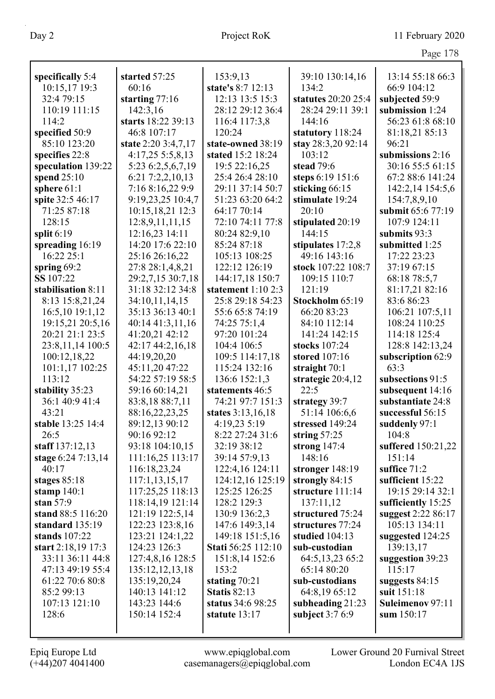| -40.         | x |
|--------------|---|
| $\leftarrow$ |   |
|              |   |

| specifically 5:4             | started 57:25                        | 153:9,13                          | 39:10 130:14,16                    | 13:14 55:18 66:3                         |
|------------------------------|--------------------------------------|-----------------------------------|------------------------------------|------------------------------------------|
| 10:15,17 19:3                | 60:16                                | state's 8:7 12:13                 | 134:2                              | 66:9 104:12                              |
| 32:4 79:15                   | starting $77:16$                     | 12:13 13:5 15:3                   | statutes 20:20 25:4                | subjected 59:9                           |
| 110:19 111:15                | 142:3,16                             | 28:12 29:12 36:4                  | 28:24 29:11 39:1                   | submission 1:24                          |
| 114:2                        | starts 18:22 39:13                   | 116:4 117:3,8                     | 144:16                             | 56:23 61:8 68:10                         |
| specified 50:9               | 46:8 107:17                          | 120:24                            | statutory 118:24                   | 81:18,21 85:13                           |
| 85:10 123:20                 | state 2:20 3:4,7,17                  | state-owned 38:19                 | stay 28:3,20 92:14                 | 96:21                                    |
| specifies 22:8               | 4:17,255:5,8,13                      | stated 15:2 18:24                 | 103:12                             | submissions 2:16                         |
| speculation 139:22           | 5:23 6:2,5,6,7,19                    | 19:5 22:16,25                     | stead 79:6                         | 30:16 55:5 61:15                         |
| spend $25:10$                | 6:217:2,2,10,13                      | 25:4 26:4 28:10                   | steps 6:19 151:6                   | 67:2 88:6 141:24                         |
| sphere $61:1$                | 7:16 8:16,22 9:9                     | 29:11 37:14 50:7                  | sticking 66:15                     | 142:2,14 154:5,6                         |
| spite 32:5 46:17             | 9:19,23,25 10:4,7                    | 51:23 63:20 64:2                  | stimulate 19:24                    | 154:7,8,9,10                             |
| 71:25 87:18                  | 10:15,18,21 12:3                     | 64:17 70:14                       | 20:10                              | submit 65:6 77:19                        |
| 128:15                       | 12:8,9,11,11,15                      | 72:10 74:11 77:8                  | stipulated 20:19                   | 107:9 124:11                             |
| split $6:19$                 | 12:16,23 14:11                       | 80:24 82:9,10                     | 144:15                             | submits 93:3                             |
| spreading 16:19              | 14:20 17:6 22:10                     | 85:24 87:18                       | stipulates 17:2,8                  | submitted 1:25                           |
| 16:22 25:1                   | 25:16 26:16,22                       | 105:13 108:25                     | 49:16 143:16                       | 17:22 23:23                              |
| spring $69:2$                | 27:8 28:1,4,8,21                     | 122:12 126:19                     | stock 107:22 108:7                 | 37:19 67:15                              |
| SS 107:22                    | 29:2,7,15 30:7,18                    | 144:17,18 150:7                   | 109:15 110:7                       | 68:18 78:5,7                             |
| stabilisation 8:11           | 31:18 32:12 34:8                     | statement $1:10$ 2:3              | 121:19                             | 81:17,21 82:16                           |
| 8:13 15:8,21,24              | 34:10,11,14,15                       | 25:8 29:18 54:23                  | Stockholm 65:19                    | 83:6 86:23                               |
| 16:5,10 19:1,12              | 35:13 36:13 40:1                     | 55:6 65:8 74:19                   | 66:20 83:23                        | 106:21 107:5,11                          |
| 19:15,21 20:5,16             | 40:14 41:3,11,16                     | 74:25 75:1,4                      | 84:10 112:14                       | 108:24 110:25                            |
| 20:21 21:1 23:5              | 41:20,21 42:12                       | 97:20 101:24                      | 141:24 142:15                      | 114:18 125:4                             |
| 23:8,11,14 100:5             | 42:17 44:2,16,18                     | 104:4 106:5                       | stocks 107:24                      | 128:8 142:13,24                          |
| 100:12,18,22                 | 44:19,20,20                          | 109:5 114:17,18                   | stored 107:16                      | subscription 62:9                        |
| 101:1,17 102:25              | 45:11,20 47:22                       | 115:24 132:16                     | straight 70:1                      | 63:3                                     |
| 113:12                       | 54:22 57:19 58:5                     | 136:6 152:1,3                     | strategic $20:4,12$                | subsections 91:5                         |
| stability 35:23              | 59:16 60:14,21                       | statements 46:5                   | 22:5                               | subsequent 14:16                         |
| 36:1 40:9 41:4               | 83:8,18 88:7,11                      | 74:21 97:7 151:3                  | strategy 39:7                      | substantiate 24:8                        |
| 43:21                        | 88:16,22,23,25                       | states $3:13,16,18$               | 51:14 106:6,6                      | successful 56:15                         |
| stable 13:25 14:4            | 89:12,13 90:12                       | 4:19,23 5:19                      | stressed 149:24                    | suddenly 97:1                            |
| 26:5                         | 90:16 92:12                          | 8:22 27:24 31:6                   | string $57:25$                     | 104:8                                    |
| staff 137:12,13              | 93:18 104:10,15                      | 32:19 38:12                       | strong $147:4$                     | suffered 150:21,22                       |
| stage 6:24 7:13,14           | 111:16,25 113:17                     | 39:14 57:9,13                     | 148:16                             | 151:14                                   |
| 40:17                        | 116:18,23,24                         | 122:4,16 124:11                   | stronger 148:19                    | suffice $71:2$                           |
| stages 85:18                 | 117:1,13,15,17                       | 124:12,16 125:19<br>125:25 126:25 | strongly 84:15<br>structure 111:14 | sufficient 15:22<br>19:15 29:14 32:1     |
| stamp $140:1$<br>stan $57:9$ | 117:25,25 118:13<br>118:14,19 121:14 | 128:2 129:3                       | 137:11,12                          |                                          |
| stand 88:5 116:20            | 121:19 122:5,14                      | 130:9 136:2,3                     | structured 75:24                   | sufficiently 15:25<br>suggest 2:22 86:17 |
| standard 135:19              | 122:23 123:8,16                      | 147:6 149:3,14                    | structures 77:24                   | 105:13 134:11                            |
| stands $107:22$              | 123:21 124:1,22                      | 149:18 151:5,16                   | studied $104:13$                   | suggested 124:25                         |
| start $2:18,19$ 17:3         | 124:23 126:3                         | <b>Stati</b> 56:25 112:10         | sub-custodian                      | 139:13,17                                |
| 33:11 36:11 44:8             | 127:4,8,16 128:5                     | 151:8,14 152:6                    | 64:5, 13, 23 65: 2                 | suggestion 39:23                         |
| 47:13 49:19 55:4             | 135:12,12,13,18                      | 153:2                             | 65:14 80:20                        | 115:17                                   |
| 61:22 70:6 80:8              | 135:19,20,24                         | stating 70:21                     | sub-custodians                     | suggests 84:15                           |
| 85:2 99:13                   | 140:13 141:12                        | <b>Statis 82:13</b>               | 64:8,19 65:12                      | suit 151:18                              |
| 107:13 121:10                | 143:23 144:6                         | status 34:6 98:25                 | subheading 21:23                   | Suleimenov 97:11                         |
| 128:6                        | 150:14 152:4                         | statute 13:17                     | subject $3:76:9$                   | sum 150:17                               |
|                              |                                      |                                   |                                    |                                          |
|                              |                                      |                                   |                                    |                                          |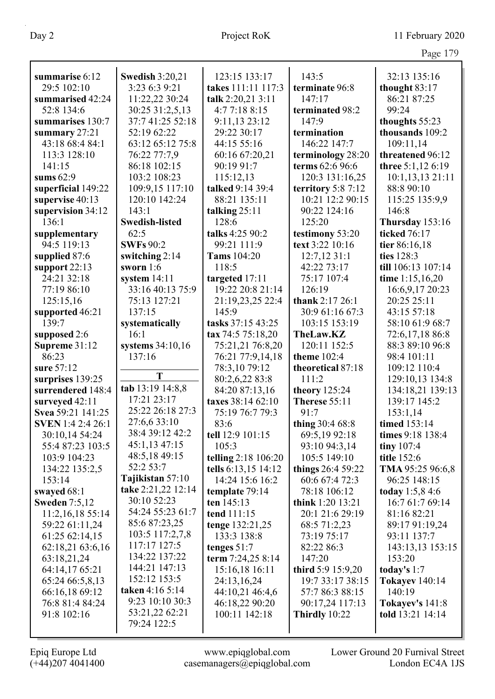|                          |                        |                            |                     | Page 179               |
|--------------------------|------------------------|----------------------------|---------------------|------------------------|
| summarise 6:12           | <b>Swedish 3:20,21</b> | 123:15 133:17              | 143:5               | 32:13 135:16           |
| 29:5 102:10              | 3:23 6:3 9:21          | takes 111:11 117:3         | terminate 96:8      | thought 83:17          |
| summarised 42:24         | 11:22,22 30:24         | talk 2:20,21 3:11          | 147:17              | 86:21 87:25            |
| 52:8 134:6               | 30:25 31:2,5,13        | 4:7 7:18 8:15              | terminated 98:2     | 99:24                  |
| summarises 130:7         | 37:7 41:25 52:18       | 9:11,13 23:12              | 147:9               | thoughts 55:23         |
| summary 27:21            | 52:19 62:22            | 29:22 30:17                | termination         | thousands 109:2        |
| 43:18 68:4 84:1          | 63:12 65:12 75:8       | 44:15 55:16                | 146:22 147:7        | 109:11,14              |
| 113:3 128:10             | 76:22 77:7,9           | 60:16 67:20,21             | terminology 28:20   | threatened 96:12       |
| 141:15                   | 86:18 102:15           | 90:19 91:7                 | terms 62:6 96:6     | three 5:1,12 6:19      |
| sums $62:9$              | 103:2 108:23           | 115:12,13                  | 120:3 131:16,25     | 10:1,13,13 21:11       |
| superficial 149:22       | 109:9,15 117:10        | talked 9:14 39:4           | territory $5:87:12$ | 88:8 90:10             |
| supervise 40:13          | 120:10 142:24          | 88:21 135:11               | 10:21 12:2 90:15    | 115:25 135:9,9         |
| supervision 34:12        | 143:1                  | talking $25:11$            | 90:22 124:16        | 146:8                  |
| 136:1                    | <b>Swedish-listed</b>  | 128:6                      | 125:20              | Thursday 153:16        |
| supplementary            | 62:5                   | talks 4:25 90:2            | testimony 53:20     | ticked 76:17           |
| 94:5 119:13              | <b>SWFs</b> 90:2       | 99:21 111:9                | text 3:22 10:16     | tier 86:16,18          |
| supplied 87:6            | switching $2:14$       | <b>Tams</b> 104:20         | 12:7,1231:1         | ties 128:3             |
| support $22:13$          | sworn $1:6$            | 118:5                      | 42:22 73:17         | till 106:13 107:14     |
| 24:21 32:18              | system 14:11           | targeted 17:11             | 75:17 107:4         | time 1:15,16,20        |
| 77:19 86:10              | 33:16 40:13 75:9       | 19:22 20:8 21:14           | 126:19              | 16:6,9,17 20:23        |
| 125:15,16                | 75:13 127:21           | 21:19,23,25 22:4           | thank 2:17 26:1     | 20:25 25:11            |
| supported 46:21          | 137:15                 | 145:9                      | 30:9 61:16 67:3     | 43:15 57:18            |
| 139:7                    | systematically         | tasks 37:15 43:25          | 103:15 153:19       | 58:10 61:9 68:7        |
| supposed 2:6             | 16:1                   | tax 74:5 75:18,20          | <b>TheLaw.KZ</b>    | 72:6,17,18 86:8        |
| Supreme 31:12            | systems 34:10,16       | 75:21,21 76:8,20           | 120:11 152:5        | 88:3 89:10 96:8        |
| 86:23                    | 137:16                 | 76:21 77:9,14,18           | theme 102:4         | 98:4 101:11            |
| sure 57:12               |                        | 78:3,10 79:12              | theoretical 87:18   | 109:12 110:4           |
| surprises 139:25         | T                      | 80:2,6,22 83:8             | 111:2               | 129:10,13 134:8        |
| surrendered 148:4        | tab 13:19 14:8,8       | 84:20 87:13,16             | theory 125:24       | 134:18,21 139:13       |
| surveyed 42:11           | 17:21 23:17            | taxes 38:14 62:10          | Therese 55:11       | 139:17 145:2           |
| Svea 59:21 141:25        | 25:22 26:18 27:3       | 75:19 76:7 79:3            | 91:7                | 153:1,14               |
| <b>SVEN</b> 1:4 2:4 26:1 | 27:6,6 33:10           | 83:6                       | thing 30:4 68:8     | timed 153:14           |
| 30:10,14 54:24           | 38:4 39:12 42:2        | tell 12:9 101:15           | 69:5,19 92:18       | times 9:18 138:4       |
| 55:4 87:23 103:5         | 45:1,13 47:15          | 105:3                      | 93:10 94:3,14       | tiny $107:4$           |
| 103:9 104:23             | 48:5,18 49:15          | <b>telling</b> 2:18 106:20 | 105:5 149:10        | title 152:6            |
| 134:22 135:2,5           | 52:2 53:7              | tells 6:13,15 14:12        | things 26:4 59:22   | TMA 95:25 96:6,8       |
| 153:14                   | Tajikistan 57:10       | 14:24 15:6 16:2            | 60:6 67:4 72:3      | 96:25 148:15           |
| swayed 68:1              | take 2:21,22 12:14     | template 79:14             | 78:18 106:12        | <b>today</b> 1:5,8 4:6 |
| <b>Sweden</b> 7:5,12     | 30:10 52:23            | ten $145:13$               | think 1:20 13:21    | 16:7 61:7 69:14        |
| 11:2,16,18 55:14         | 54:24 55:23 61:7       | tend 111:15                | 20:1 21:6 29:19     | 81:16 82:21            |
| 59:22 61:11,24           | 85:6 87:23,25          | tenge 132:21,25            | 68:5 71:2,23        | 89:17 91:19,24         |
| 61:25 62:14,15           | 103:5 117:2,7,8        | 133:3 138:8                | 73:19 75:17         | 93:11 137:7            |
| 62:18,21 63:6,16         | 117:17 127:5           | tenges $51:7$              | 82:22 86:3          | 143:13,13 153:15       |
| 63:18,21,24              | 134:22 137:22          | term 7:24,25 8:14          | 147:20              | 153:20                 |
| 64:14,17 65:21           | 144:21 147:13          | 15:16,18 16:11             | third $5:9$ 15:9,20 | today's $1:7$          |
| 65:24 66:5,8,13          | 152:12 153:5           | 24:13,16,24                | 19:7 33:17 38:15    | <b>Tokayev</b> 140:14  |
| 66:16,18 69:12           | taken 4:16 5:14        | 44:10,21 46:4,6            | 57:7 86:3 88:15     | 140:19                 |
| 76:8 81:4 84:24          | 9:23 10:10 30:3        | 46:18,22 90:20             | 90:17,24 117:13     | <b>Tokayev's 141:8</b> |
| 91:8 102:16              | 53:21,22 62:21         | 100:11 142:18              | Thirdly $10:22$     | told 13:21 14:14       |
|                          | 79:24 122:5            |                            |                     |                        |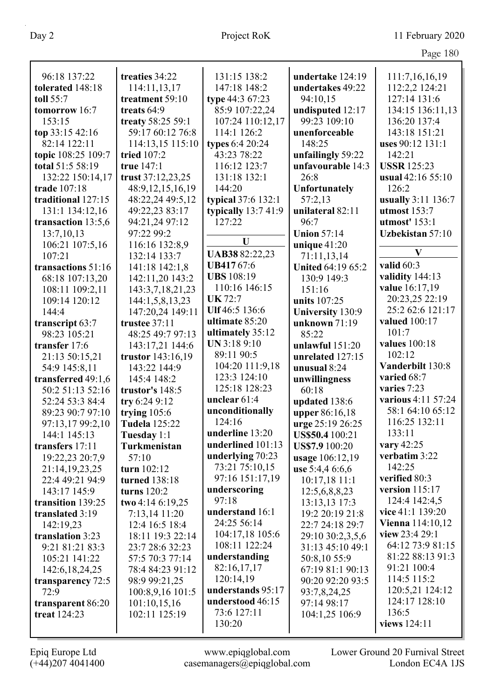|                    |                      |                          |                          | Page 180                                  |
|--------------------|----------------------|--------------------------|--------------------------|-------------------------------------------|
|                    |                      |                          |                          |                                           |
| 96:18 137:22       | treaties 34:22       | 131:15 138:2             | undertake 124:19         | 111:7,16,16,19                            |
| tolerated 148:18   | 114:11,13,17         | 147:18 148:2             | undertakes 49:22         | 112:2,2 124:21                            |
| toll 55:7          | treatment 59:10      | type 44:3 67:23          | 94:10,15                 | 127:14 131:6                              |
| tomorrow 16:7      | treats 64:9          | 85:9 107:22,24           | undisputed 12:17         | 134:15 136:11,13                          |
| 153:15             | treaty 58:25 59:1    | 107:24 110:12,17         | 99:23 109:10             | 136:20 137:4                              |
| top 33:15 42:16    | 59:17 60:12 76:8     | 114:1 126:2              | unenforceable            | 143:18 151:21                             |
| 82:14 122:11       | 114:13,15 115:10     | types 6:4 20:24          | 148:25                   | uses 90:12 131:1                          |
| topic 108:25 109:7 | tried 107:2          | 43:23 78:22              | unfailingly 59:22        | 142:21                                    |
| total 51:5 58:19   | true 147:1           | 116:12 123:7             | unfavourable 14:3        | <b>USSR</b> 125:23                        |
| 132:22 150:14,17   | trust 37:12,23,25    | 131:18 132:1             | 26:8                     | usual 42:16 55:10                         |
| trade 107:18       | 48:9, 12, 15, 16, 19 | 144:20                   | <b>Unfortunately</b>     | 126:2                                     |
| traditional 127:15 | 48:22,24 49:5,12     | typical 37:6 132:1       | 57:2,13                  | usually 3:11 136:7                        |
| 131:1 134:12,16    | 49:22,23 83:17       | typically 13:7 41:9      | unilateral 82:11         | utmost $153:7$                            |
| transaction 13:5,6 | 94:21,24 97:12       | 127:22                   | 96:7                     | utmost' 153:1                             |
| 13:7,10,13         | 97:22 99:2           |                          | <b>Union 57:14</b>       | Uzbekistan 57:10                          |
| 106:21 107:5,16    | 116:16 132:8,9       | $\mathbf U$              | unique $41:20$           |                                           |
| 107:21             | 132:14 133:7         | UAB38 82:22,23           | 71:11,13,14              | V                                         |
| transactions 51:16 | 141:18 142:1,8       | <b>UB41767:6</b>         | <b>United 64:19 65:2</b> | valid $60:3$                              |
| 68:18 107:13,20    | 142:11,20 143:2      | <b>UBS</b> 108:19        | 130:9 149:3              | validity 144:13                           |
| 108:11 109:2,11    | 143:3,7,18,21,23     | 110:16 146:15            | 151:16                   | value 16:17,19                            |
| 109:14 120:12      | 144:1,5,8,13,23      | <b>UK</b> 72:7           | units 107:25             | 20:23,25 22:19                            |
| 144:4              | 147:20,24 149:11     | Ulf 46:5 136:6           | <b>University 130:9</b>  | 25:2 62:6 121:17                          |
| transcript 63:7    | trustee 37:11        | ultimate 85:20           | unknown $71:19$          | valued 100:17                             |
| 98:23 105:21       | 48:25 49:7 97:13     | ultimately 35:12         | 85:22                    | 101:7                                     |
| transfer 17:6      | 143:17,21 144:6      | UN 3:18 9:10             | unlawful 151:20          | values 100:18                             |
| 21:13 50:15,21     | trustor 143:16,19    | 89:11 90:5               | unrelated 127:15         | 102:12                                    |
| 54:9 145:8,11      | 143:22 144:9         | 104:20 111:9,18          | unusual 8:24             | Vanderbilt 130:8                          |
| transferred 49:1,6 | 145:4 148:2          | 123:3 124:10             | unwillingness            | varied 68:7                               |
| 50:2 51:13 52:16   | trustor's 148:5      | 125:18 128:23            | 60:18                    | varies 7:23                               |
| 52:24 53:3 84:4    | try 6:24 9:12        | unclear 61:4             | updated 138:6            | various 4:11 57:24                        |
| 89:23 90:7 97:10   | trying $105:6$       | unconditionally          | upper 86:16,18           | 58:1 64:10 65:12                          |
| 97:13,17 99:2,10   | <b>Tudela</b> 125:22 | 124:16                   | urge 25:19 26:25         | 116:25 132:11                             |
| 144:1 145:13       | Tuesday 1:1          | underline 13:20          | US\$50.4 100:21          | 133:11                                    |
| transfers 17:11    | Turkmenistan         | underlined 101:13        | <b>US\$7.9</b> 100:20    | vary 42:25                                |
| 19:22,23 20:7,9    | 57:10                | underlying 70:23         | usage 106:12,19          | verbatim 3:22                             |
| 21:14,19,23,25     | turn 102:12          | 73:21 75:10,15           | use $5:4,46:6,6$         | 142:25                                    |
| 22:4 49:21 94:9    | turned 138:18        | 97:16 151:17,19          | $10:17,18$ 11:1          | verified 80:3                             |
| 143:17 145:9       | turns $120:2$        | underscoring             | 12:5,6,8,8,23            | version 115:17                            |
| transition 139:25  | two 4:14 6:19,25     | 97:18<br>understand 16:1 | 13:13,13 17:3            | 124:4 142:4,5                             |
| translated 3:19    | 7:13,14 11:20        |                          | 19:2 20:19 21:8          | vice 41:1 139:20                          |
| 142:19,23          | 12:4 16:5 18:4       | 24:25 56:14              | 22:7 24:18 29:7          | <b>Vienna</b> 114:10,12<br>view 23:4 29:1 |
| translation 3:23   | 18:11 19:3 22:14     | 104:17,18 105:6          | 29:10 30:2,3,5,6         |                                           |
| 9:21 81:21 83:3    | 23:7 28:6 32:23      | 108:11 122:24            | 31:13 45:10 49:1         | 64:12 73:9 81:15                          |
| 105:21 141:22      | 57:5 70:3 77:14      | understanding            | 50:8,10 55:9             | 81:22 88:13 91:3                          |
| 142:6, 18, 24, 25  | 78:4 84:23 91:12     | 82:16,17,17              | 67:19 81:1 90:13         | 91:21 100:4                               |
| transparency 72:5  | 98:9 99:21,25        | 120:14,19                | 90:20 92:20 93:5         | 114:5 115:2                               |
| 72:9               | 100:8,9,16 101:5     | understands 95:17        | 93:7,8,24,25             | 120:5,21 124:12                           |
| transparent 86:20  | 101:10,15,16         | understood 46:15         | 97:14 98:17              | 124:17 128:10                             |
| treat 124:23       | 102:11 125:19        | 73:6 127:11              | 104:1,25 106:9           | 136:5                                     |
|                    |                      | 130:20                   |                          | views 124:11                              |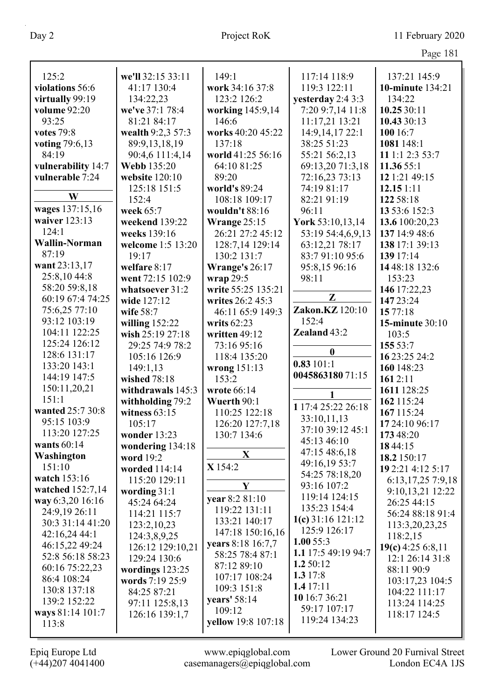| 125:2                | we'll 32:15 33:11 | 149:1              | 117:14 118:9        | 137:21 145:9           |
|----------------------|-------------------|--------------------|---------------------|------------------------|
| violations 56:6      | 41:17 130:4       | work 34:16 37:8    | 119:3 122:11        | 10-minute 134:21       |
| virtually 99:19      | 134:22,23         | 123:2 126:2        | yesterday 2:4 3:3   | 134:22                 |
| volume 92:20         | we've 37:1 78:4   | working 145:9,14   | 7:20 9:7,14 11:8    | 10.25 30:11            |
| 93:25                | 81:21 84:17       | 146:6              | 11:17,21 13:21      | 10.43 30:13            |
| <b>votes</b> 79:8    | wealth 9:2,3 57:3 | works 40:20 45:22  | 14:9,14,17 22:1     | 100 16:7               |
| voting 79:6,13       | 89:9,13,18,19     | 137:18             | 38:25 51:23         | 1081 148:1             |
| 84:19                | 90:4,6 111:4,14   | world 41:25 56:16  | 55:21 56:2,13       | 11 1:1 2:3 53:7        |
| vulnerability 14:7   | Webb 135:20       | 64:10 81:25        | 69:13,20 71:3,18    | 11.36 55:1             |
| vulnerable 7:24      | website $120:10$  | 89:20              | 72:16,23 73:13      | 12 1:21 49:15          |
|                      | 125:18 151:5      | world's 89:24      | 74:19 81:17         | 12.151:11              |
| W                    | 152:4             | 108:18 109:17      | 82:21 91:19         | 122 58:18              |
| wages 137:15,16      | week 65:7         | wouldn't 88:16     | 96:11               | 13 53:6 152:3          |
| waiver 123:13        | weekend 139:22    | Wrange 25:15       | York 53:10,13,14    | 13.6 100:20,23         |
| 124:1                | weeks 139:16      | 26:21 27:2 45:12   | 53:19 54:4,6,9,13   | 137 14:9 48:6          |
| <b>Wallin-Norman</b> | welcome 1:5 13:20 | 128:7,14 129:14    | 63:12,21 78:17      | 138 17:1 39:13         |
| 87:19                | 19:17             | 130:2 131:7        | 83:7 91:10 95:6     | 139 17:14              |
| want 23:13,17        | welfare 8:17      | Wrange's 26:17     | 95:8,15 96:16       | 1448:18 132:6          |
| 25:8,1044:8          | went 72:15 102:9  | wrap 29:5          | 98:11               | 153:23                 |
| 58:20 59:8,18        | whatsoever 31:2   | write 55:25 135:21 |                     | 146 17:22,23           |
| 60:19 67:4 74:25     | wide 127:12       | writes 26:2 45:3   | $\mathbf{Z}$        | 147 23:24              |
| 75:6,25 77:10        | wife 58:7         | 46:11 65:9 149:3   | Zakon.KZ 120:10     | 15 77:18               |
| 93:12 103:19         | willing $152:22$  | writs 62:23        | 152:4               | <b>15-minute 30:10</b> |
| 104:11 122:25        | wish 25:19 27:18  | written 49:12      | Zealand 43:2        | 103:5                  |
| 125:24 126:12        | 29:25 74:9 78:2   | 73:16 95:16        |                     | 155 53:7               |
| 128:6 131:17         | 105:16 126:9      | 118:4 135:20       | $\boldsymbol{0}$    | 16 23:25 24:2          |
| 133:20 143:1         | 149:1,13          | wrong $151:13$     | 0.83101:1           | 160 148:23             |
| 144:19 147:5         | wished 78:18      | 153:2              | 004586318071:15     | 1612:11                |
| 150:11,20,21         | withdrawals 145:3 | wrote 66:14        |                     | 1611 128:25            |
| 151:1                | withholding 79:2  | Wuerth 90:1        | 1                   | 162 115:24             |
| wanted 25:7 30:8     | witness $63:15$   | 110:25 122:18      | 117:4 25:22 26:18   | 167 115:24             |
| 95:15 103:9          | 105:17            | 126:20 127:7,18    | 33:10,11,13         | 17 24:10 96:17         |
| 113:20 127:25        | wonder 13:23      | 130:7 134:6        | 37:10 39:12 45:1    | 173 48:20              |
| wants $60:14$        | wondering 134:18  |                    | 45:13 46:10         | 1844:15                |
| Washington           | word 19:2         | X                  | 47:15 48:6,18       | 18.2 150:17            |
| 151:10               | worded 114:14     | X 154:2            | 49:16,19 53:7       | 19 2:21 4:12 5:17      |
| watch 153:16         | 115:20 129:11     |                    | 54:25 78:18,20      | 6:13, 17, 25 7:9, 18   |
| watched 152:7,14     | wording 31:1      | Y                  | 93:16 107:2         | 9:10,13,21 12:22       |
| way 6:3,20 16:16     | 45:24 64:24       | vear 8:2 81:10     | 119:14 124:15       | 26:25 44:15            |
| 24:9,19 26:11        | 114:21 115:7      | 119:22 131:11      | 135:23 154:4        | 56:24 88:18 91:4       |
| 30:3 31:14 41:20     | 123:2, 10, 23     | 133:21 140:17      | $1(c)$ 31:16 121:12 | 113:3,20,23,25         |
| 42:16,244:1          | 124:3,8,9,25      | 147:18 150:16,16   | 125:9 126:17        | 118:2,15               |
| 46:15,22 49:24       | 126:12 129:10,21  | years 8:18 16:7,7  | 1.0055:3            | 19(c) 4:25 6:8,11      |
| 52:8 56:18 58:23     | 129:24 130:6      | 58:25 78:4 87:1    | 1.1 17:5 49:19 94:7 | 12:1 26:14 31:8        |
| 60:16 75:22,23       | wordings $123:25$ | 87:12 89:10        | 1.2 50:12           | 88:11 90:9             |
| 86:4 108:24          | words 7:19 25:9   | 107:17 108:24      | 1.3 $17:8$          | 103:17,23 104:5        |
| 130:8 137:18         | 84:25 87:21       | 109:3 151:8        | 1.417:11            | 104:22 111:17          |
| 139:2 152:22         | 97:11 125:8,13    | years' 58:14       | 10 16:7 36:21       | 113:24 114:25          |
| ways 81:14 101:7     | 126:16 139:1,7    | 109:12             | 59:17 107:17        | 118:17 124:5           |
| 113:8                |                   | yellow 19:8 107:18 | 119:24 134:23       |                        |
|                      |                   |                    |                     |                        |